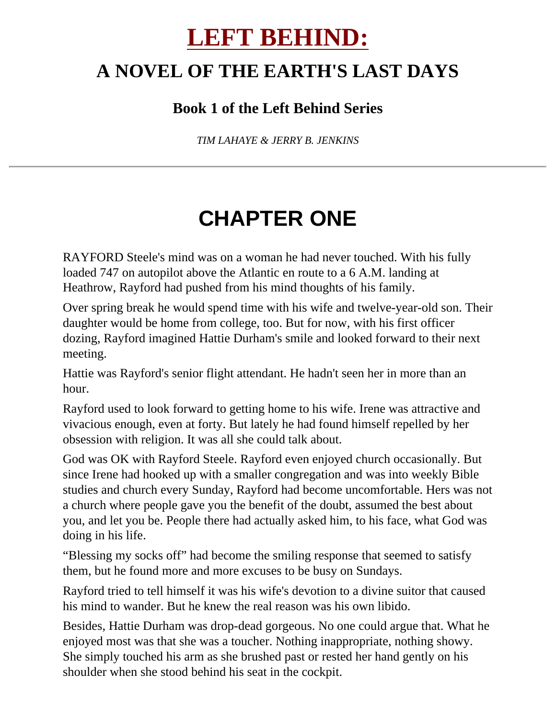#### **LEFT BEHIND:**

#### **A NOVEL OF THE EARTH'S LAST DAYS**

#### **Book 1 of the Left Behind Series**

*TIM LAHAYE & JERRY B. JENKINS*

## **CHAPTER ONE**

RAYFORD Steele's mind was on a woman he had never touched. With his fully loaded 747 on autopilot above the Atlantic en route to a 6 A.M. landing at Heathrow, Rayford had pushed from his mind thoughts of his family.

Over spring break he would spend time with his wife and twelve-year-old son. Their daughter would be home from college, too. But for now, with his first officer dozing, Rayford imagined Hattie Durham's smile and looked forward to their next meeting.

Hattie was Rayford's senior flight attendant. He hadn't seen her in more than an hour.

Rayford used to look forward to getting home to his wife. Irene was attractive and vivacious enough, even at forty. But lately he had found himself repelled by her obsession with religion. It was all she could talk about.

God was OK with Rayford Steele. Rayford even enjoyed church occasionally. But since Irene had hooked up with a smaller congregation and was into weekly Bible studies and church every Sunday, Rayford had become uncomfortable. Hers was not a church where people gave you the benefit of the doubt, assumed the best about you, and let you be. People there had actually asked him, to his face, what God was doing in his life.

"Blessing my socks off" had become the smiling response that seemed to satisfy them, but he found more and more excuses to be busy on Sundays.

Rayford tried to tell himself it was his wife's devotion to a divine suitor that caused his mind to wander. But he knew the real reason was his own libido.

Besides, Hattie Durham was drop-dead gorgeous. No one could argue that. What he enjoyed most was that she was a toucher. Nothing inappropriate, nothing showy. She simply touched his arm as she brushed past or rested her hand gently on his shoulder when she stood behind his seat in the cockpit.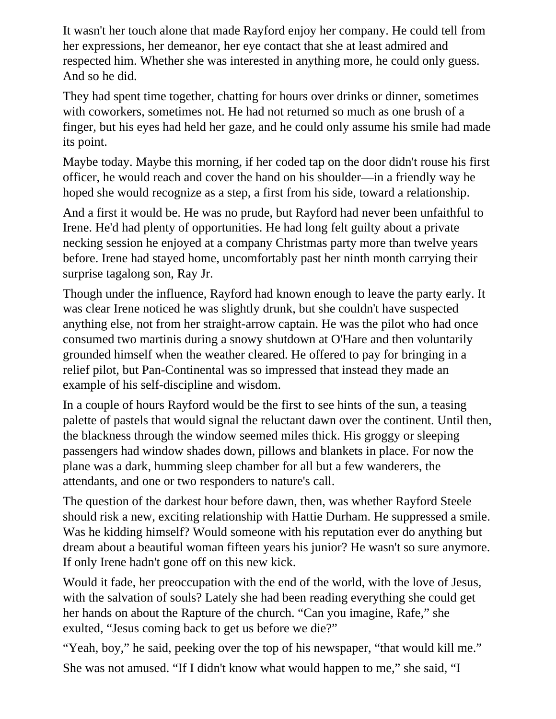It wasn't her touch alone that made Rayford enjoy her company. He could tell from her expressions, her demeanor, her eye contact that she at least admired and respected him. Whether she was interested in anything more, he could only guess. And so he did.

They had spent time together, chatting for hours over drinks or dinner, sometimes with coworkers, sometimes not. He had not returned so much as one brush of a finger, but his eyes had held her gaze, and he could only assume his smile had made its point.

Maybe today. Maybe this morning, if her coded tap on the door didn't rouse his first officer, he would reach and cover the hand on his shoulder—in a friendly way he hoped she would recognize as a step, a first from his side, toward a relationship.

And a first it would be. He was no prude, but Rayford had never been unfaithful to Irene. He'd had plenty of opportunities. He had long felt guilty about a private necking session he enjoyed at a company Christmas party more than twelve years before. Irene had stayed home, uncomfortably past her ninth month carrying their surprise tagalong son, Ray Jr.

Though under the influence, Rayford had known enough to leave the party early. It was clear Irene noticed he was slightly drunk, but she couldn't have suspected anything else, not from her straight-arrow captain. He was the pilot who had once consumed two martinis during a snowy shutdown at O'Hare and then voluntarily grounded himself when the weather cleared. He offered to pay for bringing in a relief pilot, but Pan-Continental was so impressed that instead they made an example of his self-discipline and wisdom.

In a couple of hours Rayford would be the first to see hints of the sun, a teasing palette of pastels that would signal the reluctant dawn over the continent. Until then, the blackness through the window seemed miles thick. His groggy or sleeping passengers had window shades down, pillows and blankets in place. For now the plane was a dark, humming sleep chamber for all but a few wanderers, the attendants, and one or two responders to nature's call.

The question of the darkest hour before dawn, then, was whether Rayford Steele should risk a new, exciting relationship with Hattie Durham. He suppressed a smile. Was he kidding himself? Would someone with his reputation ever do anything but dream about a beautiful woman fifteen years his junior? He wasn't so sure anymore. If only Irene hadn't gone off on this new kick.

Would it fade, her preoccupation with the end of the world, with the love of Jesus, with the salvation of souls? Lately she had been reading everything she could get her hands on about the Rapture of the church. "Can you imagine, Rafe," she exulted, "Jesus coming back to get us before we die?"

"Yeah, boy," he said, peeking over the top of his newspaper, "that would kill me."

She was not amused. "If I didn't know what would happen to me," she said, "I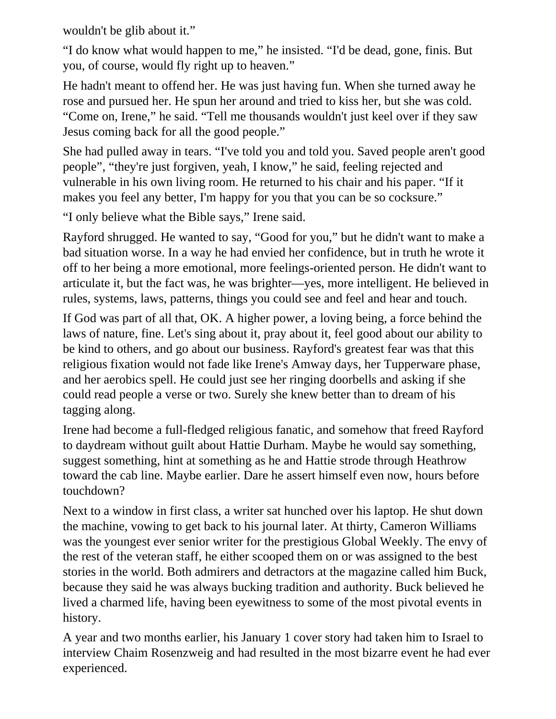wouldn't be glib about it."

"I do know what would happen to me," he insisted. "I'd be dead, gone, finis. But you, of course, would fly right up to heaven."

He hadn't meant to offend her. He was just having fun. When she turned away he rose and pursued her. He spun her around and tried to kiss her, but she was cold. "Come on, Irene," he said. "Tell me thousands wouldn't just keel over if they saw Jesus coming back for all the good people."

She had pulled away in tears. "I've told you and told you. Saved people aren't good people", "they're just forgiven, yeah, I know," he said, feeling rejected and vulnerable in his own living room. He returned to his chair and his paper. "If it makes you feel any better, I'm happy for you that you can be so cocksure."

"I only believe what the Bible says," Irene said.

Rayford shrugged. He wanted to say, "Good for you," but he didn't want to make a bad situation worse. In a way he had envied her confidence, but in truth he wrote it off to her being a more emotional, more feelings-oriented person. He didn't want to articulate it, but the fact was, he was brighter—yes, more intelligent. He believed in rules, systems, laws, patterns, things you could see and feel and hear and touch.

If God was part of all that, OK. A higher power, a loving being, a force behind the laws of nature, fine. Let's sing about it, pray about it, feel good about our ability to be kind to others, and go about our business. Rayford's greatest fear was that this religious fixation would not fade like Irene's Amway days, her Tupperware phase, and her aerobics spell. He could just see her ringing doorbells and asking if she could read people a verse or two. Surely she knew better than to dream of his tagging along.

Irene had become a full-fledged religious fanatic, and somehow that freed Rayford to daydream without guilt about Hattie Durham. Maybe he would say something, suggest something, hint at something as he and Hattie strode through Heathrow toward the cab line. Maybe earlier. Dare he assert himself even now, hours before touchdown?

Next to a window in first class, a writer sat hunched over his laptop. He shut down the machine, vowing to get back to his journal later. At thirty, Cameron Williams was the youngest ever senior writer for the prestigious Global Weekly. The envy of the rest of the veteran staff, he either scooped them on or was assigned to the best stories in the world. Both admirers and detractors at the magazine called him Buck, because they said he was always bucking tradition and authority. Buck believed he lived a charmed life, having been eyewitness to some of the most pivotal events in history.

A year and two months earlier, his January 1 cover story had taken him to Israel to interview Chaim Rosenzweig and had resulted in the most bizarre event he had ever experienced.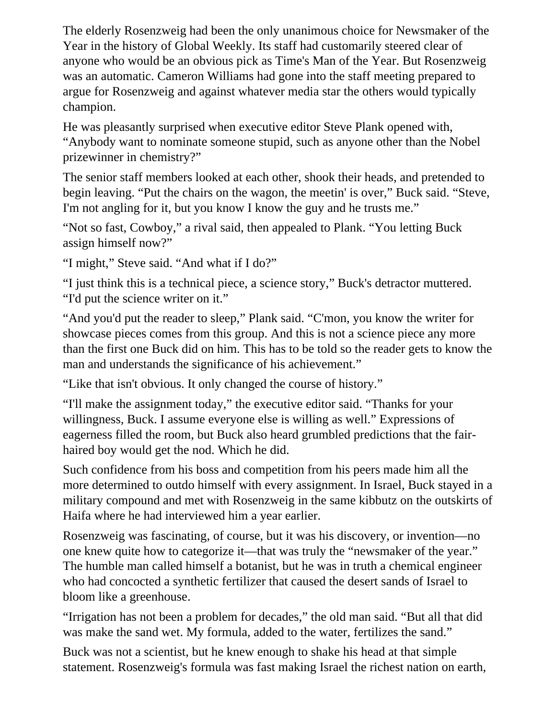The elderly Rosenzweig had been the only unanimous choice for Newsmaker of the Year in the history of Global Weekly. Its staff had customarily steered clear of anyone who would be an obvious pick as Time's Man of the Year. But Rosenzweig was an automatic. Cameron Williams had gone into the staff meeting prepared to argue for Rosenzweig and against whatever media star the others would typically champion.

He was pleasantly surprised when executive editor Steve Plank opened with, "Anybody want to nominate someone stupid, such as anyone other than the Nobel prizewinner in chemistry?"

The senior staff members looked at each other, shook their heads, and pretended to begin leaving. "Put the chairs on the wagon, the meetin' is over," Buck said. "Steve, I'm not angling for it, but you know I know the guy and he trusts me."

"Not so fast, Cowboy," a rival said, then appealed to Plank. "You letting Buck assign himself now?"

"I might," Steve said. "And what if I do?"

"I just think this is a technical piece, a science story," Buck's detractor muttered. "I'd put the science writer on it."

"And you'd put the reader to sleep," Plank said. "C'mon, you know the writer for showcase pieces comes from this group. And this is not a science piece any more than the first one Buck did on him. This has to be told so the reader gets to know the man and understands the significance of his achievement."

"Like that isn't obvious. It only changed the course of history."

"I'll make the assignment today," the executive editor said. "Thanks for your willingness, Buck. I assume everyone else is willing as well." Expressions of eagerness filled the room, but Buck also heard grumbled predictions that the fairhaired boy would get the nod. Which he did.

Such confidence from his boss and competition from his peers made him all the more determined to outdo himself with every assignment. In Israel, Buck stayed in a military compound and met with Rosenzweig in the same kibbutz on the outskirts of Haifa where he had interviewed him a year earlier.

Rosenzweig was fascinating, of course, but it was his discovery, or invention—no one knew quite how to categorize it—that was truly the "newsmaker of the year." The humble man called himself a botanist, but he was in truth a chemical engineer who had concocted a synthetic fertilizer that caused the desert sands of Israel to bloom like a greenhouse.

"Irrigation has not been a problem for decades," the old man said. "But all that did was make the sand wet. My formula, added to the water, fertilizes the sand."

Buck was not a scientist, but he knew enough to shake his head at that simple statement. Rosenzweig's formula was fast making Israel the richest nation on earth,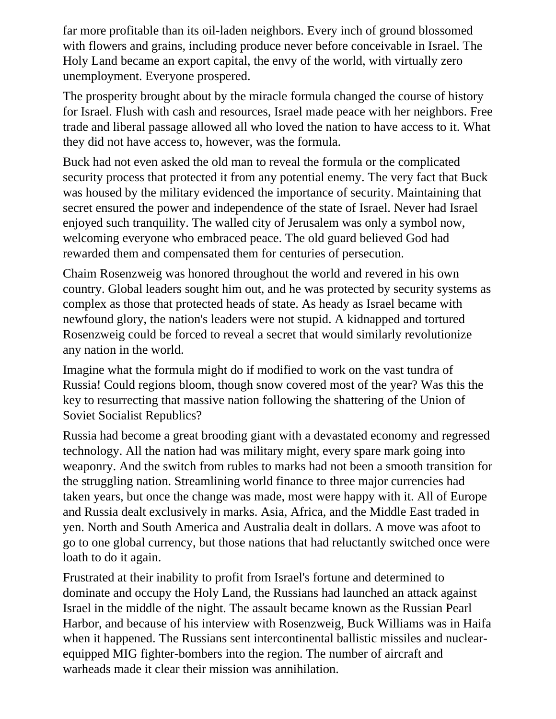far more profitable than its oil-laden neighbors. Every inch of ground blossomed with flowers and grains, including produce never before conceivable in Israel. The Holy Land became an export capital, the envy of the world, with virtually zero unemployment. Everyone prospered.

The prosperity brought about by the miracle formula changed the course of history for Israel. Flush with cash and resources, Israel made peace with her neighbors. Free trade and liberal passage allowed all who loved the nation to have access to it. What they did not have access to, however, was the formula.

Buck had not even asked the old man to reveal the formula or the complicated security process that protected it from any potential enemy. The very fact that Buck was housed by the military evidenced the importance of security. Maintaining that secret ensured the power and independence of the state of Israel. Never had Israel enjoyed such tranquility. The walled city of Jerusalem was only a symbol now, welcoming everyone who embraced peace. The old guard believed God had rewarded them and compensated them for centuries of persecution.

Chaim Rosenzweig was honored throughout the world and revered in his own country. Global leaders sought him out, and he was protected by security systems as complex as those that protected heads of state. As heady as Israel became with newfound glory, the nation's leaders were not stupid. A kidnapped and tortured Rosenzweig could be forced to reveal a secret that would similarly revolutionize any nation in the world.

Imagine what the formula might do if modified to work on the vast tundra of Russia! Could regions bloom, though snow covered most of the year? Was this the key to resurrecting that massive nation following the shattering of the Union of Soviet Socialist Republics?

Russia had become a great brooding giant with a devastated economy and regressed technology. All the nation had was military might, every spare mark going into weaponry. And the switch from rubles to marks had not been a smooth transition for the struggling nation. Streamlining world finance to three major currencies had taken years, but once the change was made, most were happy with it. All of Europe and Russia dealt exclusively in marks. Asia, Africa, and the Middle East traded in yen. North and South America and Australia dealt in dollars. A move was afoot to go to one global currency, but those nations that had reluctantly switched once were loath to do it again.

Frustrated at their inability to profit from Israel's fortune and determined to dominate and occupy the Holy Land, the Russians had launched an attack against Israel in the middle of the night. The assault became known as the Russian Pearl Harbor, and because of his interview with Rosenzweig, Buck Williams was in Haifa when it happened. The Russians sent intercontinental ballistic missiles and nuclearequipped MIG fighter-bombers into the region. The number of aircraft and warheads made it clear their mission was annihilation.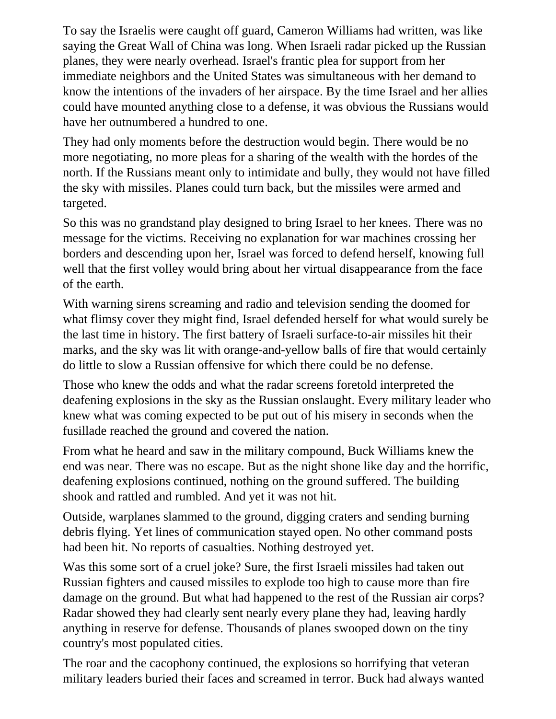To say the Israelis were caught off guard, Cameron Williams had written, was like saying the Great Wall of China was long. When Israeli radar picked up the Russian planes, they were nearly overhead. Israel's frantic plea for support from her immediate neighbors and the United States was simultaneous with her demand to know the intentions of the invaders of her airspace. By the time Israel and her allies could have mounted anything close to a defense, it was obvious the Russians would have her outnumbered a hundred to one.

They had only moments before the destruction would begin. There would be no more negotiating, no more pleas for a sharing of the wealth with the hordes of the north. If the Russians meant only to intimidate and bully, they would not have filled the sky with missiles. Planes could turn back, but the missiles were armed and targeted.

So this was no grandstand play designed to bring Israel to her knees. There was no message for the victims. Receiving no explanation for war machines crossing her borders and descending upon her, Israel was forced to defend herself, knowing full well that the first volley would bring about her virtual disappearance from the face of the earth.

With warning sirens screaming and radio and television sending the doomed for what flimsy cover they might find, Israel defended herself for what would surely be the last time in history. The first battery of Israeli surface-to-air missiles hit their marks, and the sky was lit with orange-and-yellow balls of fire that would certainly do little to slow a Russian offensive for which there could be no defense.

Those who knew the odds and what the radar screens foretold interpreted the deafening explosions in the sky as the Russian onslaught. Every military leader who knew what was coming expected to be put out of his misery in seconds when the fusillade reached the ground and covered the nation.

From what he heard and saw in the military compound, Buck Williams knew the end was near. There was no escape. But as the night shone like day and the horrific, deafening explosions continued, nothing on the ground suffered. The building shook and rattled and rumbled. And yet it was not hit.

Outside, warplanes slammed to the ground, digging craters and sending burning debris flying. Yet lines of communication stayed open. No other command posts had been hit. No reports of casualties. Nothing destroyed yet.

Was this some sort of a cruel joke? Sure, the first Israeli missiles had taken out Russian fighters and caused missiles to explode too high to cause more than fire damage on the ground. But what had happened to the rest of the Russian air corps? Radar showed they had clearly sent nearly every plane they had, leaving hardly anything in reserve for defense. Thousands of planes swooped down on the tiny country's most populated cities.

The roar and the cacophony continued, the explosions so horrifying that veteran military leaders buried their faces and screamed in terror. Buck had always wanted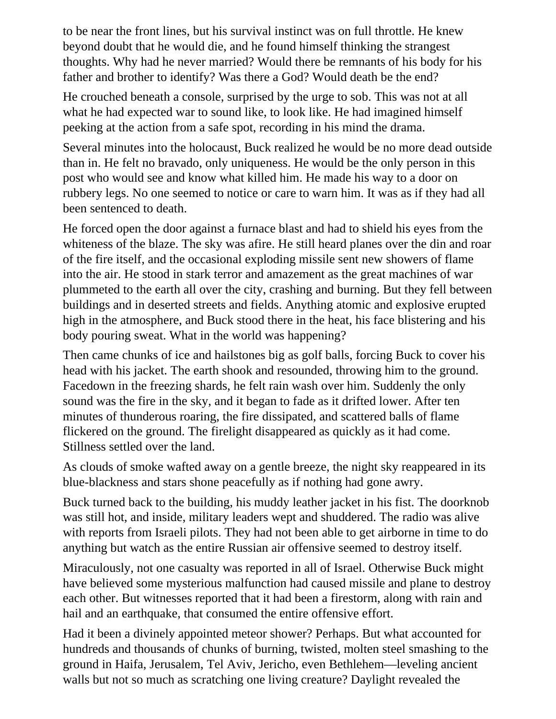to be near the front lines, but his survival instinct was on full throttle. He knew beyond doubt that he would die, and he found himself thinking the strangest thoughts. Why had he never married? Would there be remnants of his body for his father and brother to identify? Was there a God? Would death be the end?

He crouched beneath a console, surprised by the urge to sob. This was not at all what he had expected war to sound like, to look like. He had imagined himself peeking at the action from a safe spot, recording in his mind the drama.

Several minutes into the holocaust, Buck realized he would be no more dead outside than in. He felt no bravado, only uniqueness. He would be the only person in this post who would see and know what killed him. He made his way to a door on rubbery legs. No one seemed to notice or care to warn him. It was as if they had all been sentenced to death.

He forced open the door against a furnace blast and had to shield his eyes from the whiteness of the blaze. The sky was afire. He still heard planes over the din and roar of the fire itself, and the occasional exploding missile sent new showers of flame into the air. He stood in stark terror and amazement as the great machines of war plummeted to the earth all over the city, crashing and burning. But they fell between buildings and in deserted streets and fields. Anything atomic and explosive erupted high in the atmosphere, and Buck stood there in the heat, his face blistering and his body pouring sweat. What in the world was happening?

Then came chunks of ice and hailstones big as golf balls, forcing Buck to cover his head with his jacket. The earth shook and resounded, throwing him to the ground. Facedown in the freezing shards, he felt rain wash over him. Suddenly the only sound was the fire in the sky, and it began to fade as it drifted lower. After ten minutes of thunderous roaring, the fire dissipated, and scattered balls of flame flickered on the ground. The firelight disappeared as quickly as it had come. Stillness settled over the land.

As clouds of smoke wafted away on a gentle breeze, the night sky reappeared in its blue-blackness and stars shone peacefully as if nothing had gone awry.

Buck turned back to the building, his muddy leather jacket in his fist. The doorknob was still hot, and inside, military leaders wept and shuddered. The radio was alive with reports from Israeli pilots. They had not been able to get airborne in time to do anything but watch as the entire Russian air offensive seemed to destroy itself.

Miraculously, not one casualty was reported in all of Israel. Otherwise Buck might have believed some mysterious malfunction had caused missile and plane to destroy each other. But witnesses reported that it had been a firestorm, along with rain and hail and an earthquake, that consumed the entire offensive effort.

Had it been a divinely appointed meteor shower? Perhaps. But what accounted for hundreds and thousands of chunks of burning, twisted, molten steel smashing to the ground in Haifa, Jerusalem, Tel Aviv, Jericho, even Bethlehem—leveling ancient walls but not so much as scratching one living creature? Daylight revealed the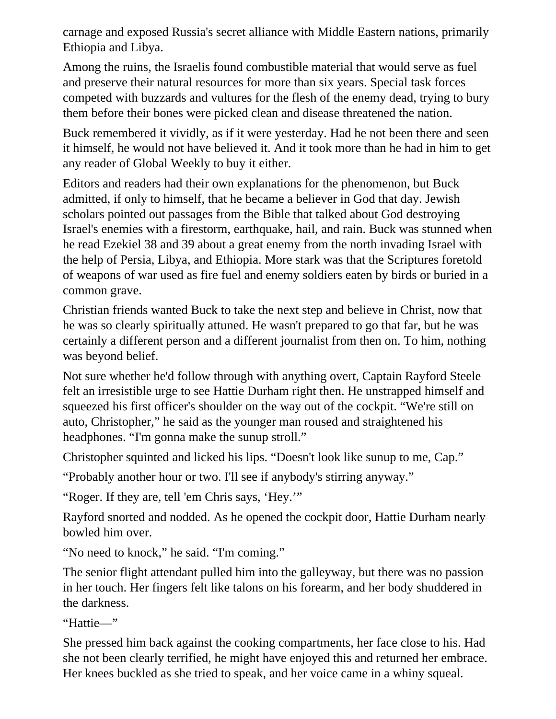carnage and exposed Russia's secret alliance with Middle Eastern nations, primarily Ethiopia and Libya.

Among the ruins, the Israelis found combustible material that would serve as fuel and preserve their natural resources for more than six years. Special task forces competed with buzzards and vultures for the flesh of the enemy dead, trying to bury them before their bones were picked clean and disease threatened the nation.

Buck remembered it vividly, as if it were yesterday. Had he not been there and seen it himself, he would not have believed it. And it took more than he had in him to get any reader of Global Weekly to buy it either.

Editors and readers had their own explanations for the phenomenon, but Buck admitted, if only to himself, that he became a believer in God that day. Jewish scholars pointed out passages from the Bible that talked about God destroying Israel's enemies with a firestorm, earthquake, hail, and rain. Buck was stunned when he read Ezekiel 38 and 39 about a great enemy from the north invading Israel with the help of Persia, Libya, and Ethiopia. More stark was that the Scriptures foretold of weapons of war used as fire fuel and enemy soldiers eaten by birds or buried in a common grave.

Christian friends wanted Buck to take the next step and believe in Christ, now that he was so clearly spiritually attuned. He wasn't prepared to go that far, but he was certainly a different person and a different journalist from then on. To him, nothing was beyond belief.

Not sure whether he'd follow through with anything overt, Captain Rayford Steele felt an irresistible urge to see Hattie Durham right then. He unstrapped himself and squeezed his first officer's shoulder on the way out of the cockpit. "We're still on auto, Christopher," he said as the younger man roused and straightened his headphones. "I'm gonna make the sunup stroll."

Christopher squinted and licked his lips. "Doesn't look like sunup to me, Cap."

"Probably another hour or two. I'll see if anybody's stirring anyway."

"Roger. If they are, tell 'em Chris says, 'Hey.'"

Rayford snorted and nodded. As he opened the cockpit door, Hattie Durham nearly bowled him over.

"No need to knock," he said. "I'm coming."

The senior flight attendant pulled him into the galleyway, but there was no passion in her touch. Her fingers felt like talons on his forearm, and her body shuddered in the darkness.

"Hattie—"

She pressed him back against the cooking compartments, her face close to his. Had she not been clearly terrified, he might have enjoyed this and returned her embrace. Her knees buckled as she tried to speak, and her voice came in a whiny squeal.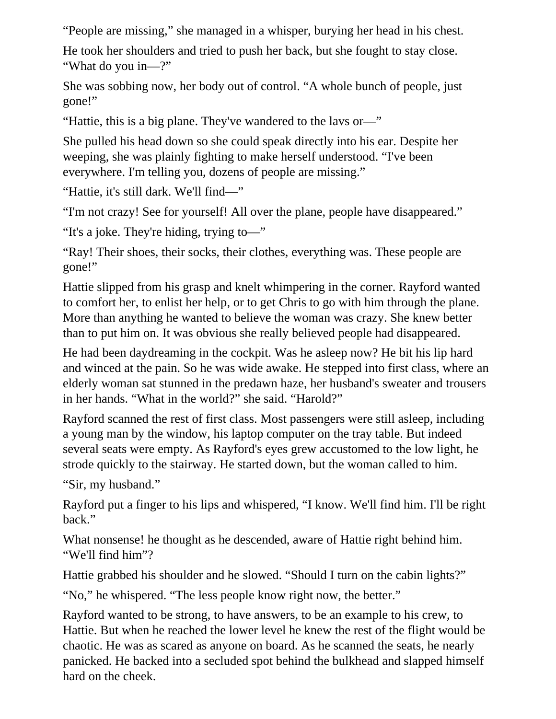"People are missing," she managed in a whisper, burying her head in his chest.

He took her shoulders and tried to push her back, but she fought to stay close. "What do you in—?"

She was sobbing now, her body out of control. "A whole bunch of people, just gone!"

"Hattie, this is a big plane. They've wandered to the lavs or—"

She pulled his head down so she could speak directly into his ear. Despite her weeping, she was plainly fighting to make herself understood. "I've been everywhere. I'm telling you, dozens of people are missing."

"Hattie, it's still dark. We'll find—"

"I'm not crazy! See for yourself! All over the plane, people have disappeared."

"It's a joke. They're hiding, trying to—"

"Ray! Their shoes, their socks, their clothes, everything was. These people are gone!"

Hattie slipped from his grasp and knelt whimpering in the corner. Rayford wanted to comfort her, to enlist her help, or to get Chris to go with him through the plane. More than anything he wanted to believe the woman was crazy. She knew better than to put him on. It was obvious she really believed people had disappeared.

He had been daydreaming in the cockpit. Was he asleep now? He bit his lip hard and winced at the pain. So he was wide awake. He stepped into first class, where an elderly woman sat stunned in the predawn haze, her husband's sweater and trousers in her hands. "What in the world?" she said. "Harold?"

Rayford scanned the rest of first class. Most passengers were still asleep, including a young man by the window, his laptop computer on the tray table. But indeed several seats were empty. As Rayford's eyes grew accustomed to the low light, he strode quickly to the stairway. He started down, but the woman called to him.

"Sir, my husband."

Rayford put a finger to his lips and whispered, "I know. We'll find him. I'll be right back."

What nonsense! he thought as he descended, aware of Hattie right behind him. "We'll find him"?

Hattie grabbed his shoulder and he slowed. "Should I turn on the cabin lights?"

"No," he whispered. "The less people know right now, the better."

Rayford wanted to be strong, to have answers, to be an example to his crew, to Hattie. But when he reached the lower level he knew the rest of the flight would be chaotic. He was as scared as anyone on board. As he scanned the seats, he nearly panicked. He backed into a secluded spot behind the bulkhead and slapped himself hard on the cheek.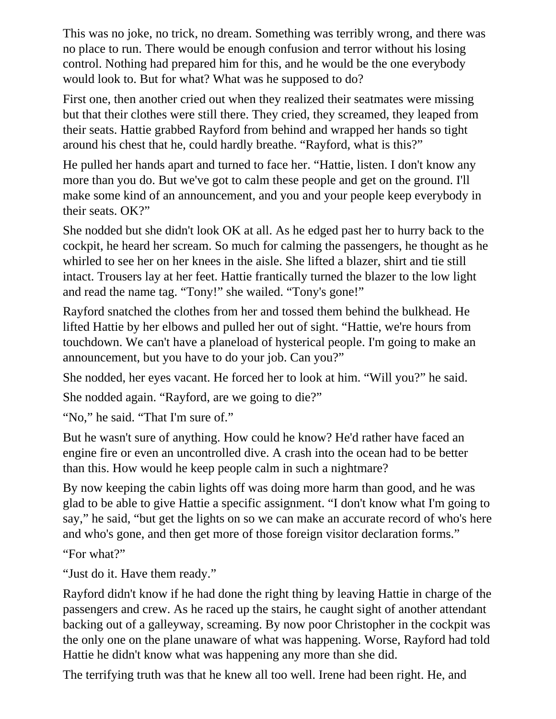This was no joke, no trick, no dream. Something was terribly wrong, and there was no place to run. There would be enough confusion and terror without his losing control. Nothing had prepared him for this, and he would be the one everybody would look to. But for what? What was he supposed to do?

First one, then another cried out when they realized their seatmates were missing but that their clothes were still there. They cried, they screamed, they leaped from their seats. Hattie grabbed Rayford from behind and wrapped her hands so tight around his chest that he, could hardly breathe. "Rayford, what is this?"

He pulled her hands apart and turned to face her. "Hattie, listen. I don't know any more than you do. But we've got to calm these people and get on the ground. I'll make some kind of an announcement, and you and your people keep everybody in their seats. OK?"

She nodded but she didn't look OK at all. As he edged past her to hurry back to the cockpit, he heard her scream. So much for calming the passengers, he thought as he whirled to see her on her knees in the aisle. She lifted a blazer, shirt and tie still intact. Trousers lay at her feet. Hattie frantically turned the blazer to the low light and read the name tag. "Tony!" she wailed. "Tony's gone!"

Rayford snatched the clothes from her and tossed them behind the bulkhead. He lifted Hattie by her elbows and pulled her out of sight. "Hattie, we're hours from touchdown. We can't have a planeload of hysterical people. I'm going to make an announcement, but you have to do your job. Can you?"

She nodded, her eyes vacant. He forced her to look at him. "Will you?" he said.

She nodded again. "Rayford, are we going to die?"

"No," he said. "That I'm sure of."

But he wasn't sure of anything. How could he know? He'd rather have faced an engine fire or even an uncontrolled dive. A crash into the ocean had to be better than this. How would he keep people calm in such a nightmare?

By now keeping the cabin lights off was doing more harm than good, and he was glad to be able to give Hattie a specific assignment. "I don't know what I'm going to say," he said, "but get the lights on so we can make an accurate record of who's here and who's gone, and then get more of those foreign visitor declaration forms."

"For what?"

"Just do it. Have them ready."

Rayford didn't know if he had done the right thing by leaving Hattie in charge of the passengers and crew. As he raced up the stairs, he caught sight of another attendant backing out of a galleyway, screaming. By now poor Christopher in the cockpit was the only one on the plane unaware of what was happening. Worse, Rayford had told Hattie he didn't know what was happening any more than she did.

The terrifying truth was that he knew all too well. Irene had been right. He, and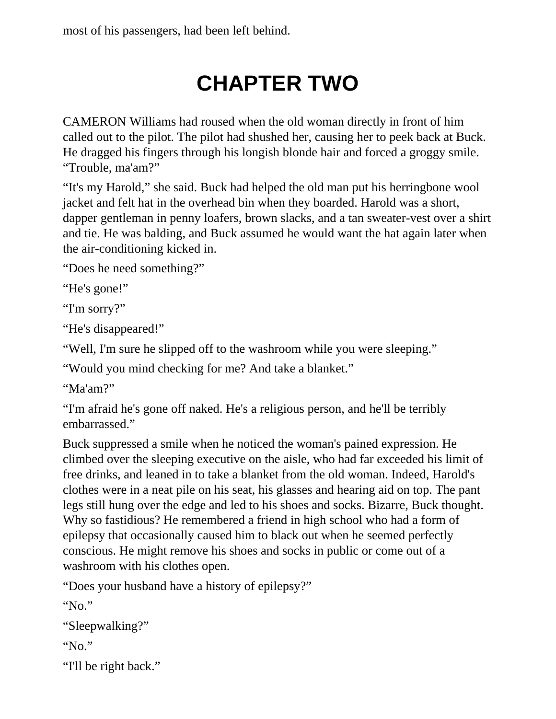#### **CHAPTER TWO**

CAMERON Williams had roused when the old woman directly in front of him called out to the pilot. The pilot had shushed her, causing her to peek back at Buck. He dragged his fingers through his longish blonde hair and forced a groggy smile. "Trouble, ma'am?"

"It's my Harold," she said. Buck had helped the old man put his herringbone wool jacket and felt hat in the overhead bin when they boarded. Harold was a short, dapper gentleman in penny loafers, brown slacks, and a tan sweater-vest over a shirt and tie. He was balding, and Buck assumed he would want the hat again later when the air-conditioning kicked in.

"Does he need something?"

"He's gone!"

"I'm sorry?"

"He's disappeared!"

"Well, I'm sure he slipped off to the washroom while you were sleeping."

"Would you mind checking for me? And take a blanket."

"Ma'am?"

"I'm afraid he's gone off naked. He's a religious person, and he'll be terribly embarrassed."

Buck suppressed a smile when he noticed the woman's pained expression. He climbed over the sleeping executive on the aisle, who had far exceeded his limit of free drinks, and leaned in to take a blanket from the old woman. Indeed, Harold's clothes were in a neat pile on his seat, his glasses and hearing aid on top. The pant legs still hung over the edge and led to his shoes and socks. Bizarre, Buck thought. Why so fastidious? He remembered a friend in high school who had a form of epilepsy that occasionally caused him to black out when he seemed perfectly conscious. He might remove his shoes and socks in public or come out of a washroom with his clothes open.

"Does your husband have a history of epilepsy?"

```
"No."
```

```
"Sleepwalking?"
```
"No."

"I'll be right back."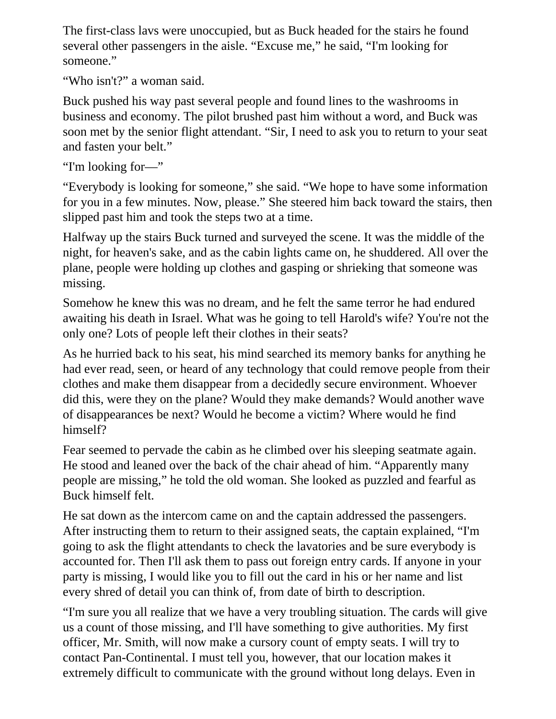The first-class lavs were unoccupied, but as Buck headed for the stairs he found several other passengers in the aisle. "Excuse me," he said, "I'm looking for someone."

"Who isn't?" a woman said.

Buck pushed his way past several people and found lines to the washrooms in business and economy. The pilot brushed past him without a word, and Buck was soon met by the senior flight attendant. "Sir, I need to ask you to return to your seat and fasten your belt."

"I'm looking for—"

"Everybody is looking for someone," she said. "We hope to have some information for you in a few minutes. Now, please." She steered him back toward the stairs, then slipped past him and took the steps two at a time.

Halfway up the stairs Buck turned and surveyed the scene. It was the middle of the night, for heaven's sake, and as the cabin lights came on, he shuddered. All over the plane, people were holding up clothes and gasping or shrieking that someone was missing.

Somehow he knew this was no dream, and he felt the same terror he had endured awaiting his death in Israel. What was he going to tell Harold's wife? You're not the only one? Lots of people left their clothes in their seats?

As he hurried back to his seat, his mind searched its memory banks for anything he had ever read, seen, or heard of any technology that could remove people from their clothes and make them disappear from a decidedly secure environment. Whoever did this, were they on the plane? Would they make demands? Would another wave of disappearances be next? Would he become a victim? Where would he find himself?

Fear seemed to pervade the cabin as he climbed over his sleeping seatmate again. He stood and leaned over the back of the chair ahead of him. "Apparently many people are missing," he told the old woman. She looked as puzzled and fearful as Buck himself felt.

He sat down as the intercom came on and the captain addressed the passengers. After instructing them to return to their assigned seats, the captain explained, "I'm going to ask the flight attendants to check the lavatories and be sure everybody is accounted for. Then I'll ask them to pass out foreign entry cards. If anyone in your party is missing, I would like you to fill out the card in his or her name and list every shred of detail you can think of, from date of birth to description.

"I'm sure you all realize that we have a very troubling situation. The cards will give us a count of those missing, and I'll have something to give authorities. My first officer, Mr. Smith, will now make a cursory count of empty seats. I will try to contact Pan-Continental. I must tell you, however, that our location makes it extremely difficult to communicate with the ground without long delays. Even in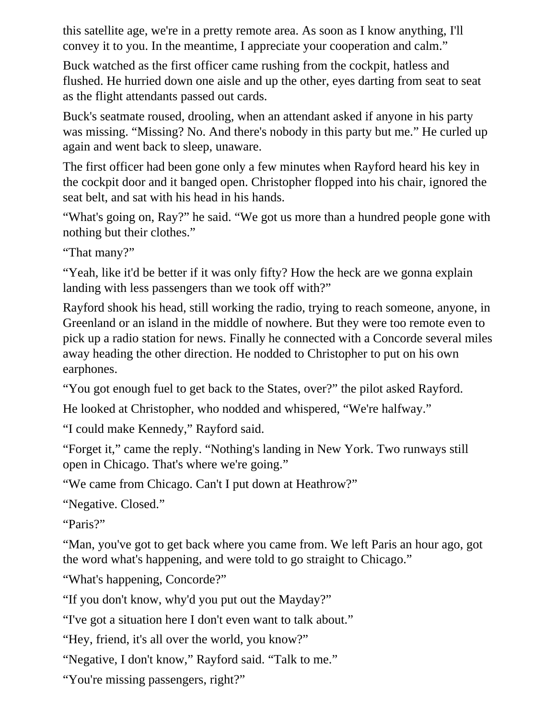this satellite age, we're in a pretty remote area. As soon as I know anything, I'll convey it to you. In the meantime, I appreciate your cooperation and calm."

Buck watched as the first officer came rushing from the cockpit, hatless and flushed. He hurried down one aisle and up the other, eyes darting from seat to seat as the flight attendants passed out cards.

Buck's seatmate roused, drooling, when an attendant asked if anyone in his party was missing. "Missing? No. And there's nobody in this party but me." He curled up again and went back to sleep, unaware.

The first officer had been gone only a few minutes when Rayford heard his key in the cockpit door and it banged open. Christopher flopped into his chair, ignored the seat belt, and sat with his head in his hands.

"What's going on, Ray?" he said. "We got us more than a hundred people gone with nothing but their clothes."

"That many?"

"Yeah, like it'd be better if it was only fifty? How the heck are we gonna explain landing with less passengers than we took off with?"

Rayford shook his head, still working the radio, trying to reach someone, anyone, in Greenland or an island in the middle of nowhere. But they were too remote even to pick up a radio station for news. Finally he connected with a Concorde several miles away heading the other direction. He nodded to Christopher to put on his own earphones.

"You got enough fuel to get back to the States, over?" the pilot asked Rayford.

He looked at Christopher, who nodded and whispered, "We're halfway."

"I could make Kennedy," Rayford said.

"Forget it," came the reply. "Nothing's landing in New York. Two runways still open in Chicago. That's where we're going."

"We came from Chicago. Can't I put down at Heathrow?"

"Negative. Closed."

"Paris?"

"Man, you've got to get back where you came from. We left Paris an hour ago, got the word what's happening, and were told to go straight to Chicago."

"What's happening, Concorde?"

"If you don't know, why'd you put out the Mayday?"

"I've got a situation here I don't even want to talk about."

"Hey, friend, it's all over the world, you know?"

"Negative, I don't know," Rayford said. "Talk to me."

"You're missing passengers, right?"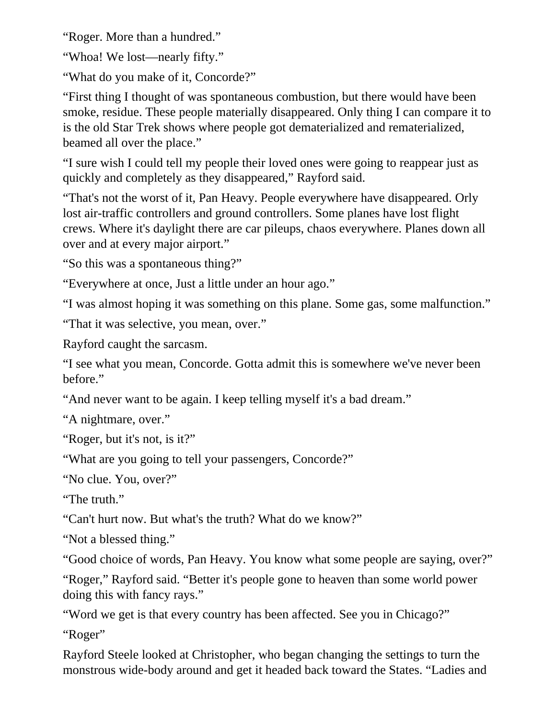"Roger. More than a hundred."

"Whoa! We lost—nearly fifty."

"What do you make of it, Concorde?"

"First thing I thought of was spontaneous combustion, but there would have been smoke, residue. These people materially disappeared. Only thing I can compare it to is the old Star Trek shows where people got dematerialized and rematerialized, beamed all over the place."

"I sure wish I could tell my people their loved ones were going to reappear just as quickly and completely as they disappeared," Rayford said.

"That's not the worst of it, Pan Heavy. People everywhere have disappeared. Orly lost air-traffic controllers and ground controllers. Some planes have lost flight crews. Where it's daylight there are car pileups, chaos everywhere. Planes down all over and at every major airport."

"So this was a spontaneous thing?"

"Everywhere at once, Just a little under an hour ago."

"I was almost hoping it was something on this plane. Some gas, some malfunction."

"That it was selective, you mean, over."

Rayford caught the sarcasm.

"I see what you mean, Concorde. Gotta admit this is somewhere we've never been before."

"And never want to be again. I keep telling myself it's a bad dream."

"A nightmare, over."

"Roger, but it's not, is it?"

"What are you going to tell your passengers, Concorde?"

"No clue. You, over?"

"The truth."

"Can't hurt now. But what's the truth? What do we know?"

"Not a blessed thing."

"Good choice of words, Pan Heavy. You know what some people are saying, over?"

"Roger," Rayford said. "Better it's people gone to heaven than some world power doing this with fancy rays."

"Word we get is that every country has been affected. See you in Chicago?"

"Roger"

Rayford Steele looked at Christopher, who began changing the settings to turn the monstrous wide-body around and get it headed back toward the States. "Ladies and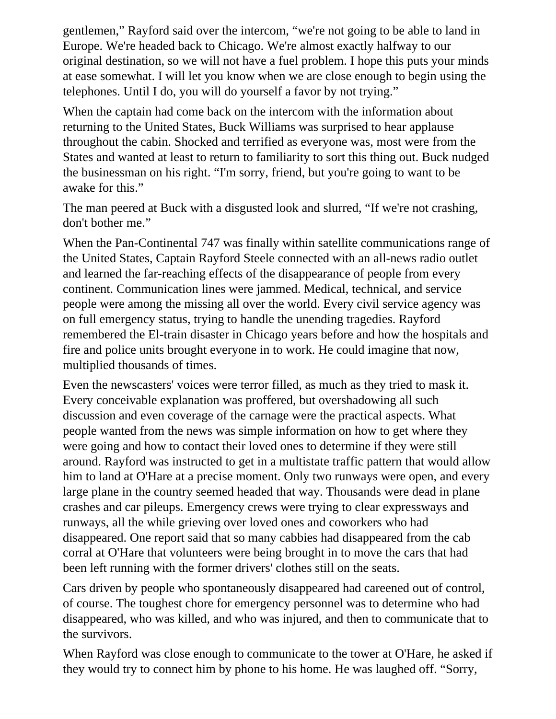gentlemen," Rayford said over the intercom, "we're not going to be able to land in Europe. We're headed back to Chicago. We're almost exactly halfway to our original destination, so we will not have a fuel problem. I hope this puts your minds at ease somewhat. I will let you know when we are close enough to begin using the telephones. Until I do, you will do yourself a favor by not trying."

When the captain had come back on the intercom with the information about returning to the United States, Buck Williams was surprised to hear applause throughout the cabin. Shocked and terrified as everyone was, most were from the States and wanted at least to return to familiarity to sort this thing out. Buck nudged the businessman on his right. "I'm sorry, friend, but you're going to want to be awake for this."

The man peered at Buck with a disgusted look and slurred, "If we're not crashing, don't bother me."

When the Pan-Continental 747 was finally within satellite communications range of the United States, Captain Rayford Steele connected with an all-news radio outlet and learned the far-reaching effects of the disappearance of people from every continent. Communication lines were jammed. Medical, technical, and service people were among the missing all over the world. Every civil service agency was on full emergency status, trying to handle the unending tragedies. Rayford remembered the El-train disaster in Chicago years before and how the hospitals and fire and police units brought everyone in to work. He could imagine that now, multiplied thousands of times.

Even the newscasters' voices were terror filled, as much as they tried to mask it. Every conceivable explanation was proffered, but overshadowing all such discussion and even coverage of the carnage were the practical aspects. What people wanted from the news was simple information on how to get where they were going and how to contact their loved ones to determine if they were still around. Rayford was instructed to get in a multistate traffic pattern that would allow him to land at O'Hare at a precise moment. Only two runways were open, and every large plane in the country seemed headed that way. Thousands were dead in plane crashes and car pileups. Emergency crews were trying to clear expressways and runways, all the while grieving over loved ones and coworkers who had disappeared. One report said that so many cabbies had disappeared from the cab corral at O'Hare that volunteers were being brought in to move the cars that had been left running with the former drivers' clothes still on the seats.

Cars driven by people who spontaneously disappeared had careened out of control, of course. The toughest chore for emergency personnel was to determine who had disappeared, who was killed, and who was injured, and then to communicate that to the survivors.

When Rayford was close enough to communicate to the tower at O'Hare, he asked if they would try to connect him by phone to his home. He was laughed off. "Sorry,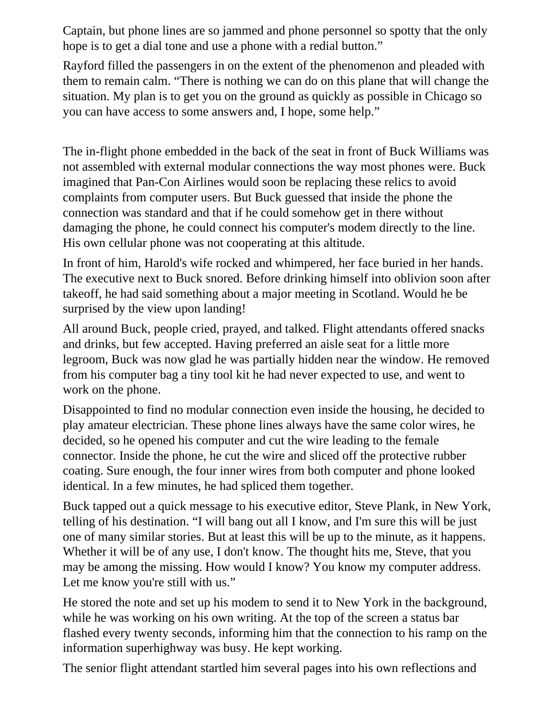Captain, but phone lines are so jammed and phone personnel so spotty that the only hope is to get a dial tone and use a phone with a redial button."

Rayford filled the passengers in on the extent of the phenomenon and pleaded with them to remain calm. "There is nothing we can do on this plane that will change the situation. My plan is to get you on the ground as quickly as possible in Chicago so you can have access to some answers and, I hope, some help."

The in-flight phone embedded in the back of the seat in front of Buck Williams was not assembled with external modular connections the way most phones were. Buck imagined that Pan-Con Airlines would soon be replacing these relics to avoid complaints from computer users. But Buck guessed that inside the phone the connection was standard and that if he could somehow get in there without damaging the phone, he could connect his computer's modem directly to the line. His own cellular phone was not cooperating at this altitude.

In front of him, Harold's wife rocked and whimpered, her face buried in her hands. The executive next to Buck snored. Before drinking himself into oblivion soon after takeoff, he had said something about a major meeting in Scotland. Would he be surprised by the view upon landing!

All around Buck, people cried, prayed, and talked. Flight attendants offered snacks and drinks, but few accepted. Having preferred an aisle seat for a little more legroom, Buck was now glad he was partially hidden near the window. He removed from his computer bag a tiny tool kit he had never expected to use, and went to work on the phone.

Disappointed to find no modular connection even inside the housing, he decided to play amateur electrician. These phone lines always have the same color wires, he decided, so he opened his computer and cut the wire leading to the female connector. Inside the phone, he cut the wire and sliced off the protective rubber coating. Sure enough, the four inner wires from both computer and phone looked identical. In a few minutes, he had spliced them together.

Buck tapped out a quick message to his executive editor, Steve Plank, in New York, telling of his destination. "I will bang out all I know, and I'm sure this will be just one of many similar stories. But at least this will be up to the minute, as it happens. Whether it will be of any use, I don't know. The thought hits me, Steve, that you may be among the missing. How would I know? You know my computer address. Let me know you're still with us."

He stored the note and set up his modem to send it to New York in the background, while he was working on his own writing. At the top of the screen a status bar flashed every twenty seconds, informing him that the connection to his ramp on the information superhighway was busy. He kept working.

The senior flight attendant startled him several pages into his own reflections and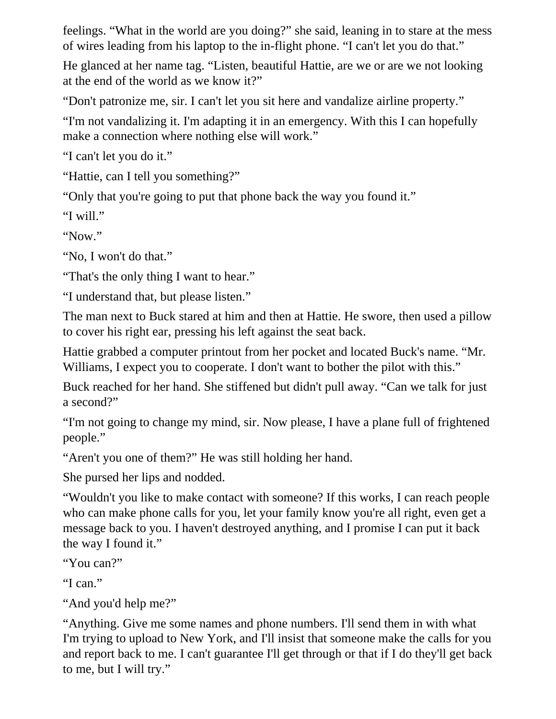feelings. "What in the world are you doing?" she said, leaning in to stare at the mess of wires leading from his laptop to the in-flight phone. "I can't let you do that."

He glanced at her name tag. "Listen, beautiful Hattie, are we or are we not looking at the end of the world as we know it?"

"Don't patronize me, sir. I can't let you sit here and vandalize airline property."

"I'm not vandalizing it. I'm adapting it in an emergency. With this I can hopefully make a connection where nothing else will work."

"I can't let you do it."

"Hattie, can I tell you something?"

"Only that you're going to put that phone back the way you found it."

"I will."

"Now."

"No, I won't do that."

"That's the only thing I want to hear."

"I understand that, but please listen."

The man next to Buck stared at him and then at Hattie. He swore, then used a pillow to cover his right ear, pressing his left against the seat back.

Hattie grabbed a computer printout from her pocket and located Buck's name. "Mr. Williams, I expect you to cooperate. I don't want to bother the pilot with this."

Buck reached for her hand. She stiffened but didn't pull away. "Can we talk for just a second?"

"I'm not going to change my mind, sir. Now please, I have a plane full of frightened people."

"Aren't you one of them?" He was still holding her hand.

She pursed her lips and nodded.

"Wouldn't you like to make contact with someone? If this works, I can reach people who can make phone calls for you, let your family know you're all right, even get a message back to you. I haven't destroyed anything, and I promise I can put it back the way I found it."

"You can?"

"I can."

"And you'd help me?"

"Anything. Give me some names and phone numbers. I'll send them in with what I'm trying to upload to New York, and I'll insist that someone make the calls for you and report back to me. I can't guarantee I'll get through or that if I do they'll get back to me, but I will try."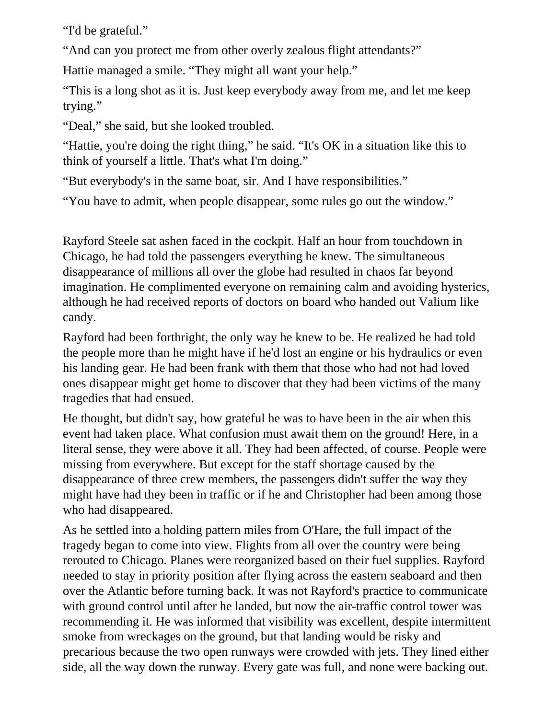"I'd be grateful."

"And can you protect me from other overly zealous flight attendants?"

Hattie managed a smile. "They might all want your help."

"This is a long shot as it is. Just keep everybody away from me, and let me keep trying."

"Deal," she said, but she looked troubled.

"Hattie, you're doing the right thing," he said. "It's OK in a situation like this to think of yourself a little. That's what I'm doing."

"But everybody's in the same boat, sir. And I have responsibilities."

"You have to admit, when people disappear, some rules go out the window."

Rayford Steele sat ashen faced in the cockpit. Half an hour from touchdown in Chicago, he had told the passengers everything he knew. The simultaneous disappearance of millions all over the globe had resulted in chaos far beyond imagination. He complimented everyone on remaining calm and avoiding hysterics, although he had received reports of doctors on board who handed out Valium like candy.

Rayford had been forthright, the only way he knew to be. He realized he had told the people more than he might have if he'd lost an engine or his hydraulics or even his landing gear. He had been frank with them that those who had not had loved ones disappear might get home to discover that they had been victims of the many tragedies that had ensued.

He thought, but didn't say, how grateful he was to have been in the air when this event had taken place. What confusion must await them on the ground! Here, in a literal sense, they were above it all. They had been affected, of course. People were missing from everywhere. But except for the staff shortage caused by the disappearance of three crew members, the passengers didn't suffer the way they might have had they been in traffic or if he and Christopher had been among those who had disappeared.

As he settled into a holding pattern miles from O'Hare, the full impact of the tragedy began to come into view. Flights from all over the country were being rerouted to Chicago. Planes were reorganized based on their fuel supplies. Rayford needed to stay in priority position after flying across the eastern seaboard and then over the Atlantic before turning back. It was not Rayford's practice to communicate with ground control until after he landed, but now the air-traffic control tower was recommending it. He was informed that visibility was excellent, despite intermittent smoke from wreckages on the ground, but that landing would be risky and precarious because the two open runways were crowded with jets. They lined either side, all the way down the runway. Every gate was full, and none were backing out.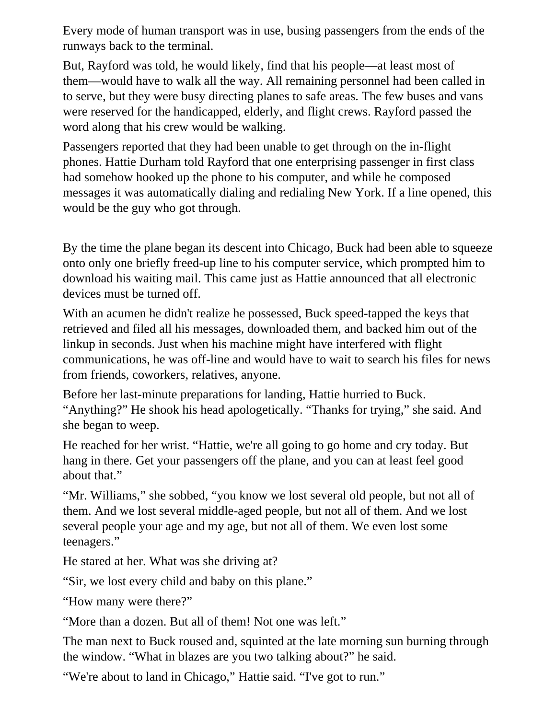Every mode of human transport was in use, busing passengers from the ends of the runways back to the terminal.

But, Rayford was told, he would likely, find that his people—at least most of them—would have to walk all the way. All remaining personnel had been called in to serve, but they were busy directing planes to safe areas. The few buses and vans were reserved for the handicapped, elderly, and flight crews. Rayford passed the word along that his crew would be walking.

Passengers reported that they had been unable to get through on the in-flight phones. Hattie Durham told Rayford that one enterprising passenger in first class had somehow hooked up the phone to his computer, and while he composed messages it was automatically dialing and redialing New York. If a line opened, this would be the guy who got through.

By the time the plane began its descent into Chicago, Buck had been able to squeeze onto only one briefly freed-up line to his computer service, which prompted him to download his waiting mail. This came just as Hattie announced that all electronic devices must be turned off.

With an acumen he didn't realize he possessed, Buck speed-tapped the keys that retrieved and filed all his messages, downloaded them, and backed him out of the linkup in seconds. Just when his machine might have interfered with flight communications, he was off-line and would have to wait to search his files for news from friends, coworkers, relatives, anyone.

Before her last-minute preparations for landing, Hattie hurried to Buck. "Anything?" He shook his head apologetically. "Thanks for trying," she said. And she began to weep.

He reached for her wrist. "Hattie, we're all going to go home and cry today. But hang in there. Get your passengers off the plane, and you can at least feel good about that."

"Mr. Williams," she sobbed, "you know we lost several old people, but not all of them. And we lost several middle-aged people, but not all of them. And we lost several people your age and my age, but not all of them. We even lost some teenagers."

He stared at her. What was she driving at?

"Sir, we lost every child and baby on this plane."

"How many were there?"

"More than a dozen. But all of them! Not one was left."

The man next to Buck roused and, squinted at the late morning sun burning through the window. "What in blazes are you two talking about?" he said.

"We're about to land in Chicago," Hattie said. "I've got to run."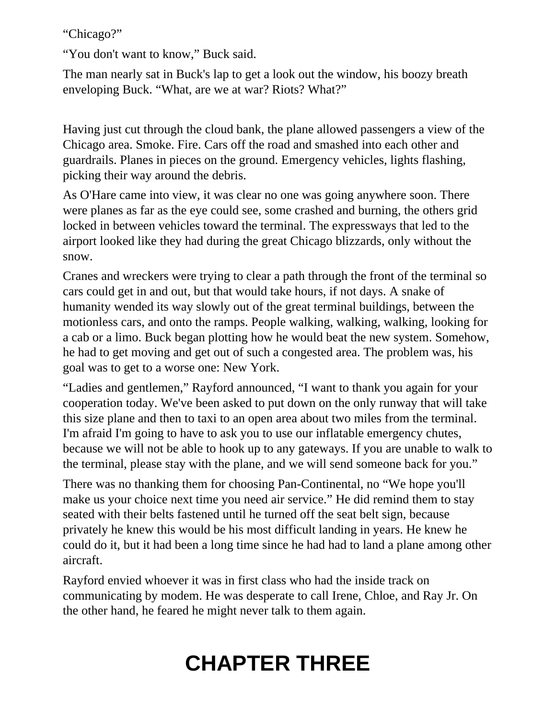"Chicago?"

"You don't want to know," Buck said.

The man nearly sat in Buck's lap to get a look out the window, his boozy breath enveloping Buck. "What, are we at war? Riots? What?"

Having just cut through the cloud bank, the plane allowed passengers a view of the Chicago area. Smoke. Fire. Cars off the road and smashed into each other and guardrails. Planes in pieces on the ground. Emergency vehicles, lights flashing, picking their way around the debris.

As O'Hare came into view, it was clear no one was going anywhere soon. There were planes as far as the eye could see, some crashed and burning, the others grid locked in between vehicles toward the terminal. The expressways that led to the airport looked like they had during the great Chicago blizzards, only without the snow.

Cranes and wreckers were trying to clear a path through the front of the terminal so cars could get in and out, but that would take hours, if not days. A snake of humanity wended its way slowly out of the great terminal buildings, between the motionless cars, and onto the ramps. People walking, walking, walking, looking for a cab or a limo. Buck began plotting how he would beat the new system. Somehow, he had to get moving and get out of such a congested area. The problem was, his goal was to get to a worse one: New York.

"Ladies and gentlemen," Rayford announced, "I want to thank you again for your cooperation today. We've been asked to put down on the only runway that will take this size plane and then to taxi to an open area about two miles from the terminal. I'm afraid I'm going to have to ask you to use our inflatable emergency chutes, because we will not be able to hook up to any gateways. If you are unable to walk to the terminal, please stay with the plane, and we will send someone back for you."

There was no thanking them for choosing Pan-Continental, no "We hope you'll make us your choice next time you need air service." He did remind them to stay seated with their belts fastened until he turned off the seat belt sign, because privately he knew this would be his most difficult landing in years. He knew he could do it, but it had been a long time since he had had to land a plane among other aircraft.

Rayford envied whoever it was in first class who had the inside track on communicating by modem. He was desperate to call Irene, Chloe, and Ray Jr. On the other hand, he feared he might never talk to them again.

# **CHAPTER THREE**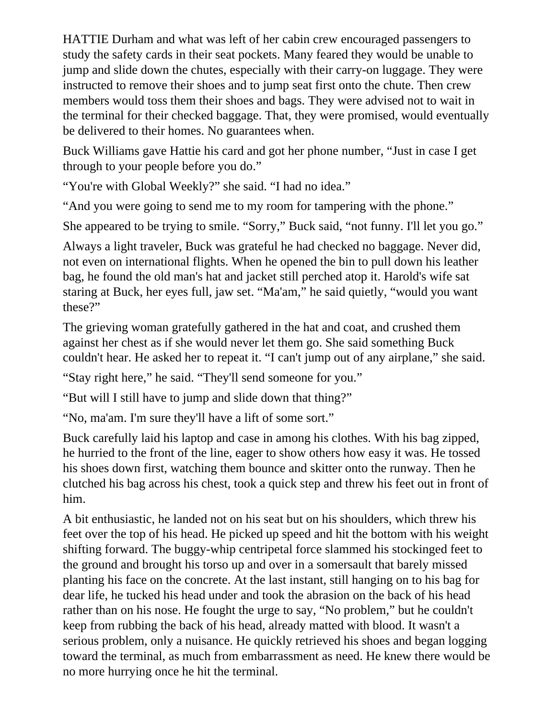HATTIE Durham and what was left of her cabin crew encouraged passengers to study the safety cards in their seat pockets. Many feared they would be unable to jump and slide down the chutes, especially with their carry-on luggage. They were instructed to remove their shoes and to jump seat first onto the chute. Then crew members would toss them their shoes and bags. They were advised not to wait in the terminal for their checked baggage. That, they were promised, would eventually be delivered to their homes. No guarantees when.

Buck Williams gave Hattie his card and got her phone number, "Just in case I get through to your people before you do."

"You're with Global Weekly?" she said. "I had no idea."

"And you were going to send me to my room for tampering with the phone."

She appeared to be trying to smile. "Sorry," Buck said, "not funny. I'll let you go."

Always a light traveler, Buck was grateful he had checked no baggage. Never did, not even on international flights. When he opened the bin to pull down his leather bag, he found the old man's hat and jacket still perched atop it. Harold's wife sat staring at Buck, her eyes full, jaw set. "Ma'am," he said quietly, "would you want these?"

The grieving woman gratefully gathered in the hat and coat, and crushed them against her chest as if she would never let them go. She said something Buck couldn't hear. He asked her to repeat it. "I can't jump out of any airplane," she said.

"Stay right here," he said. "They'll send someone for you."

"But will I still have to jump and slide down that thing?"

"No, ma'am. I'm sure they'll have a lift of some sort."

Buck carefully laid his laptop and case in among his clothes. With his bag zipped, he hurried to the front of the line, eager to show others how easy it was. He tossed his shoes down first, watching them bounce and skitter onto the runway. Then he clutched his bag across his chest, took a quick step and threw his feet out in front of him.

A bit enthusiastic, he landed not on his seat but on his shoulders, which threw his feet over the top of his head. He picked up speed and hit the bottom with his weight shifting forward. The buggy-whip centripetal force slammed his stockinged feet to the ground and brought his torso up and over in a somersault that barely missed planting his face on the concrete. At the last instant, still hanging on to his bag for dear life, he tucked his head under and took the abrasion on the back of his head rather than on his nose. He fought the urge to say, "No problem," but he couldn't keep from rubbing the back of his head, already matted with blood. It wasn't a serious problem, only a nuisance. He quickly retrieved his shoes and began logging toward the terminal, as much from embarrassment as need. He knew there would be no more hurrying once he hit the terminal.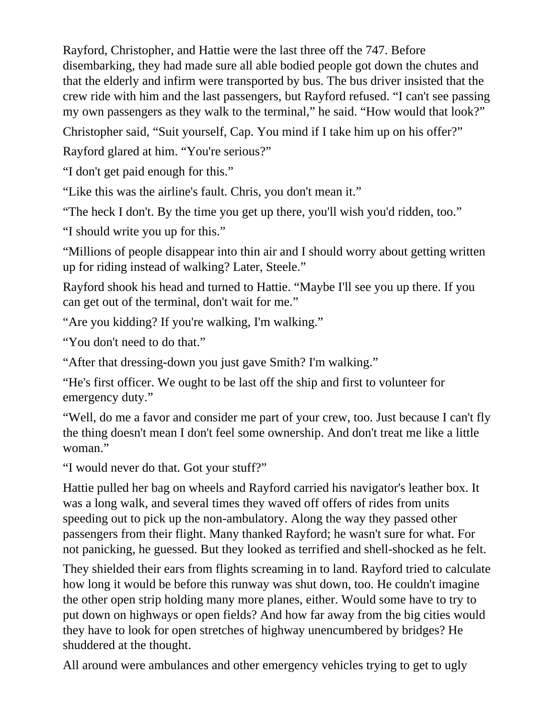Rayford, Christopher, and Hattie were the last three off the 747. Before disembarking, they had made sure all able bodied people got down the chutes and that the elderly and infirm were transported by bus. The bus driver insisted that the crew ride with him and the last passengers, but Rayford refused. "I can't see passing my own passengers as they walk to the terminal," he said. "How would that look?"

Christopher said, "Suit yourself, Cap. You mind if I take him up on his offer?"

Rayford glared at him. "You're serious?"

"I don't get paid enough for this."

"Like this was the airline's fault. Chris, you don't mean it."

"The heck I don't. By the time you get up there, you'll wish you'd ridden, too."

"I should write you up for this."

"Millions of people disappear into thin air and I should worry about getting written up for riding instead of walking? Later, Steele."

Rayford shook his head and turned to Hattie. "Maybe I'll see you up there. If you can get out of the terminal, don't wait for me."

"Are you kidding? If you're walking, I'm walking."

"You don't need to do that."

"After that dressing-down you just gave Smith? I'm walking."

"He's first officer. We ought to be last off the ship and first to volunteer for emergency duty."

"Well, do me a favor and consider me part of your crew, too. Just because I can't fly the thing doesn't mean I don't feel some ownership. And don't treat me like a little woman."

"I would never do that. Got your stuff?"

Hattie pulled her bag on wheels and Rayford carried his navigator's leather box. It was a long walk, and several times they waved off offers of rides from units speeding out to pick up the non-ambulatory. Along the way they passed other passengers from their flight. Many thanked Rayford; he wasn't sure for what. For not panicking, he guessed. But they looked as terrified and shell-shocked as he felt.

They shielded their ears from flights screaming in to land. Rayford tried to calculate how long it would be before this runway was shut down, too. He couldn't imagine the other open strip holding many more planes, either. Would some have to try to put down on highways or open fields? And how far away from the big cities would they have to look for open stretches of highway unencumbered by bridges? He shuddered at the thought.

All around were ambulances and other emergency vehicles trying to get to ugly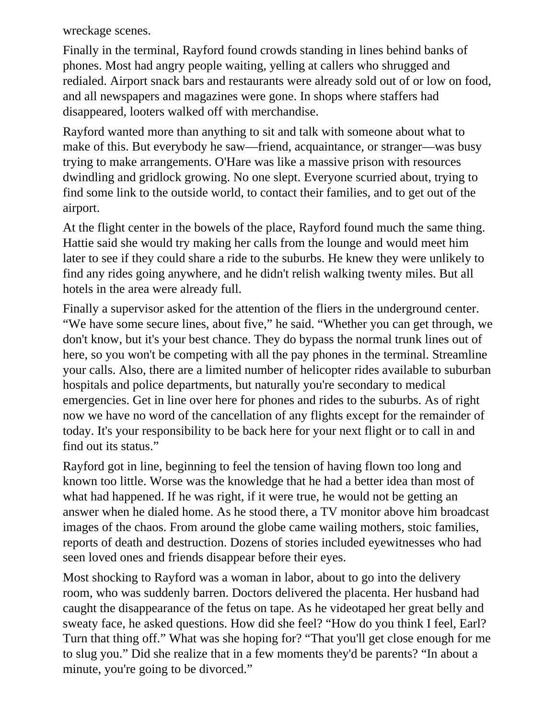wreckage scenes.

Finally in the terminal, Rayford found crowds standing in lines behind banks of phones. Most had angry people waiting, yelling at callers who shrugged and redialed. Airport snack bars and restaurants were already sold out of or low on food, and all newspapers and magazines were gone. In shops where staffers had disappeared, looters walked off with merchandise.

Rayford wanted more than anything to sit and talk with someone about what to make of this. But everybody he saw—friend, acquaintance, or stranger—was busy trying to make arrangements. O'Hare was like a massive prison with resources dwindling and gridlock growing. No one slept. Everyone scurried about, trying to find some link to the outside world, to contact their families, and to get out of the airport.

At the flight center in the bowels of the place, Rayford found much the same thing. Hattie said she would try making her calls from the lounge and would meet him later to see if they could share a ride to the suburbs. He knew they were unlikely to find any rides going anywhere, and he didn't relish walking twenty miles. But all hotels in the area were already full.

Finally a supervisor asked for the attention of the fliers in the underground center. "We have some secure lines, about five," he said. "Whether you can get through, we don't know, but it's your best chance. They do bypass the normal trunk lines out of here, so you won't be competing with all the pay phones in the terminal. Streamline your calls. Also, there are a limited number of helicopter rides available to suburban hospitals and police departments, but naturally you're secondary to medical emergencies. Get in line over here for phones and rides to the suburbs. As of right now we have no word of the cancellation of any flights except for the remainder of today. It's your responsibility to be back here for your next flight or to call in and find out its status."

Rayford got in line, beginning to feel the tension of having flown too long and known too little. Worse was the knowledge that he had a better idea than most of what had happened. If he was right, if it were true, he would not be getting an answer when he dialed home. As he stood there, a TV monitor above him broadcast images of the chaos. From around the globe came wailing mothers, stoic families, reports of death and destruction. Dozens of stories included eyewitnesses who had seen loved ones and friends disappear before their eyes.

Most shocking to Rayford was a woman in labor, about to go into the delivery room, who was suddenly barren. Doctors delivered the placenta. Her husband had caught the disappearance of the fetus on tape. As he videotaped her great belly and sweaty face, he asked questions. How did she feel? "How do you think I feel, Earl? Turn that thing off." What was she hoping for? "That you'll get close enough for me to slug you." Did she realize that in a few moments they'd be parents? "In about a minute, you're going to be divorced."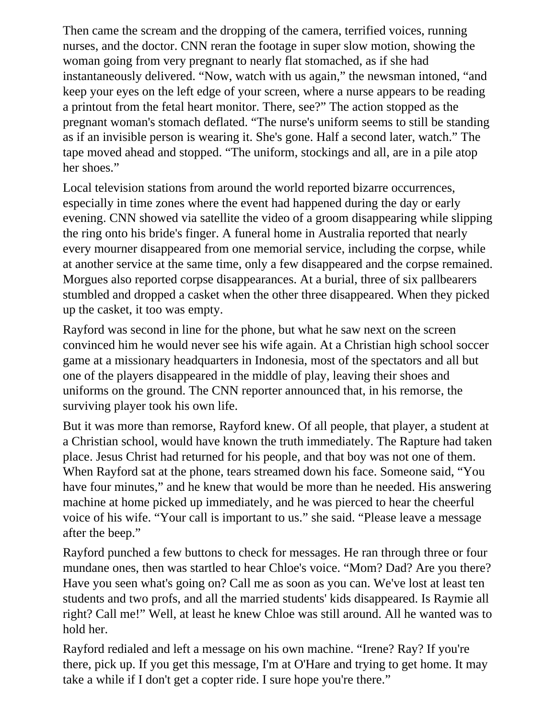Then came the scream and the dropping of the camera, terrified voices, running nurses, and the doctor. CNN reran the footage in super slow motion, showing the woman going from very pregnant to nearly flat stomached, as if she had instantaneously delivered. "Now, watch with us again," the newsman intoned, "and keep your eyes on the left edge of your screen, where a nurse appears to be reading a printout from the fetal heart monitor. There, see?" The action stopped as the pregnant woman's stomach deflated. "The nurse's uniform seems to still be standing as if an invisible person is wearing it. She's gone. Half a second later, watch." The tape moved ahead and stopped. "The uniform, stockings and all, are in a pile atop her shoes."

Local television stations from around the world reported bizarre occurrences, especially in time zones where the event had happened during the day or early evening. CNN showed via satellite the video of a groom disappearing while slipping the ring onto his bride's finger. A funeral home in Australia reported that nearly every mourner disappeared from one memorial service, including the corpse, while at another service at the same time, only a few disappeared and the corpse remained. Morgues also reported corpse disappearances. At a burial, three of six pallbearers stumbled and dropped a casket when the other three disappeared. When they picked up the casket, it too was empty.

Rayford was second in line for the phone, but what he saw next on the screen convinced him he would never see his wife again. At a Christian high school soccer game at a missionary headquarters in Indonesia, most of the spectators and all but one of the players disappeared in the middle of play, leaving their shoes and uniforms on the ground. The CNN reporter announced that, in his remorse, the surviving player took his own life.

But it was more than remorse, Rayford knew. Of all people, that player, a student at a Christian school, would have known the truth immediately. The Rapture had taken place. Jesus Christ had returned for his people, and that boy was not one of them. When Rayford sat at the phone, tears streamed down his face. Someone said, "You have four minutes," and he knew that would be more than he needed. His answering machine at home picked up immediately, and he was pierced to hear the cheerful voice of his wife. "Your call is important to us." she said. "Please leave a message after the beep."

Rayford punched a few buttons to check for messages. He ran through three or four mundane ones, then was startled to hear Chloe's voice. "Mom? Dad? Are you there? Have you seen what's going on? Call me as soon as you can. We've lost at least ten students and two profs, and all the married students' kids disappeared. Is Raymie all right? Call me!" Well, at least he knew Chloe was still around. All he wanted was to hold her.

Rayford redialed and left a message on his own machine. "Irene? Ray? If you're there, pick up. If you get this message, I'm at O'Hare and trying to get home. It may take a while if I don't get a copter ride. I sure hope you're there."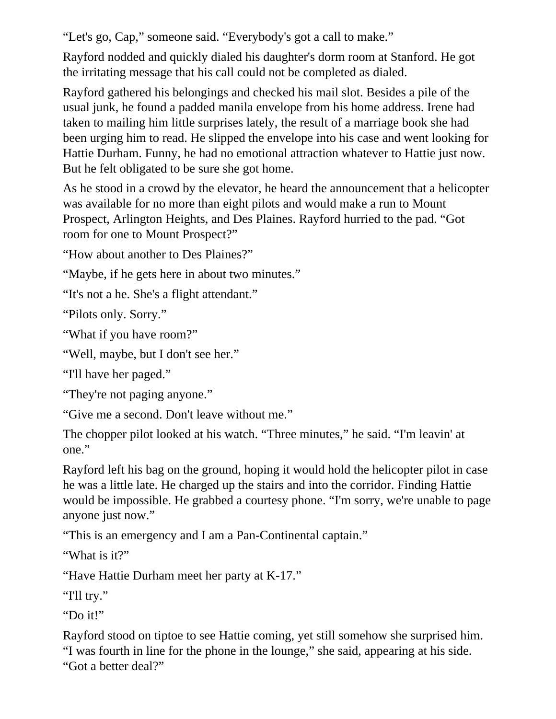"Let's go, Cap," someone said. "Everybody's got a call to make."

Rayford nodded and quickly dialed his daughter's dorm room at Stanford. He got the irritating message that his call could not be completed as dialed.

Rayford gathered his belongings and checked his mail slot. Besides a pile of the usual junk, he found a padded manila envelope from his home address. Irene had taken to mailing him little surprises lately, the result of a marriage book she had been urging him to read. He slipped the envelope into his case and went looking for Hattie Durham. Funny, he had no emotional attraction whatever to Hattie just now. But he felt obligated to be sure she got home.

As he stood in a crowd by the elevator, he heard the announcement that a helicopter was available for no more than eight pilots and would make a run to Mount Prospect, Arlington Heights, and Des Plaines. Rayford hurried to the pad. "Got room for one to Mount Prospect?"

"How about another to Des Plaines?"

"Maybe, if he gets here in about two minutes."

"It's not a he. She's a flight attendant."

"Pilots only. Sorry."

"What if you have room?"

"Well, maybe, but I don't see her."

"I'll have her paged."

"They're not paging anyone."

"Give me a second. Don't leave without me."

The chopper pilot looked at his watch. "Three minutes," he said. "I'm leavin' at one."

Rayford left his bag on the ground, hoping it would hold the helicopter pilot in case he was a little late. He charged up the stairs and into the corridor. Finding Hattie would be impossible. He grabbed a courtesy phone. "I'm sorry, we're unable to page anyone just now."

"This is an emergency and I am a Pan-Continental captain."

"What is it?"

"Have Hattie Durham meet her party at K-17."

"I'll try."

"Do it!"

Rayford stood on tiptoe to see Hattie coming, yet still somehow she surprised him. "I was fourth in line for the phone in the lounge," she said, appearing at his side. "Got a better deal?"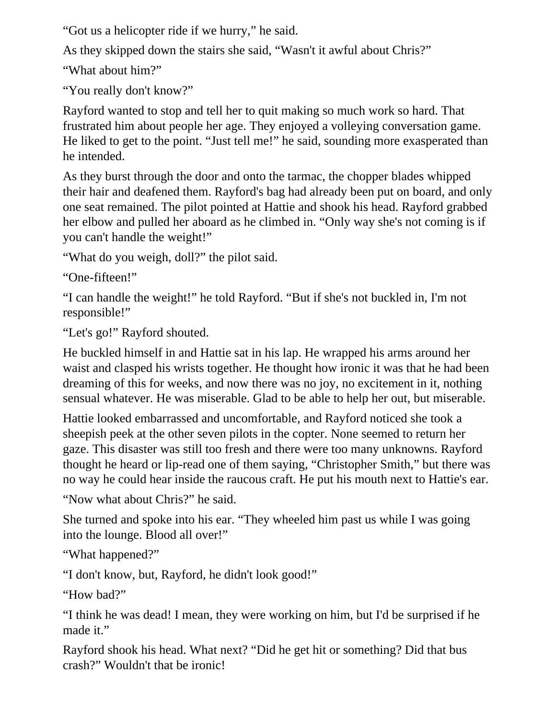"Got us a helicopter ride if we hurry," he said.

As they skipped down the stairs she said, "Wasn't it awful about Chris?"

"What about him?"

"You really don't know?"

Rayford wanted to stop and tell her to quit making so much work so hard. That frustrated him about people her age. They enjoyed a volleying conversation game. He liked to get to the point. "Just tell me!" he said, sounding more exasperated than he intended.

As they burst through the door and onto the tarmac, the chopper blades whipped their hair and deafened them. Rayford's bag had already been put on board, and only one seat remained. The pilot pointed at Hattie and shook his head. Rayford grabbed her elbow and pulled her aboard as he climbed in. "Only way she's not coming is if you can't handle the weight!"

"What do you weigh, doll?" the pilot said.

"One-fifteen!"

"I can handle the weight!" he told Rayford. "But if she's not buckled in, I'm not responsible!"

"Let's go!" Rayford shouted.

He buckled himself in and Hattie sat in his lap. He wrapped his arms around her waist and clasped his wrists together. He thought how ironic it was that he had been dreaming of this for weeks, and now there was no joy, no excitement in it, nothing sensual whatever. He was miserable. Glad to be able to help her out, but miserable.

Hattie looked embarrassed and uncomfortable, and Rayford noticed she took a sheepish peek at the other seven pilots in the copter. None seemed to return her gaze. This disaster was still too fresh and there were too many unknowns. Rayford thought he heard or lip-read one of them saying, "Christopher Smith," but there was no way he could hear inside the raucous craft. He put his mouth next to Hattie's ear.

"Now what about Chris?" he said.

She turned and spoke into his ear. "They wheeled him past us while I was going into the lounge. Blood all over!"

"What happened?"

"I don't know, but, Rayford, he didn't look good!"

"How bad?"

"I think he was dead! I mean, they were working on him, but I'd be surprised if he made it."

Rayford shook his head. What next? "Did he get hit or something? Did that bus crash?" Wouldn't that be ironic!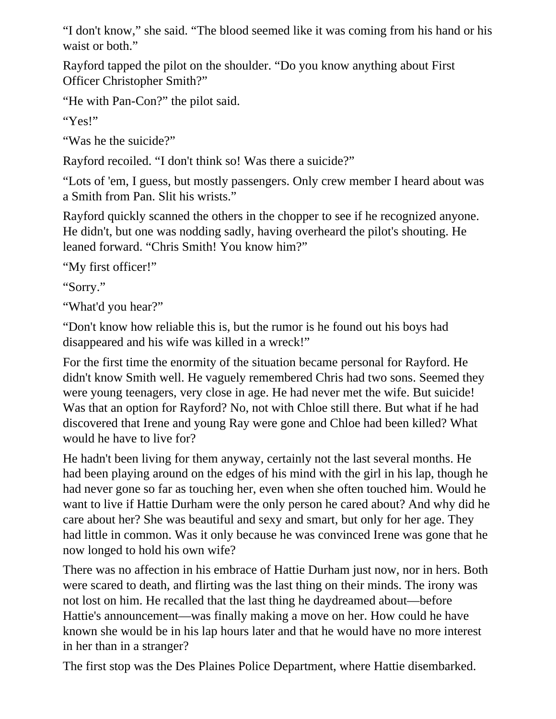"I don't know," she said. "The blood seemed like it was coming from his hand or his waist or both."

Rayford tapped the pilot on the shoulder. "Do you know anything about First Officer Christopher Smith?"

"He with Pan-Con?" the pilot said.

"Yes!"

"Was he the suicide?"

Rayford recoiled. "I don't think so! Was there a suicide?"

"Lots of 'em, I guess, but mostly passengers. Only crew member I heard about was a Smith from Pan. Slit his wrists."

Rayford quickly scanned the others in the chopper to see if he recognized anyone. He didn't, but one was nodding sadly, having overheard the pilot's shouting. He leaned forward. "Chris Smith! You know him?"

"My first officer!"

"Sorry."

"What'd you hear?"

"Don't know how reliable this is, but the rumor is he found out his boys had disappeared and his wife was killed in a wreck!"

For the first time the enormity of the situation became personal for Rayford. He didn't know Smith well. He vaguely remembered Chris had two sons. Seemed they were young teenagers, very close in age. He had never met the wife. But suicide! Was that an option for Rayford? No, not with Chloe still there. But what if he had discovered that Irene and young Ray were gone and Chloe had been killed? What would he have to live for?

He hadn't been living for them anyway, certainly not the last several months. He had been playing around on the edges of his mind with the girl in his lap, though he had never gone so far as touching her, even when she often touched him. Would he want to live if Hattie Durham were the only person he cared about? And why did he care about her? She was beautiful and sexy and smart, but only for her age. They had little in common. Was it only because he was convinced Irene was gone that he now longed to hold his own wife?

There was no affection in his embrace of Hattie Durham just now, nor in hers. Both were scared to death, and flirting was the last thing on their minds. The irony was not lost on him. He recalled that the last thing he daydreamed about—before Hattie's announcement—was finally making a move on her. How could he have known she would be in his lap hours later and that he would have no more interest in her than in a stranger?

The first stop was the Des Plaines Police Department, where Hattie disembarked.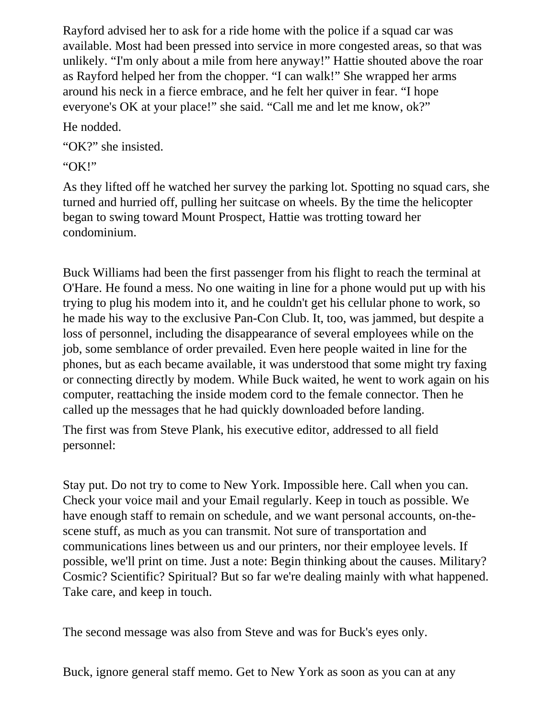Rayford advised her to ask for a ride home with the police if a squad car was available. Most had been pressed into service in more congested areas, so that was unlikely. "I'm only about a mile from here anyway!" Hattie shouted above the roar as Rayford helped her from the chopper. "I can walk!" She wrapped her arms around his neck in a fierce embrace, and he felt her quiver in fear. "I hope everyone's OK at your place!" she said. "Call me and let me know, ok?"

He nodded.

"OK?" she insisted.

"OK!"

As they lifted off he watched her survey the parking lot. Spotting no squad cars, she turned and hurried off, pulling her suitcase on wheels. By the time the helicopter began to swing toward Mount Prospect, Hattie was trotting toward her condominium.

Buck Williams had been the first passenger from his flight to reach the terminal at O'Hare. He found a mess. No one waiting in line for a phone would put up with his trying to plug his modem into it, and he couldn't get his cellular phone to work, so he made his way to the exclusive Pan-Con Club. It, too, was jammed, but despite a loss of personnel, including the disappearance of several employees while on the job, some semblance of order prevailed. Even here people waited in line for the phones, but as each became available, it was understood that some might try faxing or connecting directly by modem. While Buck waited, he went to work again on his computer, reattaching the inside modem cord to the female connector. Then he called up the messages that he had quickly downloaded before landing.

The first was from Steve Plank, his executive editor, addressed to all field personnel:

Stay put. Do not try to come to New York. Impossible here. Call when you can. Check your voice mail and your Email regularly. Keep in touch as possible. We have enough staff to remain on schedule, and we want personal accounts, on-thescene stuff, as much as you can transmit. Not sure of transportation and communications lines between us and our printers, nor their employee levels. If possible, we'll print on time. Just a note: Begin thinking about the causes. Military? Cosmic? Scientific? Spiritual? But so far we're dealing mainly with what happened. Take care, and keep in touch.

The second message was also from Steve and was for Buck's eyes only.

Buck, ignore general staff memo. Get to New York as soon as you can at any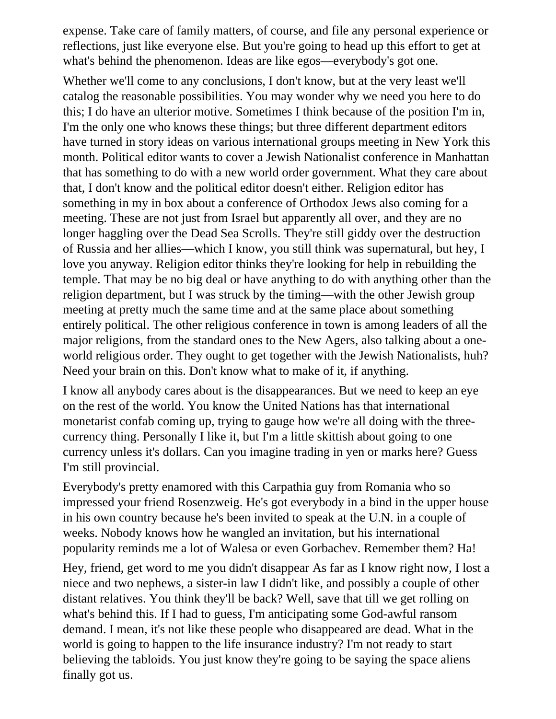expense. Take care of family matters, of course, and file any personal experience or reflections, just like everyone else. But you're going to head up this effort to get at what's behind the phenomenon. Ideas are like egos—everybody's got one.

Whether we'll come to any conclusions, I don't know, but at the very least we'll catalog the reasonable possibilities. You may wonder why we need you here to do this; I do have an ulterior motive. Sometimes I think because of the position I'm in, I'm the only one who knows these things; but three different department editors have turned in story ideas on various international groups meeting in New York this month. Political editor wants to cover a Jewish Nationalist conference in Manhattan that has something to do with a new world order government. What they care about that, I don't know and the political editor doesn't either. Religion editor has something in my in box about a conference of Orthodox Jews also coming for a meeting. These are not just from Israel but apparently all over, and they are no longer haggling over the Dead Sea Scrolls. They're still giddy over the destruction of Russia and her allies—which I know, you still think was supernatural, but hey, I love you anyway. Religion editor thinks they're looking for help in rebuilding the temple. That may be no big deal or have anything to do with anything other than the religion department, but I was struck by the timing—with the other Jewish group meeting at pretty much the same time and at the same place about something entirely political. The other religious conference in town is among leaders of all the major religions, from the standard ones to the New Agers, also talking about a oneworld religious order. They ought to get together with the Jewish Nationalists, huh? Need your brain on this. Don't know what to make of it, if anything.

I know all anybody cares about is the disappearances. But we need to keep an eye on the rest of the world. You know the United Nations has that international monetarist confab coming up, trying to gauge how we're all doing with the threecurrency thing. Personally I like it, but I'm a little skittish about going to one currency unless it's dollars. Can you imagine trading in yen or marks here? Guess I'm still provincial.

Everybody's pretty enamored with this Carpathia guy from Romania who so impressed your friend Rosenzweig. He's got everybody in a bind in the upper house in his own country because he's been invited to speak at the U.N. in a couple of weeks. Nobody knows how he wangled an invitation, but his international popularity reminds me a lot of Walesa or even Gorbachev. Remember them? Ha!

Hey, friend, get word to me you didn't disappear As far as I know right now, I lost a niece and two nephews, a sister-in law I didn't like, and possibly a couple of other distant relatives. You think they'll be back? Well, save that till we get rolling on what's behind this. If I had to guess, I'm anticipating some God-awful ransom demand. I mean, it's not like these people who disappeared are dead. What in the world is going to happen to the life insurance industry? I'm not ready to start believing the tabloids. You just know they're going to be saying the space aliens finally got us.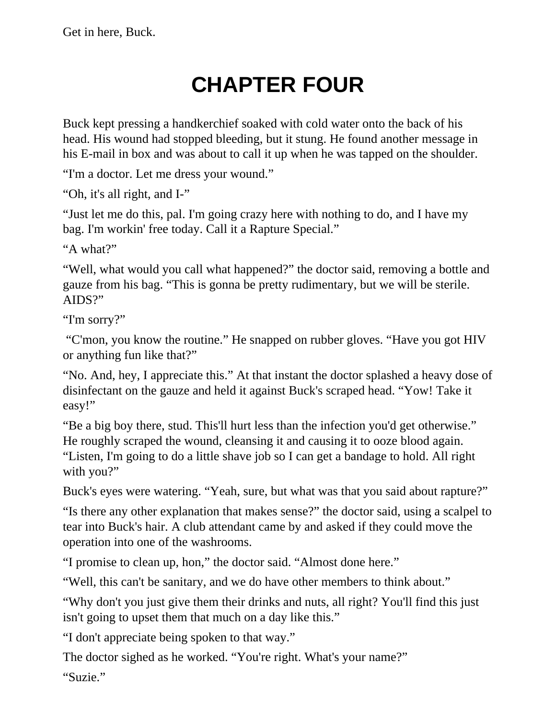Get in here, Buck.

## **CHAPTER FOUR**

Buck kept pressing a handkerchief soaked with cold water onto the back of his head. His wound had stopped bleeding, but it stung. He found another message in his E-mail in box and was about to call it up when he was tapped on the shoulder.

"I'm a doctor. Let me dress your wound."

"Oh, it's all right, and I-"

"Just let me do this, pal. I'm going crazy here with nothing to do, and I have my bag. I'm workin' free today. Call it a Rapture Special."

"A what?"

"Well, what would you call what happened?" the doctor said, removing a bottle and gauze from his bag. "This is gonna be pretty rudimentary, but we will be sterile. AIDS?"

"I'm sorry?"

 "C'mon, you know the routine." He snapped on rubber gloves. "Have you got HIV or anything fun like that?"

"No. And, hey, I appreciate this." At that instant the doctor splashed a heavy dose of disinfectant on the gauze and held it against Buck's scraped head. "Yow! Take it easy!"

"Be a big boy there, stud. This'll hurt less than the infection you'd get otherwise." He roughly scraped the wound, cleansing it and causing it to ooze blood again. "Listen, I'm going to do a little shave job so I can get a bandage to hold. All right with you?"

Buck's eyes were watering. "Yeah, sure, but what was that you said about rapture?"

"Is there any other explanation that makes sense?" the doctor said, using a scalpel to tear into Buck's hair. A club attendant came by and asked if they could move the operation into one of the washrooms.

"I promise to clean up, hon," the doctor said. "Almost done here."

"Well, this can't be sanitary, and we do have other members to think about."

"Why don't you just give them their drinks and nuts, all right? You'll find this just isn't going to upset them that much on a day like this."

"I don't appreciate being spoken to that way."

The doctor sighed as he worked. "You're right. What's your name?"

"Suzie."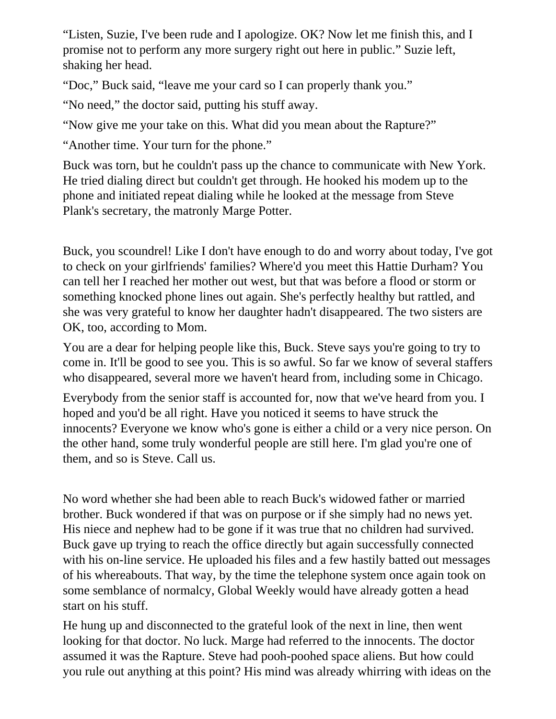"Listen, Suzie, I've been rude and I apologize. OK? Now let me finish this, and I promise not to perform any more surgery right out here in public." Suzie left, shaking her head.

"Doc," Buck said, "leave me your card so I can properly thank you."

"No need," the doctor said, putting his stuff away.

"Now give me your take on this. What did you mean about the Rapture?"

"Another time. Your turn for the phone."

Buck was torn, but he couldn't pass up the chance to communicate with New York. He tried dialing direct but couldn't get through. He hooked his modem up to the phone and initiated repeat dialing while he looked at the message from Steve Plank's secretary, the matronly Marge Potter.

Buck, you scoundrel! Like I don't have enough to do and worry about today, I've got to check on your girlfriends' families? Where'd you meet this Hattie Durham? You can tell her I reached her mother out west, but that was before a flood or storm or something knocked phone lines out again. She's perfectly healthy but rattled, and she was very grateful to know her daughter hadn't disappeared. The two sisters are OK, too, according to Mom.

You are a dear for helping people like this, Buck. Steve says you're going to try to come in. It'll be good to see you. This is so awful. So far we know of several staffers who disappeared, several more we haven't heard from, including some in Chicago.

Everybody from the senior staff is accounted for, now that we've heard from you. I hoped and you'd be all right. Have you noticed it seems to have struck the innocents? Everyone we know who's gone is either a child or a very nice person. On the other hand, some truly wonderful people are still here. I'm glad you're one of them, and so is Steve. Call us.

No word whether she had been able to reach Buck's widowed father or married brother. Buck wondered if that was on purpose or if she simply had no news yet. His niece and nephew had to be gone if it was true that no children had survived. Buck gave up trying to reach the office directly but again successfully connected with his on-line service. He uploaded his files and a few hastily batted out messages of his whereabouts. That way, by the time the telephone system once again took on some semblance of normalcy, Global Weekly would have already gotten a head start on his stuff.

He hung up and disconnected to the grateful look of the next in line, then went looking for that doctor. No luck. Marge had referred to the innocents. The doctor assumed it was the Rapture. Steve had pooh-poohed space aliens. But how could you rule out anything at this point? His mind was already whirring with ideas on the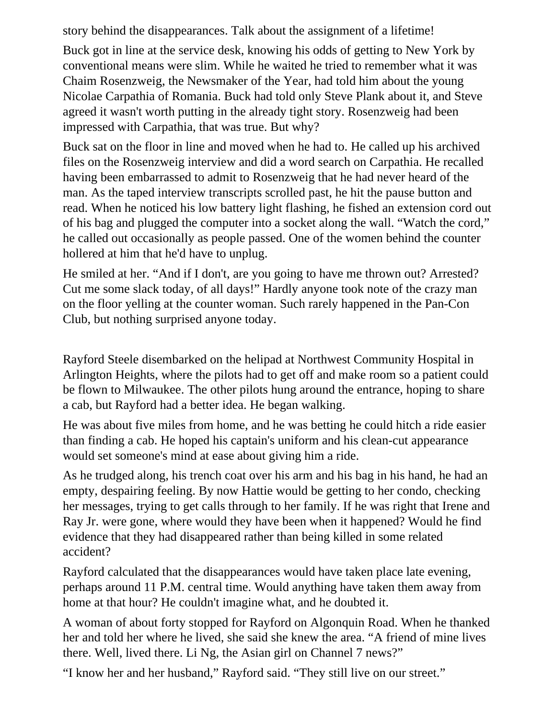story behind the disappearances. Talk about the assignment of a lifetime!

Buck got in line at the service desk, knowing his odds of getting to New York by conventional means were slim. While he waited he tried to remember what it was Chaim Rosenzweig, the Newsmaker of the Year, had told him about the young Nicolae Carpathia of Romania. Buck had told only Steve Plank about it, and Steve agreed it wasn't worth putting in the already tight story. Rosenzweig had been impressed with Carpathia, that was true. But why?

Buck sat on the floor in line and moved when he had to. He called up his archived files on the Rosenzweig interview and did a word search on Carpathia. He recalled having been embarrassed to admit to Rosenzweig that he had never heard of the man. As the taped interview transcripts scrolled past, he hit the pause button and read. When he noticed his low battery light flashing, he fished an extension cord out of his bag and plugged the computer into a socket along the wall. "Watch the cord," he called out occasionally as people passed. One of the women behind the counter hollered at him that he'd have to unplug.

He smiled at her. "And if I don't, are you going to have me thrown out? Arrested? Cut me some slack today, of all days!" Hardly anyone took note of the crazy man on the floor yelling at the counter woman. Such rarely happened in the Pan-Con Club, but nothing surprised anyone today.

Rayford Steele disembarked on the helipad at Northwest Community Hospital in Arlington Heights, where the pilots had to get off and make room so a patient could be flown to Milwaukee. The other pilots hung around the entrance, hoping to share a cab, but Rayford had a better idea. He began walking.

He was about five miles from home, and he was betting he could hitch a ride easier than finding a cab. He hoped his captain's uniform and his clean-cut appearance would set someone's mind at ease about giving him a ride.

As he trudged along, his trench coat over his arm and his bag in his hand, he had an empty, despairing feeling. By now Hattie would be getting to her condo, checking her messages, trying to get calls through to her family. If he was right that Irene and Ray Jr. were gone, where would they have been when it happened? Would he find evidence that they had disappeared rather than being killed in some related accident?

Rayford calculated that the disappearances would have taken place late evening, perhaps around 11 P.M. central time. Would anything have taken them away from home at that hour? He couldn't imagine what, and he doubted it.

A woman of about forty stopped for Rayford on Algonquin Road. When he thanked her and told her where he lived, she said she knew the area. "A friend of mine lives there. Well, lived there. Li Ng, the Asian girl on Channel 7 news?"

"I know her and her husband," Rayford said. "They still live on our street."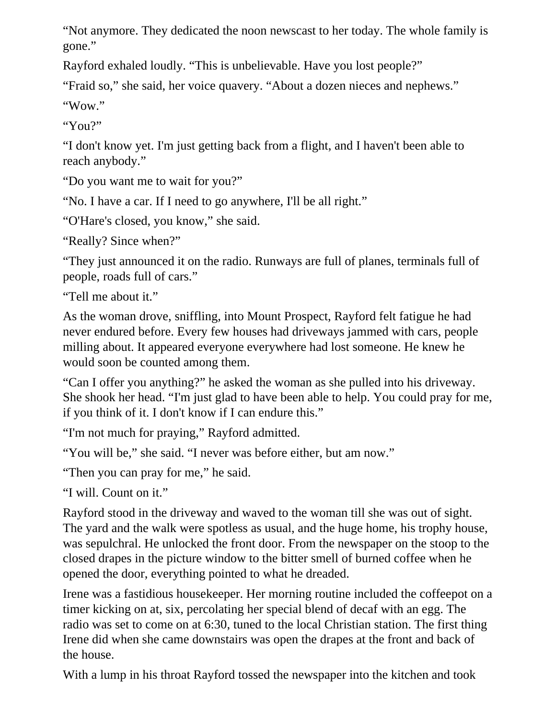"Not anymore. They dedicated the noon newscast to her today. The whole family is gone."

Rayford exhaled loudly. "This is unbelievable. Have you lost people?"

"Fraid so," she said, her voice quavery. "About a dozen nieces and nephews."

"Wow."

"You?"

"I don't know yet. I'm just getting back from a flight, and I haven't been able to reach anybody."

"Do you want me to wait for you?"

"No. I have a car. If I need to go anywhere, I'll be all right."

"O'Hare's closed, you know," she said.

"Really? Since when?"

"They just announced it on the radio. Runways are full of planes, terminals full of people, roads full of cars."

"Tell me about it."

As the woman drove, sniffling, into Mount Prospect, Rayford felt fatigue he had never endured before. Every few houses had driveways jammed with cars, people milling about. It appeared everyone everywhere had lost someone. He knew he would soon be counted among them.

"Can I offer you anything?" he asked the woman as she pulled into his driveway. She shook her head. "I'm just glad to have been able to help. You could pray for me, if you think of it. I don't know if I can endure this."

"I'm not much for praying," Rayford admitted.

"You will be," she said. "I never was before either, but am now."

"Then you can pray for me," he said.

"I will. Count on it."

Rayford stood in the driveway and waved to the woman till she was out of sight. The yard and the walk were spotless as usual, and the huge home, his trophy house, was sepulchral. He unlocked the front door. From the newspaper on the stoop to the closed drapes in the picture window to the bitter smell of burned coffee when he opened the door, everything pointed to what he dreaded.

Irene was a fastidious housekeeper. Her morning routine included the coffeepot on a timer kicking on at, six, percolating her special blend of decaf with an egg. The radio was set to come on at 6:30, tuned to the local Christian station. The first thing Irene did when she came downstairs was open the drapes at the front and back of the house.

With a lump in his throat Rayford tossed the newspaper into the kitchen and took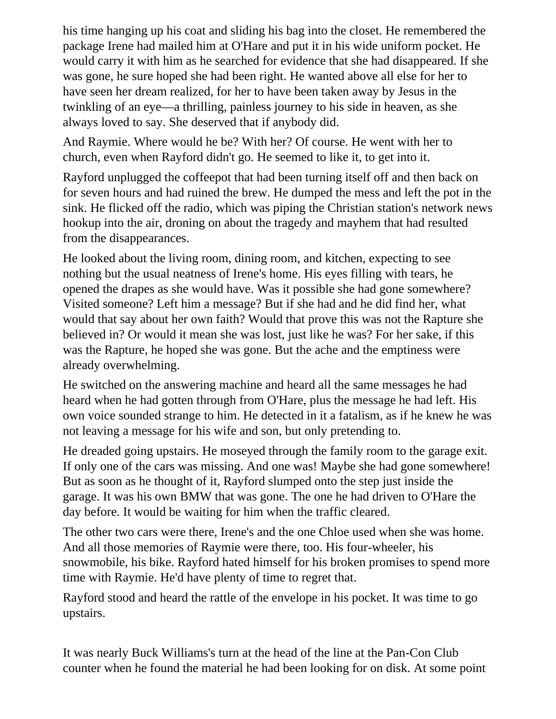his time hanging up his coat and sliding his bag into the closet. He remembered the package Irene had mailed him at O'Hare and put it in his wide uniform pocket. He would carry it with him as he searched for evidence that she had disappeared. If she was gone, he sure hoped she had been right. He wanted above all else for her to have seen her dream realized, for her to have been taken away by Jesus in the twinkling of an eye—a thrilling, painless journey to his side in heaven, as she always loved to say. She deserved that if anybody did.

And Raymie. Where would he be? With her? Of course. He went with her to church, even when Rayford didn't go. He seemed to like it, to get into it.

Rayford unplugged the coffeepot that had been turning itself off and then back on for seven hours and had ruined the brew. He dumped the mess and left the pot in the sink. He flicked off the radio, which was piping the Christian station's network news hookup into the air, droning on about the tragedy and mayhem that had resulted from the disappearances.

He looked about the living room, dining room, and kitchen, expecting to see nothing but the usual neatness of Irene's home. His eyes filling with tears, he opened the drapes as she would have. Was it possible she had gone somewhere? Visited someone? Left him a message? But if she had and he did find her, what would that say about her own faith? Would that prove this was not the Rapture she believed in? Or would it mean she was lost, just like he was? For her sake, if this was the Rapture, he hoped she was gone. But the ache and the emptiness were already overwhelming.

He switched on the answering machine and heard all the same messages he had heard when he had gotten through from O'Hare, plus the message he had left. His own voice sounded strange to him. He detected in it a fatalism, as if he knew he was not leaving a message for his wife and son, but only pretending to.

He dreaded going upstairs. He moseyed through the family room to the garage exit. If only one of the cars was missing. And one was! Maybe she had gone somewhere! But as soon as he thought of it, Rayford slumped onto the step just inside the garage. It was his own BMW that was gone. The one he had driven to O'Hare the day before. It would be waiting for him when the traffic cleared.

The other two cars were there, Irene's and the one Chloe used when she was home. And all those memories of Raymie were there, too. His four-wheeler, his snowmobile, his bike. Rayford hated himself for his broken promises to spend more time with Raymie. He'd have plenty of time to regret that.

Rayford stood and heard the rattle of the envelope in his pocket. It was time to go upstairs.

It was nearly Buck Williams's turn at the head of the line at the Pan-Con Club counter when he found the material he had been looking for on disk. At some point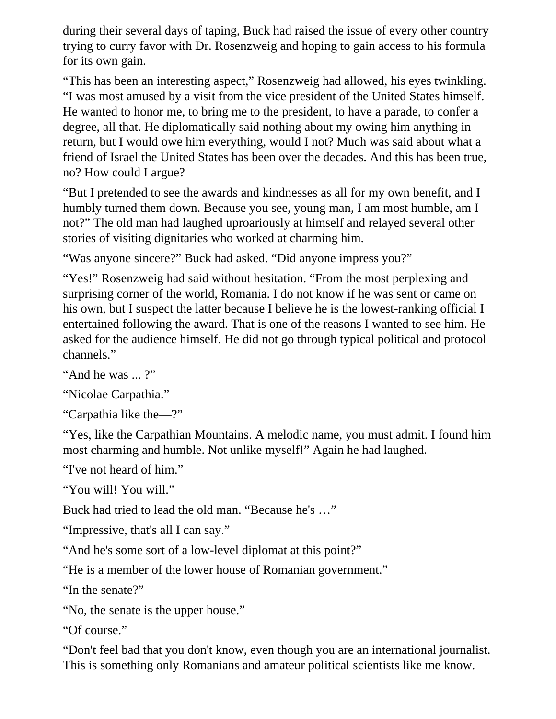during their several days of taping, Buck had raised the issue of every other country trying to curry favor with Dr. Rosenzweig and hoping to gain access to his formula for its own gain.

"This has been an interesting aspect," Rosenzweig had allowed, his eyes twinkling. "I was most amused by a visit from the vice president of the United States himself. He wanted to honor me, to bring me to the president, to have a parade, to confer a degree, all that. He diplomatically said nothing about my owing him anything in return, but I would owe him everything, would I not? Much was said about what a friend of Israel the United States has been over the decades. And this has been true, no? How could I argue?

"But I pretended to see the awards and kindnesses as all for my own benefit, and I humbly turned them down. Because you see, young man, I am most humble, am I not?" The old man had laughed uproariously at himself and relayed several other stories of visiting dignitaries who worked at charming him.

"Was anyone sincere?" Buck had asked. "Did anyone impress you?"

"Yes!" Rosenzweig had said without hesitation. "From the most perplexing and surprising corner of the world, Romania. I do not know if he was sent or came on his own, but I suspect the latter because I believe he is the lowest-ranking official I entertained following the award. That is one of the reasons I wanted to see him. He asked for the audience himself. He did not go through typical political and protocol channels."

"And he was ...?"

"Nicolae Carpathia."

"Carpathia like the—?"

"Yes, like the Carpathian Mountains. A melodic name, you must admit. I found him most charming and humble. Not unlike myself!" Again he had laughed.

"I've not heard of him."

"You will! You will."

Buck had tried to lead the old man. "Because he's …"

"Impressive, that's all I can say."

"And he's some sort of a low-level diplomat at this point?"

"He is a member of the lower house of Romanian government."

"In the senate?"

"No, the senate is the upper house."

"Of course."

"Don't feel bad that you don't know, even though you are an international journalist. This is something only Romanians and amateur political scientists like me know.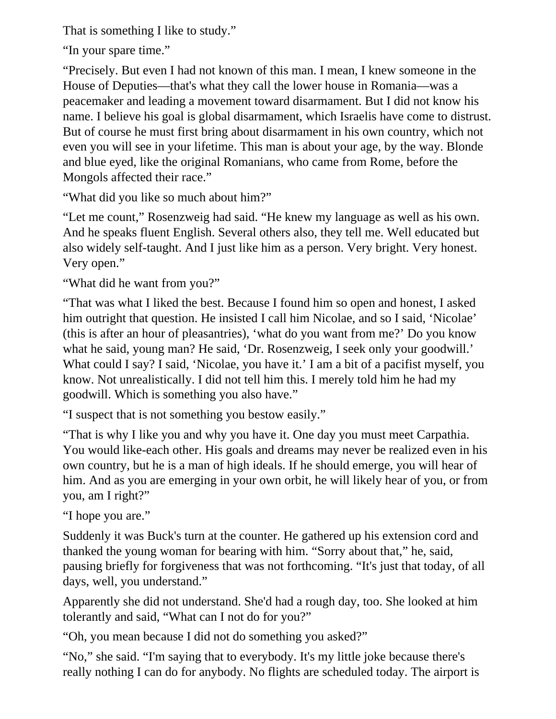That is something I like to study."

"In your spare time."

"Precisely. But even I had not known of this man. I mean, I knew someone in the House of Deputies—that's what they call the lower house in Romania—was a peacemaker and leading a movement toward disarmament. But I did not know his name. I believe his goal is global disarmament, which Israelis have come to distrust. But of course he must first bring about disarmament in his own country, which not even you will see in your lifetime. This man is about your age, by the way. Blonde and blue eyed, like the original Romanians, who came from Rome, before the Mongols affected their race."

"What did you like so much about him?"

"Let me count," Rosenzweig had said. "He knew my language as well as his own. And he speaks fluent English. Several others also, they tell me. Well educated but also widely self-taught. And I just like him as a person. Very bright. Very honest. Very open."

"What did he want from you?"

"That was what I liked the best. Because I found him so open and honest, I asked him outright that question. He insisted I call him Nicolae, and so I said, 'Nicolae' (this is after an hour of pleasantries), 'what do you want from me?' Do you know what he said, young man? He said, 'Dr. Rosenzweig, I seek only your goodwill.' What could I say? I said, 'Nicolae, you have it.' I am a bit of a pacifist myself, you know. Not unrealistically. I did not tell him this. I merely told him he had my goodwill. Which is something you also have."

"I suspect that is not something you bestow easily."

"That is why I like you and why you have it. One day you must meet Carpathia. You would like-each other. His goals and dreams may never be realized even in his own country, but he is a man of high ideals. If he should emerge, you will hear of him. And as you are emerging in your own orbit, he will likely hear of you, or from you, am I right?"

"I hope you are."

Suddenly it was Buck's turn at the counter. He gathered up his extension cord and thanked the young woman for bearing with him. "Sorry about that," he, said, pausing briefly for forgiveness that was not forthcoming. "It's just that today, of all days, well, you understand."

Apparently she did not understand. She'd had a rough day, too. She looked at him tolerantly and said, "What can I not do for you?"

"Oh, you mean because I did not do something you asked?"

"No," she said. "I'm saying that to everybody. It's my little joke because there's really nothing I can do for anybody. No flights are scheduled today. The airport is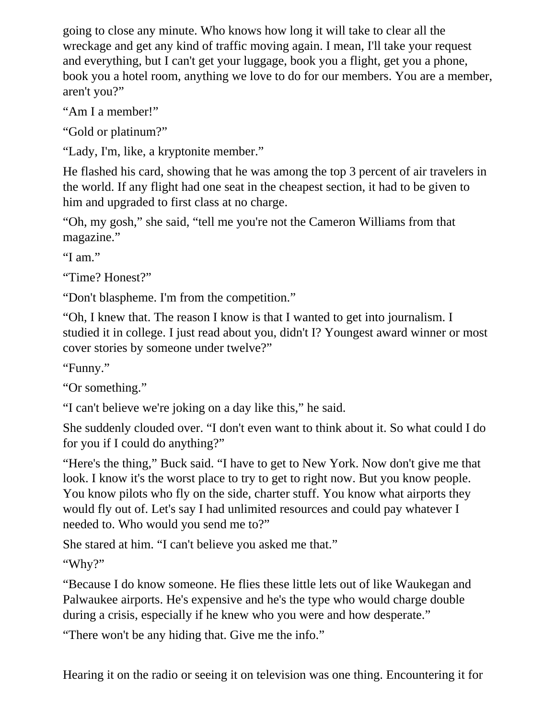going to close any minute. Who knows how long it will take to clear all the wreckage and get any kind of traffic moving again. I mean, I'll take your request and everything, but I can't get your luggage, book you a flight, get you a phone, book you a hotel room, anything we love to do for our members. You are a member, aren't you?"

"Am I a member!"

"Gold or platinum?"

"Lady, I'm, like, a kryptonite member."

He flashed his card, showing that he was among the top 3 percent of air travelers in the world. If any flight had one seat in the cheapest section, it had to be given to him and upgraded to first class at no charge.

"Oh, my gosh," she said, "tell me you're not the Cameron Williams from that magazine."

"I am."

"Time? Honest?"

"Don't blaspheme. I'm from the competition."

"Oh, I knew that. The reason I know is that I wanted to get into journalism. I studied it in college. I just read about you, didn't I? Youngest award winner or most cover stories by someone under twelve?"

"Funny."

"Or something."

"I can't believe we're joking on a day like this," he said.

She suddenly clouded over. "I don't even want to think about it. So what could I do for you if I could do anything?"

"Here's the thing," Buck said. "I have to get to New York. Now don't give me that look. I know it's the worst place to try to get to right now. But you know people. You know pilots who fly on the side, charter stuff. You know what airports they would fly out of. Let's say I had unlimited resources and could pay whatever I needed to. Who would you send me to?"

She stared at him. "I can't believe you asked me that."

"Why?"

"Because I do know someone. He flies these little lets out of like Waukegan and Palwaukee airports. He's expensive and he's the type who would charge double during a crisis, especially if he knew who you were and how desperate."

"There won't be any hiding that. Give me the info."

Hearing it on the radio or seeing it on television was one thing. Encountering it for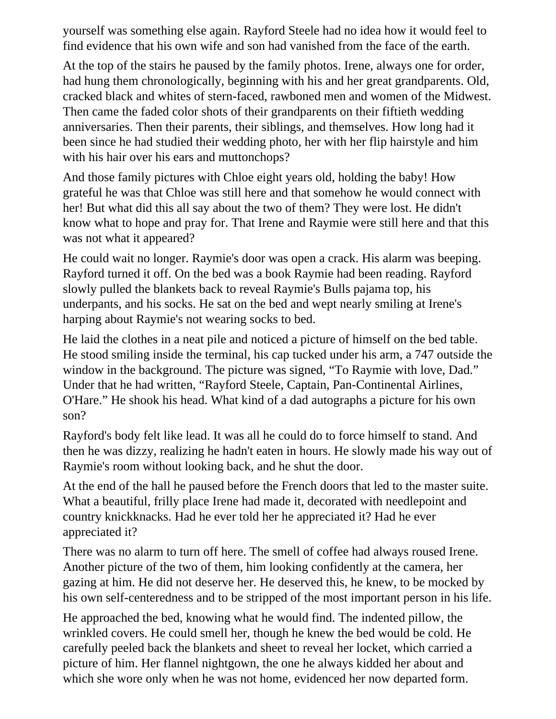yourself was something else again. Rayford Steele had no idea how it would feel to find evidence that his own wife and son had vanished from the face of the earth.

At the top of the stairs he paused by the family photos. Irene, always one for order, had hung them chronologically, beginning with his and her great grandparents. Old, cracked black and whites of stern-faced, rawboned men and women of the Midwest. Then came the faded color shots of their grandparents on their fiftieth wedding anniversaries. Then their parents, their siblings, and themselves. How long had it been since he had studied their wedding photo, her with her flip hairstyle and him with his hair over his ears and muttonchops?

And those family pictures with Chloe eight years old, holding the baby! How grateful he was that Chloe was still here and that somehow he would connect with her! But what did this all say about the two of them? They were lost. He didn't know what to hope and pray for. That Irene and Raymie were still here and that this was not what it appeared?

He could wait no longer. Raymie's door was open a crack. His alarm was beeping. Rayford turned it off. On the bed was a book Raymie had been reading. Rayford slowly pulled the blankets back to reveal Raymie's Bulls pajama top, his underpants, and his socks. He sat on the bed and wept nearly smiling at Irene's harping about Raymie's not wearing socks to bed.

He laid the clothes in a neat pile and noticed a picture of himself on the bed table. He stood smiling inside the terminal, his cap tucked under his arm, a 747 outside the window in the background. The picture was signed, "To Raymie with love, Dad." Under that he had written, "Rayford Steele, Captain, Pan-Continental Airlines, O'Hare." He shook his head. What kind of a dad autographs a picture for his own son?

Rayford's body felt like lead. It was all he could do to force himself to stand. And then he was dizzy, realizing he hadn't eaten in hours. He slowly made his way out of Raymie's room without looking back, and he shut the door.

At the end of the hall he paused before the French doors that led to the master suite. What a beautiful, frilly place Irene had made it, decorated with needlepoint and country knickknacks. Had he ever told her he appreciated it? Had he ever appreciated it?

There was no alarm to turn off here. The smell of coffee had always roused Irene. Another picture of the two of them, him looking confidently at the camera, her gazing at him. He did not deserve her. He deserved this, he knew, to be mocked by his own self-centeredness and to be stripped of the most important person in his life.

He approached the bed, knowing what he would find. The indented pillow, the wrinkled covers. He could smell her, though he knew the bed would be cold. He carefully peeled back the blankets and sheet to reveal her locket, which carried a picture of him. Her flannel nightgown, the one he always kidded her about and which she wore only when he was not home, evidenced her now departed form.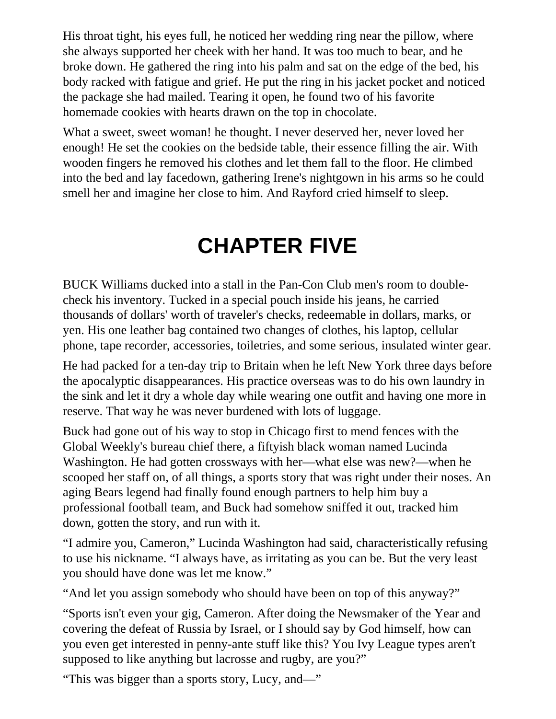His throat tight, his eyes full, he noticed her wedding ring near the pillow, where she always supported her cheek with her hand. It was too much to bear, and he broke down. He gathered the ring into his palm and sat on the edge of the bed, his body racked with fatigue and grief. He put the ring in his jacket pocket and noticed the package she had mailed. Tearing it open, he found two of his favorite homemade cookies with hearts drawn on the top in chocolate.

What a sweet, sweet woman! he thought. I never deserved her, never loved her enough! He set the cookies on the bedside table, their essence filling the air. With wooden fingers he removed his clothes and let them fall to the floor. He climbed into the bed and lay facedown, gathering Irene's nightgown in his arms so he could smell her and imagine her close to him. And Rayford cried himself to sleep.

## **CHAPTER FIVE**

BUCK Williams ducked into a stall in the Pan-Con Club men's room to doublecheck his inventory. Tucked in a special pouch inside his jeans, he carried thousands of dollars' worth of traveler's checks, redeemable in dollars, marks, or yen. His one leather bag contained two changes of clothes, his laptop, cellular phone, tape recorder, accessories, toiletries, and some serious, insulated winter gear.

He had packed for a ten-day trip to Britain when he left New York three days before the apocalyptic disappearances. His practice overseas was to do his own laundry in the sink and let it dry a whole day while wearing one outfit and having one more in reserve. That way he was never burdened with lots of luggage.

Buck had gone out of his way to stop in Chicago first to mend fences with the Global Weekly's bureau chief there, a fiftyish black woman named Lucinda Washington. He had gotten crossways with her—what else was new?—when he scooped her staff on, of all things, a sports story that was right under their noses. An aging Bears legend had finally found enough partners to help him buy a professional football team, and Buck had somehow sniffed it out, tracked him down, gotten the story, and run with it.

"I admire you, Cameron," Lucinda Washington had said, characteristically refusing to use his nickname. "I always have, as irritating as you can be. But the very least you should have done was let me know."

"And let you assign somebody who should have been on top of this anyway?"

"Sports isn't even your gig, Cameron. After doing the Newsmaker of the Year and covering the defeat of Russia by Israel, or I should say by God himself, how can you even get interested in penny-ante stuff like this? You Ivy League types aren't supposed to like anything but lacrosse and rugby, are you?"

"This was bigger than a sports story, Lucy, and—"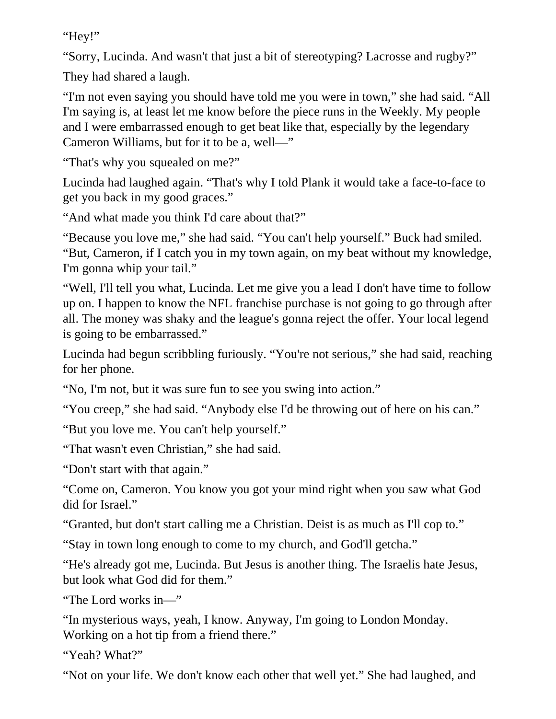"Hey!"

"Sorry, Lucinda. And wasn't that just a bit of stereotyping? Lacrosse and rugby?"

They had shared a laugh.

"I'm not even saying you should have told me you were in town," she had said. "All I'm saying is, at least let me know before the piece runs in the Weekly. My people and I were embarrassed enough to get beat like that, especially by the legendary Cameron Williams, but for it to be a, well—"

"That's why you squealed on me?"

Lucinda had laughed again. "That's why I told Plank it would take a face-to-face to get you back in my good graces."

"And what made you think I'd care about that?"

"Because you love me," she had said. "You can't help yourself." Buck had smiled. "But, Cameron, if I catch you in my town again, on my beat without my knowledge, I'm gonna whip your tail."

"Well, I'll tell you what, Lucinda. Let me give you a lead I don't have time to follow up on. I happen to know the NFL franchise purchase is not going to go through after all. The money was shaky and the league's gonna reject the offer. Your local legend is going to be embarrassed."

Lucinda had begun scribbling furiously. "You're not serious," she had said, reaching for her phone.

"No, I'm not, but it was sure fun to see you swing into action."

"You creep," she had said. "Anybody else I'd be throwing out of here on his can."

"But you love me. You can't help yourself."

"That wasn't even Christian," she had said.

"Don't start with that again."

"Come on, Cameron. You know you got your mind right when you saw what God did for Israel."

"Granted, but don't start calling me a Christian. Deist is as much as I'll cop to."

"Stay in town long enough to come to my church, and God'll getcha."

"He's already got me, Lucinda. But Jesus is another thing. The Israelis hate Jesus, but look what God did for them."

"The Lord works in—"

"In mysterious ways, yeah, I know. Anyway, I'm going to London Monday. Working on a hot tip from a friend there."

"Yeah? What?"

"Not on your life. We don't know each other that well yet." She had laughed, and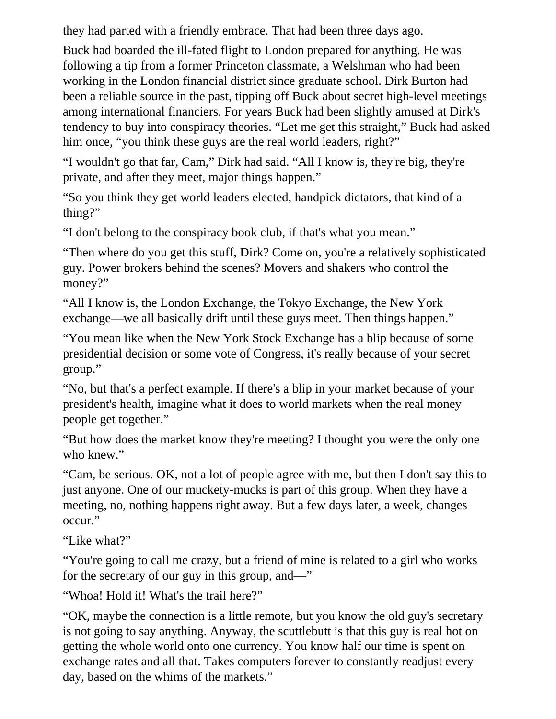they had parted with a friendly embrace. That had been three days ago.

Buck had boarded the ill-fated flight to London prepared for anything. He was following a tip from a former Princeton classmate, a Welshman who had been working in the London financial district since graduate school. Dirk Burton had been a reliable source in the past, tipping off Buck about secret high-level meetings among international financiers. For years Buck had been slightly amused at Dirk's tendency to buy into conspiracy theories. "Let me get this straight," Buck had asked him once, "you think these guys are the real world leaders, right?"

"I wouldn't go that far, Cam," Dirk had said. "All I know is, they're big, they're private, and after they meet, major things happen."

"So you think they get world leaders elected, handpick dictators, that kind of a thing?"

"I don't belong to the conspiracy book club, if that's what you mean."

"Then where do you get this stuff, Dirk? Come on, you're a relatively sophisticated guy. Power brokers behind the scenes? Movers and shakers who control the money?"

"All I know is, the London Exchange, the Tokyo Exchange, the New York exchange—we all basically drift until these guys meet. Then things happen."

"You mean like when the New York Stock Exchange has a blip because of some presidential decision or some vote of Congress, it's really because of your secret group."

"No, but that's a perfect example. If there's a blip in your market because of your president's health, imagine what it does to world markets when the real money people get together."

"But how does the market know they're meeting? I thought you were the only one who knew."

"Cam, be serious. OK, not a lot of people agree with me, but then I don't say this to just anyone. One of our muckety-mucks is part of this group. When they have a meeting, no, nothing happens right away. But a few days later, a week, changes occur."

"Like what?"

"You're going to call me crazy, but a friend of mine is related to a girl who works for the secretary of our guy in this group, and—"

"Whoa! Hold it! What's the trail here?"

"OK, maybe the connection is a little remote, but you know the old guy's secretary is not going to say anything. Anyway, the scuttlebutt is that this guy is real hot on getting the whole world onto one currency. You know half our time is spent on exchange rates and all that. Takes computers forever to constantly readjust every day, based on the whims of the markets."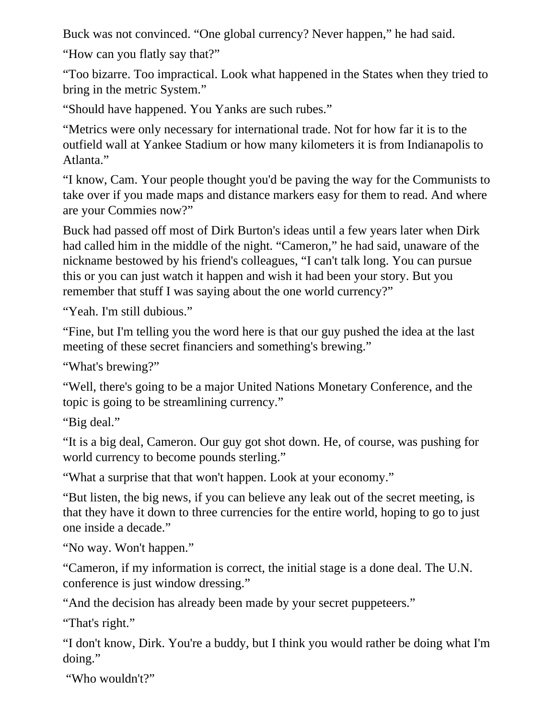Buck was not convinced. "One global currency? Never happen," he had said.

"How can you flatly say that?"

"Too bizarre. Too impractical. Look what happened in the States when they tried to bring in the metric System."

"Should have happened. You Yanks are such rubes."

"Metrics were only necessary for international trade. Not for how far it is to the outfield wall at Yankee Stadium or how many kilometers it is from Indianapolis to Atlanta."

"I know, Cam. Your people thought you'd be paving the way for the Communists to take over if you made maps and distance markers easy for them to read. And where are your Commies now?"

Buck had passed off most of Dirk Burton's ideas until a few years later when Dirk had called him in the middle of the night. "Cameron," he had said, unaware of the nickname bestowed by his friend's colleagues, "I can't talk long. You can pursue this or you can just watch it happen and wish it had been your story. But you remember that stuff I was saying about the one world currency?"

"Yeah. I'm still dubious."

"Fine, but I'm telling you the word here is that our guy pushed the idea at the last meeting of these secret financiers and something's brewing."

"What's brewing?"

"Well, there's going to be a major United Nations Monetary Conference, and the topic is going to be streamlining currency."

"Big deal."

"It is a big deal, Cameron. Our guy got shot down. He, of course, was pushing for world currency to become pounds sterling."

"What a surprise that that won't happen. Look at your economy."

"But listen, the big news, if you can believe any leak out of the secret meeting, is that they have it down to three currencies for the entire world, hoping to go to just one inside a decade."

"No way. Won't happen."

"Cameron, if my information is correct, the initial stage is a done deal. The U.N. conference is just window dressing."

"And the decision has already been made by your secret puppeteers."

"That's right."

"I don't know, Dirk. You're a buddy, but I think you would rather be doing what I'm doing."

"Who wouldn't?"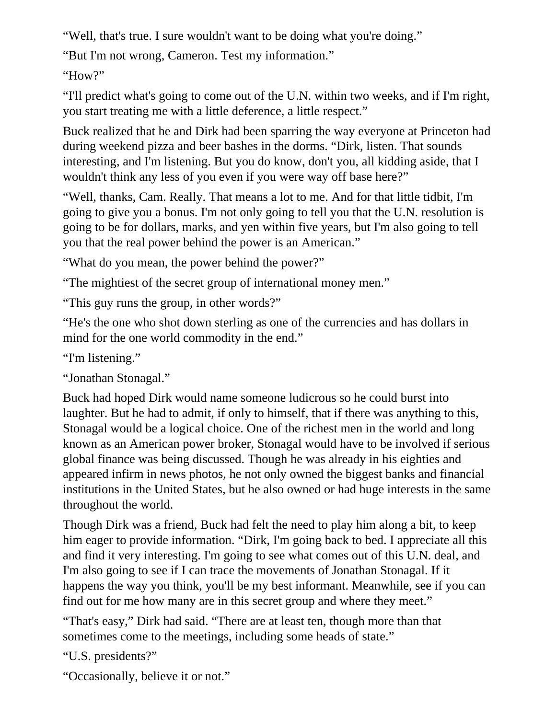"Well, that's true. I sure wouldn't want to be doing what you're doing."

"But I'm not wrong, Cameron. Test my information."

"How?"

"I'll predict what's going to come out of the U.N. within two weeks, and if I'm right, you start treating me with a little deference, a little respect."

Buck realized that he and Dirk had been sparring the way everyone at Princeton had during weekend pizza and beer bashes in the dorms. "Dirk, listen. That sounds interesting, and I'm listening. But you do know, don't you, all kidding aside, that I wouldn't think any less of you even if you were way off base here?"

"Well, thanks, Cam. Really. That means a lot to me. And for that little tidbit, I'm going to give you a bonus. I'm not only going to tell you that the U.N. resolution is going to be for dollars, marks, and yen within five years, but I'm also going to tell you that the real power behind the power is an American."

"What do you mean, the power behind the power?"

"The mightiest of the secret group of international money men."

"This guy runs the group, in other words?"

"He's the one who shot down sterling as one of the currencies and has dollars in mind for the one world commodity in the end."

"I'm listening."

"Jonathan Stonagal."

Buck had hoped Dirk would name someone ludicrous so he could burst into laughter. But he had to admit, if only to himself, that if there was anything to this, Stonagal would be a logical choice. One of the richest men in the world and long known as an American power broker, Stonagal would have to be involved if serious global finance was being discussed. Though he was already in his eighties and appeared infirm in news photos, he not only owned the biggest banks and financial institutions in the United States, but he also owned or had huge interests in the same throughout the world.

Though Dirk was a friend, Buck had felt the need to play him along a bit, to keep him eager to provide information. "Dirk, I'm going back to bed. I appreciate all this and find it very interesting. I'm going to see what comes out of this U.N. deal, and I'm also going to see if I can trace the movements of Jonathan Stonagal. If it happens the way you think, you'll be my best informant. Meanwhile, see if you can find out for me how many are in this secret group and where they meet."

"That's easy," Dirk had said. "There are at least ten, though more than that sometimes come to the meetings, including some heads of state."

"U.S. presidents?"

"Occasionally, believe it or not."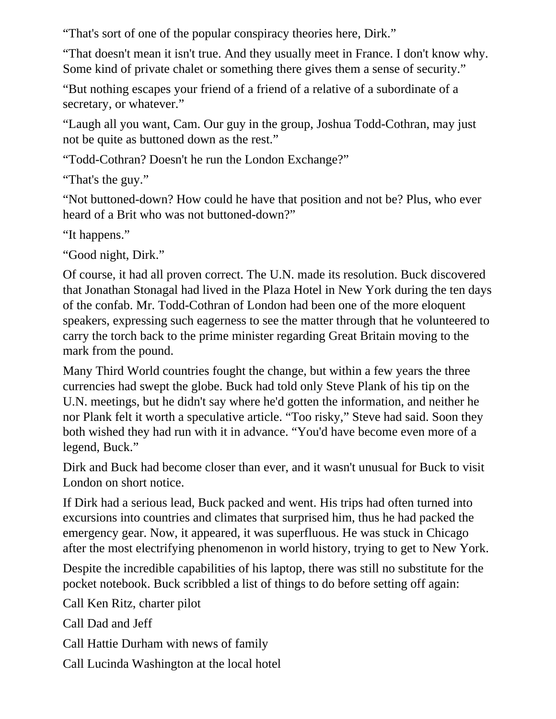"That's sort of one of the popular conspiracy theories here, Dirk."

"That doesn't mean it isn't true. And they usually meet in France. I don't know why. Some kind of private chalet or something there gives them a sense of security."

"But nothing escapes your friend of a friend of a relative of a subordinate of a secretary, or whatever."

"Laugh all you want, Cam. Our guy in the group, Joshua Todd-Cothran, may just not be quite as buttoned down as the rest."

"Todd-Cothran? Doesn't he run the London Exchange?"

"That's the guy."

"Not buttoned-down? How could he have that position and not be? Plus, who ever heard of a Brit who was not buttoned-down?"

"It happens."

"Good night, Dirk."

Of course, it had all proven correct. The U.N. made its resolution. Buck discovered that Jonathan Stonagal had lived in the Plaza Hotel in New York during the ten days of the confab. Mr. Todd-Cothran of London had been one of the more eloquent speakers, expressing such eagerness to see the matter through that he volunteered to carry the torch back to the prime minister regarding Great Britain moving to the mark from the pound.

Many Third World countries fought the change, but within a few years the three currencies had swept the globe. Buck had told only Steve Plank of his tip on the U.N. meetings, but he didn't say where he'd gotten the information, and neither he nor Plank felt it worth a speculative article. "Too risky," Steve had said. Soon they both wished they had run with it in advance. "You'd have become even more of a legend, Buck."

Dirk and Buck had become closer than ever, and it wasn't unusual for Buck to visit London on short notice.

If Dirk had a serious lead, Buck packed and went. His trips had often turned into excursions into countries and climates that surprised him, thus he had packed the emergency gear. Now, it appeared, it was superfluous. He was stuck in Chicago after the most electrifying phenomenon in world history, trying to get to New York.

Despite the incredible capabilities of his laptop, there was still no substitute for the pocket notebook. Buck scribbled a list of things to do before setting off again:

Call Ken Ritz, charter pilot

Call Dad and Jeff

Call Hattie Durham with news of family

Call Lucinda Washington at the local hotel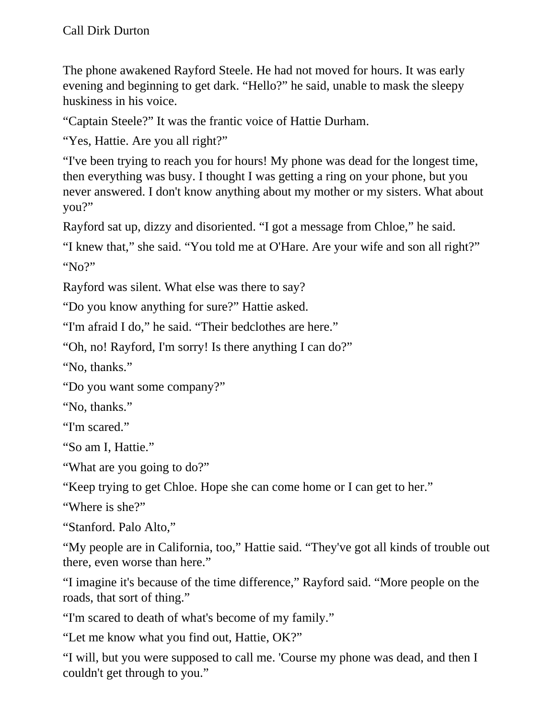The phone awakened Rayford Steele. He had not moved for hours. It was early evening and beginning to get dark. "Hello?" he said, unable to mask the sleepy huskiness in his voice.

"Captain Steele?" It was the frantic voice of Hattie Durham.

"Yes, Hattie. Are you all right?"

"I've been trying to reach you for hours! My phone was dead for the longest time, then everything was busy. I thought I was getting a ring on your phone, but you never answered. I don't know anything about my mother or my sisters. What about you?"

Rayford sat up, dizzy and disoriented. "I got a message from Chloe," he said.

"I knew that," she said. "You told me at O'Hare. Are your wife and son all right?" "No?"

Rayford was silent. What else was there to say?

"Do you know anything for sure?" Hattie asked.

"I'm afraid I do," he said. "Their bedclothes are here."

"Oh, no! Rayford, I'm sorry! Is there anything I can do?"

"No, thanks."

"Do you want some company?"

"No, thanks."

"I'm scared."

"So am I, Hattie."

"What are you going to do?"

"Keep trying to get Chloe. Hope she can come home or I can get to her."

"Where is she?"

"Stanford. Palo Alto,"

"My people are in California, too," Hattie said. "They've got all kinds of trouble out there, even worse than here."

"I imagine it's because of the time difference," Rayford said. "More people on the roads, that sort of thing."

"I'm scared to death of what's become of my family."

"Let me know what you find out, Hattie, OK?"

"I will, but you were supposed to call me. 'Course my phone was dead, and then I couldn't get through to you."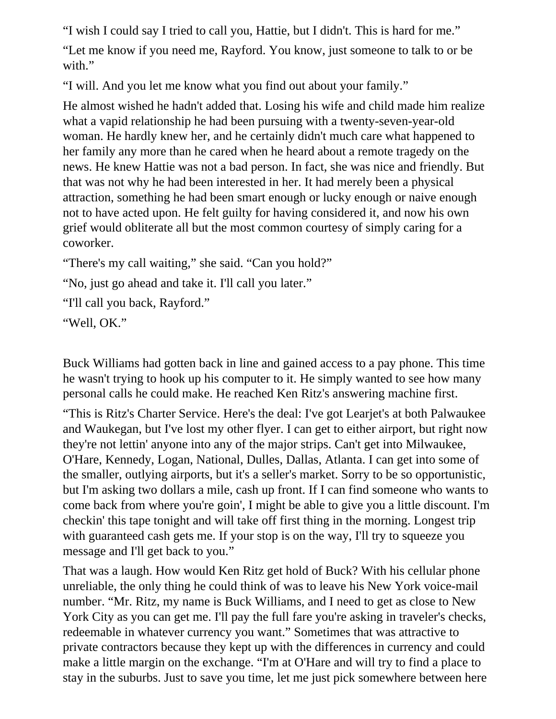"I wish I could say I tried to call you, Hattie, but I didn't. This is hard for me."

"Let me know if you need me, Rayford. You know, just someone to talk to or be with."

"I will. And you let me know what you find out about your family."

He almost wished he hadn't added that. Losing his wife and child made him realize what a vapid relationship he had been pursuing with a twenty-seven-year-old woman. He hardly knew her, and he certainly didn't much care what happened to her family any more than he cared when he heard about a remote tragedy on the news. He knew Hattie was not a bad person. In fact, she was nice and friendly. But that was not why he had been interested in her. It had merely been a physical attraction, something he had been smart enough or lucky enough or naive enough not to have acted upon. He felt guilty for having considered it, and now his own grief would obliterate all but the most common courtesy of simply caring for a coworker.

"There's my call waiting," she said. "Can you hold?"

"No, just go ahead and take it. I'll call you later."

"I'll call you back, Rayford."

"Well, OK."

Buck Williams had gotten back in line and gained access to a pay phone. This time he wasn't trying to hook up his computer to it. He simply wanted to see how many personal calls he could make. He reached Ken Ritz's answering machine first.

"This is Ritz's Charter Service. Here's the deal: I've got Learjet's at both Palwaukee and Waukegan, but I've lost my other flyer. I can get to either airport, but right now they're not lettin' anyone into any of the major strips. Can't get into Milwaukee, O'Hare, Kennedy, Logan, National, Dulles, Dallas, Atlanta. I can get into some of the smaller, outlying airports, but it's a seller's market. Sorry to be so opportunistic, but I'm asking two dollars a mile, cash up front. If I can find someone who wants to come back from where you're goin', I might be able to give you a little discount. I'm checkin' this tape tonight and will take off first thing in the morning. Longest trip with guaranteed cash gets me. If your stop is on the way, I'll try to squeeze you message and I'll get back to you."

That was a laugh. How would Ken Ritz get hold of Buck? With his cellular phone unreliable, the only thing he could think of was to leave his New York voice-mail number. "Mr. Ritz, my name is Buck Williams, and I need to get as close to New York City as you can get me. I'll pay the full fare you're asking in traveler's checks, redeemable in whatever currency you want." Sometimes that was attractive to private contractors because they kept up with the differences in currency and could make a little margin on the exchange. "I'm at O'Hare and will try to find a place to stay in the suburbs. Just to save you time, let me just pick somewhere between here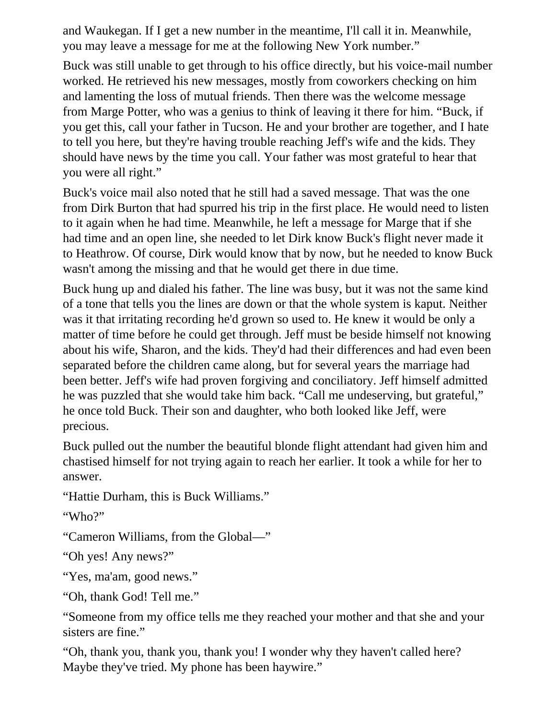and Waukegan. If I get a new number in the meantime, I'll call it in. Meanwhile, you may leave a message for me at the following New York number."

Buck was still unable to get through to his office directly, but his voice-mail number worked. He retrieved his new messages, mostly from coworkers checking on him and lamenting the loss of mutual friends. Then there was the welcome message from Marge Potter, who was a genius to think of leaving it there for him. "Buck, if you get this, call your father in Tucson. He and your brother are together, and I hate to tell you here, but they're having trouble reaching Jeff's wife and the kids. They should have news by the time you call. Your father was most grateful to hear that you were all right."

Buck's voice mail also noted that he still had a saved message. That was the one from Dirk Burton that had spurred his trip in the first place. He would need to listen to it again when he had time. Meanwhile, he left a message for Marge that if she had time and an open line, she needed to let Dirk know Buck's flight never made it to Heathrow. Of course, Dirk would know that by now, but he needed to know Buck wasn't among the missing and that he would get there in due time.

Buck hung up and dialed his father. The line was busy, but it was not the same kind of a tone that tells you the lines are down or that the whole system is kaput. Neither was it that irritating recording he'd grown so used to. He knew it would be only a matter of time before he could get through. Jeff must be beside himself not knowing about his wife, Sharon, and the kids. They'd had their differences and had even been separated before the children came along, but for several years the marriage had been better. Jeff's wife had proven forgiving and conciliatory. Jeff himself admitted he was puzzled that she would take him back. "Call me undeserving, but grateful," he once told Buck. Their son and daughter, who both looked like Jeff, were precious.

Buck pulled out the number the beautiful blonde flight attendant had given him and chastised himself for not trying again to reach her earlier. It took a while for her to answer.

"Hattie Durham, this is Buck Williams."

"Who?"

"Cameron Williams, from the Global—"

"Oh yes! Any news?"

"Yes, ma'am, good news."

"Oh, thank God! Tell me."

"Someone from my office tells me they reached your mother and that she and your sisters are fine."

"Oh, thank you, thank you, thank you! I wonder why they haven't called here? Maybe they've tried. My phone has been haywire."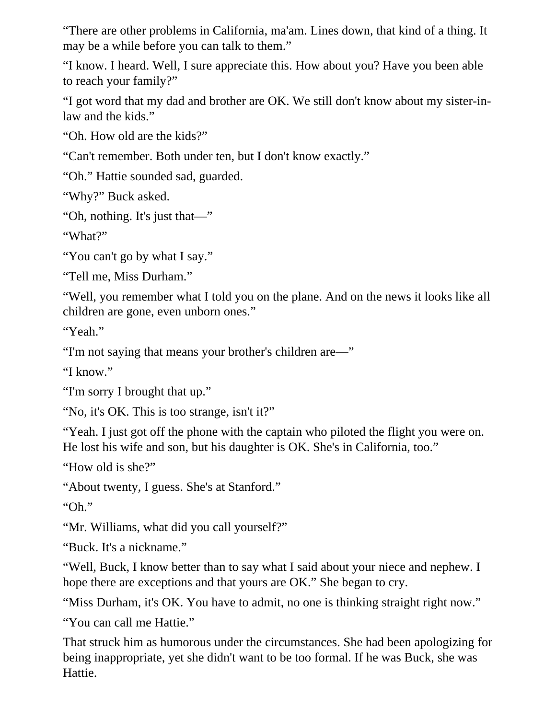"There are other problems in California, ma'am. Lines down, that kind of a thing. It may be a while before you can talk to them."

"I know. I heard. Well, I sure appreciate this. How about you? Have you been able to reach your family?"

"I got word that my dad and brother are OK. We still don't know about my sister-inlaw and the kids."

"Oh. How old are the kids?"

"Can't remember. Both under ten, but I don't know exactly."

"Oh." Hattie sounded sad, guarded.

"Why?" Buck asked.

"Oh, nothing. It's just that—"

"What?"

"You can't go by what I say."

"Tell me, Miss Durham."

"Well, you remember what I told you on the plane. And on the news it looks like all children are gone, even unborn ones."

"Yeah."

"I'm not saying that means your brother's children are—"

"I know."

"I'm sorry I brought that up."

"No, it's OK. This is too strange, isn't it?"

"Yeah. I just got off the phone with the captain who piloted the flight you were on. He lost his wife and son, but his daughter is OK. She's in California, too."

"How old is she?"

"About twenty, I guess. She's at Stanford."

" $Oh.'$ 

"Mr. Williams, what did you call yourself?"

"Buck. It's a nickname."

"Well, Buck, I know better than to say what I said about your niece and nephew. I hope there are exceptions and that yours are OK." She began to cry.

"Miss Durham, it's OK. You have to admit, no one is thinking straight right now."

"You can call me Hattie."

That struck him as humorous under the circumstances. She had been apologizing for being inappropriate, yet she didn't want to be too formal. If he was Buck, she was Hattie.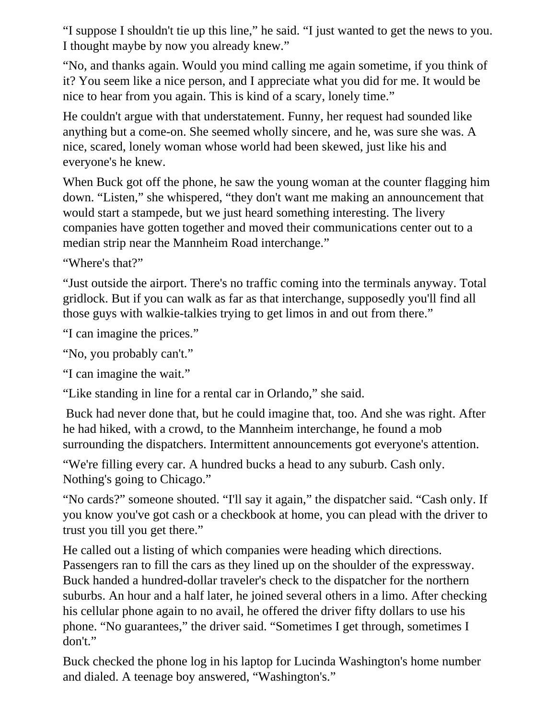"I suppose I shouldn't tie up this line," he said. "I just wanted to get the news to you. I thought maybe by now you already knew."

"No, and thanks again. Would you mind calling me again sometime, if you think of it? You seem like a nice person, and I appreciate what you did for me. It would be nice to hear from you again. This is kind of a scary, lonely time."

He couldn't argue with that understatement. Funny, her request had sounded like anything but a come-on. She seemed wholly sincere, and he, was sure she was. A nice, scared, lonely woman whose world had been skewed, just like his and everyone's he knew.

When Buck got off the phone, he saw the young woman at the counter flagging him down. "Listen," she whispered, "they don't want me making an announcement that would start a stampede, but we just heard something interesting. The livery companies have gotten together and moved their communications center out to a median strip near the Mannheim Road interchange."

"Where's that?"

"Just outside the airport. There's no traffic coming into the terminals anyway. Total gridlock. But if you can walk as far as that interchange, supposedly you'll find all those guys with walkie-talkies trying to get limos in and out from there."

"I can imagine the prices."

"No, you probably can't."

"I can imagine the wait."

"Like standing in line for a rental car in Orlando," she said.

 Buck had never done that, but he could imagine that, too. And she was right. After he had hiked, with a crowd, to the Mannheim interchange, he found a mob surrounding the dispatchers. Intermittent announcements got everyone's attention.

"We're filling every car. A hundred bucks a head to any suburb. Cash only. Nothing's going to Chicago."

"No cards?" someone shouted. "I'll say it again," the dispatcher said. "Cash only. If you know you've got cash or a checkbook at home, you can plead with the driver to trust you till you get there."

He called out a listing of which companies were heading which directions. Passengers ran to fill the cars as they lined up on the shoulder of the expressway. Buck handed a hundred-dollar traveler's check to the dispatcher for the northern suburbs. An hour and a half later, he joined several others in a limo. After checking his cellular phone again to no avail, he offered the driver fifty dollars to use his phone. "No guarantees," the driver said. "Sometimes I get through, sometimes I don't."

Buck checked the phone log in his laptop for Lucinda Washington's home number and dialed. A teenage boy answered, "Washington's."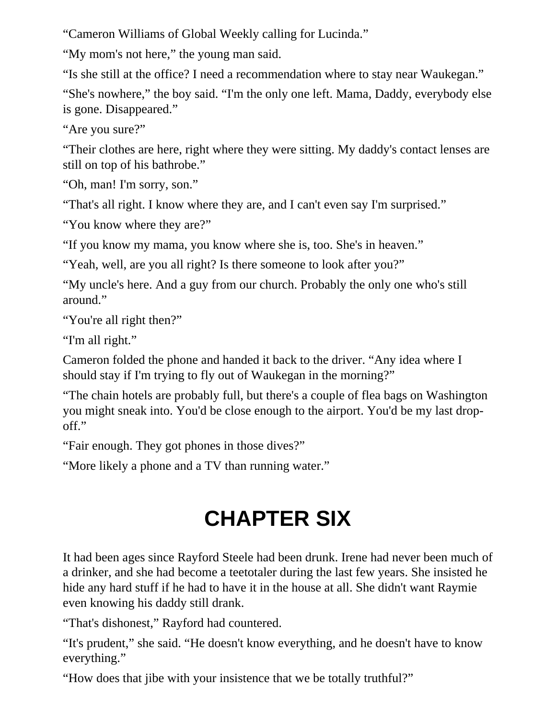"Cameron Williams of Global Weekly calling for Lucinda."

"My mom's not here," the young man said.

"Is she still at the office? I need a recommendation where to stay near Waukegan."

"She's nowhere," the boy said. "I'm the only one left. Mama, Daddy, everybody else is gone. Disappeared."

"Are you sure?"

"Their clothes are here, right where they were sitting. My daddy's contact lenses are still on top of his bathrobe."

"Oh, man! I'm sorry, son."

"That's all right. I know where they are, and I can't even say I'm surprised."

"You know where they are?"

"If you know my mama, you know where she is, too. She's in heaven."

"Yeah, well, are you all right? Is there someone to look after you?"

"My uncle's here. And a guy from our church. Probably the only one who's still around."

"You're all right then?"

"I'm all right."

Cameron folded the phone and handed it back to the driver. "Any idea where I should stay if I'm trying to fly out of Waukegan in the morning?"

"The chain hotels are probably full, but there's a couple of flea bags on Washington you might sneak into. You'd be close enough to the airport. You'd be my last dropoff."

"Fair enough. They got phones in those dives?"

"More likely a phone and a TV than running water."

## **CHAPTER SIX**

It had been ages since Rayford Steele had been drunk. Irene had never been much of a drinker, and she had become a teetotaler during the last few years. She insisted he hide any hard stuff if he had to have it in the house at all. She didn't want Raymie even knowing his daddy still drank.

"That's dishonest," Rayford had countered.

"It's prudent," she said. "He doesn't know everything, and he doesn't have to know everything."

"How does that jibe with your insistence that we be totally truthful?"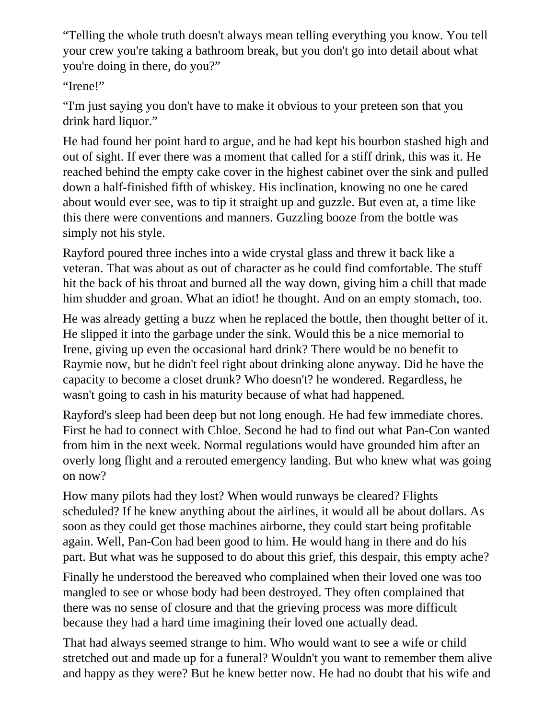"Telling the whole truth doesn't always mean telling everything you know. You tell your crew you're taking a bathroom break, but you don't go into detail about what you're doing in there, do you?"

"Irene!"

"I'm just saying you don't have to make it obvious to your preteen son that you drink hard liquor."

He had found her point hard to argue, and he had kept his bourbon stashed high and out of sight. If ever there was a moment that called for a stiff drink, this was it. He reached behind the empty cake cover in the highest cabinet over the sink and pulled down a half-finished fifth of whiskey. His inclination, knowing no one he cared about would ever see, was to tip it straight up and guzzle. But even at, a time like this there were conventions and manners. Guzzling booze from the bottle was simply not his style.

Rayford poured three inches into a wide crystal glass and threw it back like a veteran. That was about as out of character as he could find comfortable. The stuff hit the back of his throat and burned all the way down, giving him a chill that made him shudder and groan. What an idiot! he thought. And on an empty stomach, too.

He was already getting a buzz when he replaced the bottle, then thought better of it. He slipped it into the garbage under the sink. Would this be a nice memorial to Irene, giving up even the occasional hard drink? There would be no benefit to Raymie now, but he didn't feel right about drinking alone anyway. Did he have the capacity to become a closet drunk? Who doesn't? he wondered. Regardless, he wasn't going to cash in his maturity because of what had happened.

Rayford's sleep had been deep but not long enough. He had few immediate chores. First he had to connect with Chloe. Second he had to find out what Pan-Con wanted from him in the next week. Normal regulations would have grounded him after an overly long flight and a rerouted emergency landing. But who knew what was going on now?

How many pilots had they lost? When would runways be cleared? Flights scheduled? If he knew anything about the airlines, it would all be about dollars. As soon as they could get those machines airborne, they could start being profitable again. Well, Pan-Con had been good to him. He would hang in there and do his part. But what was he supposed to do about this grief, this despair, this empty ache?

Finally he understood the bereaved who complained when their loved one was too mangled to see or whose body had been destroyed. They often complained that there was no sense of closure and that the grieving process was more difficult because they had a hard time imagining their loved one actually dead.

That had always seemed strange to him. Who would want to see a wife or child stretched out and made up for a funeral? Wouldn't you want to remember them alive and happy as they were? But he knew better now. He had no doubt that his wife and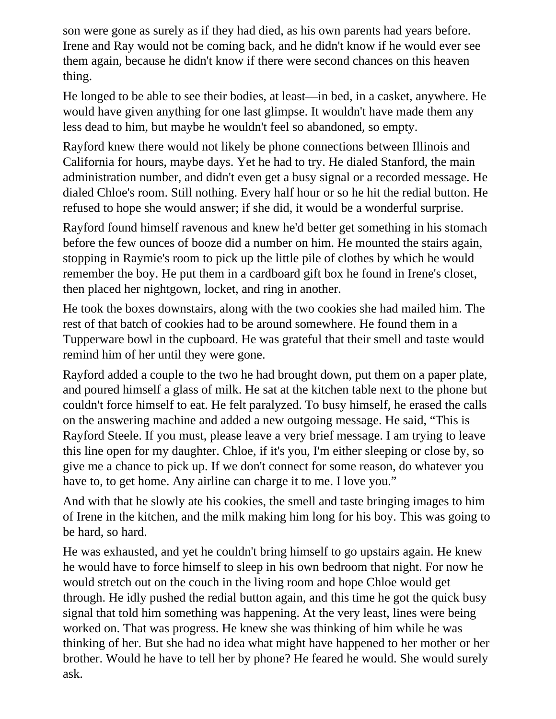son were gone as surely as if they had died, as his own parents had years before. Irene and Ray would not be coming back, and he didn't know if he would ever see them again, because he didn't know if there were second chances on this heaven thing.

He longed to be able to see their bodies, at least—in bed, in a casket, anywhere. He would have given anything for one last glimpse. It wouldn't have made them any less dead to him, but maybe he wouldn't feel so abandoned, so empty.

Rayford knew there would not likely be phone connections between Illinois and California for hours, maybe days. Yet he had to try. He dialed Stanford, the main administration number, and didn't even get a busy signal or a recorded message. He dialed Chloe's room. Still nothing. Every half hour or so he hit the redial button. He refused to hope she would answer; if she did, it would be a wonderful surprise.

Rayford found himself ravenous and knew he'd better get something in his stomach before the few ounces of booze did a number on him. He mounted the stairs again, stopping in Raymie's room to pick up the little pile of clothes by which he would remember the boy. He put them in a cardboard gift box he found in Irene's closet, then placed her nightgown, locket, and ring in another.

He took the boxes downstairs, along with the two cookies she had mailed him. The rest of that batch of cookies had to be around somewhere. He found them in a Tupperware bowl in the cupboard. He was grateful that their smell and taste would remind him of her until they were gone.

Rayford added a couple to the two he had brought down, put them on a paper plate, and poured himself a glass of milk. He sat at the kitchen table next to the phone but couldn't force himself to eat. He felt paralyzed. To busy himself, he erased the calls on the answering machine and added a new outgoing message. He said, "This is Rayford Steele. If you must, please leave a very brief message. I am trying to leave this line open for my daughter. Chloe, if it's you, I'm either sleeping or close by, so give me a chance to pick up. If we don't connect for some reason, do whatever you have to, to get home. Any airline can charge it to me. I love you."

And with that he slowly ate his cookies, the smell and taste bringing images to him of Irene in the kitchen, and the milk making him long for his boy. This was going to be hard, so hard.

He was exhausted, and yet he couldn't bring himself to go upstairs again. He knew he would have to force himself to sleep in his own bedroom that night. For now he would stretch out on the couch in the living room and hope Chloe would get through. He idly pushed the redial button again, and this time he got the quick busy signal that told him something was happening. At the very least, lines were being worked on. That was progress. He knew she was thinking of him while he was thinking of her. But she had no idea what might have happened to her mother or her brother. Would he have to tell her by phone? He feared he would. She would surely ask.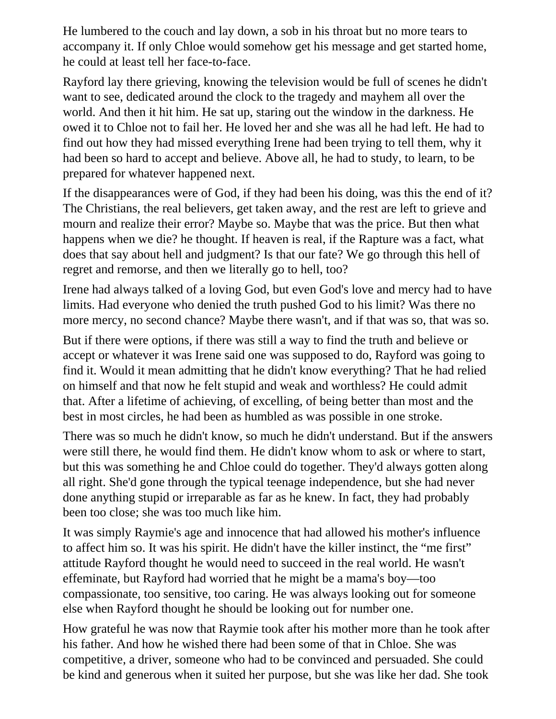He lumbered to the couch and lay down, a sob in his throat but no more tears to accompany it. If only Chloe would somehow get his message and get started home, he could at least tell her face-to-face.

Rayford lay there grieving, knowing the television would be full of scenes he didn't want to see, dedicated around the clock to the tragedy and mayhem all over the world. And then it hit him. He sat up, staring out the window in the darkness. He owed it to Chloe not to fail her. He loved her and she was all he had left. He had to find out how they had missed everything Irene had been trying to tell them, why it had been so hard to accept and believe. Above all, he had to study, to learn, to be prepared for whatever happened next.

If the disappearances were of God, if they had been his doing, was this the end of it? The Christians, the real believers, get taken away, and the rest are left to grieve and mourn and realize their error? Maybe so. Maybe that was the price. But then what happens when we die? he thought. If heaven is real, if the Rapture was a fact, what does that say about hell and judgment? Is that our fate? We go through this hell of regret and remorse, and then we literally go to hell, too?

Irene had always talked of a loving God, but even God's love and mercy had to have limits. Had everyone who denied the truth pushed God to his limit? Was there no more mercy, no second chance? Maybe there wasn't, and if that was so, that was so.

But if there were options, if there was still a way to find the truth and believe or accept or whatever it was Irene said one was supposed to do, Rayford was going to find it. Would it mean admitting that he didn't know everything? That he had relied on himself and that now he felt stupid and weak and worthless? He could admit that. After a lifetime of achieving, of excelling, of being better than most and the best in most circles, he had been as humbled as was possible in one stroke.

There was so much he didn't know, so much he didn't understand. But if the answers were still there, he would find them. He didn't know whom to ask or where to start, but this was something he and Chloe could do together. They'd always gotten along all right. She'd gone through the typical teenage independence, but she had never done anything stupid or irreparable as far as he knew. In fact, they had probably been too close; she was too much like him.

It was simply Raymie's age and innocence that had allowed his mother's influence to affect him so. It was his spirit. He didn't have the killer instinct, the "me first" attitude Rayford thought he would need to succeed in the real world. He wasn't effeminate, but Rayford had worried that he might be a mama's boy—too compassionate, too sensitive, too caring. He was always looking out for someone else when Rayford thought he should be looking out for number one.

How grateful he was now that Raymie took after his mother more than he took after his father. And how he wished there had been some of that in Chloe. She was competitive, a driver, someone who had to be convinced and persuaded. She could be kind and generous when it suited her purpose, but she was like her dad. She took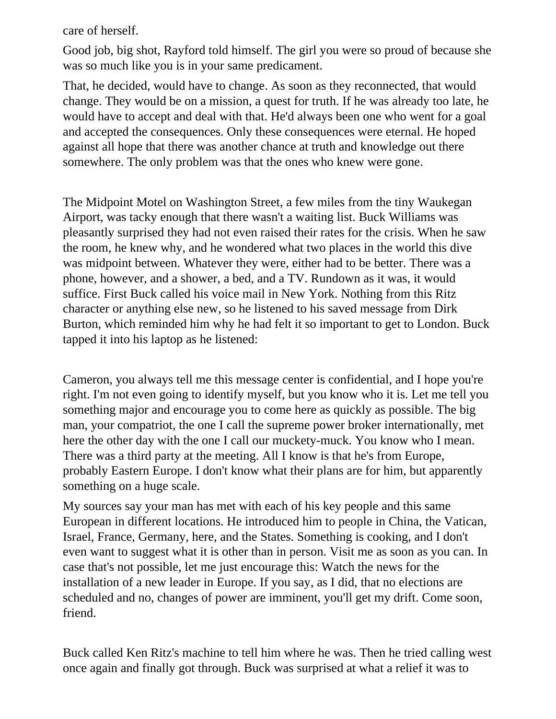care of herself.

Good job, big shot, Rayford told himself. The girl you were so proud of because she was so much like you is in your same predicament.

That, he decided, would have to change. As soon as they reconnected, that would change. They would be on a mission, a quest for truth. If he was already too late, he would have to accept and deal with that. He'd always been one who went for a goal and accepted the consequences. Only these consequences were eternal. He hoped against all hope that there was another chance at truth and knowledge out there somewhere. The only problem was that the ones who knew were gone.

The Midpoint Motel on Washington Street, a few miles from the tiny Waukegan Airport, was tacky enough that there wasn't a waiting list. Buck Williams was pleasantly surprised they had not even raised their rates for the crisis. When he saw the room, he knew why, and he wondered what two places in the world this dive was midpoint between. Whatever they were, either had to be better. There was a phone, however, and a shower, a bed, and a TV. Rundown as it was, it would suffice. First Buck called his voice mail in New York. Nothing from this Ritz character or anything else new, so he listened to his saved message from Dirk Burton, which reminded him why he had felt it so important to get to London. Buck tapped it into his laptop as he listened:

Cameron, you always tell me this message center is confidential, and I hope you're right. I'm not even going to identify myself, but you know who it is. Let me tell you something major and encourage you to come here as quickly as possible. The big man, your compatriot, the one I call the supreme power broker internationally, met here the other day with the one I call our muckety-muck. You know who I mean. There was a third party at the meeting. All I know is that he's from Europe, probably Eastern Europe. I don't know what their plans are for him, but apparently something on a huge scale.

My sources say your man has met with each of his key people and this same European in different locations. He introduced him to people in China, the Vatican, Israel, France, Germany, here, and the States. Something is cooking, and I don't even want to suggest what it is other than in person. Visit me as soon as you can. In case that's not possible, let me just encourage this: Watch the news for the installation of a new leader in Europe. If you say, as I did, that no elections are scheduled and no, changes of power are imminent, you'll get my drift. Come soon, friend.

Buck called Ken Ritz's machine to tell him where he was. Then he tried calling west once again and finally got through. Buck was surprised at what a relief it was to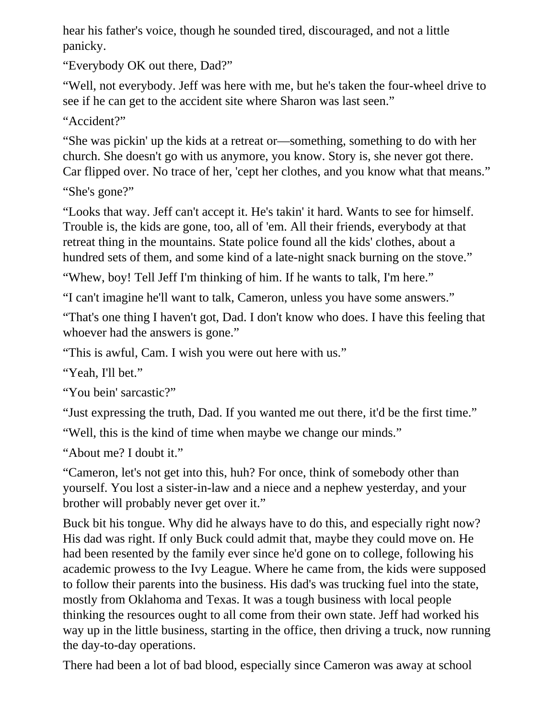hear his father's voice, though he sounded tired, discouraged, and not a little panicky.

"Everybody OK out there, Dad?"

"Well, not everybody. Jeff was here with me, but he's taken the four-wheel drive to see if he can get to the accident site where Sharon was last seen."

"Accident?"

"She was pickin' up the kids at a retreat or—something, something to do with her church. She doesn't go with us anymore, you know. Story is, she never got there. Car flipped over. No trace of her, 'cept her clothes, and you know what that means." "She's gone?"

"Looks that way. Jeff can't accept it. He's takin' it hard. Wants to see for himself. Trouble is, the kids are gone, too, all of 'em. All their friends, everybody at that retreat thing in the mountains. State police found all the kids' clothes, about a hundred sets of them, and some kind of a late-night snack burning on the stove."

"Whew, boy! Tell Jeff I'm thinking of him. If he wants to talk, I'm here."

"I can't imagine he'll want to talk, Cameron, unless you have some answers."

"That's one thing I haven't got, Dad. I don't know who does. I have this feeling that whoever had the answers is gone."

"This is awful, Cam. I wish you were out here with us."

"Yeah, I'll bet."

"You bein' sarcastic?"

"Just expressing the truth, Dad. If you wanted me out there, it'd be the first time."

"Well, this is the kind of time when maybe we change our minds."

"About me? I doubt it."

"Cameron, let's not get into this, huh? For once, think of somebody other than yourself. You lost a sister-in-law and a niece and a nephew yesterday, and your brother will probably never get over it."

Buck bit his tongue. Why did he always have to do this, and especially right now? His dad was right. If only Buck could admit that, maybe they could move on. He had been resented by the family ever since he'd gone on to college, following his academic prowess to the Ivy League. Where he came from, the kids were supposed to follow their parents into the business. His dad's was trucking fuel into the state, mostly from Oklahoma and Texas. It was a tough business with local people thinking the resources ought to all come from their own state. Jeff had worked his way up in the little business, starting in the office, then driving a truck, now running the day-to-day operations.

There had been a lot of bad blood, especially since Cameron was away at school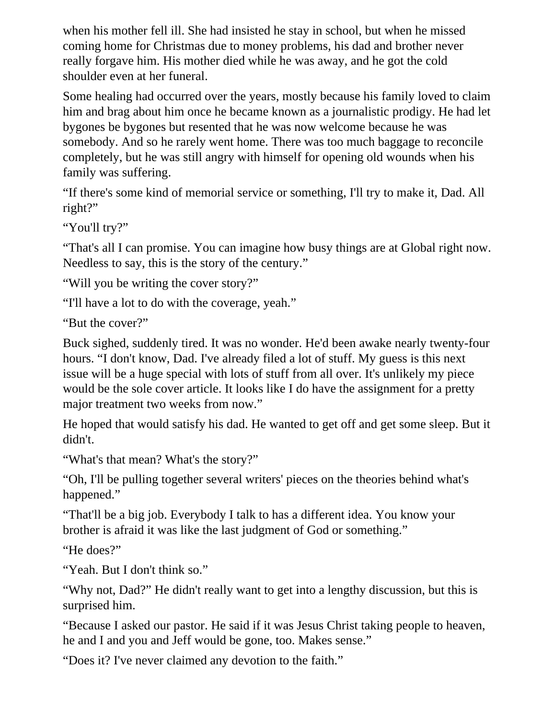when his mother fell ill. She had insisted he stay in school, but when he missed coming home for Christmas due to money problems, his dad and brother never really forgave him. His mother died while he was away, and he got the cold shoulder even at her funeral.

Some healing had occurred over the years, mostly because his family loved to claim him and brag about him once he became known as a journalistic prodigy. He had let bygones be bygones but resented that he was now welcome because he was somebody. And so he rarely went home. There was too much baggage to reconcile completely, but he was still angry with himself for opening old wounds when his family was suffering.

"If there's some kind of memorial service or something, I'll try to make it, Dad. All right?"

"You'll try?"

"That's all I can promise. You can imagine how busy things are at Global right now. Needless to say, this is the story of the century."

"Will you be writing the cover story?"

"I'll have a lot to do with the coverage, yeah."

"But the cover?"

Buck sighed, suddenly tired. It was no wonder. He'd been awake nearly twenty-four hours. "I don't know, Dad. I've already filed a lot of stuff. My guess is this next issue will be a huge special with lots of stuff from all over. It's unlikely my piece would be the sole cover article. It looks like I do have the assignment for a pretty major treatment two weeks from now."

He hoped that would satisfy his dad. He wanted to get off and get some sleep. But it didn't.

```
"What's that mean? What's the story?"
```
"Oh, I'll be pulling together several writers' pieces on the theories behind what's happened."

"That'll be a big job. Everybody I talk to has a different idea. You know your brother is afraid it was like the last judgment of God or something."

"He does?"

"Yeah. But I don't think so."

"Why not, Dad?" He didn't really want to get into a lengthy discussion, but this is surprised him.

"Because I asked our pastor. He said if it was Jesus Christ taking people to heaven, he and I and you and Jeff would be gone, too. Makes sense."

"Does it? I've never claimed any devotion to the faith."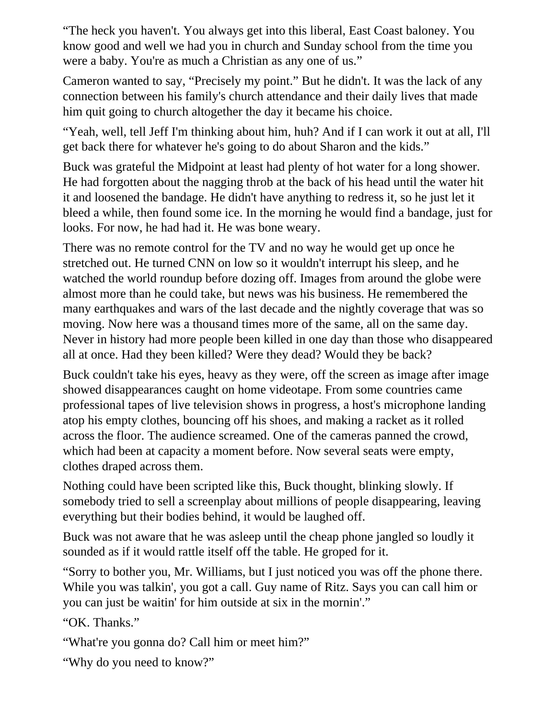"The heck you haven't. You always get into this liberal, East Coast baloney. You know good and well we had you in church and Sunday school from the time you were a baby. You're as much a Christian as any one of us."

Cameron wanted to say, "Precisely my point." But he didn't. It was the lack of any connection between his family's church attendance and their daily lives that made him quit going to church altogether the day it became his choice.

"Yeah, well, tell Jeff I'm thinking about him, huh? And if I can work it out at all, I'll get back there for whatever he's going to do about Sharon and the kids."

Buck was grateful the Midpoint at least had plenty of hot water for a long shower. He had forgotten about the nagging throb at the back of his head until the water hit it and loosened the bandage. He didn't have anything to redress it, so he just let it bleed a while, then found some ice. In the morning he would find a bandage, just for looks. For now, he had had it. He was bone weary.

There was no remote control for the TV and no way he would get up once he stretched out. He turned CNN on low so it wouldn't interrupt his sleep, and he watched the world roundup before dozing off. Images from around the globe were almost more than he could take, but news was his business. He remembered the many earthquakes and wars of the last decade and the nightly coverage that was so moving. Now here was a thousand times more of the same, all on the same day. Never in history had more people been killed in one day than those who disappeared all at once. Had they been killed? Were they dead? Would they be back?

Buck couldn't take his eyes, heavy as they were, off the screen as image after image showed disappearances caught on home videotape. From some countries came professional tapes of live television shows in progress, a host's microphone landing atop his empty clothes, bouncing off his shoes, and making a racket as it rolled across the floor. The audience screamed. One of the cameras panned the crowd, which had been at capacity a moment before. Now several seats were empty, clothes draped across them.

Nothing could have been scripted like this, Buck thought, blinking slowly. If somebody tried to sell a screenplay about millions of people disappearing, leaving everything but their bodies behind, it would be laughed off.

Buck was not aware that he was asleep until the cheap phone jangled so loudly it sounded as if it would rattle itself off the table. He groped for it.

"Sorry to bother you, Mr. Williams, but I just noticed you was off the phone there. While you was talkin', you got a call. Guy name of Ritz. Says you can call him or you can just be waitin' for him outside at six in the mornin'."

"OK. Thanks."

"What're you gonna do? Call him or meet him?"

"Why do you need to know?"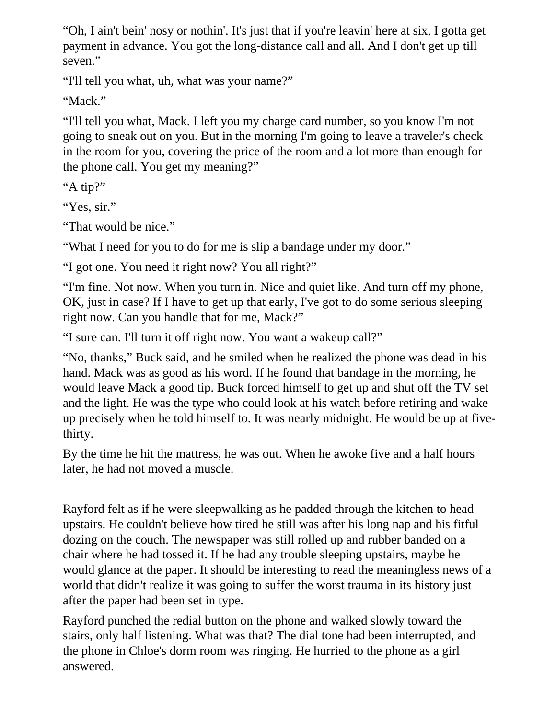"Oh, I ain't bein' nosy or nothin'. It's just that if you're leavin' here at six, I gotta get payment in advance. You got the long-distance call and all. And I don't get up till seven."

"I'll tell you what, uh, what was your name?"

"Mack."

"I'll tell you what, Mack. I left you my charge card number, so you know I'm not going to sneak out on you. But in the morning I'm going to leave a traveler's check in the room for you, covering the price of the room and a lot more than enough for the phone call. You get my meaning?"

"A tip?"

"Yes, sir."

"That would be nice."

"What I need for you to do for me is slip a bandage under my door."

"I got one. You need it right now? You all right?"

"I'm fine. Not now. When you turn in. Nice and quiet like. And turn off my phone, OK, just in case? If I have to get up that early, I've got to do some serious sleeping right now. Can you handle that for me, Mack?"

"I sure can. I'll turn it off right now. You want a wakeup call?"

"No, thanks," Buck said, and he smiled when he realized the phone was dead in his hand. Mack was as good as his word. If he found that bandage in the morning, he would leave Mack a good tip. Buck forced himself to get up and shut off the TV set and the light. He was the type who could look at his watch before retiring and wake up precisely when he told himself to. It was nearly midnight. He would be up at fivethirty.

By the time he hit the mattress, he was out. When he awoke five and a half hours later, he had not moved a muscle.

Rayford felt as if he were sleepwalking as he padded through the kitchen to head upstairs. He couldn't believe how tired he still was after his long nap and his fitful dozing on the couch. The newspaper was still rolled up and rubber banded on a chair where he had tossed it. If he had any trouble sleeping upstairs, maybe he would glance at the paper. It should be interesting to read the meaningless news of a world that didn't realize it was going to suffer the worst trauma in its history just after the paper had been set in type.

Rayford punched the redial button on the phone and walked slowly toward the stairs, only half listening. What was that? The dial tone had been interrupted, and the phone in Chloe's dorm room was ringing. He hurried to the phone as a girl answered.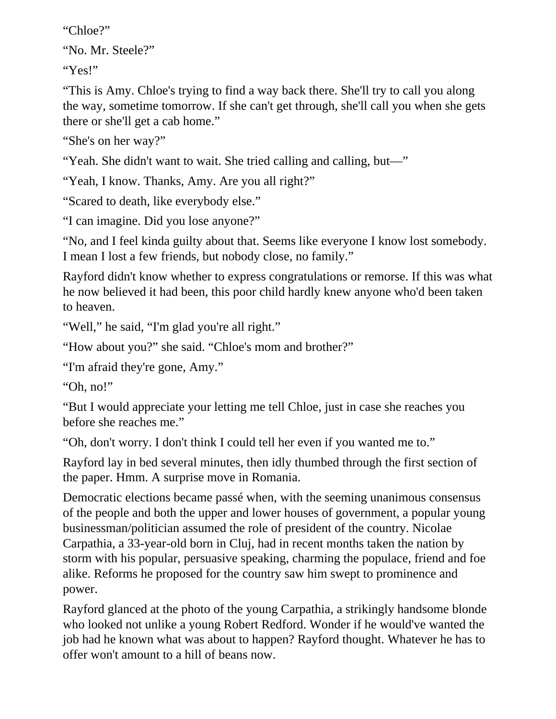"Chloe?"

"No. Mr. Steele?"

"Yes!"

"This is Amy. Chloe's trying to find a way back there. She'll try to call you along the way, sometime tomorrow. If she can't get through, she'll call you when she gets there or she'll get a cab home."

"She's on her way?"

"Yeah. She didn't want to wait. She tried calling and calling, but—"

"Yeah, I know. Thanks, Amy. Are you all right?"

"Scared to death, like everybody else."

"I can imagine. Did you lose anyone?"

"No, and I feel kinda guilty about that. Seems like everyone I know lost somebody. I mean I lost a few friends, but nobody close, no family."

Rayford didn't know whether to express congratulations or remorse. If this was what he now believed it had been, this poor child hardly knew anyone who'd been taken to heaven.

"Well," he said, "I'm glad you're all right."

"How about you?" she said. "Chloe's mom and brother?"

"I'm afraid they're gone, Amy."

"Oh, no!"

"But I would appreciate your letting me tell Chloe, just in case she reaches you before she reaches me."

"Oh, don't worry. I don't think I could tell her even if you wanted me to."

Rayford lay in bed several minutes, then idly thumbed through the first section of the paper. Hmm. A surprise move in Romania.

Democratic elections became passé when, with the seeming unanimous consensus of the people and both the upper and lower houses of government, a popular young businessman/politician assumed the role of president of the country. Nicolae Carpathia, a 33-year-old born in Cluj, had in recent months taken the nation by storm with his popular, persuasive speaking, charming the populace, friend and foe alike. Reforms he proposed for the country saw him swept to prominence and power.

Rayford glanced at the photo of the young Carpathia, a strikingly handsome blonde who looked not unlike a young Robert Redford. Wonder if he would've wanted the job had he known what was about to happen? Rayford thought. Whatever he has to offer won't amount to a hill of beans now.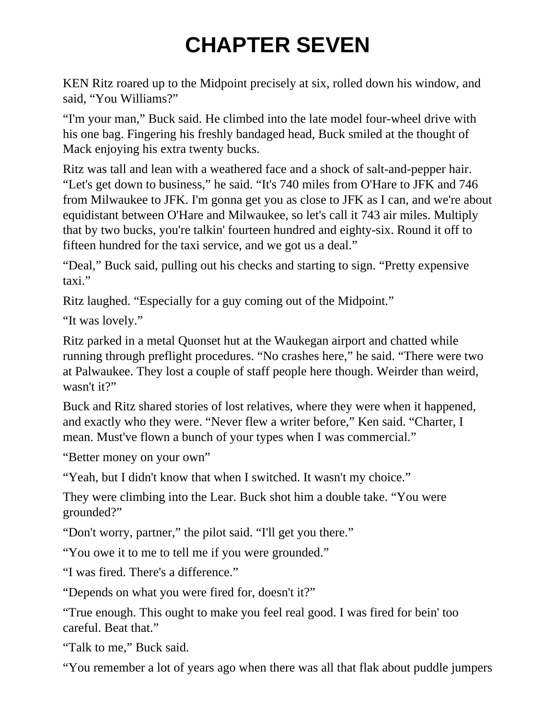## **CHAPTER SEVEN**

KEN Ritz roared up to the Midpoint precisely at six, rolled down his window, and said, "You Williams?"

"I'm your man," Buck said. He climbed into the late model four-wheel drive with his one bag. Fingering his freshly bandaged head, Buck smiled at the thought of Mack enjoying his extra twenty bucks.

Ritz was tall and lean with a weathered face and a shock of salt-and-pepper hair. "Let's get down to business," he said. "It's 740 miles from O'Hare to JFK and 746 from Milwaukee to JFK. I'm gonna get you as close to JFK as I can, and we're about equidistant between O'Hare and Milwaukee, so let's call it 743 air miles. Multiply that by two bucks, you're talkin' fourteen hundred and eighty-six. Round it off to fifteen hundred for the taxi service, and we got us a deal."

"Deal," Buck said, pulling out his checks and starting to sign. "Pretty expensive taxi."

Ritz laughed. "Especially for a guy coming out of the Midpoint."

"It was lovely."

Ritz parked in a metal Quonset hut at the Waukegan airport and chatted while running through preflight procedures. "No crashes here," he said. "There were two at Palwaukee. They lost a couple of staff people here though. Weirder than weird, wasn't it?"

Buck and Ritz shared stories of lost relatives, where they were when it happened, and exactly who they were. "Never flew a writer before," Ken said. "Charter, I mean. Must've flown a bunch of your types when I was commercial."

"Better money on your own"

"Yeah, but I didn't know that when I switched. It wasn't my choice."

They were climbing into the Lear. Buck shot him a double take. "You were grounded?"

"Don't worry, partner," the pilot said. "I'll get you there."

"You owe it to me to tell me if you were grounded."

"I was fired. There's a difference."

"Depends on what you were fired for, doesn't it?"

"True enough. This ought to make you feel real good. I was fired for bein' too careful. Beat that."

"Talk to me," Buck said.

"You remember a lot of years ago when there was all that flak about puddle jumpers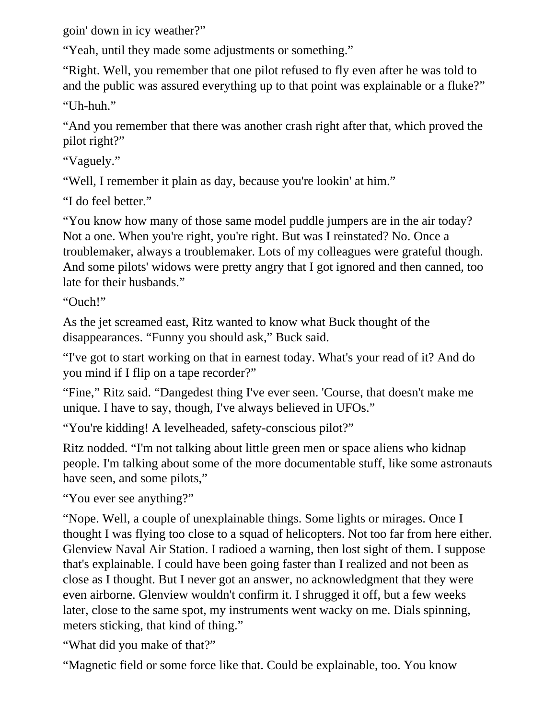goin' down in icy weather?"

"Yeah, until they made some adjustments or something."

"Right. Well, you remember that one pilot refused to fly even after he was told to and the public was assured everything up to that point was explainable or a fluke?"

"Uh-huh."

"And you remember that there was another crash right after that, which proved the pilot right?"

"Vaguely."

"Well, I remember it plain as day, because you're lookin' at him."

"I do feel better."

"You know how many of those same model puddle jumpers are in the air today? Not a one. When you're right, you're right. But was I reinstated? No. Once a troublemaker, always a troublemaker. Lots of my colleagues were grateful though. And some pilots' widows were pretty angry that I got ignored and then canned, too late for their husbands."

"Ouch!"

As the jet screamed east, Ritz wanted to know what Buck thought of the disappearances. "Funny you should ask," Buck said.

"I've got to start working on that in earnest today. What's your read of it? And do you mind if I flip on a tape recorder?"

"Fine," Ritz said. "Dangedest thing I've ever seen. 'Course, that doesn't make me unique. I have to say, though, I've always believed in UFOs."

"You're kidding! A levelheaded, safety-conscious pilot?"

Ritz nodded. "I'm not talking about little green men or space aliens who kidnap people. I'm talking about some of the more documentable stuff, like some astronauts have seen, and some pilots,"

"You ever see anything?"

"Nope. Well, a couple of unexplainable things. Some lights or mirages. Once I thought I was flying too close to a squad of helicopters. Not too far from here either. Glenview Naval Air Station. I radioed a warning, then lost sight of them. I suppose that's explainable. I could have been going faster than I realized and not been as close as I thought. But I never got an answer, no acknowledgment that they were even airborne. Glenview wouldn't confirm it. I shrugged it off, but a few weeks later, close to the same spot, my instruments went wacky on me. Dials spinning, meters sticking, that kind of thing."

"What did you make of that?"

"Magnetic field or some force like that. Could be explainable, too. You know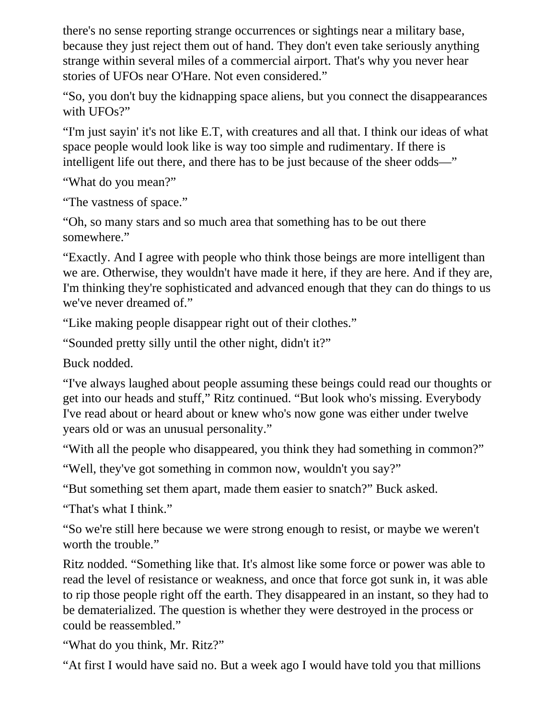there's no sense reporting strange occurrences or sightings near a military base, because they just reject them out of hand. They don't even take seriously anything strange within several miles of a commercial airport. That's why you never hear stories of UFOs near O'Hare. Not even considered."

"So, you don't buy the kidnapping space aliens, but you connect the disappearances with UFOs?"

"I'm just sayin' it's not like E.T, with creatures and all that. I think our ideas of what space people would look like is way too simple and rudimentary. If there is intelligent life out there, and there has to be just because of the sheer odds—"

"What do you mean?"

"The vastness of space."

"Oh, so many stars and so much area that something has to be out there somewhere."

"Exactly. And I agree with people who think those beings are more intelligent than we are. Otherwise, they wouldn't have made it here, if they are here. And if they are, I'm thinking they're sophisticated and advanced enough that they can do things to us we've never dreamed of."

"Like making people disappear right out of their clothes."

"Sounded pretty silly until the other night, didn't it?"

Buck nodded.

"I've always laughed about people assuming these beings could read our thoughts or get into our heads and stuff," Ritz continued. "But look who's missing. Everybody I've read about or heard about or knew who's now gone was either under twelve years old or was an unusual personality."

"With all the people who disappeared, you think they had something in common?"

"Well, they've got something in common now, wouldn't you say?"

"But something set them apart, made them easier to snatch?" Buck asked.

"That's what I think."

"So we're still here because we were strong enough to resist, or maybe we weren't worth the trouble."

Ritz nodded. "Something like that. It's almost like some force or power was able to read the level of resistance or weakness, and once that force got sunk in, it was able to rip those people right off the earth. They disappeared in an instant, so they had to be dematerialized. The question is whether they were destroyed in the process or could be reassembled."

"What do you think, Mr. Ritz?"

"At first I would have said no. But a week ago I would have told you that millions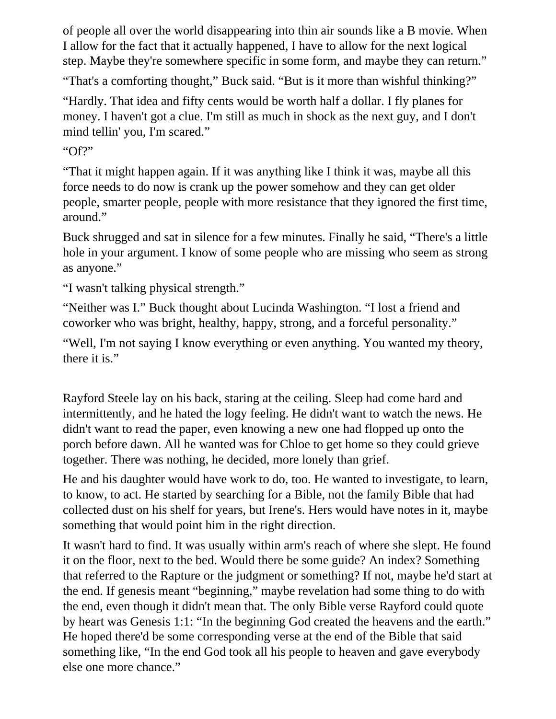of people all over the world disappearing into thin air sounds like a B movie. When I allow for the fact that it actually happened, I have to allow for the next logical step. Maybe they're somewhere specific in some form, and maybe they can return."

"That's a comforting thought," Buck said. "But is it more than wishful thinking?"

"Hardly. That idea and fifty cents would be worth half a dollar. I fly planes for money. I haven't got a clue. I'm still as much in shock as the next guy, and I don't mind tellin' you, I'm scared."

"Of?"

"That it might happen again. If it was anything like I think it was, maybe all this force needs to do now is crank up the power somehow and they can get older people, smarter people, people with more resistance that they ignored the first time, around."

Buck shrugged and sat in silence for a few minutes. Finally he said, "There's a little hole in your argument. I know of some people who are missing who seem as strong as anyone."

"I wasn't talking physical strength."

"Neither was I." Buck thought about Lucinda Washington. "I lost a friend and coworker who was bright, healthy, happy, strong, and a forceful personality."

"Well, I'm not saying I know everything or even anything. You wanted my theory, there it is."

Rayford Steele lay on his back, staring at the ceiling. Sleep had come hard and intermittently, and he hated the logy feeling. He didn't want to watch the news. He didn't want to read the paper, even knowing a new one had flopped up onto the porch before dawn. All he wanted was for Chloe to get home so they could grieve together. There was nothing, he decided, more lonely than grief.

He and his daughter would have work to do, too. He wanted to investigate, to learn, to know, to act. He started by searching for a Bible, not the family Bible that had collected dust on his shelf for years, but Irene's. Hers would have notes in it, maybe something that would point him in the right direction.

It wasn't hard to find. It was usually within arm's reach of where she slept. He found it on the floor, next to the bed. Would there be some guide? An index? Something that referred to the Rapture or the judgment or something? If not, maybe he'd start at the end. If genesis meant "beginning," maybe revelation had some thing to do with the end, even though it didn't mean that. The only Bible verse Rayford could quote by heart was Genesis 1:1: "In the beginning God created the heavens and the earth." He hoped there'd be some corresponding verse at the end of the Bible that said something like, "In the end God took all his people to heaven and gave everybody else one more chance."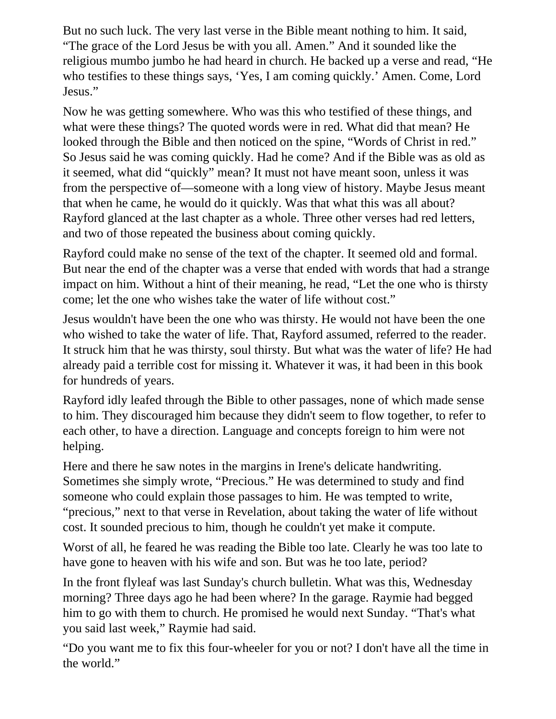But no such luck. The very last verse in the Bible meant nothing to him. It said, "The grace of the Lord Jesus be with you all. Amen." And it sounded like the religious mumbo jumbo he had heard in church. He backed up a verse and read, "He who testifies to these things says, 'Yes, I am coming quickly.' Amen. Come, Lord Jesus."

Now he was getting somewhere. Who was this who testified of these things, and what were these things? The quoted words were in red. What did that mean? He looked through the Bible and then noticed on the spine, "Words of Christ in red." So Jesus said he was coming quickly. Had he come? And if the Bible was as old as it seemed, what did "quickly" mean? It must not have meant soon, unless it was from the perspective of—someone with a long view of history. Maybe Jesus meant that when he came, he would do it quickly. Was that what this was all about? Rayford glanced at the last chapter as a whole. Three other verses had red letters, and two of those repeated the business about coming quickly.

Rayford could make no sense of the text of the chapter. It seemed old and formal. But near the end of the chapter was a verse that ended with words that had a strange impact on him. Without a hint of their meaning, he read, "Let the one who is thirsty come; let the one who wishes take the water of life without cost."

Jesus wouldn't have been the one who was thirsty. He would not have been the one who wished to take the water of life. That, Rayford assumed, referred to the reader. It struck him that he was thirsty, soul thirsty. But what was the water of life? He had already paid a terrible cost for missing it. Whatever it was, it had been in this book for hundreds of years.

Rayford idly leafed through the Bible to other passages, none of which made sense to him. They discouraged him because they didn't seem to flow together, to refer to each other, to have a direction. Language and concepts foreign to him were not helping.

Here and there he saw notes in the margins in Irene's delicate handwriting. Sometimes she simply wrote, "Precious." He was determined to study and find someone who could explain those passages to him. He was tempted to write, "precious," next to that verse in Revelation, about taking the water of life without cost. It sounded precious to him, though he couldn't yet make it compute.

Worst of all, he feared he was reading the Bible too late. Clearly he was too late to have gone to heaven with his wife and son. But was he too late, period?

In the front flyleaf was last Sunday's church bulletin. What was this, Wednesday morning? Three days ago he had been where? In the garage. Raymie had begged him to go with them to church. He promised he would next Sunday. "That's what you said last week," Raymie had said.

"Do you want me to fix this four-wheeler for you or not? I don't have all the time in the world."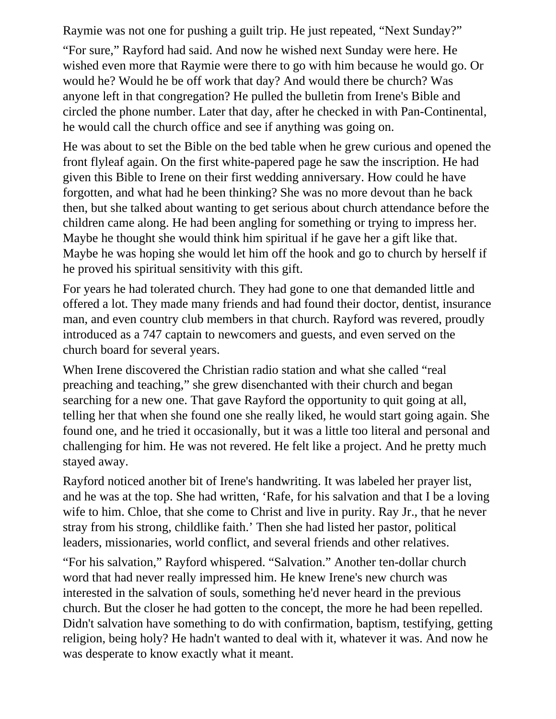Raymie was not one for pushing a guilt trip. He just repeated, "Next Sunday?" "For sure," Rayford had said. And now he wished next Sunday were here. He wished even more that Raymie were there to go with him because he would go. Or would he? Would he be off work that day? And would there be church? Was anyone left in that congregation? He pulled the bulletin from Irene's Bible and circled the phone number. Later that day, after he checked in with Pan-Continental, he would call the church office and see if anything was going on.

He was about to set the Bible on the bed table when he grew curious and opened the front flyleaf again. On the first white-papered page he saw the inscription. He had given this Bible to Irene on their first wedding anniversary. How could he have forgotten, and what had he been thinking? She was no more devout than he back then, but she talked about wanting to get serious about church attendance before the children came along. He had been angling for something or trying to impress her. Maybe he thought she would think him spiritual if he gave her a gift like that. Maybe he was hoping she would let him off the hook and go to church by herself if he proved his spiritual sensitivity with this gift.

For years he had tolerated church. They had gone to one that demanded little and offered a lot. They made many friends and had found their doctor, dentist, insurance man, and even country club members in that church. Rayford was revered, proudly introduced as a 747 captain to newcomers and guests, and even served on the church board for several years.

When Irene discovered the Christian radio station and what she called "real preaching and teaching," she grew disenchanted with their church and began searching for a new one. That gave Rayford the opportunity to quit going at all, telling her that when she found one she really liked, he would start going again. She found one, and he tried it occasionally, but it was a little too literal and personal and challenging for him. He was not revered. He felt like a project. And he pretty much stayed away.

Rayford noticed another bit of Irene's handwriting. It was labeled her prayer list, and he was at the top. She had written, 'Rafe, for his salvation and that I be a loving wife to him. Chloe, that she come to Christ and live in purity. Ray Jr., that he never stray from his strong, childlike faith.' Then she had listed her pastor, political leaders, missionaries, world conflict, and several friends and other relatives.

"For his salvation," Rayford whispered. "Salvation." Another ten-dollar church word that had never really impressed him. He knew Irene's new church was interested in the salvation of souls, something he'd never heard in the previous church. But the closer he had gotten to the concept, the more he had been repelled. Didn't salvation have something to do with confirmation, baptism, testifying, getting religion, being holy? He hadn't wanted to deal with it, whatever it was. And now he was desperate to know exactly what it meant.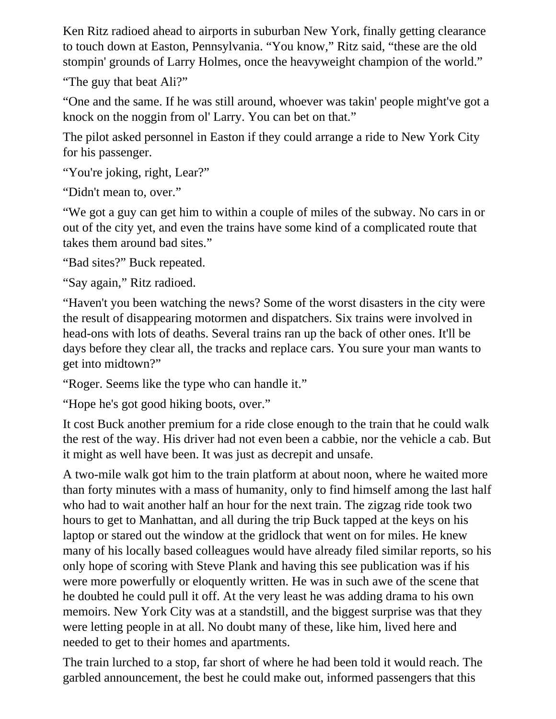Ken Ritz radioed ahead to airports in suburban New York, finally getting clearance to touch down at Easton, Pennsylvania. "You know," Ritz said, "these are the old stompin' grounds of Larry Holmes, once the heavyweight champion of the world."

"The guy that beat Ali?"

"One and the same. If he was still around, whoever was takin' people might've got a knock on the noggin from ol' Larry. You can bet on that."

The pilot asked personnel in Easton if they could arrange a ride to New York City for his passenger.

```
"You're joking, right, Lear?"
```

```
"Didn't mean to, over."
```
"We got a guy can get him to within a couple of miles of the subway. No cars in or out of the city yet, and even the trains have some kind of a complicated route that takes them around bad sites."

"Bad sites?" Buck repeated.

"Say again," Ritz radioed.

"Haven't you been watching the news? Some of the worst disasters in the city were the result of disappearing motormen and dispatchers. Six trains were involved in head-ons with lots of deaths. Several trains ran up the back of other ones. It'll be days before they clear all, the tracks and replace cars. You sure your man wants to get into midtown?"

"Roger. Seems like the type who can handle it."

"Hope he's got good hiking boots, over."

It cost Buck another premium for a ride close enough to the train that he could walk the rest of the way. His driver had not even been a cabbie, nor the vehicle a cab. But it might as well have been. It was just as decrepit and unsafe.

A two-mile walk got him to the train platform at about noon, where he waited more than forty minutes with a mass of humanity, only to find himself among the last half who had to wait another half an hour for the next train. The zigzag ride took two hours to get to Manhattan, and all during the trip Buck tapped at the keys on his laptop or stared out the window at the gridlock that went on for miles. He knew many of his locally based colleagues would have already filed similar reports, so his only hope of scoring with Steve Plank and having this see publication was if his were more powerfully or eloquently written. He was in such awe of the scene that he doubted he could pull it off. At the very least he was adding drama to his own memoirs. New York City was at a standstill, and the biggest surprise was that they were letting people in at all. No doubt many of these, like him, lived here and needed to get to their homes and apartments.

The train lurched to a stop, far short of where he had been told it would reach. The garbled announcement, the best he could make out, informed passengers that this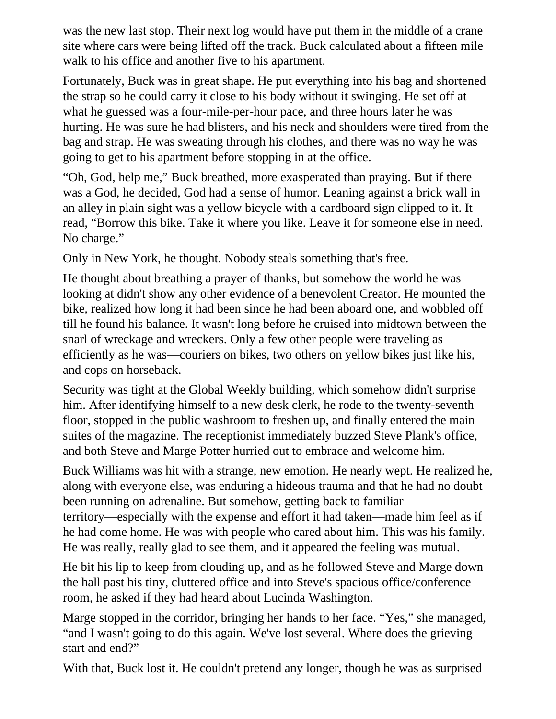was the new last stop. Their next log would have put them in the middle of a crane site where cars were being lifted off the track. Buck calculated about a fifteen mile walk to his office and another five to his apartment.

Fortunately, Buck was in great shape. He put everything into his bag and shortened the strap so he could carry it close to his body without it swinging. He set off at what he guessed was a four-mile-per-hour pace, and three hours later he was hurting. He was sure he had blisters, and his neck and shoulders were tired from the bag and strap. He was sweating through his clothes, and there was no way he was going to get to his apartment before stopping in at the office.

"Oh, God, help me," Buck breathed, more exasperated than praying. But if there was a God, he decided, God had a sense of humor. Leaning against a brick wall in an alley in plain sight was a yellow bicycle with a cardboard sign clipped to it. It read, "Borrow this bike. Take it where you like. Leave it for someone else in need. No charge."

Only in New York, he thought. Nobody steals something that's free.

He thought about breathing a prayer of thanks, but somehow the world he was looking at didn't show any other evidence of a benevolent Creator. He mounted the bike, realized how long it had been since he had been aboard one, and wobbled off till he found his balance. It wasn't long before he cruised into midtown between the snarl of wreckage and wreckers. Only a few other people were traveling as efficiently as he was—couriers on bikes, two others on yellow bikes just like his, and cops on horseback.

Security was tight at the Global Weekly building, which somehow didn't surprise him. After identifying himself to a new desk clerk, he rode to the twenty-seventh floor, stopped in the public washroom to freshen up, and finally entered the main suites of the magazine. The receptionist immediately buzzed Steve Plank's office, and both Steve and Marge Potter hurried out to embrace and welcome him.

Buck Williams was hit with a strange, new emotion. He nearly wept. He realized he, along with everyone else, was enduring a hideous trauma and that he had no doubt been running on adrenaline. But somehow, getting back to familiar territory—especially with the expense and effort it had taken—made him feel as if he had come home. He was with people who cared about him. This was his family. He was really, really glad to see them, and it appeared the feeling was mutual.

He bit his lip to keep from clouding up, and as he followed Steve and Marge down the hall past his tiny, cluttered office and into Steve's spacious office/conference room, he asked if they had heard about Lucinda Washington.

Marge stopped in the corridor, bringing her hands to her face. "Yes," she managed, "and I wasn't going to do this again. We've lost several. Where does the grieving start and end?"

With that, Buck lost it. He couldn't pretend any longer, though he was as surprised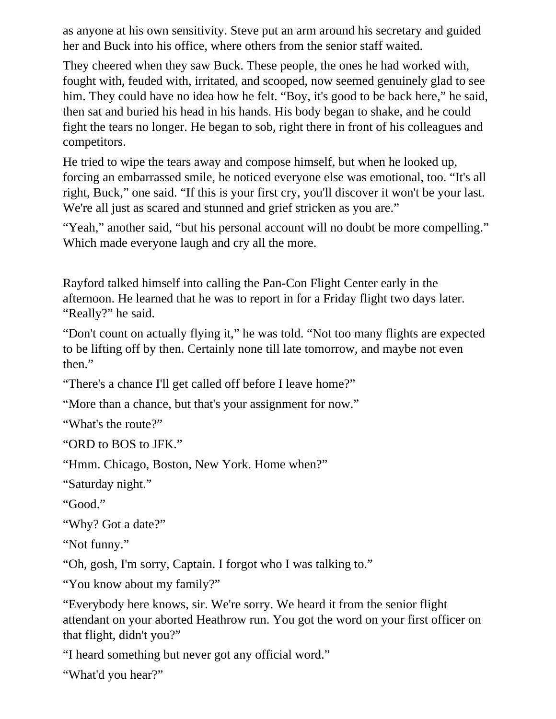as anyone at his own sensitivity. Steve put an arm around his secretary and guided her and Buck into his office, where others from the senior staff waited.

They cheered when they saw Buck. These people, the ones he had worked with, fought with, feuded with, irritated, and scooped, now seemed genuinely glad to see him. They could have no idea how he felt. "Boy, it's good to be back here," he said, then sat and buried his head in his hands. His body began to shake, and he could fight the tears no longer. He began to sob, right there in front of his colleagues and competitors.

He tried to wipe the tears away and compose himself, but when he looked up, forcing an embarrassed smile, he noticed everyone else was emotional, too. "It's all right, Buck," one said. "If this is your first cry, you'll discover it won't be your last. We're all just as scared and stunned and grief stricken as you are."

"Yeah," another said, "but his personal account will no doubt be more compelling." Which made everyone laugh and cry all the more.

Rayford talked himself into calling the Pan-Con Flight Center early in the afternoon. He learned that he was to report in for a Friday flight two days later. "Really?" he said.

"Don't count on actually flying it," he was told. "Not too many flights are expected to be lifting off by then. Certainly none till late tomorrow, and maybe not even then."

"There's a chance I'll get called off before I leave home?"

"More than a chance, but that's your assignment for now."

"What's the route?"

"ORD to BOS to JFK."

"Hmm. Chicago, Boston, New York. Home when?"

"Saturday night."

"Good."

"Why? Got a date?"

"Not funny."

"Oh, gosh, I'm sorry, Captain. I forgot who I was talking to."

"You know about my family?"

"Everybody here knows, sir. We're sorry. We heard it from the senior flight attendant on your aborted Heathrow run. You got the word on your first officer on that flight, didn't you?"

"I heard something but never got any official word."

"What'd you hear?"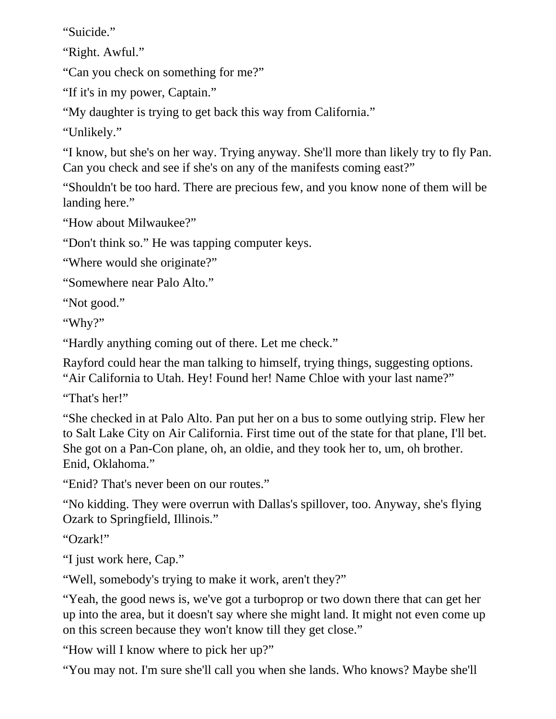"Suicide."

"Right. Awful."

"Can you check on something for me?"

"If it's in my power, Captain."

"My daughter is trying to get back this way from California."

"Unlikely."

"I know, but she's on her way. Trying anyway. She'll more than likely try to fly Pan. Can you check and see if she's on any of the manifests coming east?"

"Shouldn't be too hard. There are precious few, and you know none of them will be landing here."

"How about Milwaukee?"

"Don't think so." He was tapping computer keys.

"Where would she originate?"

"Somewhere near Palo Alto."

"Not good."

"Why?"

"Hardly anything coming out of there. Let me check."

Rayford could hear the man talking to himself, trying things, suggesting options. "Air California to Utah. Hey! Found her! Name Chloe with your last name?"

"That's her!"

"She checked in at Palo Alto. Pan put her on a bus to some outlying strip. Flew her to Salt Lake City on Air California. First time out of the state for that plane, I'll bet. She got on a Pan-Con plane, oh, an oldie, and they took her to, um, oh brother. Enid, Oklahoma."

"Enid? That's never been on our routes."

"No kidding. They were overrun with Dallas's spillover, too. Anyway, she's flying Ozark to Springfield, Illinois."

"Ozark!"

"I just work here, Cap."

"Well, somebody's trying to make it work, aren't they?"

"Yeah, the good news is, we've got a turboprop or two down there that can get her up into the area, but it doesn't say where she might land. It might not even come up on this screen because they won't know till they get close."

"How will I know where to pick her up?"

"You may not. I'm sure she'll call you when she lands. Who knows? Maybe she'll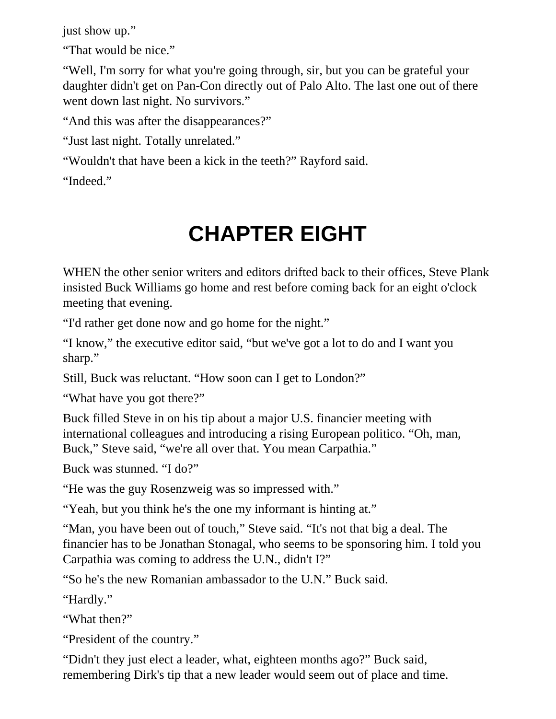just show up."

"That would be nice."

"Well, I'm sorry for what you're going through, sir, but you can be grateful your daughter didn't get on Pan-Con directly out of Palo Alto. The last one out of there went down last night. No survivors."

"And this was after the disappearances?"

"Just last night. Totally unrelated."

"Wouldn't that have been a kick in the teeth?" Rayford said.

"Indeed."

## **CHAPTER EIGHT**

WHEN the other senior writers and editors drifted back to their offices, Steve Plank insisted Buck Williams go home and rest before coming back for an eight o'clock meeting that evening.

"I'd rather get done now and go home for the night."

"I know," the executive editor said, "but we've got a lot to do and I want you sharp."

Still, Buck was reluctant. "How soon can I get to London?"

"What have you got there?"

Buck filled Steve in on his tip about a major U.S. financier meeting with international colleagues and introducing a rising European politico. "Oh, man, Buck," Steve said, "we're all over that. You mean Carpathia."

Buck was stunned. "I do?"

"He was the guy Rosenzweig was so impressed with."

"Yeah, but you think he's the one my informant is hinting at."

"Man, you have been out of touch," Steve said. "It's not that big a deal. The financier has to be Jonathan Stonagal, who seems to be sponsoring him. I told you Carpathia was coming to address the U.N., didn't I?"

"So he's the new Romanian ambassador to the U.N." Buck said.

"Hardly."

"What then?"

"President of the country."

"Didn't they just elect a leader, what, eighteen months ago?" Buck said, remembering Dirk's tip that a new leader would seem out of place and time.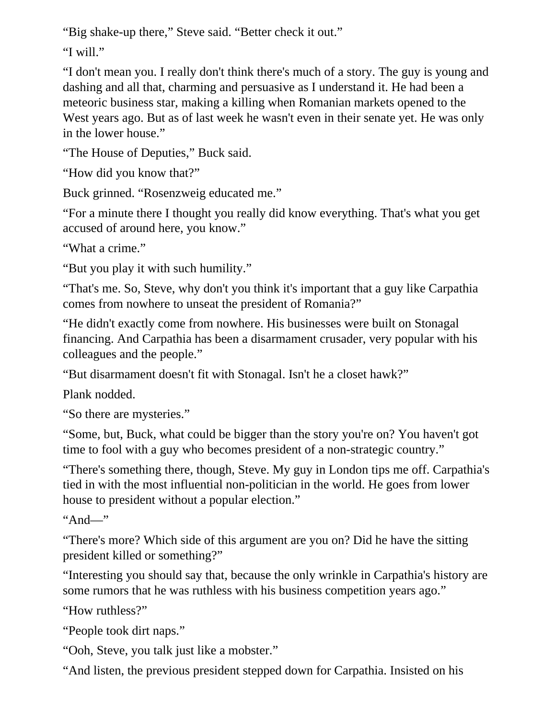"Big shake-up there," Steve said. "Better check it out."

"I will."

"I don't mean you. I really don't think there's much of a story. The guy is young and dashing and all that, charming and persuasive as I understand it. He had been a meteoric business star, making a killing when Romanian markets opened to the West years ago. But as of last week he wasn't even in their senate yet. He was only in the lower house."

"The House of Deputies," Buck said.

"How did you know that?"

Buck grinned. "Rosenzweig educated me."

"For a minute there I thought you really did know everything. That's what you get accused of around here, you know."

"What a crime."

"But you play it with such humility."

"That's me. So, Steve, why don't you think it's important that a guy like Carpathia comes from nowhere to unseat the president of Romania?"

"He didn't exactly come from nowhere. His businesses were built on Stonagal financing. And Carpathia has been a disarmament crusader, very popular with his colleagues and the people."

"But disarmament doesn't fit with Stonagal. Isn't he a closet hawk?"

Plank nodded.

"So there are mysteries."

"Some, but, Buck, what could be bigger than the story you're on? You haven't got time to fool with a guy who becomes president of a non-strategic country."

"There's something there, though, Steve. My guy in London tips me off. Carpathia's tied in with the most influential non-politician in the world. He goes from lower house to president without a popular election."

" $And$ "

"There's more? Which side of this argument are you on? Did he have the sitting president killed or something?"

"Interesting you should say that, because the only wrinkle in Carpathia's history are some rumors that he was ruthless with his business competition years ago."

"How ruthless?"

"People took dirt naps."

"Ooh, Steve, you talk just like a mobster."

"And listen, the previous president stepped down for Carpathia. Insisted on his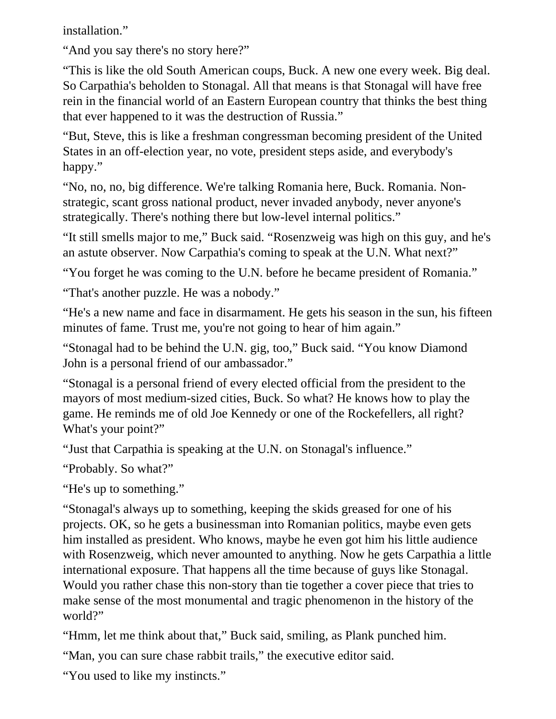installation."

"And you say there's no story here?"

"This is like the old South American coups, Buck. A new one every week. Big deal. So Carpathia's beholden to Stonagal. All that means is that Stonagal will have free rein in the financial world of an Eastern European country that thinks the best thing that ever happened to it was the destruction of Russia."

"But, Steve, this is like a freshman congressman becoming president of the United States in an off-election year, no vote, president steps aside, and everybody's happy."

"No, no, no, big difference. We're talking Romania here, Buck. Romania. Nonstrategic, scant gross national product, never invaded anybody, never anyone's strategically. There's nothing there but low-level internal politics."

"It still smells major to me," Buck said. "Rosenzweig was high on this guy, and he's an astute observer. Now Carpathia's coming to speak at the U.N. What next?"

"You forget he was coming to the U.N. before he became president of Romania."

"That's another puzzle. He was a nobody."

"He's a new name and face in disarmament. He gets his season in the sun, his fifteen minutes of fame. Trust me, you're not going to hear of him again."

"Stonagal had to be behind the U.N. gig, too," Buck said. "You know Diamond John is a personal friend of our ambassador."

"Stonagal is a personal friend of every elected official from the president to the mayors of most medium-sized cities, Buck. So what? He knows how to play the game. He reminds me of old Joe Kennedy or one of the Rockefellers, all right? What's your point?"

"Just that Carpathia is speaking at the U.N. on Stonagal's influence."

"Probably. So what?"

"He's up to something."

"Stonagal's always up to something, keeping the skids greased for one of his projects. OK, so he gets a businessman into Romanian politics, maybe even gets him installed as president. Who knows, maybe he even got him his little audience with Rosenzweig, which never amounted to anything. Now he gets Carpathia a little international exposure. That happens all the time because of guys like Stonagal. Would you rather chase this non-story than tie together a cover piece that tries to make sense of the most monumental and tragic phenomenon in the history of the world?"

"Hmm, let me think about that," Buck said, smiling, as Plank punched him.

"Man, you can sure chase rabbit trails," the executive editor said.

"You used to like my instincts."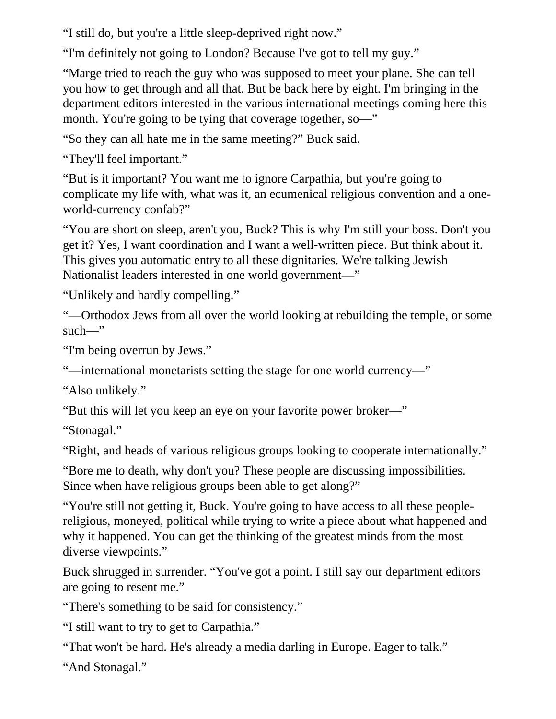"I still do, but you're a little sleep-deprived right now."

"I'm definitely not going to London? Because I've got to tell my guy."

"Marge tried to reach the guy who was supposed to meet your plane. She can tell you how to get through and all that. But be back here by eight. I'm bringing in the department editors interested in the various international meetings coming here this month. You're going to be tying that coverage together, so-"

"So they can all hate me in the same meeting?" Buck said.

"They'll feel important."

"But is it important? You want me to ignore Carpathia, but you're going to complicate my life with, what was it, an ecumenical religious convention and a oneworld-currency confab?"

"You are short on sleep, aren't you, Buck? This is why I'm still your boss. Don't you get it? Yes, I want coordination and I want a well-written piece. But think about it. This gives you automatic entry to all these dignitaries. We're talking Jewish Nationalist leaders interested in one world government—"

"Unlikely and hardly compelling."

"—Orthodox Jews from all over the world looking at rebuilding the temple, or some such—"

"I'm being overrun by Jews."

"—international monetarists setting the stage for one world currency—"

"Also unlikely."

"But this will let you keep an eye on your favorite power broker—"

"Stonagal."

"Right, and heads of various religious groups looking to cooperate internationally."

"Bore me to death, why don't you? These people are discussing impossibilities. Since when have religious groups been able to get along?"

"You're still not getting it, Buck. You're going to have access to all these peoplereligious, moneyed, political while trying to write a piece about what happened and why it happened. You can get the thinking of the greatest minds from the most diverse viewpoints."

Buck shrugged in surrender. "You've got a point. I still say our department editors are going to resent me."

"There's something to be said for consistency."

"I still want to try to get to Carpathia."

"That won't be hard. He's already a media darling in Europe. Eager to talk."

"And Stonagal."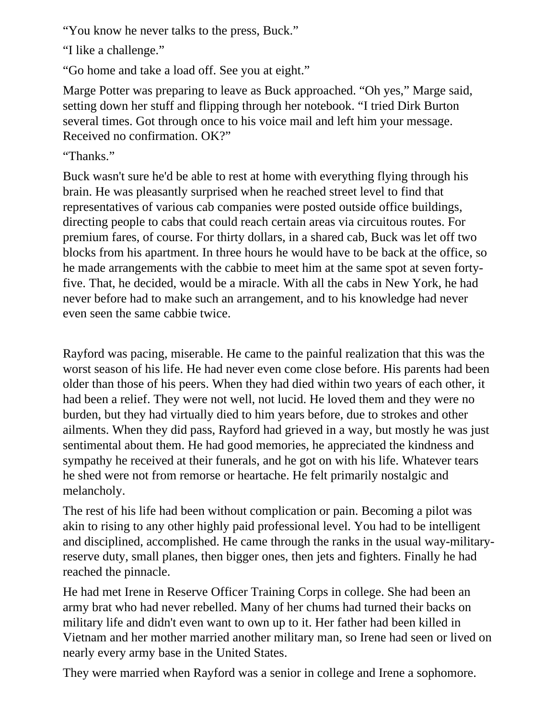"You know he never talks to the press, Buck."

"I like a challenge."

"Go home and take a load off. See you at eight."

Marge Potter was preparing to leave as Buck approached. "Oh yes," Marge said, setting down her stuff and flipping through her notebook. "I tried Dirk Burton several times. Got through once to his voice mail and left him your message. Received no confirmation. OK?"

"Thanks."

Buck wasn't sure he'd be able to rest at home with everything flying through his brain. He was pleasantly surprised when he reached street level to find that representatives of various cab companies were posted outside office buildings, directing people to cabs that could reach certain areas via circuitous routes. For premium fares, of course. For thirty dollars, in a shared cab, Buck was let off two blocks from his apartment. In three hours he would have to be back at the office, so he made arrangements with the cabbie to meet him at the same spot at seven fortyfive. That, he decided, would be a miracle. With all the cabs in New York, he had never before had to make such an arrangement, and to his knowledge had never even seen the same cabbie twice.

Rayford was pacing, miserable. He came to the painful realization that this was the worst season of his life. He had never even come close before. His parents had been older than those of his peers. When they had died within two years of each other, it had been a relief. They were not well, not lucid. He loved them and they were no burden, but they had virtually died to him years before, due to strokes and other ailments. When they did pass, Rayford had grieved in a way, but mostly he was just sentimental about them. He had good memories, he appreciated the kindness and sympathy he received at their funerals, and he got on with his life. Whatever tears he shed were not from remorse or heartache. He felt primarily nostalgic and melancholy.

The rest of his life had been without complication or pain. Becoming a pilot was akin to rising to any other highly paid professional level. You had to be intelligent and disciplined, accomplished. He came through the ranks in the usual way-militaryreserve duty, small planes, then bigger ones, then jets and fighters. Finally he had reached the pinnacle.

He had met Irene in Reserve Officer Training Corps in college. She had been an army brat who had never rebelled. Many of her chums had turned their backs on military life and didn't even want to own up to it. Her father had been killed in Vietnam and her mother married another military man, so Irene had seen or lived on nearly every army base in the United States.

They were married when Rayford was a senior in college and Irene a sophomore.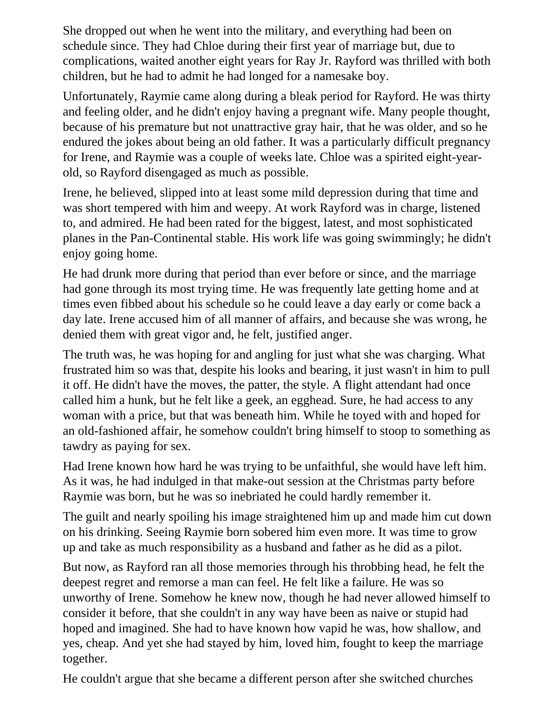She dropped out when he went into the military, and everything had been on schedule since. They had Chloe during their first year of marriage but, due to complications, waited another eight years for Ray Jr. Rayford was thrilled with both children, but he had to admit he had longed for a namesake boy.

Unfortunately, Raymie came along during a bleak period for Rayford. He was thirty and feeling older, and he didn't enjoy having a pregnant wife. Many people thought, because of his premature but not unattractive gray hair, that he was older, and so he endured the jokes about being an old father. It was a particularly difficult pregnancy for Irene, and Raymie was a couple of weeks late. Chloe was a spirited eight-yearold, so Rayford disengaged as much as possible.

Irene, he believed, slipped into at least some mild depression during that time and was short tempered with him and weepy. At work Rayford was in charge, listened to, and admired. He had been rated for the biggest, latest, and most sophisticated planes in the Pan-Continental stable. His work life was going swimmingly; he didn't enjoy going home.

He had drunk more during that period than ever before or since, and the marriage had gone through its most trying time. He was frequently late getting home and at times even fibbed about his schedule so he could leave a day early or come back a day late. Irene accused him of all manner of affairs, and because she was wrong, he denied them with great vigor and, he felt, justified anger.

The truth was, he was hoping for and angling for just what she was charging. What frustrated him so was that, despite his looks and bearing, it just wasn't in him to pull it off. He didn't have the moves, the patter, the style. A flight attendant had once called him a hunk, but he felt like a geek, an egghead. Sure, he had access to any woman with a price, but that was beneath him. While he toyed with and hoped for an old-fashioned affair, he somehow couldn't bring himself to stoop to something as tawdry as paying for sex.

Had Irene known how hard he was trying to be unfaithful, she would have left him. As it was, he had indulged in that make-out session at the Christmas party before Raymie was born, but he was so inebriated he could hardly remember it.

The guilt and nearly spoiling his image straightened him up and made him cut down on his drinking. Seeing Raymie born sobered him even more. It was time to grow up and take as much responsibility as a husband and father as he did as a pilot.

But now, as Rayford ran all those memories through his throbbing head, he felt the deepest regret and remorse a man can feel. He felt like a failure. He was so unworthy of Irene. Somehow he knew now, though he had never allowed himself to consider it before, that she couldn't in any way have been as naive or stupid had hoped and imagined. She had to have known how vapid he was, how shallow, and yes, cheap. And yet she had stayed by him, loved him, fought to keep the marriage together.

He couldn't argue that she became a different person after she switched churches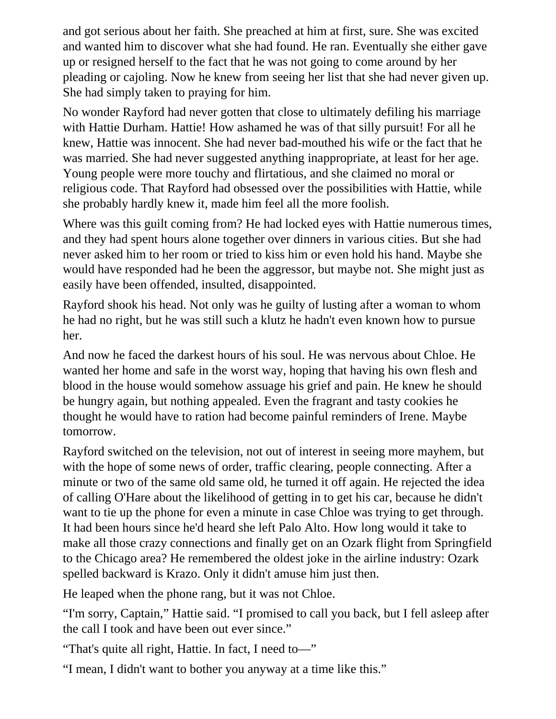and got serious about her faith. She preached at him at first, sure. She was excited and wanted him to discover what she had found. He ran. Eventually she either gave up or resigned herself to the fact that he was not going to come around by her pleading or cajoling. Now he knew from seeing her list that she had never given up. She had simply taken to praying for him.

No wonder Rayford had never gotten that close to ultimately defiling his marriage with Hattie Durham. Hattie! How ashamed he was of that silly pursuit! For all he knew, Hattie was innocent. She had never bad-mouthed his wife or the fact that he was married. She had never suggested anything inappropriate, at least for her age. Young people were more touchy and flirtatious, and she claimed no moral or religious code. That Rayford had obsessed over the possibilities with Hattie, while she probably hardly knew it, made him feel all the more foolish.

Where was this guilt coming from? He had locked eyes with Hattie numerous times, and they had spent hours alone together over dinners in various cities. But she had never asked him to her room or tried to kiss him or even hold his hand. Maybe she would have responded had he been the aggressor, but maybe not. She might just as easily have been offended, insulted, disappointed.

Rayford shook his head. Not only was he guilty of lusting after a woman to whom he had no right, but he was still such a klutz he hadn't even known how to pursue her.

And now he faced the darkest hours of his soul. He was nervous about Chloe. He wanted her home and safe in the worst way, hoping that having his own flesh and blood in the house would somehow assuage his grief and pain. He knew he should be hungry again, but nothing appealed. Even the fragrant and tasty cookies he thought he would have to ration had become painful reminders of Irene. Maybe tomorrow.

Rayford switched on the television, not out of interest in seeing more mayhem, but with the hope of some news of order, traffic clearing, people connecting. After a minute or two of the same old same old, he turned it off again. He rejected the idea of calling O'Hare about the likelihood of getting in to get his car, because he didn't want to tie up the phone for even a minute in case Chloe was trying to get through. It had been hours since he'd heard she left Palo Alto. How long would it take to make all those crazy connections and finally get on an Ozark flight from Springfield to the Chicago area? He remembered the oldest joke in the airline industry: Ozark spelled backward is Krazo. Only it didn't amuse him just then.

He leaped when the phone rang, but it was not Chloe.

"I'm sorry, Captain," Hattie said. "I promised to call you back, but I fell asleep after the call I took and have been out ever since."

"That's quite all right, Hattie. In fact, I need to—"

"I mean, I didn't want to bother you anyway at a time like this."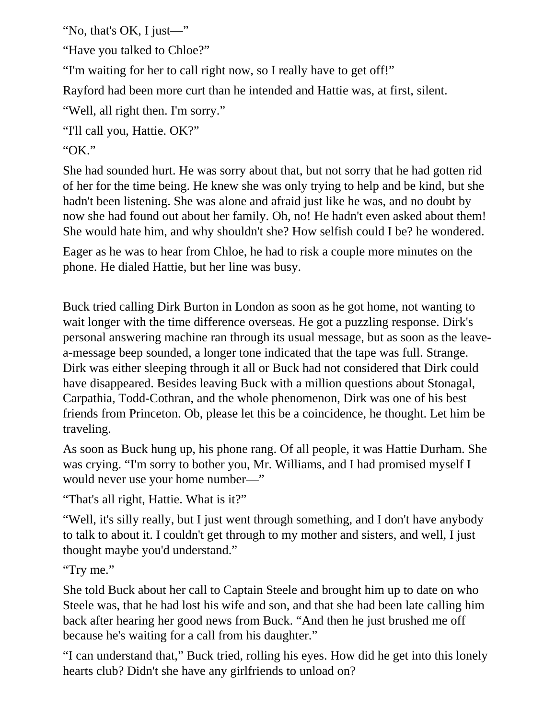"No, that's OK, I just—"

"Have you talked to Chloe?"

"I'm waiting for her to call right now, so I really have to get off!"

Rayford had been more curt than he intended and Hattie was, at first, silent.

```
"Well, all right then. I'm sorry."
```
"I'll call you, Hattie. OK?"

"OK."

She had sounded hurt. He was sorry about that, but not sorry that he had gotten rid of her for the time being. He knew she was only trying to help and be kind, but she hadn't been listening. She was alone and afraid just like he was, and no doubt by now she had found out about her family. Oh, no! He hadn't even asked about them! She would hate him, and why shouldn't she? How selfish could I be? he wondered.

Eager as he was to hear from Chloe, he had to risk a couple more minutes on the phone. He dialed Hattie, but her line was busy.

Buck tried calling Dirk Burton in London as soon as he got home, not wanting to wait longer with the time difference overseas. He got a puzzling response. Dirk's personal answering machine ran through its usual message, but as soon as the leavea-message beep sounded, a longer tone indicated that the tape was full. Strange. Dirk was either sleeping through it all or Buck had not considered that Dirk could have disappeared. Besides leaving Buck with a million questions about Stonagal, Carpathia, Todd-Cothran, and the whole phenomenon, Dirk was one of his best friends from Princeton. Ob, please let this be a coincidence, he thought. Let him be traveling.

As soon as Buck hung up, his phone rang. Of all people, it was Hattie Durham. She was crying. "I'm sorry to bother you, Mr. Williams, and I had promised myself I would never use your home number—"

"That's all right, Hattie. What is it?"

"Well, it's silly really, but I just went through something, and I don't have anybody to talk to about it. I couldn't get through to my mother and sisters, and well, I just thought maybe you'd understand."

"Try me."

She told Buck about her call to Captain Steele and brought him up to date on who Steele was, that he had lost his wife and son, and that she had been late calling him back after hearing her good news from Buck. "And then he just brushed me off because he's waiting for a call from his daughter."

"I can understand that," Buck tried, rolling his eyes. How did he get into this lonely hearts club? Didn't she have any girlfriends to unload on?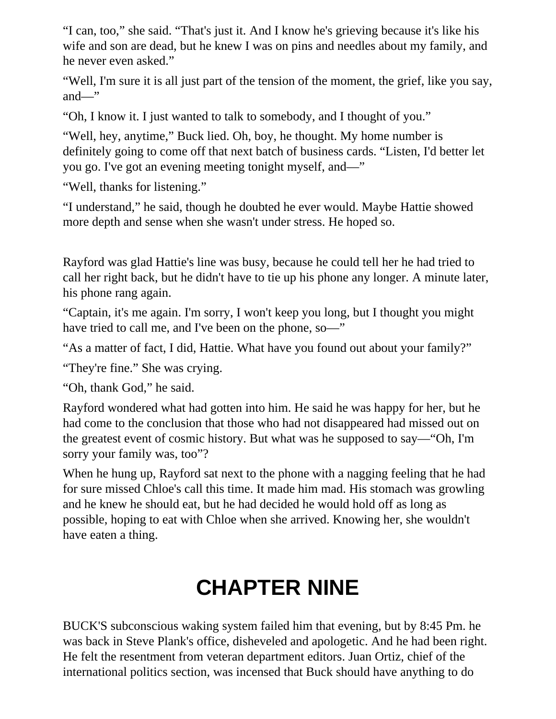"I can, too," she said. "That's just it. And I know he's grieving because it's like his wife and son are dead, but he knew I was on pins and needles about my family, and he never even asked."

"Well, I'm sure it is all just part of the tension of the moment, the grief, like you say, and—"

"Oh, I know it. I just wanted to talk to somebody, and I thought of you."

"Well, hey, anytime," Buck lied. Oh, boy, he thought. My home number is definitely going to come off that next batch of business cards. "Listen, I'd better let you go. I've got an evening meeting tonight myself, and—"

"Well, thanks for listening."

"I understand," he said, though he doubted he ever would. Maybe Hattie showed more depth and sense when she wasn't under stress. He hoped so.

Rayford was glad Hattie's line was busy, because he could tell her he had tried to call her right back, but he didn't have to tie up his phone any longer. A minute later, his phone rang again.

"Captain, it's me again. I'm sorry, I won't keep you long, but I thought you might have tried to call me, and I've been on the phone, so—"

"As a matter of fact, I did, Hattie. What have you found out about your family?"

"They're fine." She was crying.

"Oh, thank God," he said.

Rayford wondered what had gotten into him. He said he was happy for her, but he had come to the conclusion that those who had not disappeared had missed out on the greatest event of cosmic history. But what was he supposed to say—"Oh, I'm sorry your family was, too"?

When he hung up, Rayford sat next to the phone with a nagging feeling that he had for sure missed Chloe's call this time. It made him mad. His stomach was growling and he knew he should eat, but he had decided he would hold off as long as possible, hoping to eat with Chloe when she arrived. Knowing her, she wouldn't have eaten a thing.

## **CHAPTER NINE**

BUCK'S subconscious waking system failed him that evening, but by 8:45 Pm. he was back in Steve Plank's office, disheveled and apologetic. And he had been right. He felt the resentment from veteran department editors. Juan Ortiz, chief of the international politics section, was incensed that Buck should have anything to do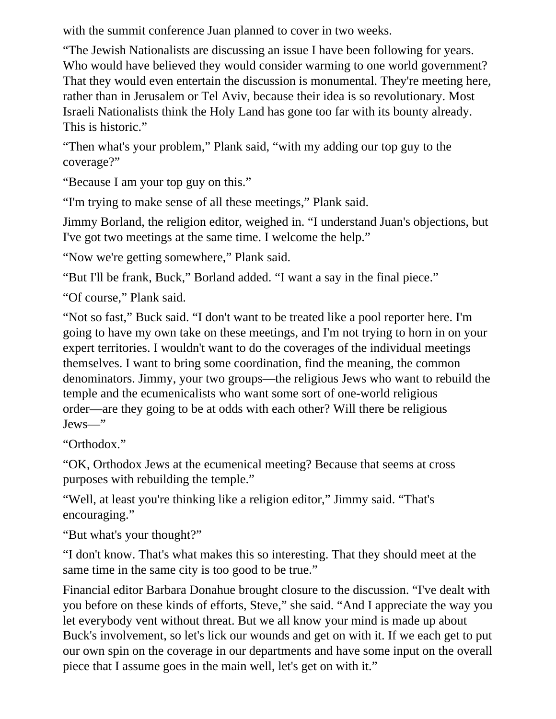with the summit conference Juan planned to cover in two weeks.

"The Jewish Nationalists are discussing an issue I have been following for years. Who would have believed they would consider warming to one world government? That they would even entertain the discussion is monumental. They're meeting here, rather than in Jerusalem or Tel Aviv, because their idea is so revolutionary. Most Israeli Nationalists think the Holy Land has gone too far with its bounty already. This is historic."

"Then what's your problem," Plank said, "with my adding our top guy to the coverage?"

"Because I am your top guy on this."

"I'm trying to make sense of all these meetings," Plank said.

Jimmy Borland, the religion editor, weighed in. "I understand Juan's objections, but I've got two meetings at the same time. I welcome the help."

"Now we're getting somewhere," Plank said.

"But I'll be frank, Buck," Borland added. "I want a say in the final piece."

"Of course," Plank said.

"Not so fast," Buck said. "I don't want to be treated like a pool reporter here. I'm going to have my own take on these meetings, and I'm not trying to horn in on your expert territories. I wouldn't want to do the coverages of the individual meetings themselves. I want to bring some coordination, find the meaning, the common denominators. Jimmy, your two groups—the religious Jews who want to rebuild the temple and the ecumenicalists who want some sort of one-world religious order—are they going to be at odds with each other? Will there be religious Jews—"

"Orthodox."

"OK, Orthodox Jews at the ecumenical meeting? Because that seems at cross purposes with rebuilding the temple."

"Well, at least you're thinking like a religion editor," Jimmy said. "That's encouraging."

"But what's your thought?"

"I don't know. That's what makes this so interesting. That they should meet at the same time in the same city is too good to be true."

Financial editor Barbara Donahue brought closure to the discussion. "I've dealt with you before on these kinds of efforts, Steve," she said. "And I appreciate the way you let everybody vent without threat. But we all know your mind is made up about Buck's involvement, so let's lick our wounds and get on with it. If we each get to put our own spin on the coverage in our departments and have some input on the overall piece that I assume goes in the main well, let's get on with it."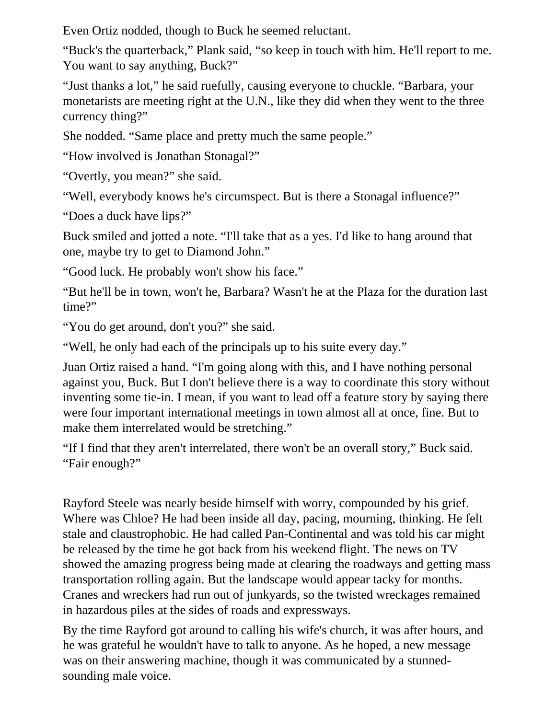Even Ortiz nodded, though to Buck he seemed reluctant.

"Buck's the quarterback," Plank said, "so keep in touch with him. He'll report to me. You want to say anything, Buck?"

"Just thanks a lot," he said ruefully, causing everyone to chuckle. "Barbara, your monetarists are meeting right at the U.N., like they did when they went to the three currency thing?"

She nodded. "Same place and pretty much the same people."

"How involved is Jonathan Stonagal?"

"Overtly, you mean?" she said.

"Well, everybody knows he's circumspect. But is there a Stonagal influence?"

"Does a duck have lips?"

Buck smiled and jotted a note. "I'll take that as a yes. I'd like to hang around that one, maybe try to get to Diamond John."

"Good luck. He probably won't show his face."

"But he'll be in town, won't he, Barbara? Wasn't he at the Plaza for the duration last time?"

"You do get around, don't you?" she said.

"Well, he only had each of the principals up to his suite every day."

Juan Ortiz raised a hand. "I'm going along with this, and I have nothing personal against you, Buck. But I don't believe there is a way to coordinate this story without inventing some tie-in. I mean, if you want to lead off a feature story by saying there were four important international meetings in town almost all at once, fine. But to make them interrelated would be stretching."

"If I find that they aren't interrelated, there won't be an overall story," Buck said. "Fair enough?"

Rayford Steele was nearly beside himself with worry, compounded by his grief. Where was Chloe? He had been inside all day, pacing, mourning, thinking. He felt stale and claustrophobic. He had called Pan-Continental and was told his car might be released by the time he got back from his weekend flight. The news on TV showed the amazing progress being made at clearing the roadways and getting mass transportation rolling again. But the landscape would appear tacky for months. Cranes and wreckers had run out of junkyards, so the twisted wreckages remained in hazardous piles at the sides of roads and expressways.

By the time Rayford got around to calling his wife's church, it was after hours, and he was grateful he wouldn't have to talk to anyone. As he hoped, a new message was on their answering machine, though it was communicated by a stunnedsounding male voice.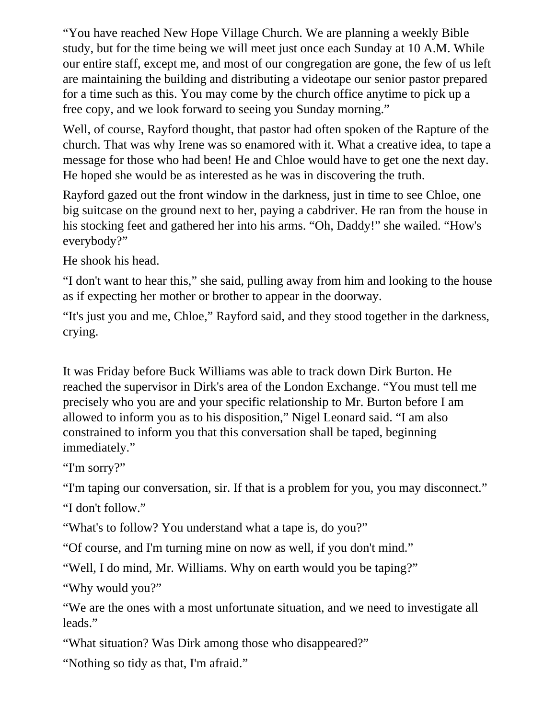"You have reached New Hope Village Church. We are planning a weekly Bible study, but for the time being we will meet just once each Sunday at 10 A.M. While our entire staff, except me, and most of our congregation are gone, the few of us left are maintaining the building and distributing a videotape our senior pastor prepared for a time such as this. You may come by the church office anytime to pick up a free copy, and we look forward to seeing you Sunday morning."

Well, of course, Rayford thought, that pastor had often spoken of the Rapture of the church. That was why Irene was so enamored with it. What a creative idea, to tape a message for those who had been! He and Chloe would have to get one the next day. He hoped she would be as interested as he was in discovering the truth.

Rayford gazed out the front window in the darkness, just in time to see Chloe, one big suitcase on the ground next to her, paying a cabdriver. He ran from the house in his stocking feet and gathered her into his arms. "Oh, Daddy!" she wailed. "How's everybody?"

He shook his head.

"I don't want to hear this," she said, pulling away from him and looking to the house as if expecting her mother or brother to appear in the doorway.

"It's just you and me, Chloe," Rayford said, and they stood together in the darkness, crying.

It was Friday before Buck Williams was able to track down Dirk Burton. He reached the supervisor in Dirk's area of the London Exchange. "You must tell me precisely who you are and your specific relationship to Mr. Burton before I am allowed to inform you as to his disposition," Nigel Leonard said. "I am also constrained to inform you that this conversation shall be taped, beginning immediately."

"I'm sorry?"

"I'm taping our conversation, sir. If that is a problem for you, you may disconnect."

"I don't follow."

"What's to follow? You understand what a tape is, do you?"

"Of course, and I'm turning mine on now as well, if you don't mind."

"Well, I do mind, Mr. Williams. Why on earth would you be taping?"

"Why would you?"

"We are the ones with a most unfortunate situation, and we need to investigate all leads."

"What situation? Was Dirk among those who disappeared?"

"Nothing so tidy as that, I'm afraid."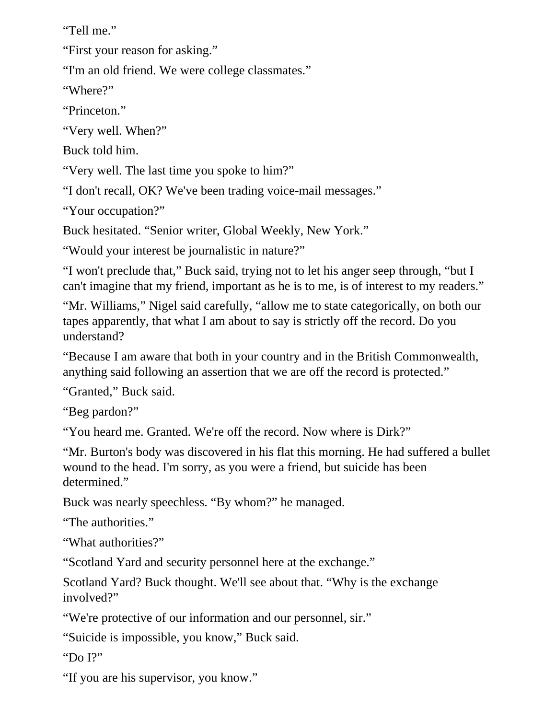"Tell me."

"First your reason for asking."

"I'm an old friend. We were college classmates."

"Where?"

"Princeton."

"Very well. When?"

Buck told him.

"Very well. The last time you spoke to him?"

"I don't recall, OK? We've been trading voice-mail messages."

"Your occupation?"

Buck hesitated. "Senior writer, Global Weekly, New York."

"Would your interest be journalistic in nature?"

"I won't preclude that," Buck said, trying not to let his anger seep through, "but I can't imagine that my friend, important as he is to me, is of interest to my readers."

"Mr. Williams," Nigel said carefully, "allow me to state categorically, on both our tapes apparently, that what I am about to say is strictly off the record. Do you understand?

"Because I am aware that both in your country and in the British Commonwealth, anything said following an assertion that we are off the record is protected."

"Granted," Buck said.

"Beg pardon?"

"You heard me. Granted. We're off the record. Now where is Dirk?"

"Mr. Burton's body was discovered in his flat this morning. He had suffered a bullet wound to the head. I'm sorry, as you were a friend, but suicide has been determined."

Buck was nearly speechless. "By whom?" he managed.

"The authorities."

"What authorities?"

"Scotland Yard and security personnel here at the exchange."

Scotland Yard? Buck thought. We'll see about that. "Why is the exchange involved?"

"We're protective of our information and our personnel, sir."

"Suicide is impossible, you know," Buck said.

"Do I?"

"If you are his supervisor, you know."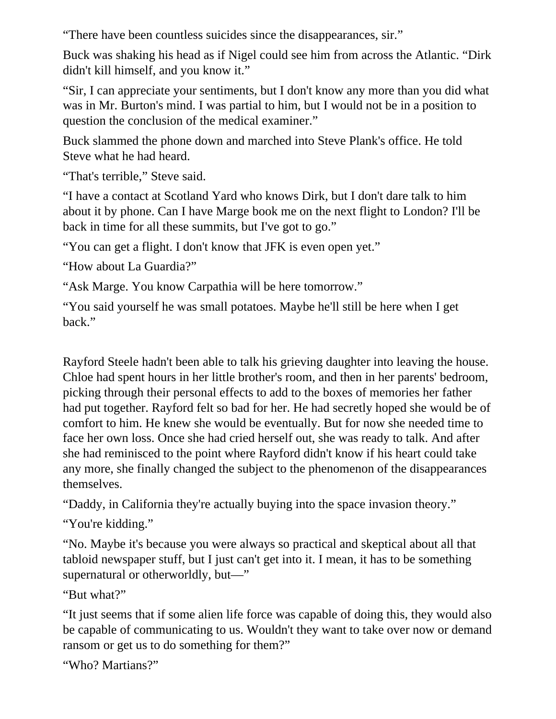"There have been countless suicides since the disappearances, sir."

Buck was shaking his head as if Nigel could see him from across the Atlantic. "Dirk didn't kill himself, and you know it."

"Sir, I can appreciate your sentiments, but I don't know any more than you did what was in Mr. Burton's mind. I was partial to him, but I would not be in a position to question the conclusion of the medical examiner."

Buck slammed the phone down and marched into Steve Plank's office. He told Steve what he had heard.

"That's terrible," Steve said.

"I have a contact at Scotland Yard who knows Dirk, but I don't dare talk to him about it by phone. Can I have Marge book me on the next flight to London? I'll be back in time for all these summits, but I've got to go."

"You can get a flight. I don't know that JFK is even open yet."

"How about La Guardia?"

"Ask Marge. You know Carpathia will be here tomorrow."

"You said yourself he was small potatoes. Maybe he'll still be here when I get back."

Rayford Steele hadn't been able to talk his grieving daughter into leaving the house. Chloe had spent hours in her little brother's room, and then in her parents' bedroom, picking through their personal effects to add to the boxes of memories her father had put together. Rayford felt so bad for her. He had secretly hoped she would be of comfort to him. He knew she would be eventually. But for now she needed time to face her own loss. Once she had cried herself out, she was ready to talk. And after she had reminisced to the point where Rayford didn't know if his heart could take any more, she finally changed the subject to the phenomenon of the disappearances themselves.

"Daddy, in California they're actually buying into the space invasion theory."

"You're kidding."

"No. Maybe it's because you were always so practical and skeptical about all that tabloid newspaper stuff, but I just can't get into it. I mean, it has to be something supernatural or otherworldly, but—"

"But what?"

"It just seems that if some alien life force was capable of doing this, they would also be capable of communicating to us. Wouldn't they want to take over now or demand ransom or get us to do something for them?"

"Who? Martians?"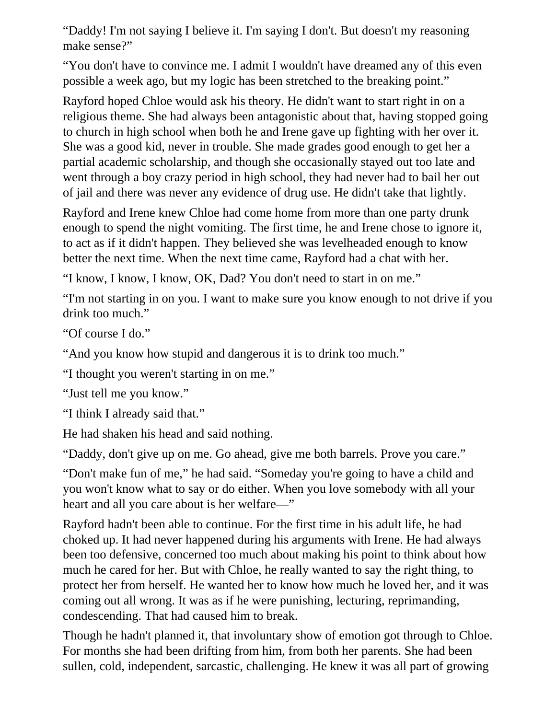"Daddy! I'm not saying I believe it. I'm saying I don't. But doesn't my reasoning make sense?"

"You don't have to convince me. I admit I wouldn't have dreamed any of this even possible a week ago, but my logic has been stretched to the breaking point."

Rayford hoped Chloe would ask his theory. He didn't want to start right in on a religious theme. She had always been antagonistic about that, having stopped going to church in high school when both he and Irene gave up fighting with her over it. She was a good kid, never in trouble. She made grades good enough to get her a partial academic scholarship, and though she occasionally stayed out too late and went through a boy crazy period in high school, they had never had to bail her out of jail and there was never any evidence of drug use. He didn't take that lightly.

Rayford and Irene knew Chloe had come home from more than one party drunk enough to spend the night vomiting. The first time, he and Irene chose to ignore it, to act as if it didn't happen. They believed she was levelheaded enough to know better the next time. When the next time came, Rayford had a chat with her.

"I know, I know, I know, OK, Dad? You don't need to start in on me."

"I'm not starting in on you. I want to make sure you know enough to not drive if you drink too much."

"Of course I do."

"And you know how stupid and dangerous it is to drink too much."

"I thought you weren't starting in on me."

"Just tell me you know."

"I think I already said that."

He had shaken his head and said nothing.

"Daddy, don't give up on me. Go ahead, give me both barrels. Prove you care."

"Don't make fun of me," he had said. "Someday you're going to have a child and you won't know what to say or do either. When you love somebody with all your heart and all you care about is her welfare—"

Rayford hadn't been able to continue. For the first time in his adult life, he had choked up. It had never happened during his arguments with Irene. He had always been too defensive, concerned too much about making his point to think about how much he cared for her. But with Chloe, he really wanted to say the right thing, to protect her from herself. He wanted her to know how much he loved her, and it was coming out all wrong. It was as if he were punishing, lecturing, reprimanding, condescending. That had caused him to break.

Though he hadn't planned it, that involuntary show of emotion got through to Chloe. For months she had been drifting from him, from both her parents. She had been sullen, cold, independent, sarcastic, challenging. He knew it was all part of growing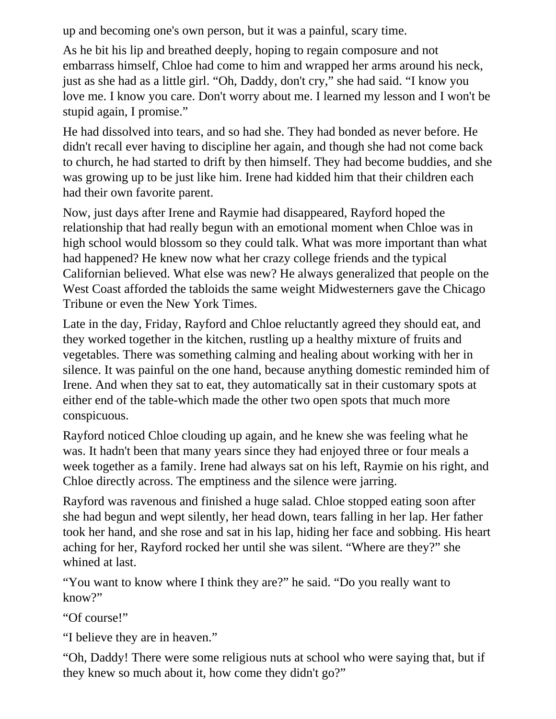up and becoming one's own person, but it was a painful, scary time.

As he bit his lip and breathed deeply, hoping to regain composure and not embarrass himself, Chloe had come to him and wrapped her arms around his neck, just as she had as a little girl. "Oh, Daddy, don't cry," she had said. "I know you love me. I know you care. Don't worry about me. I learned my lesson and I won't be stupid again, I promise."

He had dissolved into tears, and so had she. They had bonded as never before. He didn't recall ever having to discipline her again, and though she had not come back to church, he had started to drift by then himself. They had become buddies, and she was growing up to be just like him. Irene had kidded him that their children each had their own favorite parent.

Now, just days after Irene and Raymie had disappeared, Rayford hoped the relationship that had really begun with an emotional moment when Chloe was in high school would blossom so they could talk. What was more important than what had happened? He knew now what her crazy college friends and the typical Californian believed. What else was new? He always generalized that people on the West Coast afforded the tabloids the same weight Midwesterners gave the Chicago Tribune or even the New York Times.

Late in the day, Friday, Rayford and Chloe reluctantly agreed they should eat, and they worked together in the kitchen, rustling up a healthy mixture of fruits and vegetables. There was something calming and healing about working with her in silence. It was painful on the one hand, because anything domestic reminded him of Irene. And when they sat to eat, they automatically sat in their customary spots at either end of the table-which made the other two open spots that much more conspicuous.

Rayford noticed Chloe clouding up again, and he knew she was feeling what he was. It hadn't been that many years since they had enjoyed three or four meals a week together as a family. Irene had always sat on his left, Raymie on his right, and Chloe directly across. The emptiness and the silence were jarring.

Rayford was ravenous and finished a huge salad. Chloe stopped eating soon after she had begun and wept silently, her head down, tears falling in her lap. Her father took her hand, and she rose and sat in his lap, hiding her face and sobbing. His heart aching for her, Rayford rocked her until she was silent. "Where are they?" she whined at last.

"You want to know where I think they are?" he said. "Do you really want to know?"

"Of course!"

"I believe they are in heaven."

"Oh, Daddy! There were some religious nuts at school who were saying that, but if they knew so much about it, how come they didn't go?"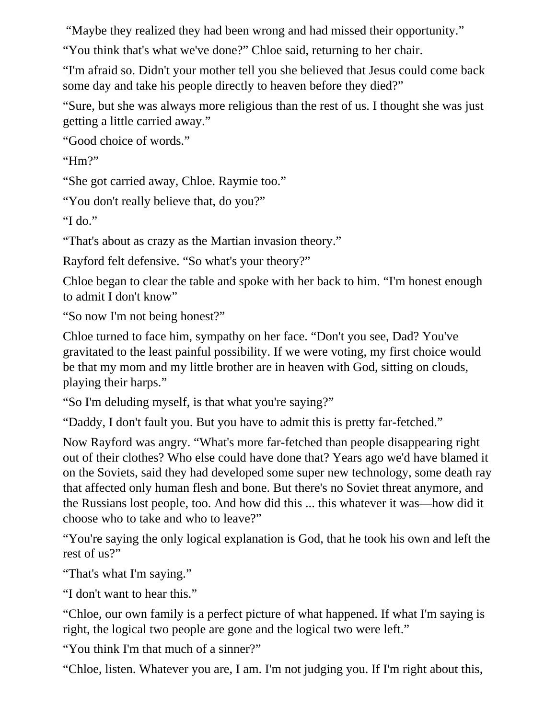"Maybe they realized they had been wrong and had missed their opportunity."

"You think that's what we've done?" Chloe said, returning to her chair.

"I'm afraid so. Didn't your mother tell you she believed that Jesus could come back some day and take his people directly to heaven before they died?"

"Sure, but she was always more religious than the rest of us. I thought she was just getting a little carried away."

"Good choice of words."

"Hm?"

"She got carried away, Chloe. Raymie too."

"You don't really believe that, do you?"

"I do."

"That's about as crazy as the Martian invasion theory."

Rayford felt defensive. "So what's your theory?"

Chloe began to clear the table and spoke with her back to him. "I'm honest enough to admit I don't know"

"So now I'm not being honest?"

Chloe turned to face him, sympathy on her face. "Don't you see, Dad? You've gravitated to the least painful possibility. If we were voting, my first choice would be that my mom and my little brother are in heaven with God, sitting on clouds, playing their harps."

"So I'm deluding myself, is that what you're saying?"

"Daddy, I don't fault you. But you have to admit this is pretty far-fetched."

Now Rayford was angry. "What's more far-fetched than people disappearing right out of their clothes? Who else could have done that? Years ago we'd have blamed it on the Soviets, said they had developed some super new technology, some death ray that affected only human flesh and bone. But there's no Soviet threat anymore, and the Russians lost people, too. And how did this ... this whatever it was—how did it choose who to take and who to leave?"

"You're saying the only logical explanation is God, that he took his own and left the rest of us?"

"That's what I'm saying."

"I don't want to hear this."

"Chloe, our own family is a perfect picture of what happened. If what I'm saying is right, the logical two people are gone and the logical two were left."

"You think I'm that much of a sinner?"

"Chloe, listen. Whatever you are, I am. I'm not judging you. If I'm right about this,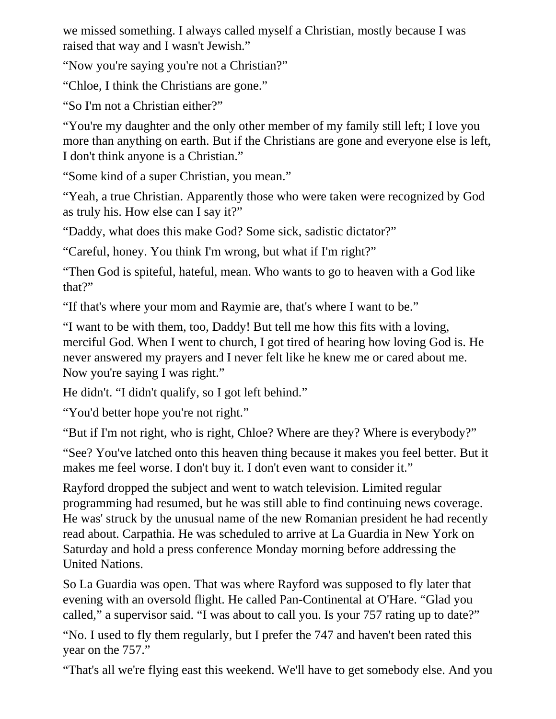we missed something. I always called myself a Christian, mostly because I was raised that way and I wasn't Jewish."

"Now you're saying you're not a Christian?"

"Chloe, I think the Christians are gone."

"So I'm not a Christian either?"

"You're my daughter and the only other member of my family still left; I love you more than anything on earth. But if the Christians are gone and everyone else is left, I don't think anyone is a Christian."

"Some kind of a super Christian, you mean."

"Yeah, a true Christian. Apparently those who were taken were recognized by God as truly his. How else can I say it?"

"Daddy, what does this make God? Some sick, sadistic dictator?"

"Careful, honey. You think I'm wrong, but what if I'm right?"

"Then God is spiteful, hateful, mean. Who wants to go to heaven with a God like that?"

"If that's where your mom and Raymie are, that's where I want to be."

"I want to be with them, too, Daddy! But tell me how this fits with a loving, merciful God. When I went to church, I got tired of hearing how loving God is. He never answered my prayers and I never felt like he knew me or cared about me. Now you're saying I was right."

He didn't. "I didn't qualify, so I got left behind."

"You'd better hope you're not right."

"But if I'm not right, who is right, Chloe? Where are they? Where is everybody?"

"See? You've latched onto this heaven thing because it makes you feel better. But it makes me feel worse. I don't buy it. I don't even want to consider it."

Rayford dropped the subject and went to watch television. Limited regular programming had resumed, but he was still able to find continuing news coverage. He was' struck by the unusual name of the new Romanian president he had recently read about. Carpathia. He was scheduled to arrive at La Guardia in New York on Saturday and hold a press conference Monday morning before addressing the United Nations.

So La Guardia was open. That was where Rayford was supposed to fly later that evening with an oversold flight. He called Pan-Continental at O'Hare. "Glad you called," a supervisor said. "I was about to call you. Is your 757 rating up to date?"

"No. I used to fly them regularly, but I prefer the 747 and haven't been rated this year on the 757."

"That's all we're flying east this weekend. We'll have to get somebody else. And you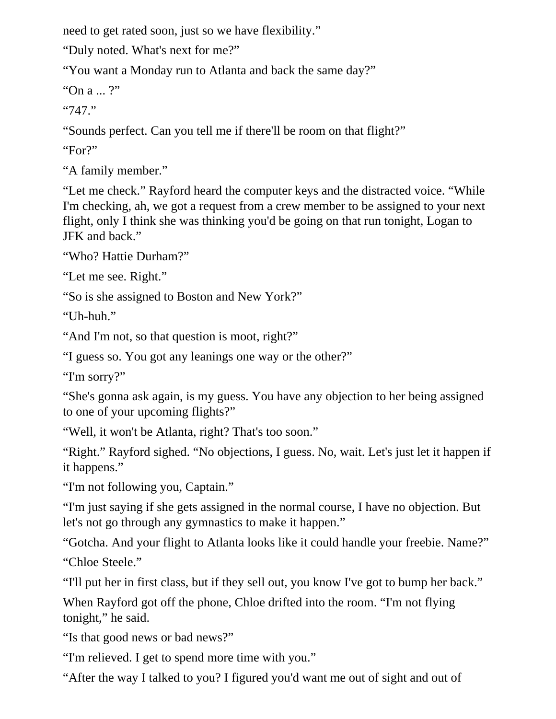need to get rated soon, just so we have flexibility."

"Duly noted. What's next for me?"

"You want a Monday run to Atlanta and back the same day?"

"On a ... ?"

"747."

"Sounds perfect. Can you tell me if there'll be room on that flight?"

"For?"

"A family member."

"Let me check." Rayford heard the computer keys and the distracted voice. "While I'm checking, ah, we got a request from a crew member to be assigned to your next flight, only I think she was thinking you'd be going on that run tonight, Logan to JFK and back."

"Who? Hattie Durham?"

"Let me see. Right."

"So is she assigned to Boston and New York?"

"Uh-huh."

"And I'm not, so that question is moot, right?"

"I guess so. You got any leanings one way or the other?"

"I'm sorry?"

"She's gonna ask again, is my guess. You have any objection to her being assigned to one of your upcoming flights?"

"Well, it won't be Atlanta, right? That's too soon."

"Right." Rayford sighed. "No objections, I guess. No, wait. Let's just let it happen if it happens."

"I'm not following you, Captain."

"I'm just saying if she gets assigned in the normal course, I have no objection. But let's not go through any gymnastics to make it happen."

"Gotcha. And your flight to Atlanta looks like it could handle your freebie. Name?" "Chloe Steele."

"I'll put her in first class, but if they sell out, you know I've got to bump her back."

When Rayford got off the phone, Chloe drifted into the room. "I'm not flying tonight," he said.

"Is that good news or bad news?"

"I'm relieved. I get to spend more time with you."

"After the way I talked to you? I figured you'd want me out of sight and out of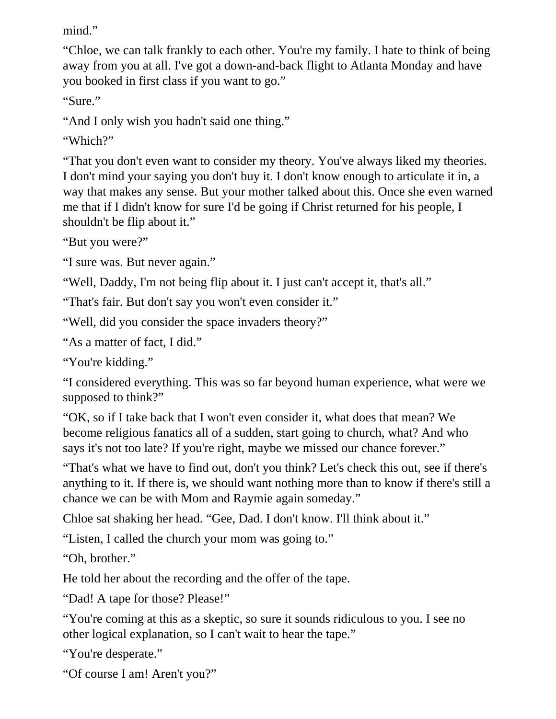mind."

"Chloe, we can talk frankly to each other. You're my family. I hate to think of being away from you at all. I've got a down-and-back flight to Atlanta Monday and have you booked in first class if you want to go."

"Sure."

"And I only wish you hadn't said one thing."

"Which?"

"That you don't even want to consider my theory. You've always liked my theories. I don't mind your saying you don't buy it. I don't know enough to articulate it in, a way that makes any sense. But your mother talked about this. Once she even warned me that if I didn't know for sure I'd be going if Christ returned for his people, I shouldn't be flip about it."

"But you were?"

"I sure was. But never again."

"Well, Daddy, I'm not being flip about it. I just can't accept it, that's all."

"That's fair. But don't say you won't even consider it."

"Well, did you consider the space invaders theory?"

"As a matter of fact, I did."

"You're kidding."

"I considered everything. This was so far beyond human experience, what were we supposed to think?"

"OK, so if I take back that I won't even consider it, what does that mean? We become religious fanatics all of a sudden, start going to church, what? And who says it's not too late? If you're right, maybe we missed our chance forever."

"That's what we have to find out, don't you think? Let's check this out, see if there's anything to it. If there is, we should want nothing more than to know if there's still a chance we can be with Mom and Raymie again someday."

Chloe sat shaking her head. "Gee, Dad. I don't know. I'll think about it."

"Listen, I called the church your mom was going to."

"Oh, brother."

He told her about the recording and the offer of the tape.

"Dad! A tape for those? Please!"

"You're coming at this as a skeptic, so sure it sounds ridiculous to you. I see no other logical explanation, so I can't wait to hear the tape."

"You're desperate."

"Of course I am! Aren't you?"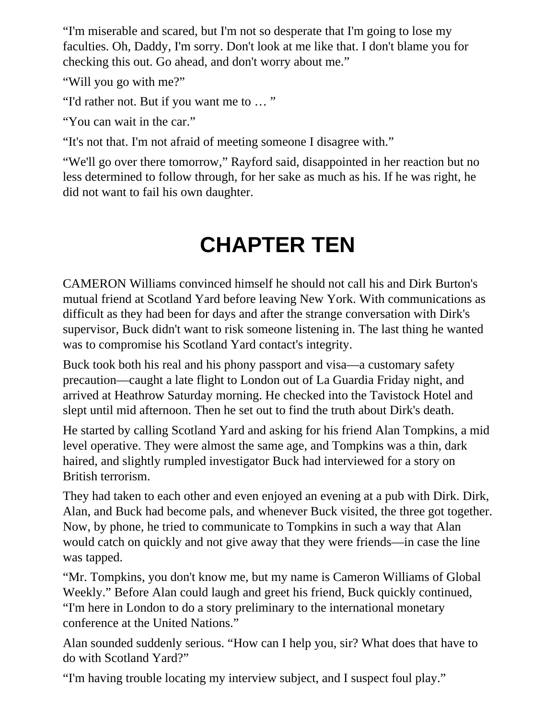"I'm miserable and scared, but I'm not so desperate that I'm going to lose my faculties. Oh, Daddy, I'm sorry. Don't look at me like that. I don't blame you for checking this out. Go ahead, and don't worry about me."

"Will you go with me?"

"I'd rather not. But if you want me to … "

"You can wait in the car."

"It's not that. I'm not afraid of meeting someone I disagree with."

"We'll go over there tomorrow," Rayford said, disappointed in her reaction but no less determined to follow through, for her sake as much as his. If he was right, he did not want to fail his own daughter.

## **CHAPTER TEN**

CAMERON Williams convinced himself he should not call his and Dirk Burton's mutual friend at Scotland Yard before leaving New York. With communications as difficult as they had been for days and after the strange conversation with Dirk's supervisor, Buck didn't want to risk someone listening in. The last thing he wanted was to compromise his Scotland Yard contact's integrity.

Buck took both his real and his phony passport and visa—a customary safety precaution—caught a late flight to London out of La Guardia Friday night, and arrived at Heathrow Saturday morning. He checked into the Tavistock Hotel and slept until mid afternoon. Then he set out to find the truth about Dirk's death.

He started by calling Scotland Yard and asking for his friend Alan Tompkins, a mid level operative. They were almost the same age, and Tompkins was a thin, dark haired, and slightly rumpled investigator Buck had interviewed for a story on British terrorism.

They had taken to each other and even enjoyed an evening at a pub with Dirk. Dirk, Alan, and Buck had become pals, and whenever Buck visited, the three got together. Now, by phone, he tried to communicate to Tompkins in such a way that Alan would catch on quickly and not give away that they were friends—in case the line was tapped.

"Mr. Tompkins, you don't know me, but my name is Cameron Williams of Global Weekly." Before Alan could laugh and greet his friend, Buck quickly continued, "I'm here in London to do a story preliminary to the international monetary conference at the United Nations."

Alan sounded suddenly serious. "How can I help you, sir? What does that have to do with Scotland Yard?"

"I'm having trouble locating my interview subject, and I suspect foul play."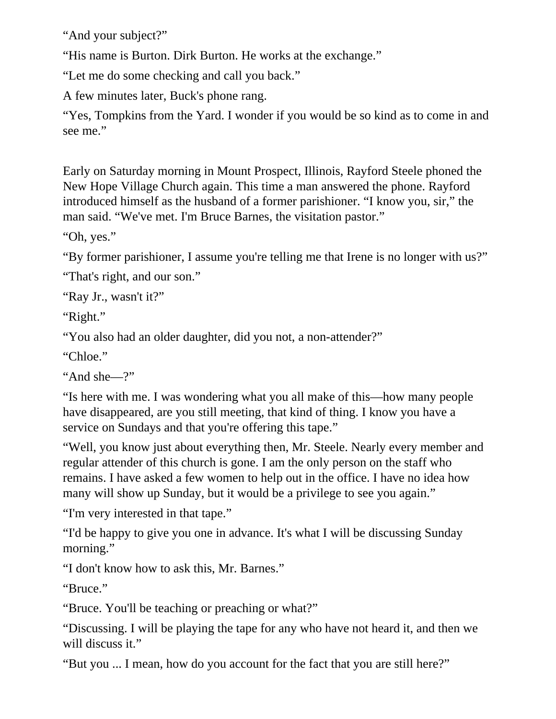"And your subject?"

"His name is Burton. Dirk Burton. He works at the exchange."

"Let me do some checking and call you back."

A few minutes later, Buck's phone rang.

"Yes, Tompkins from the Yard. I wonder if you would be so kind as to come in and see me."

Early on Saturday morning in Mount Prospect, Illinois, Rayford Steele phoned the New Hope Village Church again. This time a man answered the phone. Rayford introduced himself as the husband of a former parishioner. "I know you, sir," the man said. "We've met. I'm Bruce Barnes, the visitation pastor."

"Oh, yes."

"By former parishioner, I assume you're telling me that Irene is no longer with us?" "That's right, and our son."

"Ray Jr., wasn't it?"

"Right."

"You also had an older daughter, did you not, a non-attender?"

"Chloe."

"And she—?"

"Is here with me. I was wondering what you all make of this—how many people have disappeared, are you still meeting, that kind of thing. I know you have a service on Sundays and that you're offering this tape."

"Well, you know just about everything then, Mr. Steele. Nearly every member and regular attender of this church is gone. I am the only person on the staff who remains. I have asked a few women to help out in the office. I have no idea how many will show up Sunday, but it would be a privilege to see you again."

"I'm very interested in that tape."

"I'd be happy to give you one in advance. It's what I will be discussing Sunday morning."

"I don't know how to ask this, Mr. Barnes."

"Bruce."

"Bruce. You'll be teaching or preaching or what?"

"Discussing. I will be playing the tape for any who have not heard it, and then we will discuss it."

"But you ... I mean, how do you account for the fact that you are still here?"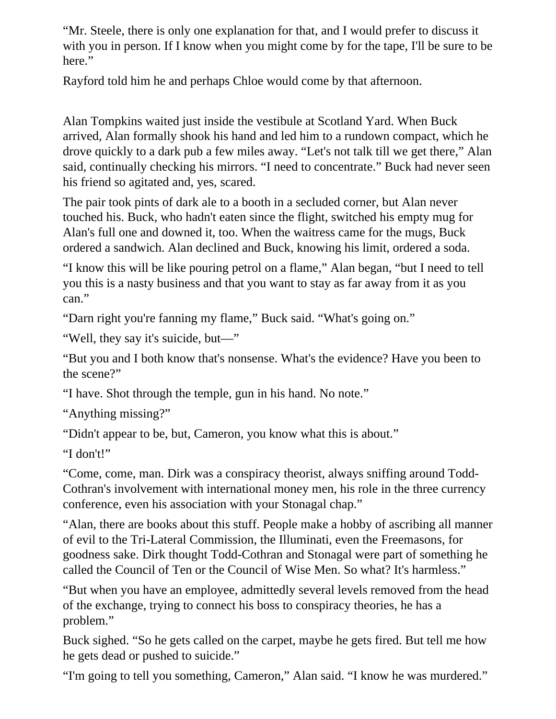"Mr. Steele, there is only one explanation for that, and I would prefer to discuss it with you in person. If I know when you might come by for the tape, I'll be sure to be here."

Rayford told him he and perhaps Chloe would come by that afternoon.

Alan Tompkins waited just inside the vestibule at Scotland Yard. When Buck arrived, Alan formally shook his hand and led him to a rundown compact, which he drove quickly to a dark pub a few miles away. "Let's not talk till we get there," Alan said, continually checking his mirrors. "I need to concentrate." Buck had never seen his friend so agitated and, yes, scared.

The pair took pints of dark ale to a booth in a secluded corner, but Alan never touched his. Buck, who hadn't eaten since the flight, switched his empty mug for Alan's full one and downed it, too. When the waitress came for the mugs, Buck ordered a sandwich. Alan declined and Buck, knowing his limit, ordered a soda.

"I know this will be like pouring petrol on a flame," Alan began, "but I need to tell you this is a nasty business and that you want to stay as far away from it as you can."

"Darn right you're fanning my flame," Buck said. "What's going on."

"Well, they say it's suicide, but—"

"But you and I both know that's nonsense. What's the evidence? Have you been to the scene?"

"I have. Shot through the temple, gun in his hand. No note."

"Anything missing?"

"Didn't appear to be, but, Cameron, you know what this is about."

"I don't!"

"Come, come, man. Dirk was a conspiracy theorist, always sniffing around Todd-Cothran's involvement with international money men, his role in the three currency conference, even his association with your Stonagal chap."

"Alan, there are books about this stuff. People make a hobby of ascribing all manner of evil to the Tri-Lateral Commission, the Illuminati, even the Freemasons, for goodness sake. Dirk thought Todd-Cothran and Stonagal were part of something he called the Council of Ten or the Council of Wise Men. So what? It's harmless."

"But when you have an employee, admittedly several levels removed from the head of the exchange, trying to connect his boss to conspiracy theories, he has a problem."

Buck sighed. "So he gets called on the carpet, maybe he gets fired. But tell me how he gets dead or pushed to suicide."

"I'm going to tell you something, Cameron," Alan said. "I know he was murdered."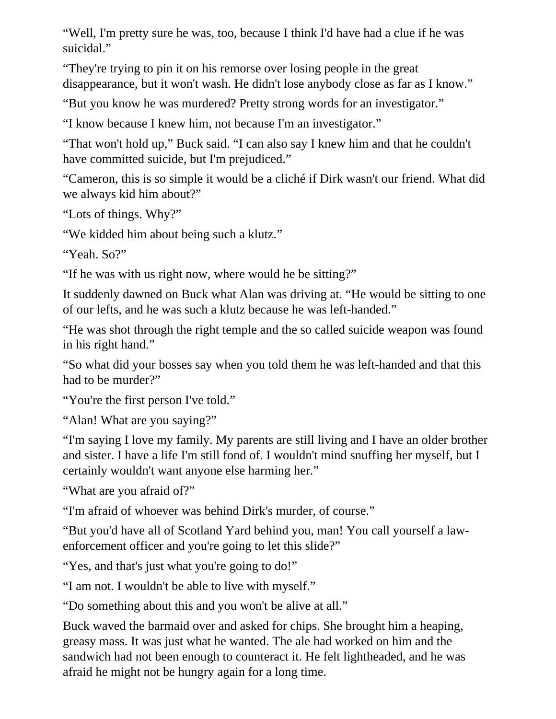"Well, I'm pretty sure he was, too, because I think I'd have had a clue if he was suicidal."

"They're trying to pin it on his remorse over losing people in the great disappearance, but it won't wash. He didn't lose anybody close as far as I know."

"But you know he was murdered? Pretty strong words for an investigator."

"I know because I knew him, not because I'm an investigator."

"That won't hold up," Buck said. "I can also say I knew him and that he couldn't have committed suicide, but I'm prejudiced."

"Cameron, this is so simple it would be a cliché if Dirk wasn't our friend. What did we always kid him about?"

"Lots of things. Why?"

"We kidded him about being such a klutz."

"Yeah. So?"

"If he was with us right now, where would he be sitting?"

It suddenly dawned on Buck what Alan was driving at. "He would be sitting to one of our lefts, and he was such a klutz because he was left-handed."

"He was shot through the right temple and the so called suicide weapon was found in his right hand."

"So what did your bosses say when you told them he was left-handed and that this had to be murder?"

"You're the first person I've told."

"Alan! What are you saying?"

"I'm saying I love my family. My parents are still living and I have an older brother and sister. I have a life I'm still fond of. I wouldn't mind snuffing her myself, but I certainly wouldn't want anyone else harming her."

"What are you afraid of?"

"I'm afraid of whoever was behind Dirk's murder, of course."

"But you'd have all of Scotland Yard behind you, man! You call yourself a lawenforcement officer and you're going to let this slide?"

"Yes, and that's just what you're going to do!"

"I am not. I wouldn't be able to live with myself."

"Do something about this and you won't be alive at all."

Buck waved the barmaid over and asked for chips. She brought him a heaping, greasy mass. It was just what he wanted. The ale had worked on him and the sandwich had not been enough to counteract it. He felt lightheaded, and he was afraid he might not be hungry again for a long time.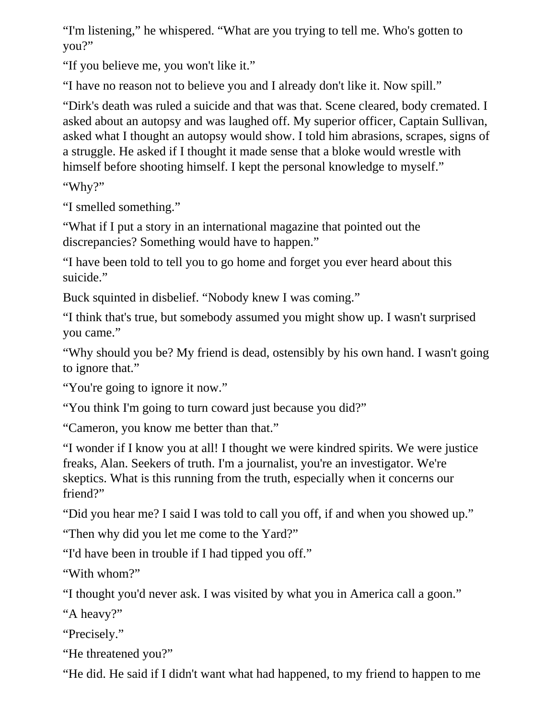"I'm listening," he whispered. "What are you trying to tell me. Who's gotten to you?"

"If you believe me, you won't like it."

"I have no reason not to believe you and I already don't like it. Now spill."

"Dirk's death was ruled a suicide and that was that. Scene cleared, body cremated. I asked about an autopsy and was laughed off. My superior officer, Captain Sullivan, asked what I thought an autopsy would show. I told him abrasions, scrapes, signs of a struggle. He asked if I thought it made sense that a bloke would wrestle with himself before shooting himself. I kept the personal knowledge to myself."

"Why?"

"I smelled something."

"What if I put a story in an international magazine that pointed out the discrepancies? Something would have to happen."

"I have been told to tell you to go home and forget you ever heard about this suicide."

Buck squinted in disbelief. "Nobody knew I was coming."

"I think that's true, but somebody assumed you might show up. I wasn't surprised you came."

"Why should you be? My friend is dead, ostensibly by his own hand. I wasn't going to ignore that."

"You're going to ignore it now."

"You think I'm going to turn coward just because you did?"

"Cameron, you know me better than that."

"I wonder if I know you at all! I thought we were kindred spirits. We were justice freaks, Alan. Seekers of truth. I'm a journalist, you're an investigator. We're skeptics. What is this running from the truth, especially when it concerns our friend?"

"Did you hear me? I said I was told to call you off, if and when you showed up."

"Then why did you let me come to the Yard?"

"I'd have been in trouble if I had tipped you off."

"With whom?"

"I thought you'd never ask. I was visited by what you in America call a goon."

"A heavy?"

"Precisely."

"He threatened you?"

"He did. He said if I didn't want what had happened, to my friend to happen to me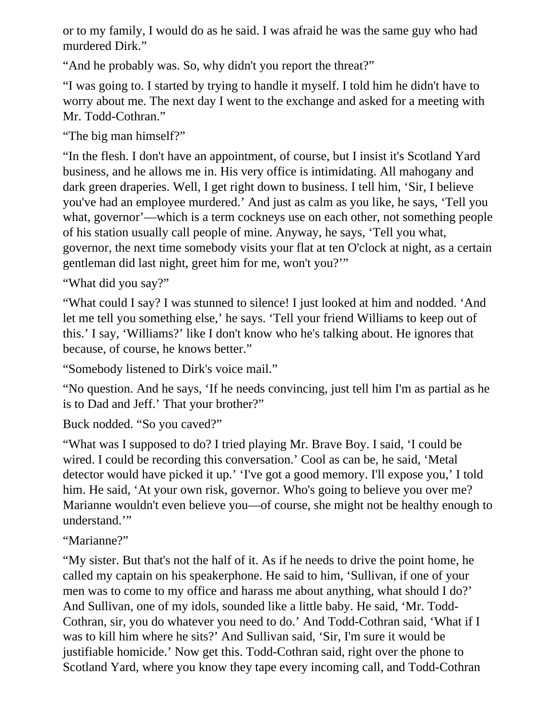or to my family, I would do as he said. I was afraid he was the same guy who had murdered Dirk."

"And he probably was. So, why didn't you report the threat?"

"I was going to. I started by trying to handle it myself. I told him he didn't have to worry about me. The next day I went to the exchange and asked for a meeting with Mr. Todd-Cothran."

"The big man himself?"

"In the flesh. I don't have an appointment, of course, but I insist it's Scotland Yard business, and he allows me in. His very office is intimidating. All mahogany and dark green draperies. Well, I get right down to business. I tell him, 'Sir, I believe you've had an employee murdered.' And just as calm as you like, he says, 'Tell you what, governor'—which is a term cockneys use on each other, not something people of his station usually call people of mine. Anyway, he says, 'Tell you what, governor, the next time somebody visits your flat at ten O'clock at night, as a certain gentleman did last night, greet him for me, won't you?'"

"What did you say?"

"What could I say? I was stunned to silence! I just looked at him and nodded. 'And let me tell you something else,' he says. 'Tell your friend Williams to keep out of this.' I say, 'Williams?' like I don't know who he's talking about. He ignores that because, of course, he knows better."

"Somebody listened to Dirk's voice mail."

"No question. And he says, 'If he needs convincing, just tell him I'm as partial as he is to Dad and Jeff.' That your brother?"

Buck nodded. "So you caved?"

"What was I supposed to do? I tried playing Mr. Brave Boy. I said, 'I could be wired. I could be recording this conversation.' Cool as can be, he said, 'Metal detector would have picked it up.' 'I've got a good memory. I'll expose you,' I told him. He said, 'At your own risk, governor. Who's going to believe you over me? Marianne wouldn't even believe you—of course, she might not be healthy enough to understand."

"Marianne?"

"My sister. But that's not the half of it. As if he needs to drive the point home, he called my captain on his speakerphone. He said to him, 'Sullivan, if one of your men was to come to my office and harass me about anything, what should I do?' And Sullivan, one of my idols, sounded like a little baby. He said, 'Mr. Todd-Cothran, sir, you do whatever you need to do.' And Todd-Cothran said, 'What if I was to kill him where he sits?' And Sullivan said, 'Sir, I'm sure it would be justifiable homicide.' Now get this. Todd-Cothran said, right over the phone to Scotland Yard, where you know they tape every incoming call, and Todd-Cothran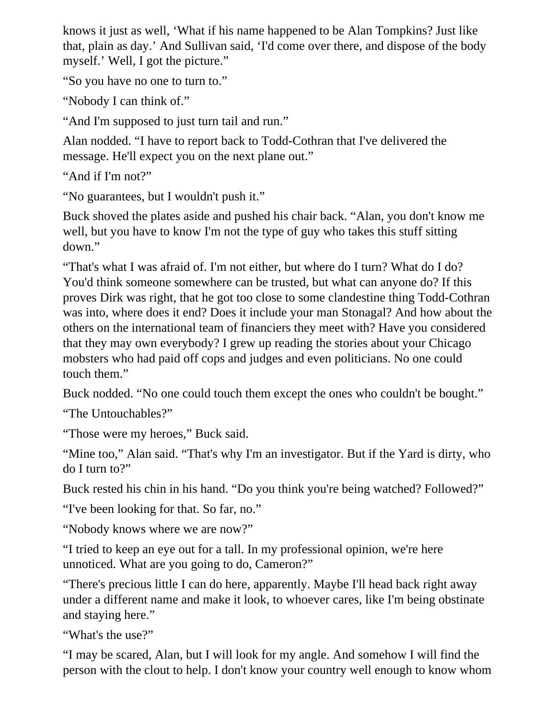knows it just as well, 'What if his name happened to be Alan Tompkins? Just like that, plain as day.' And Sullivan said, 'I'd come over there, and dispose of the body myself.' Well, I got the picture."

"So you have no one to turn to."

"Nobody I can think of."

"And I'm supposed to just turn tail and run."

Alan nodded. "I have to report back to Todd-Cothran that I've delivered the message. He'll expect you on the next plane out."

"And if I'm not?"

"No guarantees, but I wouldn't push it."

Buck shoved the plates aside and pushed his chair back. "Alan, you don't know me well, but you have to know I'm not the type of guy who takes this stuff sitting down."

"That's what I was afraid of. I'm not either, but where do I turn? What do I do? You'd think someone somewhere can be trusted, but what can anyone do? If this proves Dirk was right, that he got too close to some clandestine thing Todd-Cothran was into, where does it end? Does it include your man Stonagal? And how about the others on the international team of financiers they meet with? Have you considered that they may own everybody? I grew up reading the stories about your Chicago mobsters who had paid off cops and judges and even politicians. No one could touch them."

Buck nodded. "No one could touch them except the ones who couldn't be bought."

"The Untouchables?"

"Those were my heroes," Buck said.

"Mine too," Alan said. "That's why I'm an investigator. But if the Yard is dirty, who do I turn to?"

Buck rested his chin in his hand. "Do you think you're being watched? Followed?"

"I've been looking for that. So far, no."

"Nobody knows where we are now?"

"I tried to keep an eye out for a tall. In my professional opinion, we're here unnoticed. What are you going to do, Cameron?"

"There's precious little I can do here, apparently. Maybe I'll head back right away under a different name and make it look, to whoever cares, like I'm being obstinate and staying here."

"What's the use?"

"I may be scared, Alan, but I will look for my angle. And somehow I will find the person with the clout to help. I don't know your country well enough to know whom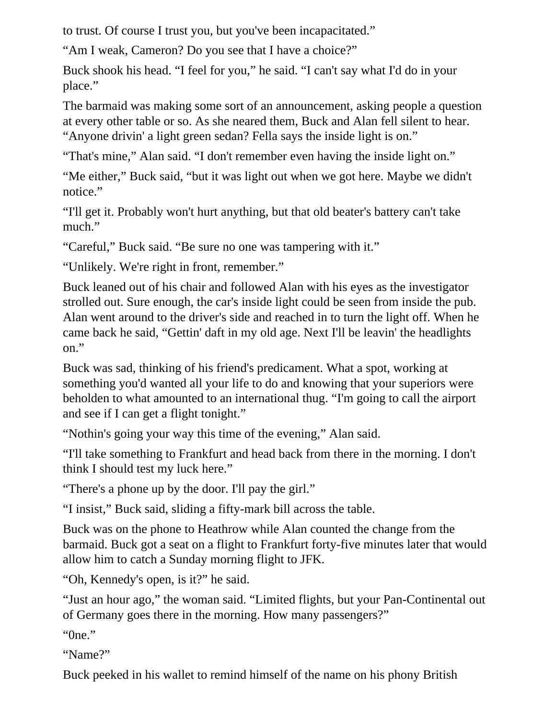to trust. Of course I trust you, but you've been incapacitated."

"Am I weak, Cameron? Do you see that I have a choice?"

Buck shook his head. "I feel for you," he said. "I can't say what I'd do in your place."

The barmaid was making some sort of an announcement, asking people a question at every other table or so. As she neared them, Buck and Alan fell silent to hear. "Anyone drivin' a light green sedan? Fella says the inside light is on."

"That's mine," Alan said. "I don't remember even having the inside light on."

"Me either," Buck said, "but it was light out when we got here. Maybe we didn't notice."

"I'll get it. Probably won't hurt anything, but that old beater's battery can't take much."

"Careful," Buck said. "Be sure no one was tampering with it."

"Unlikely. We're right in front, remember."

Buck leaned out of his chair and followed Alan with his eyes as the investigator strolled out. Sure enough, the car's inside light could be seen from inside the pub. Alan went around to the driver's side and reached in to turn the light off. When he came back he said, "Gettin' daft in my old age. Next I'll be leavin' the headlights on."

Buck was sad, thinking of his friend's predicament. What a spot, working at something you'd wanted all your life to do and knowing that your superiors were beholden to what amounted to an international thug. "I'm going to call the airport and see if I can get a flight tonight."

"Nothin's going your way this time of the evening," Alan said.

"I'll take something to Frankfurt and head back from there in the morning. I don't think I should test my luck here."

"There's a phone up by the door. I'll pay the girl."

"I insist," Buck said, sliding a fifty-mark bill across the table.

Buck was on the phone to Heathrow while Alan counted the change from the barmaid. Buck got a seat on a flight to Frankfurt forty-five minutes later that would allow him to catch a Sunday morning flight to JFK.

"Oh, Kennedy's open, is it?" he said.

"Just an hour ago," the woman said. "Limited flights, but your Pan-Continental out of Germany goes there in the morning. How many passengers?"

"0ne."

"Name?"

Buck peeked in his wallet to remind himself of the name on his phony British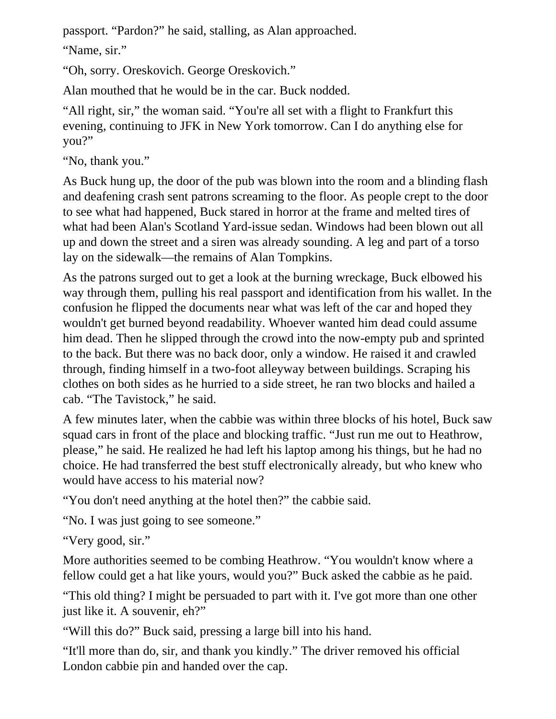passport. "Pardon?" he said, stalling, as Alan approached.

"Name, sir."

"Oh, sorry. Oreskovich. George Oreskovich."

Alan mouthed that he would be in the car. Buck nodded.

"All right, sir," the woman said. "You're all set with a flight to Frankfurt this evening, continuing to JFK in New York tomorrow. Can I do anything else for you?"

"No, thank you."

As Buck hung up, the door of the pub was blown into the room and a blinding flash and deafening crash sent patrons screaming to the floor. As people crept to the door to see what had happened, Buck stared in horror at the frame and melted tires of what had been Alan's Scotland Yard-issue sedan. Windows had been blown out all up and down the street and a siren was already sounding. A leg and part of a torso lay on the sidewalk—the remains of Alan Tompkins.

As the patrons surged out to get a look at the burning wreckage, Buck elbowed his way through them, pulling his real passport and identification from his wallet. In the confusion he flipped the documents near what was left of the car and hoped they wouldn't get burned beyond readability. Whoever wanted him dead could assume him dead. Then he slipped through the crowd into the now-empty pub and sprinted to the back. But there was no back door, only a window. He raised it and crawled through, finding himself in a two-foot alleyway between buildings. Scraping his clothes on both sides as he hurried to a side street, he ran two blocks and hailed a cab. "The Tavistock," he said.

A few minutes later, when the cabbie was within three blocks of his hotel, Buck saw squad cars in front of the place and blocking traffic. "Just run me out to Heathrow, please," he said. He realized he had left his laptop among his things, but he had no choice. He had transferred the best stuff electronically already, but who knew who would have access to his material now?

"You don't need anything at the hotel then?" the cabbie said.

"No. I was just going to see someone."

"Very good, sir."

More authorities seemed to be combing Heathrow. "You wouldn't know where a fellow could get a hat like yours, would you?" Buck asked the cabbie as he paid.

"This old thing? I might be persuaded to part with it. I've got more than one other just like it. A souvenir, eh?"

"Will this do?" Buck said, pressing a large bill into his hand.

"It'll more than do, sir, and thank you kindly." The driver removed his official London cabbie pin and handed over the cap.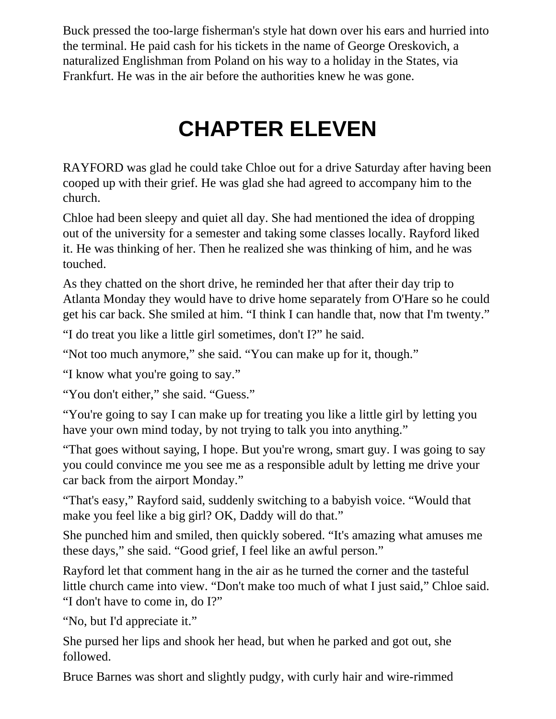Buck pressed the too-large fisherman's style hat down over his ears and hurried into the terminal. He paid cash for his tickets in the name of George Oreskovich, a naturalized Englishman from Poland on his way to a holiday in the States, via Frankfurt. He was in the air before the authorities knew he was gone.

## **CHAPTER ELEVEN**

RAYFORD was glad he could take Chloe out for a drive Saturday after having been cooped up with their grief. He was glad she had agreed to accompany him to the church.

Chloe had been sleepy and quiet all day. She had mentioned the idea of dropping out of the university for a semester and taking some classes locally. Rayford liked it. He was thinking of her. Then he realized she was thinking of him, and he was touched.

As they chatted on the short drive, he reminded her that after their day trip to Atlanta Monday they would have to drive home separately from O'Hare so he could get his car back. She smiled at him. "I think I can handle that, now that I'm twenty."

"I do treat you like a little girl sometimes, don't I?" he said.

"Not too much anymore," she said. "You can make up for it, though."

"I know what you're going to say."

"You don't either," she said. "Guess."

"You're going to say I can make up for treating you like a little girl by letting you have your own mind today, by not trying to talk you into anything."

"That goes without saying, I hope. But you're wrong, smart guy. I was going to say you could convince me you see me as a responsible adult by letting me drive your car back from the airport Monday."

"That's easy," Rayford said, suddenly switching to a babyish voice. "Would that make you feel like a big girl? OK, Daddy will do that."

She punched him and smiled, then quickly sobered. "It's amazing what amuses me these days," she said. "Good grief, I feel like an awful person."

Rayford let that comment hang in the air as he turned the corner and the tasteful little church came into view. "Don't make too much of what I just said," Chloe said. "I don't have to come in, do I?"

"No, but I'd appreciate it."

She pursed her lips and shook her head, but when he parked and got out, she followed.

Bruce Barnes was short and slightly pudgy, with curly hair and wire-rimmed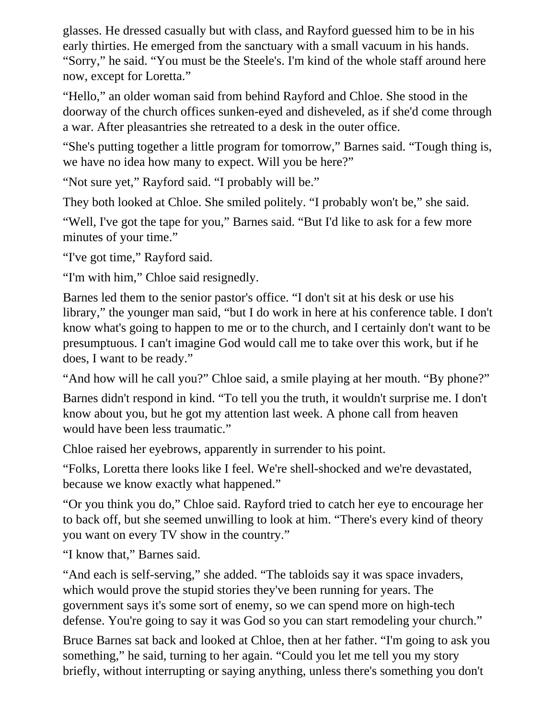glasses. He dressed casually but with class, and Rayford guessed him to be in his early thirties. He emerged from the sanctuary with a small vacuum in his hands. "Sorry," he said. "You must be the Steele's. I'm kind of the whole staff around here now, except for Loretta."

"Hello," an older woman said from behind Rayford and Chloe. She stood in the doorway of the church offices sunken-eyed and disheveled, as if she'd come through a war. After pleasantries she retreated to a desk in the outer office.

"She's putting together a little program for tomorrow," Barnes said. "Tough thing is, we have no idea how many to expect. Will you be here?"

"Not sure yet," Rayford said. "I probably will be."

They both looked at Chloe. She smiled politely. "I probably won't be," she said.

"Well, I've got the tape for you," Barnes said. "But I'd like to ask for a few more minutes of your time."

"I've got time," Rayford said.

"I'm with him," Chloe said resignedly.

Barnes led them to the senior pastor's office. "I don't sit at his desk or use his library," the younger man said, "but I do work in here at his conference table. I don't know what's going to happen to me or to the church, and I certainly don't want to be presumptuous. I can't imagine God would call me to take over this work, but if he does, I want to be ready."

"And how will he call you?" Chloe said, a smile playing at her mouth. "By phone?"

Barnes didn't respond in kind. "To tell you the truth, it wouldn't surprise me. I don't know about you, but he got my attention last week. A phone call from heaven would have been less traumatic."

Chloe raised her eyebrows, apparently in surrender to his point.

"Folks, Loretta there looks like I feel. We're shell-shocked and we're devastated, because we know exactly what happened."

"Or you think you do," Chloe said. Rayford tried to catch her eye to encourage her to back off, but she seemed unwilling to look at him. "There's every kind of theory you want on every TV show in the country."

"I know that," Barnes said.

"And each is self-serving," she added. "The tabloids say it was space invaders, which would prove the stupid stories they've been running for years. The government says it's some sort of enemy, so we can spend more on high-tech defense. You're going to say it was God so you can start remodeling your church."

Bruce Barnes sat back and looked at Chloe, then at her father. "I'm going to ask you something," he said, turning to her again. "Could you let me tell you my story briefly, without interrupting or saying anything, unless there's something you don't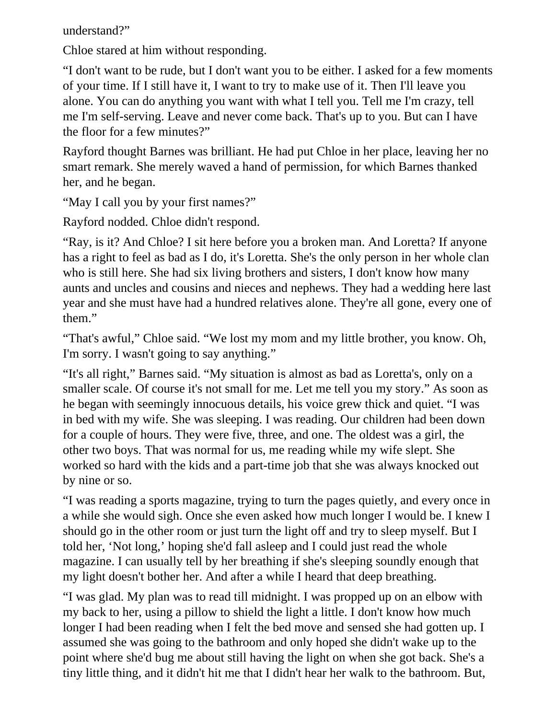understand?"

Chloe stared at him without responding.

"I don't want to be rude, but I don't want you to be either. I asked for a few moments of your time. If I still have it, I want to try to make use of it. Then I'll leave you alone. You can do anything you want with what I tell you. Tell me I'm crazy, tell me I'm self-serving. Leave and never come back. That's up to you. But can I have the floor for a few minutes?"

Rayford thought Barnes was brilliant. He had put Chloe in her place, leaving her no smart remark. She merely waved a hand of permission, for which Barnes thanked her, and he began.

"May I call you by your first names?"

Rayford nodded. Chloe didn't respond.

"Ray, is it? And Chloe? I sit here before you a broken man. And Loretta? If anyone has a right to feel as bad as I do, it's Loretta. She's the only person in her whole clan who is still here. She had six living brothers and sisters, I don't know how many aunts and uncles and cousins and nieces and nephews. They had a wedding here last year and she must have had a hundred relatives alone. They're all gone, every one of them."

"That's awful," Chloe said. "We lost my mom and my little brother, you know. Oh, I'm sorry. I wasn't going to say anything."

"It's all right," Barnes said. "My situation is almost as bad as Loretta's, only on a smaller scale. Of course it's not small for me. Let me tell you my story." As soon as he began with seemingly innocuous details, his voice grew thick and quiet. "I was in bed with my wife. She was sleeping. I was reading. Our children had been down for a couple of hours. They were five, three, and one. The oldest was a girl, the other two boys. That was normal for us, me reading while my wife slept. She worked so hard with the kids and a part-time job that she was always knocked out by nine or so.

"I was reading a sports magazine, trying to turn the pages quietly, and every once in a while she would sigh. Once she even asked how much longer I would be. I knew I should go in the other room or just turn the light off and try to sleep myself. But I told her, 'Not long,' hoping she'd fall asleep and I could just read the whole magazine. I can usually tell by her breathing if she's sleeping soundly enough that my light doesn't bother her. And after a while I heard that deep breathing.

"I was glad. My plan was to read till midnight. I was propped up on an elbow with my back to her, using a pillow to shield the light a little. I don't know how much longer I had been reading when I felt the bed move and sensed she had gotten up. I assumed she was going to the bathroom and only hoped she didn't wake up to the point where she'd bug me about still having the light on when she got back. She's a tiny little thing, and it didn't hit me that I didn't hear her walk to the bathroom. But,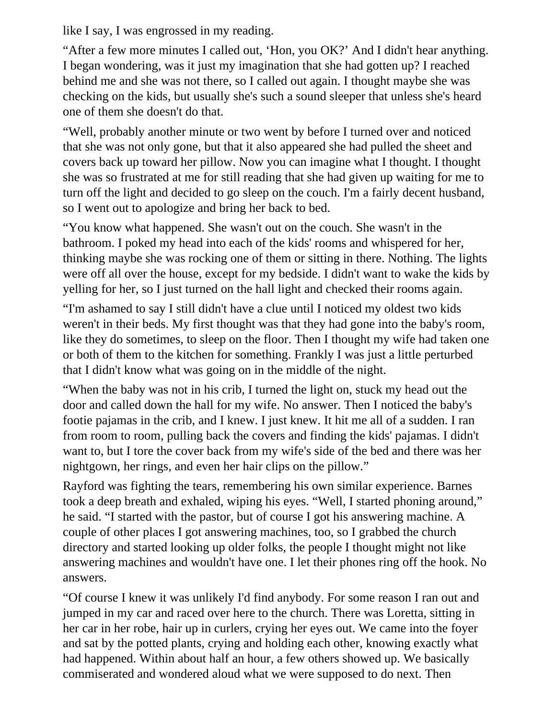like I say, I was engrossed in my reading.

"After a few more minutes I called out, 'Hon, you OK?' And I didn't hear anything. I began wondering, was it just my imagination that she had gotten up? I reached behind me and she was not there, so I called out again. I thought maybe she was checking on the kids, but usually she's such a sound sleeper that unless she's heard one of them she doesn't do that.

"Well, probably another minute or two went by before I turned over and noticed that she was not only gone, but that it also appeared she had pulled the sheet and covers back up toward her pillow. Now you can imagine what I thought. I thought she was so frustrated at me for still reading that she had given up waiting for me to turn off the light and decided to go sleep on the couch. I'm a fairly decent husband, so I went out to apologize and bring her back to bed.

"You know what happened. She wasn't out on the couch. She wasn't in the bathroom. I poked my head into each of the kids' rooms and whispered for her, thinking maybe she was rocking one of them or sitting in there. Nothing. The lights were off all over the house, except for my bedside. I didn't want to wake the kids by yelling for her, so I just turned on the hall light and checked their rooms again.

"I'm ashamed to say I still didn't have a clue until I noticed my oldest two kids weren't in their beds. My first thought was that they had gone into the baby's room, like they do sometimes, to sleep on the floor. Then I thought my wife had taken one or both of them to the kitchen for something. Frankly I was just a little perturbed that I didn't know what was going on in the middle of the night.

"When the baby was not in his crib, I turned the light on, stuck my head out the door and called down the hall for my wife. No answer. Then I noticed the baby's footie pajamas in the crib, and I knew. I just knew. It hit me all of a sudden. I ran from room to room, pulling back the covers and finding the kids' pajamas. I didn't want to, but I tore the cover back from my wife's side of the bed and there was her nightgown, her rings, and even her hair clips on the pillow."

Rayford was fighting the tears, remembering his own similar experience. Barnes took a deep breath and exhaled, wiping his eyes. "Well, I started phoning around," he said. "I started with the pastor, but of course I got his answering machine. A couple of other places I got answering machines, too, so I grabbed the church directory and started looking up older folks, the people I thought might not like answering machines and wouldn't have one. I let their phones ring off the hook. No answers.

"Of course I knew it was unlikely I'd find anybody. For some reason I ran out and jumped in my car and raced over here to the church. There was Loretta, sitting in her car in her robe, hair up in curlers, crying her eyes out. We came into the foyer and sat by the potted plants, crying and holding each other, knowing exactly what had happened. Within about half an hour, a few others showed up. We basically commiserated and wondered aloud what we were supposed to do next. Then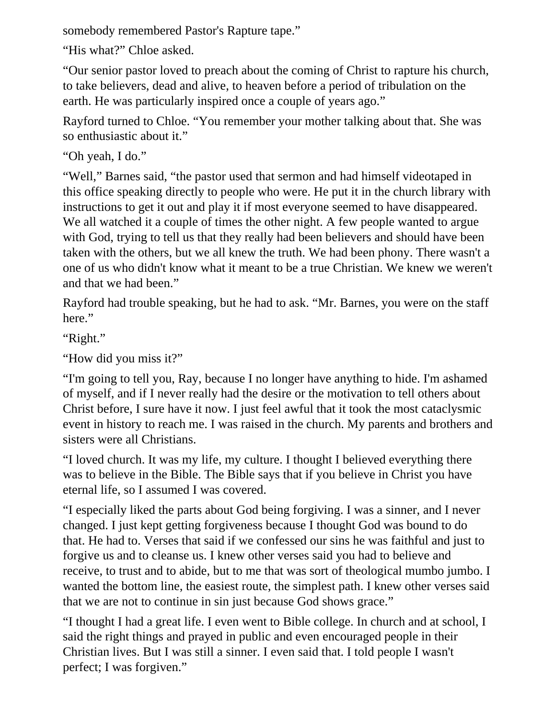somebody remembered Pastor's Rapture tape."

"His what?" Chloe asked.

"Our senior pastor loved to preach about the coming of Christ to rapture his church, to take believers, dead and alive, to heaven before a period of tribulation on the earth. He was particularly inspired once a couple of years ago."

Rayford turned to Chloe. "You remember your mother talking about that. She was so enthusiastic about it."

"Oh yeah, I do."

"Well," Barnes said, "the pastor used that sermon and had himself videotaped in this office speaking directly to people who were. He put it in the church library with instructions to get it out and play it if most everyone seemed to have disappeared. We all watched it a couple of times the other night. A few people wanted to argue with God, trying to tell us that they really had been believers and should have been taken with the others, but we all knew the truth. We had been phony. There wasn't a one of us who didn't know what it meant to be a true Christian. We knew we weren't and that we had been."

Rayford had trouble speaking, but he had to ask. "Mr. Barnes, you were on the staff here."

"Right."

"How did you miss it?"

"I'm going to tell you, Ray, because I no longer have anything to hide. I'm ashamed of myself, and if I never really had the desire or the motivation to tell others about Christ before, I sure have it now. I just feel awful that it took the most cataclysmic event in history to reach me. I was raised in the church. My parents and brothers and sisters were all Christians.

"I loved church. It was my life, my culture. I thought I believed everything there was to believe in the Bible. The Bible says that if you believe in Christ you have eternal life, so I assumed I was covered.

"I especially liked the parts about God being forgiving. I was a sinner, and I never changed. I just kept getting forgiveness because I thought God was bound to do that. He had to. Verses that said if we confessed our sins he was faithful and just to forgive us and to cleanse us. I knew other verses said you had to believe and receive, to trust and to abide, but to me that was sort of theological mumbo jumbo. I wanted the bottom line, the easiest route, the simplest path. I knew other verses said that we are not to continue in sin just because God shows grace."

"I thought I had a great life. I even went to Bible college. In church and at school, I said the right things and prayed in public and even encouraged people in their Christian lives. But I was still a sinner. I even said that. I told people I wasn't perfect; I was forgiven."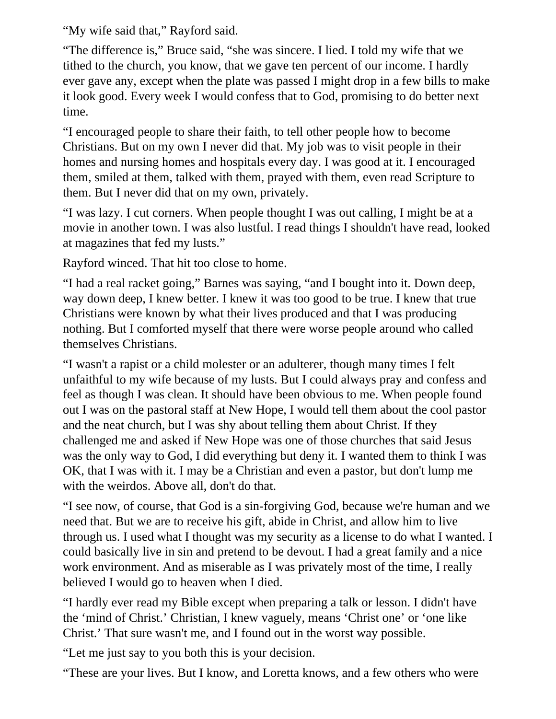"My wife said that," Rayford said.

"The difference is," Bruce said, "she was sincere. I lied. I told my wife that we tithed to the church, you know, that we gave ten percent of our income. I hardly ever gave any, except when the plate was passed I might drop in a few bills to make it look good. Every week I would confess that to God, promising to do better next time.

"I encouraged people to share their faith, to tell other people how to become Christians. But on my own I never did that. My job was to visit people in their homes and nursing homes and hospitals every day. I was good at it. I encouraged them, smiled at them, talked with them, prayed with them, even read Scripture to them. But I never did that on my own, privately.

"I was lazy. I cut corners. When people thought I was out calling, I might be at a movie in another town. I was also lustful. I read things I shouldn't have read, looked at magazines that fed my lusts."

Rayford winced. That hit too close to home.

"I had a real racket going," Barnes was saying, "and I bought into it. Down deep, way down deep, I knew better. I knew it was too good to be true. I knew that true Christians were known by what their lives produced and that I was producing nothing. But I comforted myself that there were worse people around who called themselves Christians.

"I wasn't a rapist or a child molester or an adulterer, though many times I felt unfaithful to my wife because of my lusts. But I could always pray and confess and feel as though I was clean. It should have been obvious to me. When people found out I was on the pastoral staff at New Hope, I would tell them about the cool pastor and the neat church, but I was shy about telling them about Christ. If they challenged me and asked if New Hope was one of those churches that said Jesus was the only way to God, I did everything but deny it. I wanted them to think I was OK, that I was with it. I may be a Christian and even a pastor, but don't lump me with the weirdos. Above all, don't do that.

"I see now, of course, that God is a sin-forgiving God, because we're human and we need that. But we are to receive his gift, abide in Christ, and allow him to live through us. I used what I thought was my security as a license to do what I wanted. I could basically live in sin and pretend to be devout. I had a great family and a nice work environment. And as miserable as I was privately most of the time, I really believed I would go to heaven when I died.

"I hardly ever read my Bible except when preparing a talk or lesson. I didn't have the 'mind of Christ.' Christian, I knew vaguely, means 'Christ one' or 'one like Christ.' That sure wasn't me, and I found out in the worst way possible.

"Let me just say to you both this is your decision.

"These are your lives. But I know, and Loretta knows, and a few others who were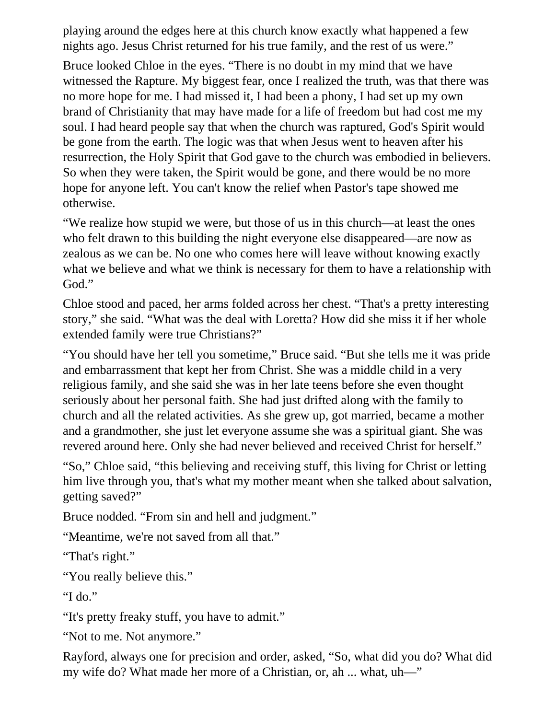playing around the edges here at this church know exactly what happened a few nights ago. Jesus Christ returned for his true family, and the rest of us were."

Bruce looked Chloe in the eyes. "There is no doubt in my mind that we have witnessed the Rapture. My biggest fear, once I realized the truth, was that there was no more hope for me. I had missed it, I had been a phony, I had set up my own brand of Christianity that may have made for a life of freedom but had cost me my soul. I had heard people say that when the church was raptured, God's Spirit would be gone from the earth. The logic was that when Jesus went to heaven after his resurrection, the Holy Spirit that God gave to the church was embodied in believers. So when they were taken, the Spirit would be gone, and there would be no more hope for anyone left. You can't know the relief when Pastor's tape showed me otherwise.

"We realize how stupid we were, but those of us in this church—at least the ones who felt drawn to this building the night everyone else disappeared—are now as zealous as we can be. No one who comes here will leave without knowing exactly what we believe and what we think is necessary for them to have a relationship with God."

Chloe stood and paced, her arms folded across her chest. "That's a pretty interesting story," she said. "What was the deal with Loretta? How did she miss it if her whole extended family were true Christians?"

"You should have her tell you sometime," Bruce said. "But she tells me it was pride and embarrassment that kept her from Christ. She was a middle child in a very religious family, and she said she was in her late teens before she even thought seriously about her personal faith. She had just drifted along with the family to church and all the related activities. As she grew up, got married, became a mother and a grandmother, she just let everyone assume she was a spiritual giant. She was revered around here. Only she had never believed and received Christ for herself."

"So," Chloe said, "this believing and receiving stuff, this living for Christ or letting him live through you, that's what my mother meant when she talked about salvation, getting saved?"

Bruce nodded. "From sin and hell and judgment."

"Meantime, we're not saved from all that."

"That's right."

"You really believe this."

"I do."

"It's pretty freaky stuff, you have to admit."

"Not to me. Not anymore."

Rayford, always one for precision and order, asked, "So, what did you do? What did my wife do? What made her more of a Christian, or, ah ... what, uh—"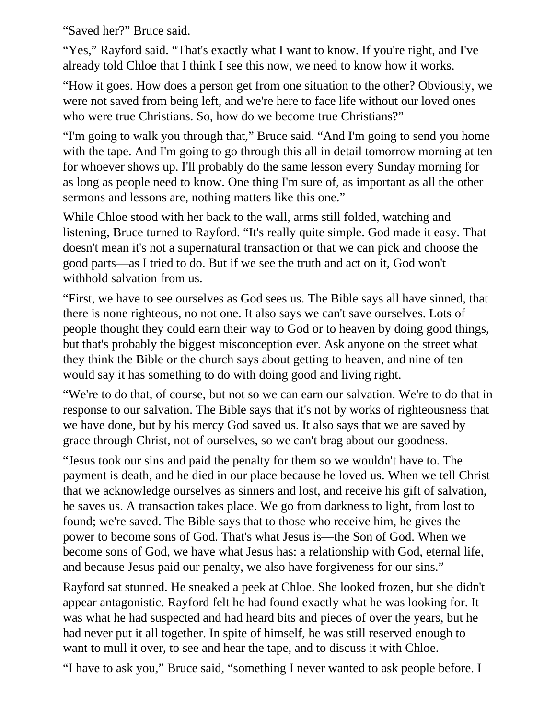"Saved her?" Bruce said.

"Yes," Rayford said. "That's exactly what I want to know. If you're right, and I've already told Chloe that I think I see this now, we need to know how it works.

"How it goes. How does a person get from one situation to the other? Obviously, we were not saved from being left, and we're here to face life without our loved ones who were true Christians. So, how do we become true Christians?"

"I'm going to walk you through that," Bruce said. "And I'm going to send you home with the tape. And I'm going to go through this all in detail tomorrow morning at ten for whoever shows up. I'll probably do the same lesson every Sunday morning for as long as people need to know. One thing I'm sure of, as important as all the other sermons and lessons are, nothing matters like this one."

While Chloe stood with her back to the wall, arms still folded, watching and listening, Bruce turned to Rayford. "It's really quite simple. God made it easy. That doesn't mean it's not a supernatural transaction or that we can pick and choose the good parts—as I tried to do. But if we see the truth and act on it, God won't withhold salvation from us.

"First, we have to see ourselves as God sees us. The Bible says all have sinned, that there is none righteous, no not one. It also says we can't save ourselves. Lots of people thought they could earn their way to God or to heaven by doing good things, but that's probably the biggest misconception ever. Ask anyone on the street what they think the Bible or the church says about getting to heaven, and nine of ten would say it has something to do with doing good and living right.

"We're to do that, of course, but not so we can earn our salvation. We're to do that in response to our salvation. The Bible says that it's not by works of righteousness that we have done, but by his mercy God saved us. It also says that we are saved by grace through Christ, not of ourselves, so we can't brag about our goodness.

"Jesus took our sins and paid the penalty for them so we wouldn't have to. The payment is death, and he died in our place because he loved us. When we tell Christ that we acknowledge ourselves as sinners and lost, and receive his gift of salvation, he saves us. A transaction takes place. We go from darkness to light, from lost to found; we're saved. The Bible says that to those who receive him, he gives the power to become sons of God. That's what Jesus is—the Son of God. When we become sons of God, we have what Jesus has: a relationship with God, eternal life, and because Jesus paid our penalty, we also have forgiveness for our sins."

Rayford sat stunned. He sneaked a peek at Chloe. She looked frozen, but she didn't appear antagonistic. Rayford felt he had found exactly what he was looking for. It was what he had suspected and had heard bits and pieces of over the years, but he had never put it all together. In spite of himself, he was still reserved enough to want to mull it over, to see and hear the tape, and to discuss it with Chloe.

"I have to ask you," Bruce said, "something I never wanted to ask people before. I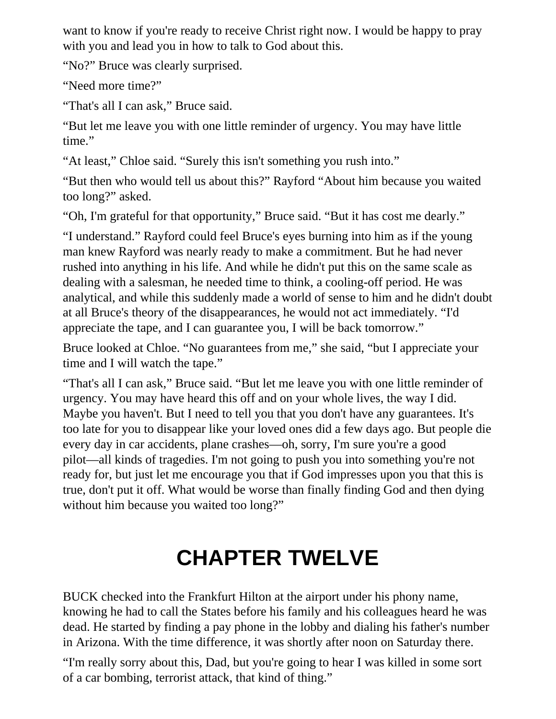want to know if you're ready to receive Christ right now. I would be happy to pray with you and lead you in how to talk to God about this.

"No?" Bruce was clearly surprised.

"Need more time?"

"That's all I can ask," Bruce said.

"But let me leave you with one little reminder of urgency. You may have little time."

"At least," Chloe said. "Surely this isn't something you rush into."

"But then who would tell us about this?" Rayford "About him because you waited too long?" asked.

"Oh, I'm grateful for that opportunity," Bruce said. "But it has cost me dearly."

"I understand." Rayford could feel Bruce's eyes burning into him as if the young man knew Rayford was nearly ready to make a commitment. But he had never rushed into anything in his life. And while he didn't put this on the same scale as dealing with a salesman, he needed time to think, a cooling-off period. He was analytical, and while this suddenly made a world of sense to him and he didn't doubt at all Bruce's theory of the disappearances, he would not act immediately. "I'd appreciate the tape, and I can guarantee you, I will be back tomorrow."

Bruce looked at Chloe. "No guarantees from me," she said, "but I appreciate your time and I will watch the tape."

"That's all I can ask," Bruce said. "But let me leave you with one little reminder of urgency. You may have heard this off and on your whole lives, the way I did. Maybe you haven't. But I need to tell you that you don't have any guarantees. It's too late for you to disappear like your loved ones did a few days ago. But people die every day in car accidents, plane crashes—oh, sorry, I'm sure you're a good pilot—all kinds of tragedies. I'm not going to push you into something you're not ready for, but just let me encourage you that if God impresses upon you that this is true, don't put it off. What would be worse than finally finding God and then dying without him because you waited too long?"

## **CHAPTER TWELVE**

BUCK checked into the Frankfurt Hilton at the airport under his phony name, knowing he had to call the States before his family and his colleagues heard he was dead. He started by finding a pay phone in the lobby and dialing his father's number in Arizona. With the time difference, it was shortly after noon on Saturday there.

"I'm really sorry about this, Dad, but you're going to hear I was killed in some sort of a car bombing, terrorist attack, that kind of thing."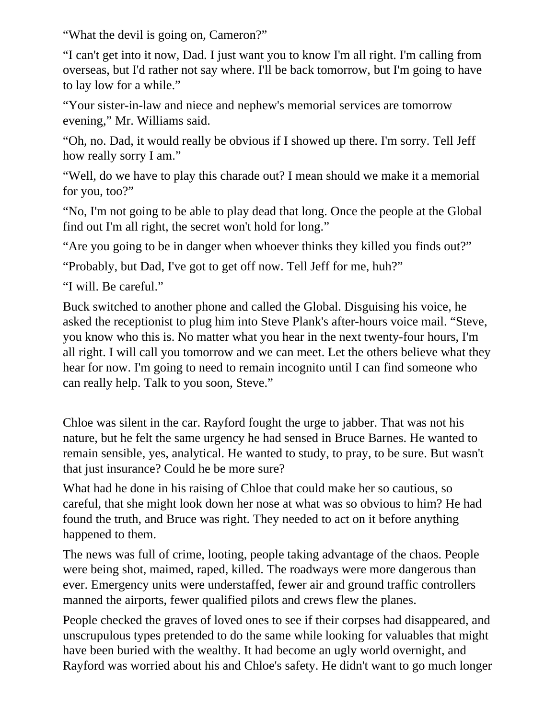"What the devil is going on, Cameron?"

"I can't get into it now, Dad. I just want you to know I'm all right. I'm calling from overseas, but I'd rather not say where. I'll be back tomorrow, but I'm going to have to lay low for a while."

"Your sister-in-law and niece and nephew's memorial services are tomorrow evening," Mr. Williams said.

"Oh, no. Dad, it would really be obvious if I showed up there. I'm sorry. Tell Jeff how really sorry I am."

"Well, do we have to play this charade out? I mean should we make it a memorial for you, too?"

"No, I'm not going to be able to play dead that long. Once the people at the Global find out I'm all right, the secret won't hold for long."

"Are you going to be in danger when whoever thinks they killed you finds out?"

"Probably, but Dad, I've got to get off now. Tell Jeff for me, huh?"

"I will. Be careful."

Buck switched to another phone and called the Global. Disguising his voice, he asked the receptionist to plug him into Steve Plank's after-hours voice mail. "Steve, you know who this is. No matter what you hear in the next twenty-four hours, I'm all right. I will call you tomorrow and we can meet. Let the others believe what they hear for now. I'm going to need to remain incognito until I can find someone who can really help. Talk to you soon, Steve."

Chloe was silent in the car. Rayford fought the urge to jabber. That was not his nature, but he felt the same urgency he had sensed in Bruce Barnes. He wanted to remain sensible, yes, analytical. He wanted to study, to pray, to be sure. But wasn't that just insurance? Could he be more sure?

What had he done in his raising of Chloe that could make her so cautious, so careful, that she might look down her nose at what was so obvious to him? He had found the truth, and Bruce was right. They needed to act on it before anything happened to them.

The news was full of crime, looting, people taking advantage of the chaos. People were being shot, maimed, raped, killed. The roadways were more dangerous than ever. Emergency units were understaffed, fewer air and ground traffic controllers manned the airports, fewer qualified pilots and crews flew the planes.

People checked the graves of loved ones to see if their corpses had disappeared, and unscrupulous types pretended to do the same while looking for valuables that might have been buried with the wealthy. It had become an ugly world overnight, and Rayford was worried about his and Chloe's safety. He didn't want to go much longer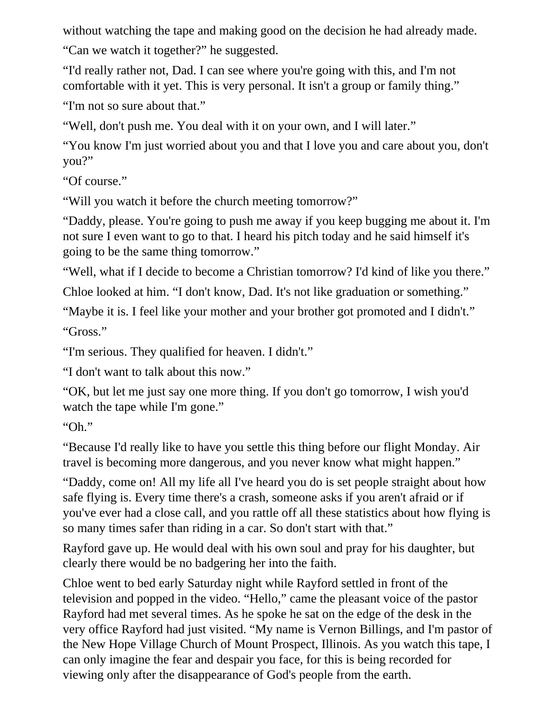without watching the tape and making good on the decision he had already made.

"Can we watch it together?" he suggested.

"I'd really rather not, Dad. I can see where you're going with this, and I'm not comfortable with it yet. This is very personal. It isn't a group or family thing."

"I'm not so sure about that."

"Well, don't push me. You deal with it on your own, and I will later."

"You know I'm just worried about you and that I love you and care about you, don't you?"

"Of course."

"Will you watch it before the church meeting tomorrow?"

"Daddy, please. You're going to push me away if you keep bugging me about it. I'm not sure I even want to go to that. I heard his pitch today and he said himself it's going to be the same thing tomorrow."

"Well, what if I decide to become a Christian tomorrow? I'd kind of like you there."

Chloe looked at him. "I don't know, Dad. It's not like graduation or something."

"Maybe it is. I feel like your mother and your brother got promoted and I didn't." "Gross."

"I'm serious. They qualified for heaven. I didn't."

"I don't want to talk about this now."

"OK, but let me just say one more thing. If you don't go tomorrow, I wish you'd watch the tape while I'm gone."

"Oh."

"Because I'd really like to have you settle this thing before our flight Monday. Air travel is becoming more dangerous, and you never know what might happen."

"Daddy, come on! All my life all I've heard you do is set people straight about how safe flying is. Every time there's a crash, someone asks if you aren't afraid or if you've ever had a close call, and you rattle off all these statistics about how flying is so many times safer than riding in a car. So don't start with that."

Rayford gave up. He would deal with his own soul and pray for his daughter, but clearly there would be no badgering her into the faith.

Chloe went to bed early Saturday night while Rayford settled in front of the television and popped in the video. "Hello," came the pleasant voice of the pastor Rayford had met several times. As he spoke he sat on the edge of the desk in the very office Rayford had just visited. "My name is Vernon Billings, and I'm pastor of the New Hope Village Church of Mount Prospect, Illinois. As you watch this tape, I can only imagine the fear and despair you face, for this is being recorded for viewing only after the disappearance of God's people from the earth.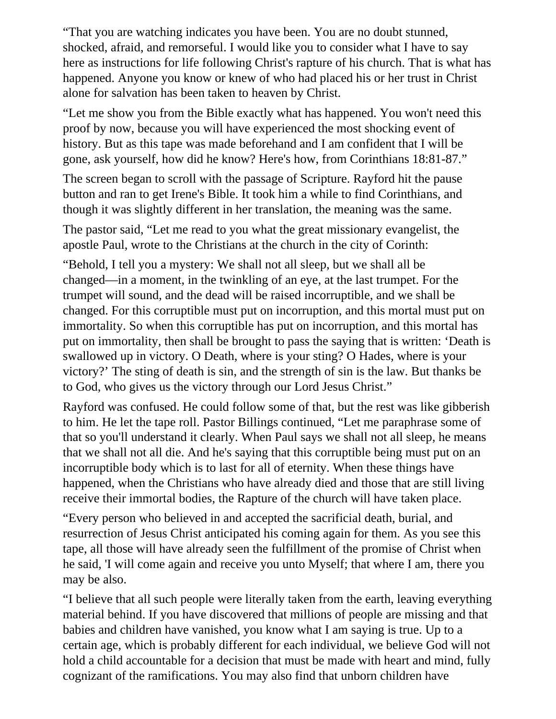"That you are watching indicates you have been. You are no doubt stunned, shocked, afraid, and remorseful. I would like you to consider what I have to say here as instructions for life following Christ's rapture of his church. That is what has happened. Anyone you know or knew of who had placed his or her trust in Christ alone for salvation has been taken to heaven by Christ.

"Let me show you from the Bible exactly what has happened. You won't need this proof by now, because you will have experienced the most shocking event of history. But as this tape was made beforehand and I am confident that I will be gone, ask yourself, how did he know? Here's how, from Corinthians 18:81-87."

The screen began to scroll with the passage of Scripture. Rayford hit the pause button and ran to get Irene's Bible. It took him a while to find Corinthians, and though it was slightly different in her translation, the meaning was the same.

The pastor said, "Let me read to you what the great missionary evangelist, the apostle Paul, wrote to the Christians at the church in the city of Corinth:

"Behold, I tell you a mystery: We shall not all sleep, but we shall all be changed—in a moment, in the twinkling of an eye, at the last trumpet. For the trumpet will sound, and the dead will be raised incorruptible, and we shall be changed. For this corruptible must put on incorruption, and this mortal must put on immortality. So when this corruptible has put on incorruption, and this mortal has put on immortality, then shall be brought to pass the saying that is written: 'Death is swallowed up in victory. O Death, where is your sting? O Hades, where is your victory?' The sting of death is sin, and the strength of sin is the law. But thanks be to God, who gives us the victory through our Lord Jesus Christ."

Rayford was confused. He could follow some of that, but the rest was like gibberish to him. He let the tape roll. Pastor Billings continued, "Let me paraphrase some of that so you'll understand it clearly. When Paul says we shall not all sleep, he means that we shall not all die. And he's saying that this corruptible being must put on an incorruptible body which is to last for all of eternity. When these things have happened, when the Christians who have already died and those that are still living receive their immortal bodies, the Rapture of the church will have taken place.

"Every person who believed in and accepted the sacrificial death, burial, and resurrection of Jesus Christ anticipated his coming again for them. As you see this tape, all those will have already seen the fulfillment of the promise of Christ when he said, 'I will come again and receive you unto Myself; that where I am, there you may be also.

"I believe that all such people were literally taken from the earth, leaving everything material behind. If you have discovered that millions of people are missing and that babies and children have vanished, you know what I am saying is true. Up to a certain age, which is probably different for each individual, we believe God will not hold a child accountable for a decision that must be made with heart and mind, fully cognizant of the ramifications. You may also find that unborn children have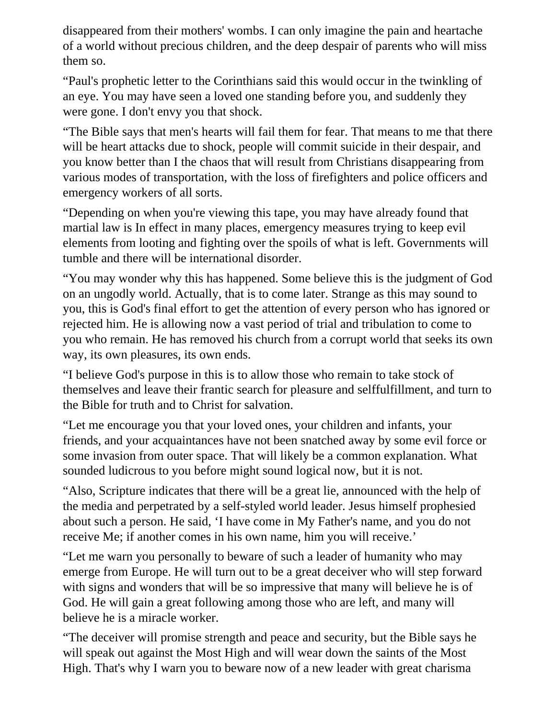disappeared from their mothers' wombs. I can only imagine the pain and heartache of a world without precious children, and the deep despair of parents who will miss them so.

"Paul's prophetic letter to the Corinthians said this would occur in the twinkling of an eye. You may have seen a loved one standing before you, and suddenly they were gone. I don't envy you that shock.

"The Bible says that men's hearts will fail them for fear. That means to me that there will be heart attacks due to shock, people will commit suicide in their despair, and you know better than I the chaos that will result from Christians disappearing from various modes of transportation, with the loss of firefighters and police officers and emergency workers of all sorts.

"Depending on when you're viewing this tape, you may have already found that martial law is In effect in many places, emergency measures trying to keep evil elements from looting and fighting over the spoils of what is left. Governments will tumble and there will be international disorder.

"You may wonder why this has happened. Some believe this is the judgment of God on an ungodly world. Actually, that is to come later. Strange as this may sound to you, this is God's final effort to get the attention of every person who has ignored or rejected him. He is allowing now a vast period of trial and tribulation to come to you who remain. He has removed his church from a corrupt world that seeks its own way, its own pleasures, its own ends.

"I believe God's purpose in this is to allow those who remain to take stock of themselves and leave their frantic search for pleasure and selffulfillment, and turn to the Bible for truth and to Christ for salvation.

"Let me encourage you that your loved ones, your children and infants, your friends, and your acquaintances have not been snatched away by some evil force or some invasion from outer space. That will likely be a common explanation. What sounded ludicrous to you before might sound logical now, but it is not.

"Also, Scripture indicates that there will be a great lie, announced with the help of the media and perpetrated by a self-styled world leader. Jesus himself prophesied about such a person. He said, 'I have come in My Father's name, and you do not receive Me; if another comes in his own name, him you will receive.'

"Let me warn you personally to beware of such a leader of humanity who may emerge from Europe. He will turn out to be a great deceiver who will step forward with signs and wonders that will be so impressive that many will believe he is of God. He will gain a great following among those who are left, and many will believe he is a miracle worker.

"The deceiver will promise strength and peace and security, but the Bible says he will speak out against the Most High and will wear down the saints of the Most High. That's why I warn you to beware now of a new leader with great charisma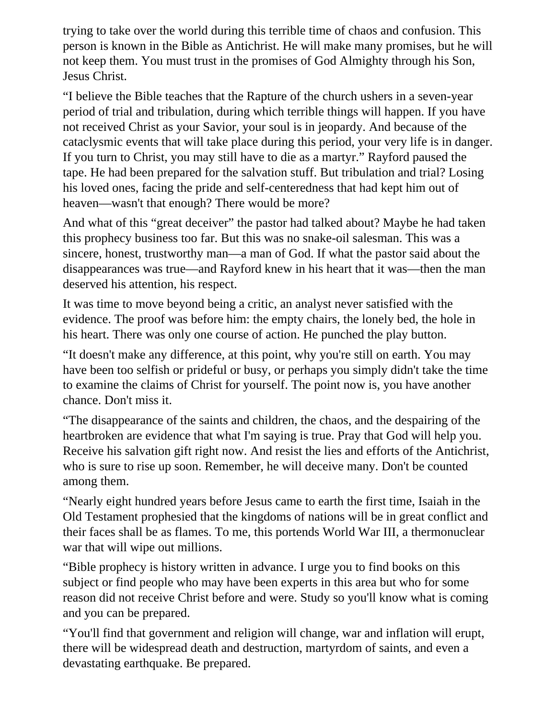trying to take over the world during this terrible time of chaos and confusion. This person is known in the Bible as Antichrist. He will make many promises, but he will not keep them. You must trust in the promises of God Almighty through his Son, Jesus Christ.

"I believe the Bible teaches that the Rapture of the church ushers in a seven-year period of trial and tribulation, during which terrible things will happen. If you have not received Christ as your Savior, your soul is in jeopardy. And because of the cataclysmic events that will take place during this period, your very life is in danger. If you turn to Christ, you may still have to die as a martyr." Rayford paused the tape. He had been prepared for the salvation stuff. But tribulation and trial? Losing his loved ones, facing the pride and self-centeredness that had kept him out of heaven—wasn't that enough? There would be more?

And what of this "great deceiver" the pastor had talked about? Maybe he had taken this prophecy business too far. But this was no snake-oil salesman. This was a sincere, honest, trustworthy man—a man of God. If what the pastor said about the disappearances was true—and Rayford knew in his heart that it was—then the man deserved his attention, his respect.

It was time to move beyond being a critic, an analyst never satisfied with the evidence. The proof was before him: the empty chairs, the lonely bed, the hole in his heart. There was only one course of action. He punched the play button.

"It doesn't make any difference, at this point, why you're still on earth. You may have been too selfish or prideful or busy, or perhaps you simply didn't take the time to examine the claims of Christ for yourself. The point now is, you have another chance. Don't miss it.

"The disappearance of the saints and children, the chaos, and the despairing of the heartbroken are evidence that what I'm saying is true. Pray that God will help you. Receive his salvation gift right now. And resist the lies and efforts of the Antichrist, who is sure to rise up soon. Remember, he will deceive many. Don't be counted among them.

"Nearly eight hundred years before Jesus came to earth the first time, Isaiah in the Old Testament prophesied that the kingdoms of nations will be in great conflict and their faces shall be as flames. To me, this portends World War III, a thermonuclear war that will wipe out millions.

"Bible prophecy is history written in advance. I urge you to find books on this subject or find people who may have been experts in this area but who for some reason did not receive Christ before and were. Study so you'll know what is coming and you can be prepared.

"You'll find that government and religion will change, war and inflation will erupt, there will be widespread death and destruction, martyrdom of saints, and even a devastating earthquake. Be prepared.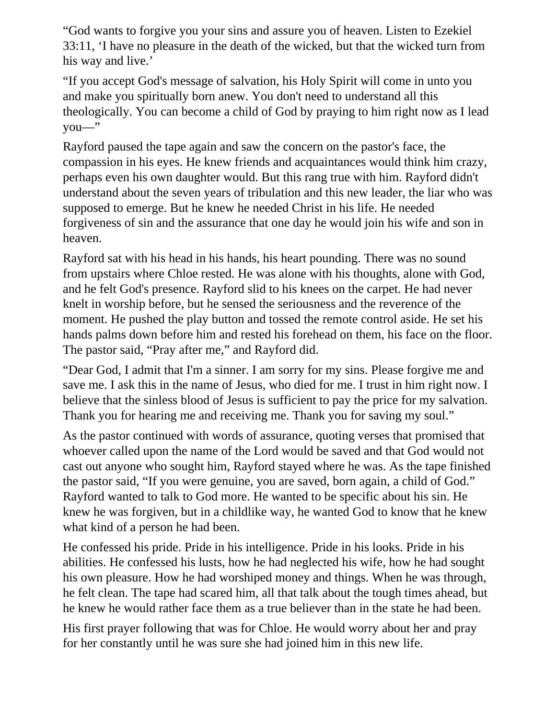"God wants to forgive you your sins and assure you of heaven. Listen to Ezekiel 33:11, 'I have no pleasure in the death of the wicked, but that the wicked turn from his way and live.'

"If you accept God's message of salvation, his Holy Spirit will come in unto you and make you spiritually born anew. You don't need to understand all this theologically. You can become a child of God by praying to him right now as I lead you—"

Rayford paused the tape again and saw the concern on the pastor's face, the compassion in his eyes. He knew friends and acquaintances would think him crazy, perhaps even his own daughter would. But this rang true with him. Rayford didn't understand about the seven years of tribulation and this new leader, the liar who was supposed to emerge. But he knew he needed Christ in his life. He needed forgiveness of sin and the assurance that one day he would join his wife and son in heaven.

Rayford sat with his head in his hands, his heart pounding. There was no sound from upstairs where Chloe rested. He was alone with his thoughts, alone with God, and he felt God's presence. Rayford slid to his knees on the carpet. He had never knelt in worship before, but he sensed the seriousness and the reverence of the moment. He pushed the play button and tossed the remote control aside. He set his hands palms down before him and rested his forehead on them, his face on the floor. The pastor said, "Pray after me," and Rayford did.

"Dear God, I admit that I'm a sinner. I am sorry for my sins. Please forgive me and save me. I ask this in the name of Jesus, who died for me. I trust in him right now. I believe that the sinless blood of Jesus is sufficient to pay the price for my salvation. Thank you for hearing me and receiving me. Thank you for saving my soul."

As the pastor continued with words of assurance, quoting verses that promised that whoever called upon the name of the Lord would be saved and that God would not cast out anyone who sought him, Rayford stayed where he was. As the tape finished the pastor said, "If you were genuine, you are saved, born again, a child of God." Rayford wanted to talk to God more. He wanted to be specific about his sin. He knew he was forgiven, but in a childlike way, he wanted God to know that he knew what kind of a person he had been.

He confessed his pride. Pride in his intelligence. Pride in his looks. Pride in his abilities. He confessed his lusts, how he had neglected his wife, how he had sought his own pleasure. How he had worshiped money and things. When he was through, he felt clean. The tape had scared him, all that talk about the tough times ahead, but he knew he would rather face them as a true believer than in the state he had been.

His first prayer following that was for Chloe. He would worry about her and pray for her constantly until he was sure she had joined him in this new life.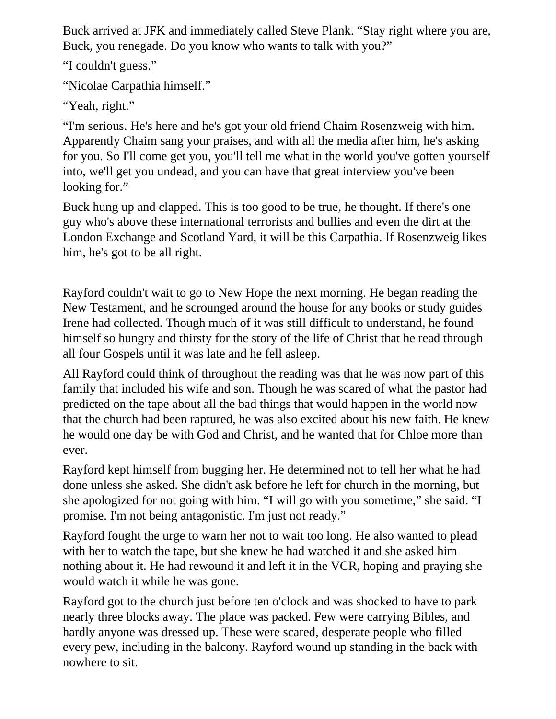Buck arrived at JFK and immediately called Steve Plank. "Stay right where you are, Buck, you renegade. Do you know who wants to talk with you?"

"I couldn't guess."

"Nicolae Carpathia himself."

"Yeah, right."

"I'm serious. He's here and he's got your old friend Chaim Rosenzweig with him. Apparently Chaim sang your praises, and with all the media after him, he's asking for you. So I'll come get you, you'll tell me what in the world you've gotten yourself into, we'll get you undead, and you can have that great interview you've been looking for."

Buck hung up and clapped. This is too good to be true, he thought. If there's one guy who's above these international terrorists and bullies and even the dirt at the London Exchange and Scotland Yard, it will be this Carpathia. If Rosenzweig likes him, he's got to be all right.

Rayford couldn't wait to go to New Hope the next morning. He began reading the New Testament, and he scrounged around the house for any books or study guides Irene had collected. Though much of it was still difficult to understand, he found himself so hungry and thirsty for the story of the life of Christ that he read through all four Gospels until it was late and he fell asleep.

All Rayford could think of throughout the reading was that he was now part of this family that included his wife and son. Though he was scared of what the pastor had predicted on the tape about all the bad things that would happen in the world now that the church had been raptured, he was also excited about his new faith. He knew he would one day be with God and Christ, and he wanted that for Chloe more than ever.

Rayford kept himself from bugging her. He determined not to tell her what he had done unless she asked. She didn't ask before he left for church in the morning, but she apologized for not going with him. "I will go with you sometime," she said. "I promise. I'm not being antagonistic. I'm just not ready."

Rayford fought the urge to warn her not to wait too long. He also wanted to plead with her to watch the tape, but she knew he had watched it and she asked him nothing about it. He had rewound it and left it in the VCR, hoping and praying she would watch it while he was gone.

Rayford got to the church just before ten o'clock and was shocked to have to park nearly three blocks away. The place was packed. Few were carrying Bibles, and hardly anyone was dressed up. These were scared, desperate people who filled every pew, including in the balcony. Rayford wound up standing in the back with nowhere to sit.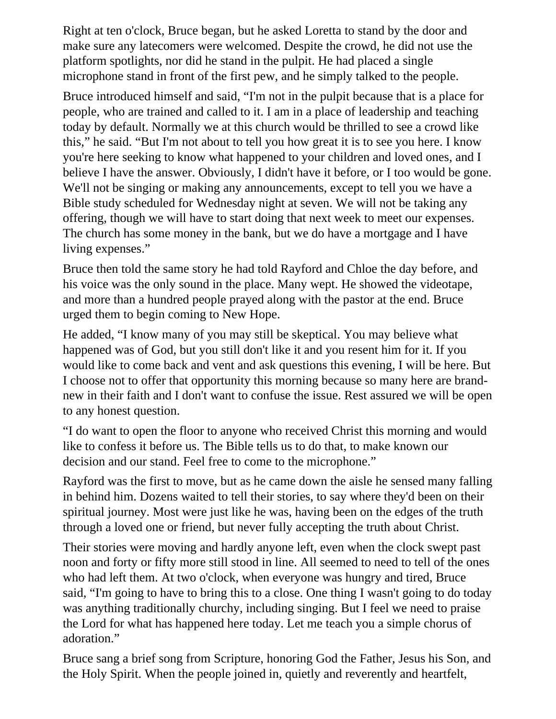Right at ten o'clock, Bruce began, but he asked Loretta to stand by the door and make sure any latecomers were welcomed. Despite the crowd, he did not use the platform spotlights, nor did he stand in the pulpit. He had placed a single microphone stand in front of the first pew, and he simply talked to the people.

Bruce introduced himself and said, "I'm not in the pulpit because that is a place for people, who are trained and called to it. I am in a place of leadership and teaching today by default. Normally we at this church would be thrilled to see a crowd like this," he said. "But I'm not about to tell you how great it is to see you here. I know you're here seeking to know what happened to your children and loved ones, and I believe I have the answer. Obviously, I didn't have it before, or I too would be gone. We'll not be singing or making any announcements, except to tell you we have a Bible study scheduled for Wednesday night at seven. We will not be taking any offering, though we will have to start doing that next week to meet our expenses. The church has some money in the bank, but we do have a mortgage and I have living expenses."

Bruce then told the same story he had told Rayford and Chloe the day before, and his voice was the only sound in the place. Many wept. He showed the videotape, and more than a hundred people prayed along with the pastor at the end. Bruce urged them to begin coming to New Hope.

He added, "I know many of you may still be skeptical. You may believe what happened was of God, but you still don't like it and you resent him for it. If you would like to come back and vent and ask questions this evening, I will be here. But I choose not to offer that opportunity this morning because so many here are brandnew in their faith and I don't want to confuse the issue. Rest assured we will be open to any honest question.

"I do want to open the floor to anyone who received Christ this morning and would like to confess it before us. The Bible tells us to do that, to make known our decision and our stand. Feel free to come to the microphone."

Rayford was the first to move, but as he came down the aisle he sensed many falling in behind him. Dozens waited to tell their stories, to say where they'd been on their spiritual journey. Most were just like he was, having been on the edges of the truth through a loved one or friend, but never fully accepting the truth about Christ.

Their stories were moving and hardly anyone left, even when the clock swept past noon and forty or fifty more still stood in line. All seemed to need to tell of the ones who had left them. At two o'clock, when everyone was hungry and tired, Bruce said, "I'm going to have to bring this to a close. One thing I wasn't going to do today was anything traditionally churchy, including singing. But I feel we need to praise the Lord for what has happened here today. Let me teach you a simple chorus of adoration."

Bruce sang a brief song from Scripture, honoring God the Father, Jesus his Son, and the Holy Spirit. When the people joined in, quietly and reverently and heartfelt,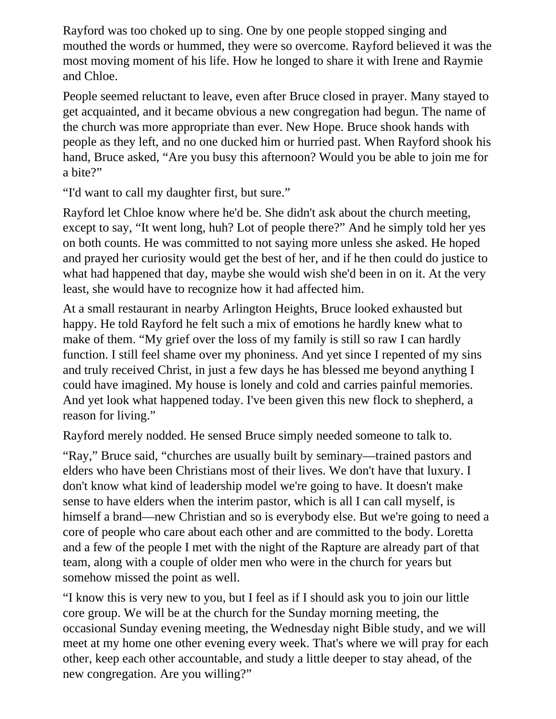Rayford was too choked up to sing. One by one people stopped singing and mouthed the words or hummed, they were so overcome. Rayford believed it was the most moving moment of his life. How he longed to share it with Irene and Raymie and Chloe.

People seemed reluctant to leave, even after Bruce closed in prayer. Many stayed to get acquainted, and it became obvious a new congregation had begun. The name of the church was more appropriate than ever. New Hope. Bruce shook hands with people as they left, and no one ducked him or hurried past. When Rayford shook his hand, Bruce asked, "Are you busy this afternoon? Would you be able to join me for a bite?"

"I'd want to call my daughter first, but sure."

Rayford let Chloe know where he'd be. She didn't ask about the church meeting, except to say, "It went long, huh? Lot of people there?" And he simply told her yes on both counts. He was committed to not saying more unless she asked. He hoped and prayed her curiosity would get the best of her, and if he then could do justice to what had happened that day, maybe she would wish she'd been in on it. At the very least, she would have to recognize how it had affected him.

At a small restaurant in nearby Arlington Heights, Bruce looked exhausted but happy. He told Rayford he felt such a mix of emotions he hardly knew what to make of them. "My grief over the loss of my family is still so raw I can hardly function. I still feel shame over my phoniness. And yet since I repented of my sins and truly received Christ, in just a few days he has blessed me beyond anything I could have imagined. My house is lonely and cold and carries painful memories. And yet look what happened today. I've been given this new flock to shepherd, a reason for living."

Rayford merely nodded. He sensed Bruce simply needed someone to talk to.

"Ray," Bruce said, "churches are usually built by seminary—trained pastors and elders who have been Christians most of their lives. We don't have that luxury. I don't know what kind of leadership model we're going to have. It doesn't make sense to have elders when the interim pastor, which is all I can call myself, is himself a brand—new Christian and so is everybody else. But we're going to need a core of people who care about each other and are committed to the body. Loretta and a few of the people I met with the night of the Rapture are already part of that team, along with a couple of older men who were in the church for years but somehow missed the point as well.

"I know this is very new to you, but I feel as if I should ask you to join our little core group. We will be at the church for the Sunday morning meeting, the occasional Sunday evening meeting, the Wednesday night Bible study, and we will meet at my home one other evening every week. That's where we will pray for each other, keep each other accountable, and study a little deeper to stay ahead, of the new congregation. Are you willing?"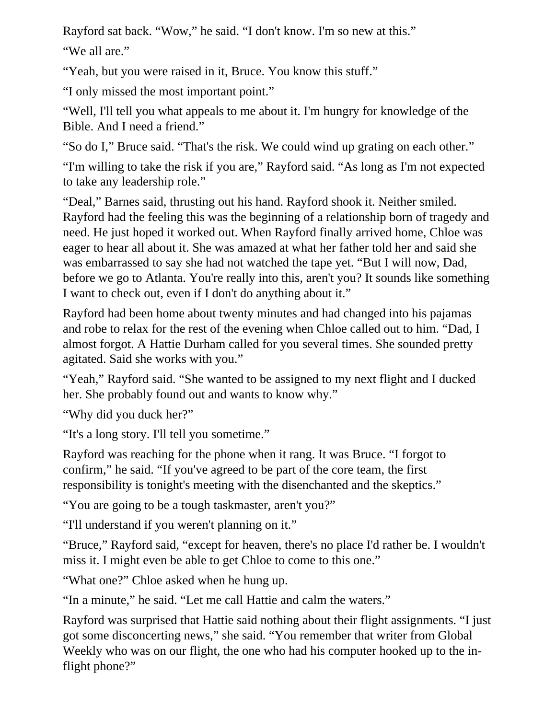Rayford sat back. "Wow," he said. "I don't know. I'm so new at this."

"We all are."

"Yeah, but you were raised in it, Bruce. You know this stuff."

"I only missed the most important point."

"Well, I'll tell you what appeals to me about it. I'm hungry for knowledge of the Bible. And I need a friend."

"So do I," Bruce said. "That's the risk. We could wind up grating on each other."

"I'm willing to take the risk if you are," Rayford said. "As long as I'm not expected to take any leadership role."

"Deal," Barnes said, thrusting out his hand. Rayford shook it. Neither smiled. Rayford had the feeling this was the beginning of a relationship born of tragedy and need. He just hoped it worked out. When Rayford finally arrived home, Chloe was eager to hear all about it. She was amazed at what her father told her and said she was embarrassed to say she had not watched the tape yet. "But I will now, Dad, before we go to Atlanta. You're really into this, aren't you? It sounds like something I want to check out, even if I don't do anything about it."

Rayford had been home about twenty minutes and had changed into his pajamas and robe to relax for the rest of the evening when Chloe called out to him. "Dad, I almost forgot. A Hattie Durham called for you several times. She sounded pretty agitated. Said she works with you."

"Yeah," Rayford said. "She wanted to be assigned to my next flight and I ducked her. She probably found out and wants to know why."

"Why did you duck her?"

"It's a long story. I'll tell you sometime."

Rayford was reaching for the phone when it rang. It was Bruce. "I forgot to confirm," he said. "If you've agreed to be part of the core team, the first responsibility is tonight's meeting with the disenchanted and the skeptics."

"You are going to be a tough taskmaster, aren't you?"

"I'll understand if you weren't planning on it."

"Bruce," Rayford said, "except for heaven, there's no place I'd rather be. I wouldn't miss it. I might even be able to get Chloe to come to this one."

"What one?" Chloe asked when he hung up.

"In a minute," he said. "Let me call Hattie and calm the waters."

Rayford was surprised that Hattie said nothing about their flight assignments. "I just got some disconcerting news," she said. "You remember that writer from Global Weekly who was on our flight, the one who had his computer hooked up to the inflight phone?"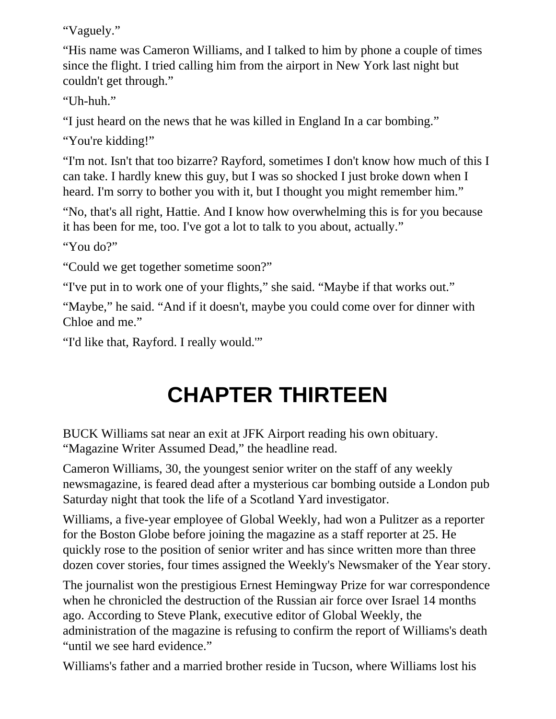"Vaguely."

"His name was Cameron Williams, and I talked to him by phone a couple of times since the flight. I tried calling him from the airport in New York last night but couldn't get through."

"Uh-huh."

"I just heard on the news that he was killed in England In a car bombing."

"You're kidding!"

"I'm not. Isn't that too bizarre? Rayford, sometimes I don't know how much of this I can take. I hardly knew this guy, but I was so shocked I just broke down when I heard. I'm sorry to bother you with it, but I thought you might remember him."

"No, that's all right, Hattie. And I know how overwhelming this is for you because it has been for me, too. I've got a lot to talk to you about, actually."

"You do?"

"Could we get together sometime soon?"

"I've put in to work one of your flights," she said. "Maybe if that works out."

"Maybe," he said. "And if it doesn't, maybe you could come over for dinner with Chloe and me."

"I'd like that, Rayford. I really would.'"

## **CHAPTER THIRTEEN**

BUCK Williams sat near an exit at JFK Airport reading his own obituary. "Magazine Writer Assumed Dead," the headline read.

Cameron Williams, 30, the youngest senior writer on the staff of any weekly newsmagazine, is feared dead after a mysterious car bombing outside a London pub Saturday night that took the life of a Scotland Yard investigator.

Williams, a five-year employee of Global Weekly, had won a Pulitzer as a reporter for the Boston Globe before joining the magazine as a staff reporter at 25. He quickly rose to the position of senior writer and has since written more than three dozen cover stories, four times assigned the Weekly's Newsmaker of the Year story.

The journalist won the prestigious Ernest Hemingway Prize for war correspondence when he chronicled the destruction of the Russian air force over Israel 14 months ago. According to Steve Plank, executive editor of Global Weekly, the administration of the magazine is refusing to confirm the report of Williams's death "until we see hard evidence."

Williams's father and a married brother reside in Tucson, where Williams lost his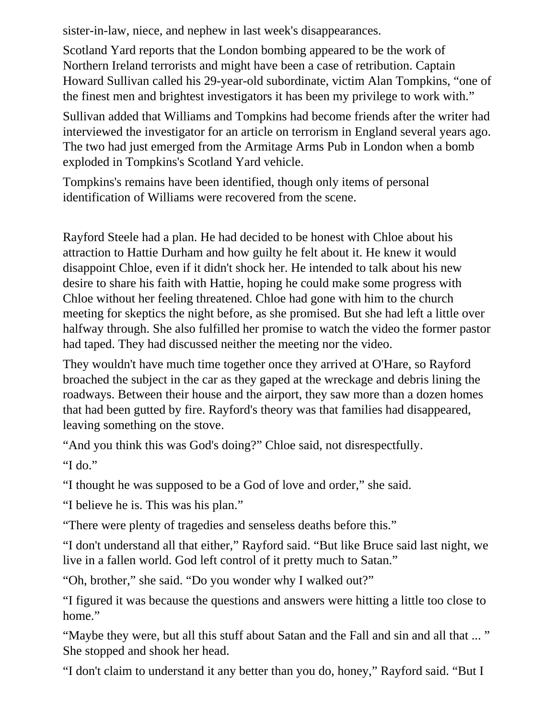sister-in-law, niece, and nephew in last week's disappearances.

Scotland Yard reports that the London bombing appeared to be the work of Northern Ireland terrorists and might have been a case of retribution. Captain Howard Sullivan called his 29-year-old subordinate, victim Alan Tompkins, "one of the finest men and brightest investigators it has been my privilege to work with."

Sullivan added that Williams and Tompkins had become friends after the writer had interviewed the investigator for an article on terrorism in England several years ago. The two had just emerged from the Armitage Arms Pub in London when a bomb exploded in Tompkins's Scotland Yard vehicle.

Tompkins's remains have been identified, though only items of personal identification of Williams were recovered from the scene.

Rayford Steele had a plan. He had decided to be honest with Chloe about his attraction to Hattie Durham and how guilty he felt about it. He knew it would disappoint Chloe, even if it didn't shock her. He intended to talk about his new desire to share his faith with Hattie, hoping he could make some progress with Chloe without her feeling threatened. Chloe had gone with him to the church meeting for skeptics the night before, as she promised. But she had left a little over halfway through. She also fulfilled her promise to watch the video the former pastor had taped. They had discussed neither the meeting nor the video.

They wouldn't have much time together once they arrived at O'Hare, so Rayford broached the subject in the car as they gaped at the wreckage and debris lining the roadways. Between their house and the airport, they saw more than a dozen homes that had been gutted by fire. Rayford's theory was that families had disappeared, leaving something on the stove.

"And you think this was God's doing?" Chloe said, not disrespectfully.

"I do."

"I thought he was supposed to be a God of love and order," she said.

"I believe he is. This was his plan."

"There were plenty of tragedies and senseless deaths before this."

"I don't understand all that either," Rayford said. "But like Bruce said last night, we live in a fallen world. God left control of it pretty much to Satan."

"Oh, brother," she said. "Do you wonder why I walked out?"

"I figured it was because the questions and answers were hitting a little too close to home."

"Maybe they were, but all this stuff about Satan and the Fall and sin and all that ... " She stopped and shook her head.

"I don't claim to understand it any better than you do, honey," Rayford said. "But I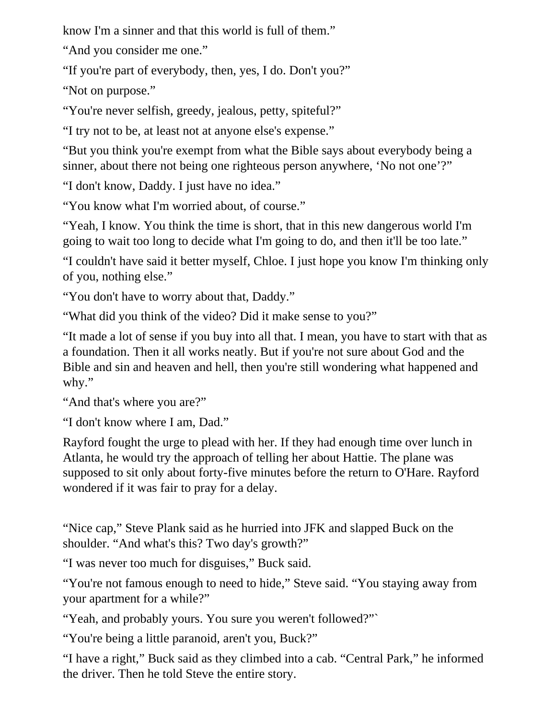know I'm a sinner and that this world is full of them."

"And you consider me one."

"If you're part of everybody, then, yes, I do. Don't you?"

"Not on purpose."

"You're never selfish, greedy, jealous, petty, spiteful?"

"I try not to be, at least not at anyone else's expense."

"But you think you're exempt from what the Bible says about everybody being a sinner, about there not being one righteous person anywhere, 'No not one'?"

"I don't know, Daddy. I just have no idea."

"You know what I'm worried about, of course."

"Yeah, I know. You think the time is short, that in this new dangerous world I'm going to wait too long to decide what I'm going to do, and then it'll be too late."

"I couldn't have said it better myself, Chloe. I just hope you know I'm thinking only of you, nothing else."

"You don't have to worry about that, Daddy."

"What did you think of the video? Did it make sense to you?"

"It made a lot of sense if you buy into all that. I mean, you have to start with that as a foundation. Then it all works neatly. But if you're not sure about God and the Bible and sin and heaven and hell, then you're still wondering what happened and why."

"And that's where you are?"

"I don't know where I am, Dad."

Rayford fought the urge to plead with her. If they had enough time over lunch in Atlanta, he would try the approach of telling her about Hattie. The plane was supposed to sit only about forty-five minutes before the return to O'Hare. Rayford wondered if it was fair to pray for a delay.

"Nice cap," Steve Plank said as he hurried into JFK and slapped Buck on the shoulder. "And what's this? Two day's growth?"

"I was never too much for disguises," Buck said.

"You're not famous enough to need to hide," Steve said. "You staying away from your apartment for a while?"

"Yeah, and probably yours. You sure you weren't followed?"`

"You're being a little paranoid, aren't you, Buck?"

"I have a right," Buck said as they climbed into a cab. "Central Park," he informed the driver. Then he told Steve the entire story.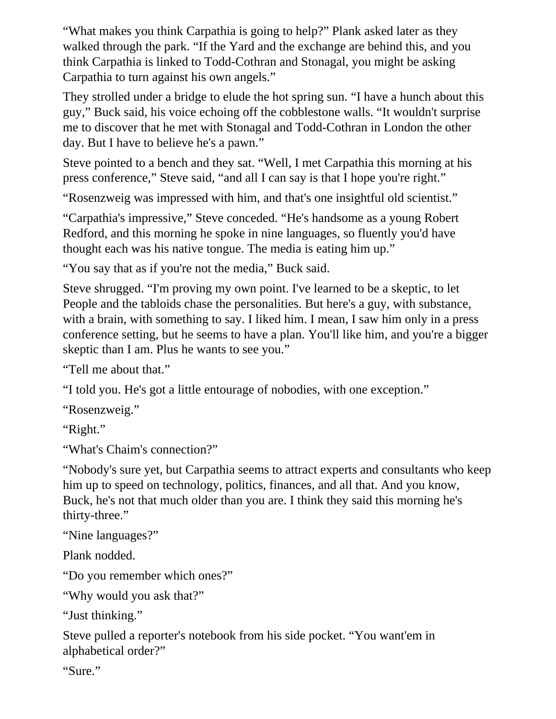"What makes you think Carpathia is going to help?" Plank asked later as they walked through the park. "If the Yard and the exchange are behind this, and you think Carpathia is linked to Todd-Cothran and Stonagal, you might be asking Carpathia to turn against his own angels."

They strolled under a bridge to elude the hot spring sun. "I have a hunch about this guy," Buck said, his voice echoing off the cobblestone walls. "It wouldn't surprise me to discover that he met with Stonagal and Todd-Cothran in London the other day. But I have to believe he's a pawn."

Steve pointed to a bench and they sat. "Well, I met Carpathia this morning at his press conference," Steve said, "and all I can say is that I hope you're right."

"Rosenzweig was impressed with him, and that's one insightful old scientist."

"Carpathia's impressive," Steve conceded. "He's handsome as a young Robert Redford, and this morning he spoke in nine languages, so fluently you'd have thought each was his native tongue. The media is eating him up."

"You say that as if you're not the media," Buck said.

Steve shrugged. "I'm proving my own point. I've learned to be a skeptic, to let People and the tabloids chase the personalities. But here's a guy, with substance, with a brain, with something to say. I liked him. I mean, I saw him only in a press conference setting, but he seems to have a plan. You'll like him, and you're a bigger skeptic than I am. Plus he wants to see you."

"Tell me about that."

"I told you. He's got a little entourage of nobodies, with one exception."

"Rosenzweig."

"Right."

"What's Chaim's connection?"

"Nobody's sure yet, but Carpathia seems to attract experts and consultants who keep him up to speed on technology, politics, finances, and all that. And you know, Buck, he's not that much older than you are. I think they said this morning he's thirty-three."

"Nine languages?"

Plank nodded.

"Do you remember which ones?"

"Why would you ask that?"

"Just thinking."

Steve pulled a reporter's notebook from his side pocket. "You want'em in alphabetical order?"

"Sure."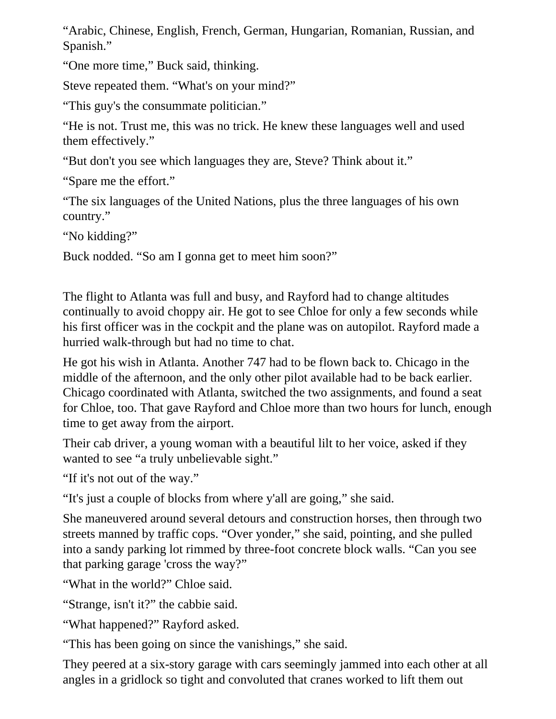"Arabic, Chinese, English, French, German, Hungarian, Romanian, Russian, and Spanish."

"One more time," Buck said, thinking.

Steve repeated them. "What's on your mind?"

"This guy's the consummate politician."

"He is not. Trust me, this was no trick. He knew these languages well and used them effectively."

"But don't you see which languages they are, Steve? Think about it."

"Spare me the effort."

"The six languages of the United Nations, plus the three languages of his own country."

"No kidding?"

Buck nodded. "So am I gonna get to meet him soon?"

The flight to Atlanta was full and busy, and Rayford had to change altitudes continually to avoid choppy air. He got to see Chloe for only a few seconds while his first officer was in the cockpit and the plane was on autopilot. Rayford made a hurried walk-through but had no time to chat.

He got his wish in Atlanta. Another 747 had to be flown back to. Chicago in the middle of the afternoon, and the only other pilot available had to be back earlier. Chicago coordinated with Atlanta, switched the two assignments, and found a seat for Chloe, too. That gave Rayford and Chloe more than two hours for lunch, enough time to get away from the airport.

Their cab driver, a young woman with a beautiful lilt to her voice, asked if they wanted to see "a truly unbelievable sight."

"If it's not out of the way."

"It's just a couple of blocks from where y'all are going," she said.

She maneuvered around several detours and construction horses, then through two streets manned by traffic cops. "Over yonder," she said, pointing, and she pulled into a sandy parking lot rimmed by three-foot concrete block walls. "Can you see that parking garage 'cross the way?"

"What in the world?" Chloe said.

"Strange, isn't it?" the cabbie said.

"What happened?" Rayford asked.

"This has been going on since the vanishings," she said.

They peered at a six-story garage with cars seemingly jammed into each other at all angles in a gridlock so tight and convoluted that cranes worked to lift them out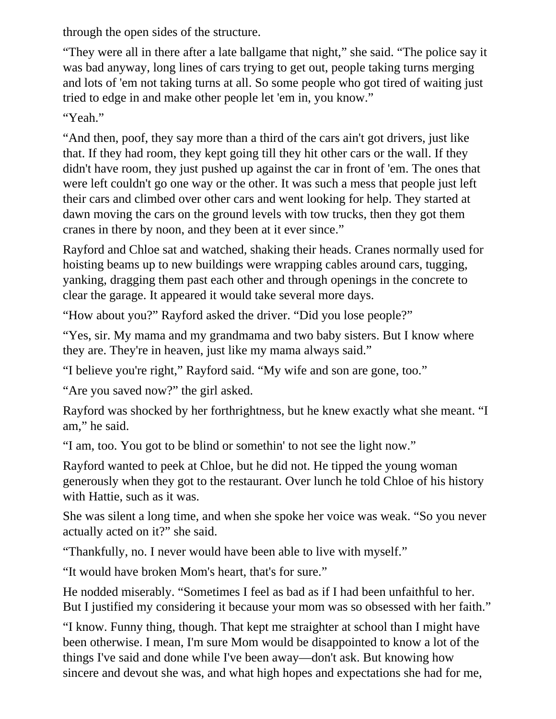through the open sides of the structure.

"They were all in there after a late ballgame that night," she said. "The police say it was bad anyway, long lines of cars trying to get out, people taking turns merging and lots of 'em not taking turns at all. So some people who got tired of waiting just tried to edge in and make other people let 'em in, you know."

"Yeah."

"And then, poof, they say more than a third of the cars ain't got drivers, just like that. If they had room, they kept going till they hit other cars or the wall. If they didn't have room, they just pushed up against the car in front of 'em. The ones that were left couldn't go one way or the other. It was such a mess that people just left their cars and climbed over other cars and went looking for help. They started at dawn moving the cars on the ground levels with tow trucks, then they got them cranes in there by noon, and they been at it ever since."

Rayford and Chloe sat and watched, shaking their heads. Cranes normally used for hoisting beams up to new buildings were wrapping cables around cars, tugging, yanking, dragging them past each other and through openings in the concrete to clear the garage. It appeared it would take several more days.

"How about you?" Rayford asked the driver. "Did you lose people?"

"Yes, sir. My mama and my grandmama and two baby sisters. But I know where they are. They're in heaven, just like my mama always said."

"I believe you're right," Rayford said. "My wife and son are gone, too."

"Are you saved now?" the girl asked.

Rayford was shocked by her forthrightness, but he knew exactly what she meant. "I am," he said.

"I am, too. You got to be blind or somethin' to not see the light now."

Rayford wanted to peek at Chloe, but he did not. He tipped the young woman generously when they got to the restaurant. Over lunch he told Chloe of his history with Hattie, such as it was.

She was silent a long time, and when she spoke her voice was weak. "So you never actually acted on it?" she said.

"Thankfully, no. I never would have been able to live with myself."

"It would have broken Mom's heart, that's for sure."

He nodded miserably. "Sometimes I feel as bad as if I had been unfaithful to her. But I justified my considering it because your mom was so obsessed with her faith."

"I know. Funny thing, though. That kept me straighter at school than I might have been otherwise. I mean, I'm sure Mom would be disappointed to know a lot of the things I've said and done while I've been away—don't ask. But knowing how sincere and devout she was, and what high hopes and expectations she had for me,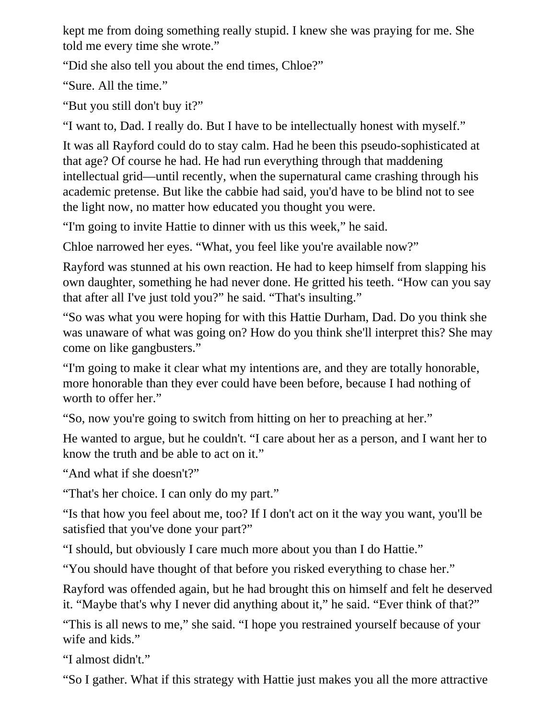kept me from doing something really stupid. I knew she was praying for me. She told me every time she wrote."

"Did she also tell you about the end times, Chloe?"

"Sure. All the time."

"But you still don't buy it?"

"I want to, Dad. I really do. But I have to be intellectually honest with myself."

It was all Rayford could do to stay calm. Had he been this pseudo-sophisticated at that age? Of course he had. He had run everything through that maddening intellectual grid—until recently, when the supernatural came crashing through his academic pretense. But like the cabbie had said, you'd have to be blind not to see the light now, no matter how educated you thought you were.

"I'm going to invite Hattie to dinner with us this week," he said.

Chloe narrowed her eyes. "What, you feel like you're available now?"

Rayford was stunned at his own reaction. He had to keep himself from slapping his own daughter, something he had never done. He gritted his teeth. "How can you say that after all I've just told you?" he said. "That's insulting."

"So was what you were hoping for with this Hattie Durham, Dad. Do you think she was unaware of what was going on? How do you think she'll interpret this? She may come on like gangbusters."

"I'm going to make it clear what my intentions are, and they are totally honorable, more honorable than they ever could have been before, because I had nothing of worth to offer her."

"So, now you're going to switch from hitting on her to preaching at her."

He wanted to argue, but he couldn't. "I care about her as a person, and I want her to know the truth and be able to act on it."

"And what if she doesn't?"

"That's her choice. I can only do my part."

"Is that how you feel about me, too? If I don't act on it the way you want, you'll be satisfied that you've done your part?"

"I should, but obviously I care much more about you than I do Hattie."

"You should have thought of that before you risked everything to chase her."

Rayford was offended again, but he had brought this on himself and felt he deserved it. "Maybe that's why I never did anything about it," he said. "Ever think of that?"

"This is all news to me," she said. "I hope you restrained yourself because of your wife and kids."

"I almost didn't."

"So I gather. What if this strategy with Hattie just makes you all the more attractive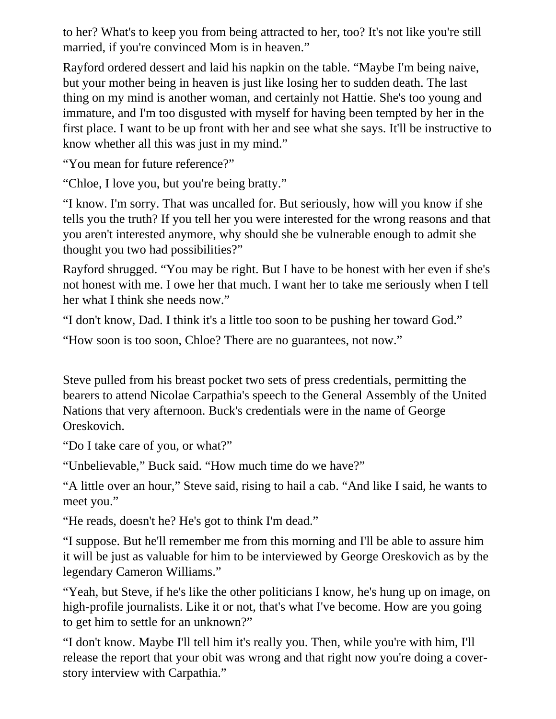to her? What's to keep you from being attracted to her, too? It's not like you're still married, if you're convinced Mom is in heaven."

Rayford ordered dessert and laid his napkin on the table. "Maybe I'm being naive, but your mother being in heaven is just like losing her to sudden death. The last thing on my mind is another woman, and certainly not Hattie. She's too young and immature, and I'm too disgusted with myself for having been tempted by her in the first place. I want to be up front with her and see what she says. It'll be instructive to know whether all this was just in my mind."

"You mean for future reference?"

"Chloe, I love you, but you're being bratty."

"I know. I'm sorry. That was uncalled for. But seriously, how will you know if she tells you the truth? If you tell her you were interested for the wrong reasons and that you aren't interested anymore, why should she be vulnerable enough to admit she thought you two had possibilities?"

Rayford shrugged. "You may be right. But I have to be honest with her even if she's not honest with me. I owe her that much. I want her to take me seriously when I tell her what I think she needs now."

"I don't know, Dad. I think it's a little too soon to be pushing her toward God."

"How soon is too soon, Chloe? There are no guarantees, not now."

Steve pulled from his breast pocket two sets of press credentials, permitting the bearers to attend Nicolae Carpathia's speech to the General Assembly of the United Nations that very afternoon. Buck's credentials were in the name of George Oreskovich.

"Do I take care of you, or what?"

"Unbelievable," Buck said. "How much time do we have?"

"A little over an hour," Steve said, rising to hail a cab. "And like I said, he wants to meet you."

"He reads, doesn't he? He's got to think I'm dead."

"I suppose. But he'll remember me from this morning and I'll be able to assure him it will be just as valuable for him to be interviewed by George Oreskovich as by the legendary Cameron Williams."

"Yeah, but Steve, if he's like the other politicians I know, he's hung up on image, on high-profile journalists. Like it or not, that's what I've become. How are you going to get him to settle for an unknown?"

"I don't know. Maybe I'll tell him it's really you. Then, while you're with him, I'll release the report that your obit was wrong and that right now you're doing a coverstory interview with Carpathia."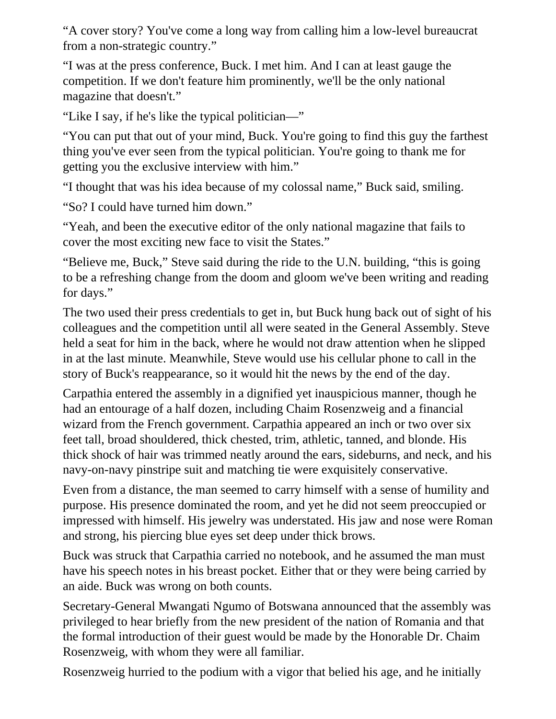"A cover story? You've come a long way from calling him a low-level bureaucrat from a non-strategic country."

"I was at the press conference, Buck. I met him. And I can at least gauge the competition. If we don't feature him prominently, we'll be the only national magazine that doesn't."

"Like I say, if he's like the typical politician—"

"You can put that out of your mind, Buck. You're going to find this guy the farthest thing you've ever seen from the typical politician. You're going to thank me for getting you the exclusive interview with him."

"I thought that was his idea because of my colossal name," Buck said, smiling.

"So? I could have turned him down."

"Yeah, and been the executive editor of the only national magazine that fails to cover the most exciting new face to visit the States."

"Believe me, Buck," Steve said during the ride to the U.N. building, "this is going to be a refreshing change from the doom and gloom we've been writing and reading for days."

The two used their press credentials to get in, but Buck hung back out of sight of his colleagues and the competition until all were seated in the General Assembly. Steve held a seat for him in the back, where he would not draw attention when he slipped in at the last minute. Meanwhile, Steve would use his cellular phone to call in the story of Buck's reappearance, so it would hit the news by the end of the day.

Carpathia entered the assembly in a dignified yet inauspicious manner, though he had an entourage of a half dozen, including Chaim Rosenzweig and a financial wizard from the French government. Carpathia appeared an inch or two over six feet tall, broad shouldered, thick chested, trim, athletic, tanned, and blonde. His thick shock of hair was trimmed neatly around the ears, sideburns, and neck, and his navy-on-navy pinstripe suit and matching tie were exquisitely conservative.

Even from a distance, the man seemed to carry himself with a sense of humility and purpose. His presence dominated the room, and yet he did not seem preoccupied or impressed with himself. His jewelry was understated. His jaw and nose were Roman and strong, his piercing blue eyes set deep under thick brows.

Buck was struck that Carpathia carried no notebook, and he assumed the man must have his speech notes in his breast pocket. Either that or they were being carried by an aide. Buck was wrong on both counts.

Secretary-General Mwangati Ngumo of Botswana announced that the assembly was privileged to hear briefly from the new president of the nation of Romania and that the formal introduction of their guest would be made by the Honorable Dr. Chaim Rosenzweig, with whom they were all familiar.

Rosenzweig hurried to the podium with a vigor that belied his age, and he initially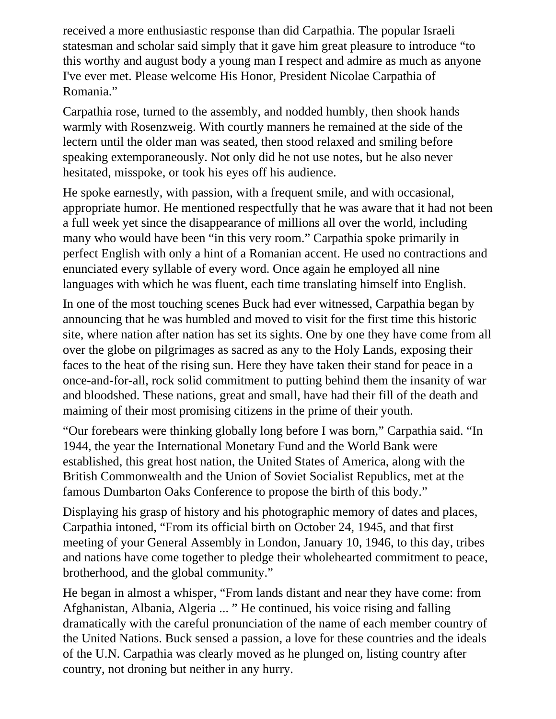received a more enthusiastic response than did Carpathia. The popular Israeli statesman and scholar said simply that it gave him great pleasure to introduce "to this worthy and august body a young man I respect and admire as much as anyone I've ever met. Please welcome His Honor, President Nicolae Carpathia of Romania."

Carpathia rose, turned to the assembly, and nodded humbly, then shook hands warmly with Rosenzweig. With courtly manners he remained at the side of the lectern until the older man was seated, then stood relaxed and smiling before speaking extemporaneously. Not only did he not use notes, but he also never hesitated, misspoke, or took his eyes off his audience.

He spoke earnestly, with passion, with a frequent smile, and with occasional, appropriate humor. He mentioned respectfully that he was aware that it had not been a full week yet since the disappearance of millions all over the world, including many who would have been "in this very room." Carpathia spoke primarily in perfect English with only a hint of a Romanian accent. He used no contractions and enunciated every syllable of every word. Once again he employed all nine languages with which he was fluent, each time translating himself into English.

In one of the most touching scenes Buck had ever witnessed, Carpathia began by announcing that he was humbled and moved to visit for the first time this historic site, where nation after nation has set its sights. One by one they have come from all over the globe on pilgrimages as sacred as any to the Holy Lands, exposing their faces to the heat of the rising sun. Here they have taken their stand for peace in a once-and-for-all, rock solid commitment to putting behind them the insanity of war and bloodshed. These nations, great and small, have had their fill of the death and maiming of their most promising citizens in the prime of their youth.

"Our forebears were thinking globally long before I was born," Carpathia said. "In 1944, the year the International Monetary Fund and the World Bank were established, this great host nation, the United States of America, along with the British Commonwealth and the Union of Soviet Socialist Republics, met at the famous Dumbarton Oaks Conference to propose the birth of this body."

Displaying his grasp of history and his photographic memory of dates and places, Carpathia intoned, "From its official birth on October 24, 1945, and that first meeting of your General Assembly in London, January 10, 1946, to this day, tribes and nations have come together to pledge their wholehearted commitment to peace, brotherhood, and the global community."

He began in almost a whisper, "From lands distant and near they have come: from Afghanistan, Albania, Algeria ... " He continued, his voice rising and falling dramatically with the careful pronunciation of the name of each member country of the United Nations. Buck sensed a passion, a love for these countries and the ideals of the U.N. Carpathia was clearly moved as he plunged on, listing country after country, not droning but neither in any hurry.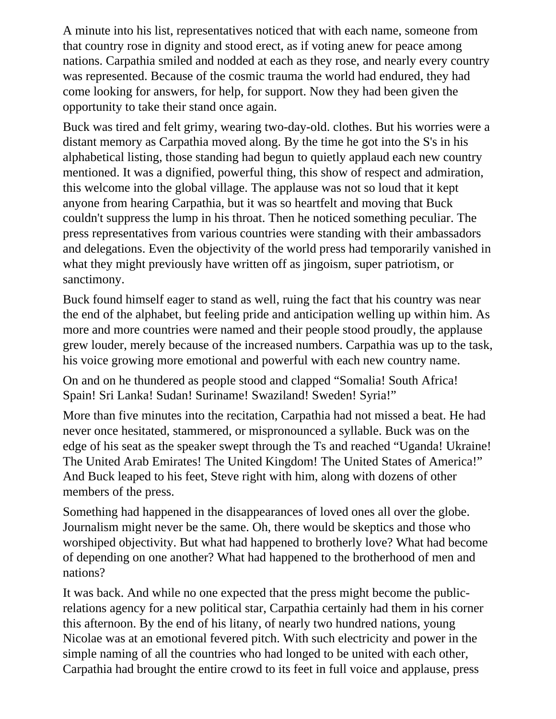A minute into his list, representatives noticed that with each name, someone from that country rose in dignity and stood erect, as if voting anew for peace among nations. Carpathia smiled and nodded at each as they rose, and nearly every country was represented. Because of the cosmic trauma the world had endured, they had come looking for answers, for help, for support. Now they had been given the opportunity to take their stand once again.

Buck was tired and felt grimy, wearing two-day-old. clothes. But his worries were a distant memory as Carpathia moved along. By the time he got into the S's in his alphabetical listing, those standing had begun to quietly applaud each new country mentioned. It was a dignified, powerful thing, this show of respect and admiration, this welcome into the global village. The applause was not so loud that it kept anyone from hearing Carpathia, but it was so heartfelt and moving that Buck couldn't suppress the lump in his throat. Then he noticed something peculiar. The press representatives from various countries were standing with their ambassadors and delegations. Even the objectivity of the world press had temporarily vanished in what they might previously have written off as jingoism, super patriotism, or sanctimony.

Buck found himself eager to stand as well, ruing the fact that his country was near the end of the alphabet, but feeling pride and anticipation welling up within him. As more and more countries were named and their people stood proudly, the applause grew louder, merely because of the increased numbers. Carpathia was up to the task, his voice growing more emotional and powerful with each new country name.

On and on he thundered as people stood and clapped "Somalia! South Africa! Spain! Sri Lanka! Sudan! Suriname! Swaziland! Sweden! Syria!"

More than five minutes into the recitation, Carpathia had not missed a beat. He had never once hesitated, stammered, or mispronounced a syllable. Buck was on the edge of his seat as the speaker swept through the Ts and reached "Uganda! Ukraine! The United Arab Emirates! The United Kingdom! The United States of America!" And Buck leaped to his feet, Steve right with him, along with dozens of other members of the press.

Something had happened in the disappearances of loved ones all over the globe. Journalism might never be the same. Oh, there would be skeptics and those who worshiped objectivity. But what had happened to brotherly love? What had become of depending on one another? What had happened to the brotherhood of men and nations?

It was back. And while no one expected that the press might become the publicrelations agency for a new political star, Carpathia certainly had them in his corner this afternoon. By the end of his litany, of nearly two hundred nations, young Nicolae was at an emotional fevered pitch. With such electricity and power in the simple naming of all the countries who had longed to be united with each other, Carpathia had brought the entire crowd to its feet in full voice and applause, press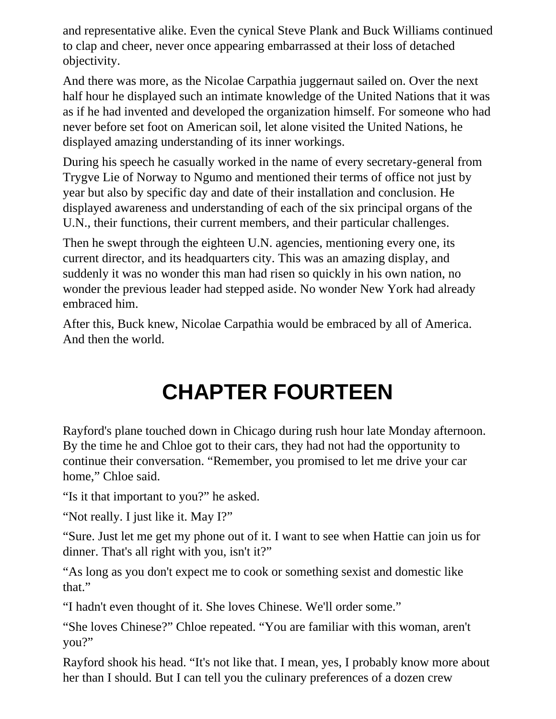and representative alike. Even the cynical Steve Plank and Buck Williams continued to clap and cheer, never once appearing embarrassed at their loss of detached objectivity.

And there was more, as the Nicolae Carpathia juggernaut sailed on. Over the next half hour he displayed such an intimate knowledge of the United Nations that it was as if he had invented and developed the organization himself. For someone who had never before set foot on American soil, let alone visited the United Nations, he displayed amazing understanding of its inner workings.

During his speech he casually worked in the name of every secretary-general from Trygve Lie of Norway to Ngumo and mentioned their terms of office not just by year but also by specific day and date of their installation and conclusion. He displayed awareness and understanding of each of the six principal organs of the U.N., their functions, their current members, and their particular challenges.

Then he swept through the eighteen U.N. agencies, mentioning every one, its current director, and its headquarters city. This was an amazing display, and suddenly it was no wonder this man had risen so quickly in his own nation, no wonder the previous leader had stepped aside. No wonder New York had already embraced him.

After this, Buck knew, Nicolae Carpathia would be embraced by all of America. And then the world.

## **CHAPTER FOURTEEN**

Rayford's plane touched down in Chicago during rush hour late Monday afternoon. By the time he and Chloe got to their cars, they had not had the opportunity to continue their conversation. "Remember, you promised to let me drive your car home," Chloe said.

"Is it that important to you?" he asked.

"Not really. I just like it. May I?"

"Sure. Just let me get my phone out of it. I want to see when Hattie can join us for dinner. That's all right with you, isn't it?"

"As long as you don't expect me to cook or something sexist and domestic like that."

"I hadn't even thought of it. She loves Chinese. We'll order some."

"She loves Chinese?" Chloe repeated. "You are familiar with this woman, aren't you?"

Rayford shook his head. "It's not like that. I mean, yes, I probably know more about her than I should. But I can tell you the culinary preferences of a dozen crew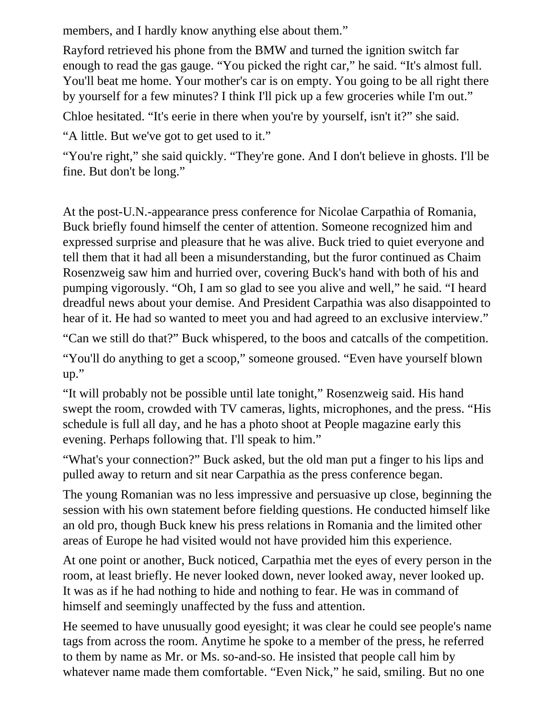members, and I hardly know anything else about them."

Rayford retrieved his phone from the BMW and turned the ignition switch far enough to read the gas gauge. "You picked the right car," he said. "It's almost full. You'll beat me home. Your mother's car is on empty. You going to be all right there by yourself for a few minutes? I think I'll pick up a few groceries while I'm out."

Chloe hesitated. "It's eerie in there when you're by yourself, isn't it?" she said.

"A little. But we've got to get used to it."

"You're right," she said quickly. "They're gone. And I don't believe in ghosts. I'll be fine. But don't be long."

At the post-U.N.-appearance press conference for Nicolae Carpathia of Romania, Buck briefly found himself the center of attention. Someone recognized him and expressed surprise and pleasure that he was alive. Buck tried to quiet everyone and tell them that it had all been a misunderstanding, but the furor continued as Chaim Rosenzweig saw him and hurried over, covering Buck's hand with both of his and pumping vigorously. "Oh, I am so glad to see you alive and well," he said. "I heard dreadful news about your demise. And President Carpathia was also disappointed to hear of it. He had so wanted to meet you and had agreed to an exclusive interview."

"Can we still do that?" Buck whispered, to the boos and catcalls of the competition.

"You'll do anything to get a scoop," someone groused. "Even have yourself blown up."

"It will probably not be possible until late tonight," Rosenzweig said. His hand swept the room, crowded with TV cameras, lights, microphones, and the press. "His schedule is full all day, and he has a photo shoot at People magazine early this evening. Perhaps following that. I'll speak to him."

"What's your connection?" Buck asked, but the old man put a finger to his lips and pulled away to return and sit near Carpathia as the press conference began.

The young Romanian was no less impressive and persuasive up close, beginning the session with his own statement before fielding questions. He conducted himself like an old pro, though Buck knew his press relations in Romania and the limited other areas of Europe he had visited would not have provided him this experience.

At one point or another, Buck noticed, Carpathia met the eyes of every person in the room, at least briefly. He never looked down, never looked away, never looked up. It was as if he had nothing to hide and nothing to fear. He was in command of himself and seemingly unaffected by the fuss and attention.

He seemed to have unusually good eyesight; it was clear he could see people's name tags from across the room. Anytime he spoke to a member of the press, he referred to them by name as Mr. or Ms. so-and-so. He insisted that people call him by whatever name made them comfortable. "Even Nick," he said, smiling. But no one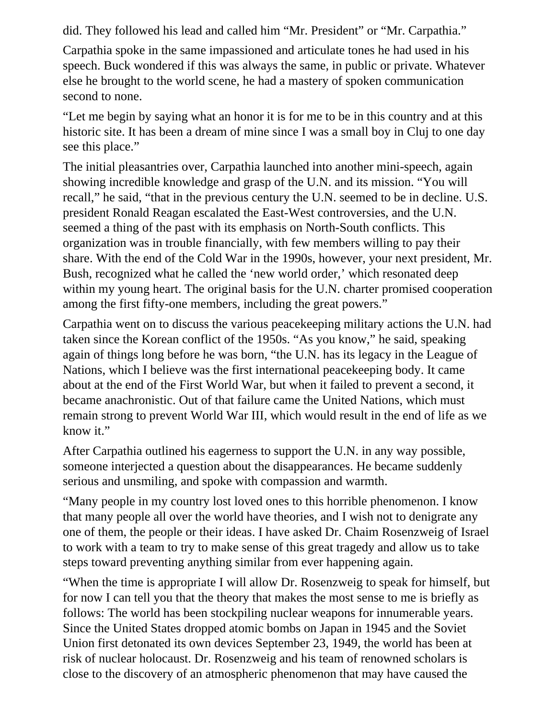did. They followed his lead and called him "Mr. President" or "Mr. Carpathia."

Carpathia spoke in the same impassioned and articulate tones he had used in his speech. Buck wondered if this was always the same, in public or private. Whatever else he brought to the world scene, he had a mastery of spoken communication second to none.

"Let me begin by saying what an honor it is for me to be in this country and at this historic site. It has been a dream of mine since I was a small boy in Cluj to one day see this place."

The initial pleasantries over, Carpathia launched into another mini-speech, again showing incredible knowledge and grasp of the U.N. and its mission. "You will recall," he said, "that in the previous century the U.N. seemed to be in decline. U.S. president Ronald Reagan escalated the East-West controversies, and the U.N. seemed a thing of the past with its emphasis on North-South conflicts. This organization was in trouble financially, with few members willing to pay their share. With the end of the Cold War in the 1990s, however, your next president, Mr. Bush, recognized what he called the 'new world order,' which resonated deep within my young heart. The original basis for the U.N. charter promised cooperation among the first fifty-one members, including the great powers."

Carpathia went on to discuss the various peacekeeping military actions the U.N. had taken since the Korean conflict of the 1950s. "As you know," he said, speaking again of things long before he was born, "the U.N. has its legacy in the League of Nations, which I believe was the first international peacekeeping body. It came about at the end of the First World War, but when it failed to prevent a second, it became anachronistic. Out of that failure came the United Nations, which must remain strong to prevent World War III, which would result in the end of life as we know it."

After Carpathia outlined his eagerness to support the U.N. in any way possible, someone interjected a question about the disappearances. He became suddenly serious and unsmiling, and spoke with compassion and warmth.

"Many people in my country lost loved ones to this horrible phenomenon. I know that many people all over the world have theories, and I wish not to denigrate any one of them, the people or their ideas. I have asked Dr. Chaim Rosenzweig of Israel to work with a team to try to make sense of this great tragedy and allow us to take steps toward preventing anything similar from ever happening again.

"When the time is appropriate I will allow Dr. Rosenzweig to speak for himself, but for now I can tell you that the theory that makes the most sense to me is briefly as follows: The world has been stockpiling nuclear weapons for innumerable years. Since the United States dropped atomic bombs on Japan in 1945 and the Soviet Union first detonated its own devices September 23, 1949, the world has been at risk of nuclear holocaust. Dr. Rosenzweig and his team of renowned scholars is close to the discovery of an atmospheric phenomenon that may have caused the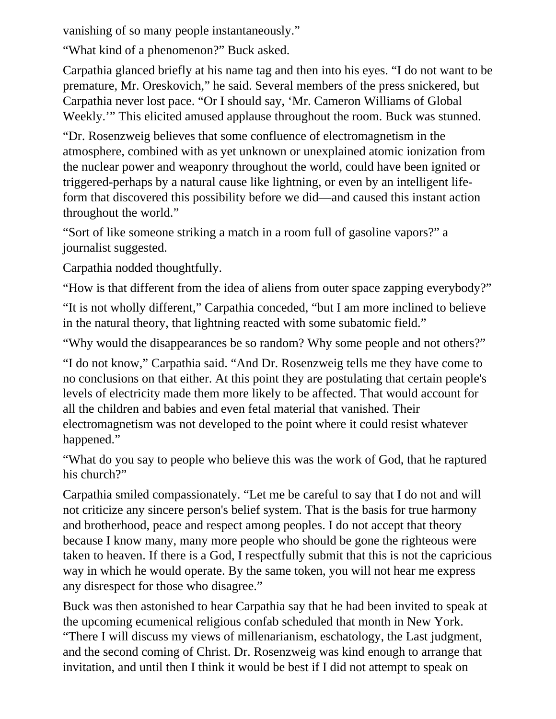vanishing of so many people instantaneously."

"What kind of a phenomenon?" Buck asked.

Carpathia glanced briefly at his name tag and then into his eyes. "I do not want to be premature, Mr. Oreskovich," he said. Several members of the press snickered, but Carpathia never lost pace. "Or I should say, 'Mr. Cameron Williams of Global Weekly.'" This elicited amused applause throughout the room. Buck was stunned.

"Dr. Rosenzweig believes that some confluence of electromagnetism in the atmosphere, combined with as yet unknown or unexplained atomic ionization from the nuclear power and weaponry throughout the world, could have been ignited or triggered-perhaps by a natural cause like lightning, or even by an intelligent lifeform that discovered this possibility before we did—and caused this instant action throughout the world."

"Sort of like someone striking a match in a room full of gasoline vapors?" a journalist suggested.

Carpathia nodded thoughtfully.

"How is that different from the idea of aliens from outer space zapping everybody?"

"It is not wholly different," Carpathia conceded, "but I am more inclined to believe in the natural theory, that lightning reacted with some subatomic field."

"Why would the disappearances be so random? Why some people and not others?"

"I do not know," Carpathia said. "And Dr. Rosenzweig tells me they have come to no conclusions on that either. At this point they are postulating that certain people's levels of electricity made them more likely to be affected. That would account for all the children and babies and even fetal material that vanished. Their electromagnetism was not developed to the point where it could resist whatever happened."

"What do you say to people who believe this was the work of God, that he raptured his church?"

Carpathia smiled compassionately. "Let me be careful to say that I do not and will not criticize any sincere person's belief system. That is the basis for true harmony and brotherhood, peace and respect among peoples. I do not accept that theory because I know many, many more people who should be gone the righteous were taken to heaven. If there is a God, I respectfully submit that this is not the capricious way in which he would operate. By the same token, you will not hear me express any disrespect for those who disagree."

Buck was then astonished to hear Carpathia say that he had been invited to speak at the upcoming ecumenical religious confab scheduled that month in New York. "There I will discuss my views of millenarianism, eschatology, the Last judgment, and the second coming of Christ. Dr. Rosenzweig was kind enough to arrange that invitation, and until then I think it would be best if I did not attempt to speak on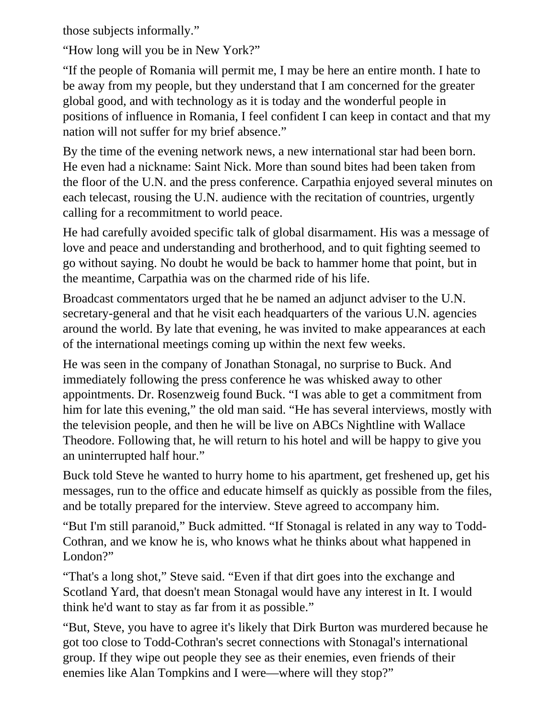those subjects informally."

"How long will you be in New York?"

"If the people of Romania will permit me, I may be here an entire month. I hate to be away from my people, but they understand that I am concerned for the greater global good, and with technology as it is today and the wonderful people in positions of influence in Romania, I feel confident I can keep in contact and that my nation will not suffer for my brief absence."

By the time of the evening network news, a new international star had been born. He even had a nickname: Saint Nick. More than sound bites had been taken from the floor of the U.N. and the press conference. Carpathia enjoyed several minutes on each telecast, rousing the U.N. audience with the recitation of countries, urgently calling for a recommitment to world peace.

He had carefully avoided specific talk of global disarmament. His was a message of love and peace and understanding and brotherhood, and to quit fighting seemed to go without saying. No doubt he would be back to hammer home that point, but in the meantime, Carpathia was on the charmed ride of his life.

Broadcast commentators urged that he be named an adjunct adviser to the U.N. secretary-general and that he visit each headquarters of the various U.N. agencies around the world. By late that evening, he was invited to make appearances at each of the international meetings coming up within the next few weeks.

He was seen in the company of Jonathan Stonagal, no surprise to Buck. And immediately following the press conference he was whisked away to other appointments. Dr. Rosenzweig found Buck. "I was able to get a commitment from him for late this evening," the old man said. "He has several interviews, mostly with the television people, and then he will be live on ABCs Nightline with Wallace Theodore. Following that, he will return to his hotel and will be happy to give you an uninterrupted half hour."

Buck told Steve he wanted to hurry home to his apartment, get freshened up, get his messages, run to the office and educate himself as quickly as possible from the files, and be totally prepared for the interview. Steve agreed to accompany him.

"But I'm still paranoid," Buck admitted. "If Stonagal is related in any way to Todd-Cothran, and we know he is, who knows what he thinks about what happened in London?"

"That's a long shot," Steve said. "Even if that dirt goes into the exchange and Scotland Yard, that doesn't mean Stonagal would have any interest in It. I would think he'd want to stay as far from it as possible."

"But, Steve, you have to agree it's likely that Dirk Burton was murdered because he got too close to Todd-Cothran's secret connections with Stonagal's international group. If they wipe out people they see as their enemies, even friends of their enemies like Alan Tompkins and I were—where will they stop?"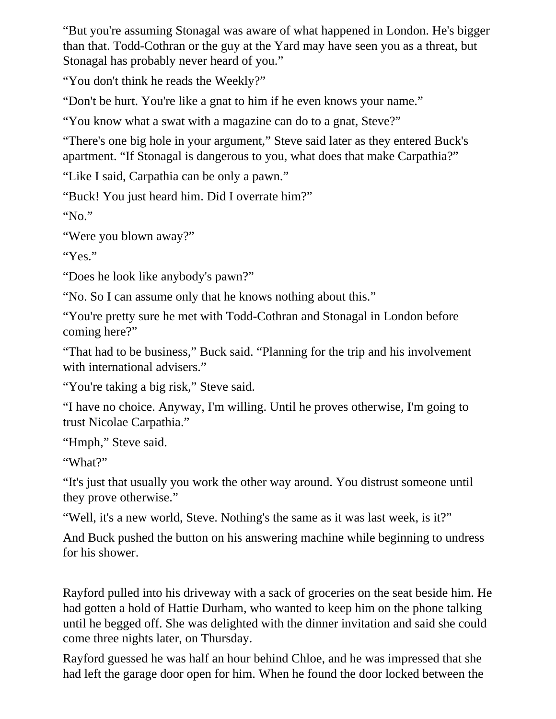"But you're assuming Stonagal was aware of what happened in London. He's bigger than that. Todd-Cothran or the guy at the Yard may have seen you as a threat, but Stonagal has probably never heard of you."

"You don't think he reads the Weekly?"

"Don't be hurt. You're like a gnat to him if he even knows your name."

"You know what a swat with a magazine can do to a gnat, Steve?"

"There's one big hole in your argument," Steve said later as they entered Buck's apartment. "If Stonagal is dangerous to you, what does that make Carpathia?"

"Like I said, Carpathia can be only a pawn."

"Buck! You just heard him. Did I overrate him?"

"No."

"Were you blown away?"

"Yes."

"Does he look like anybody's pawn?"

"No. So I can assume only that he knows nothing about this."

"You're pretty sure he met with Todd-Cothran and Stonagal in London before coming here?"

"That had to be business," Buck said. "Planning for the trip and his involvement with international advisers."

"You're taking a big risk," Steve said.

"I have no choice. Anyway, I'm willing. Until he proves otherwise, I'm going to trust Nicolae Carpathia."

"Hmph," Steve said.

"What?"

"It's just that usually you work the other way around. You distrust someone until they prove otherwise."

"Well, it's a new world, Steve. Nothing's the same as it was last week, is it?"

And Buck pushed the button on his answering machine while beginning to undress for his shower.

Rayford pulled into his driveway with a sack of groceries on the seat beside him. He had gotten a hold of Hattie Durham, who wanted to keep him on the phone talking until he begged off. She was delighted with the dinner invitation and said she could come three nights later, on Thursday.

Rayford guessed he was half an hour behind Chloe, and he was impressed that she had left the garage door open for him. When he found the door locked between the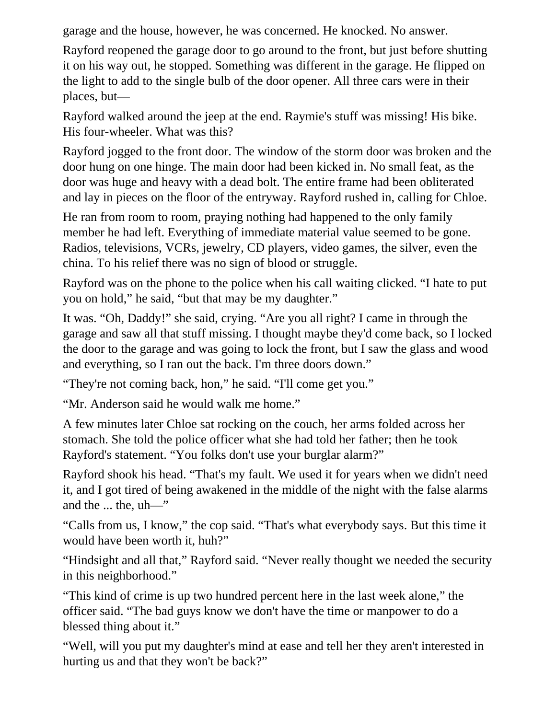garage and the house, however, he was concerned. He knocked. No answer.

Rayford reopened the garage door to go around to the front, but just before shutting it on his way out, he stopped. Something was different in the garage. He flipped on the light to add to the single bulb of the door opener. All three cars were in their places, but—

Rayford walked around the jeep at the end. Raymie's stuff was missing! His bike. His four-wheeler. What was this?

Rayford jogged to the front door. The window of the storm door was broken and the door hung on one hinge. The main door had been kicked in. No small feat, as the door was huge and heavy with a dead bolt. The entire frame had been obliterated and lay in pieces on the floor of the entryway. Rayford rushed in, calling for Chloe.

He ran from room to room, praying nothing had happened to the only family member he had left. Everything of immediate material value seemed to be gone. Radios, televisions, VCRs, jewelry, CD players, video games, the silver, even the china. To his relief there was no sign of blood or struggle.

Rayford was on the phone to the police when his call waiting clicked. "I hate to put you on hold," he said, "but that may be my daughter."

It was. "Oh, Daddy!" she said, crying. "Are you all right? I came in through the garage and saw all that stuff missing. I thought maybe they'd come back, so I locked the door to the garage and was going to lock the front, but I saw the glass and wood and everything, so I ran out the back. I'm three doors down."

"They're not coming back, hon," he said. "I'll come get you."

"Mr. Anderson said he would walk me home."

A few minutes later Chloe sat rocking on the couch, her arms folded across her stomach. She told the police officer what she had told her father; then he took Rayford's statement. "You folks don't use your burglar alarm?"

Rayford shook his head. "That's my fault. We used it for years when we didn't need it, and I got tired of being awakened in the middle of the night with the false alarms and the ... the, uh—"

"Calls from us, I know," the cop said. "That's what everybody says. But this time it would have been worth it, huh?"

"Hindsight and all that," Rayford said. "Never really thought we needed the security in this neighborhood."

"This kind of crime is up two hundred percent here in the last week alone," the officer said. "The bad guys know we don't have the time or manpower to do a blessed thing about it."

"Well, will you put my daughter's mind at ease and tell her they aren't interested in hurting us and that they won't be back?"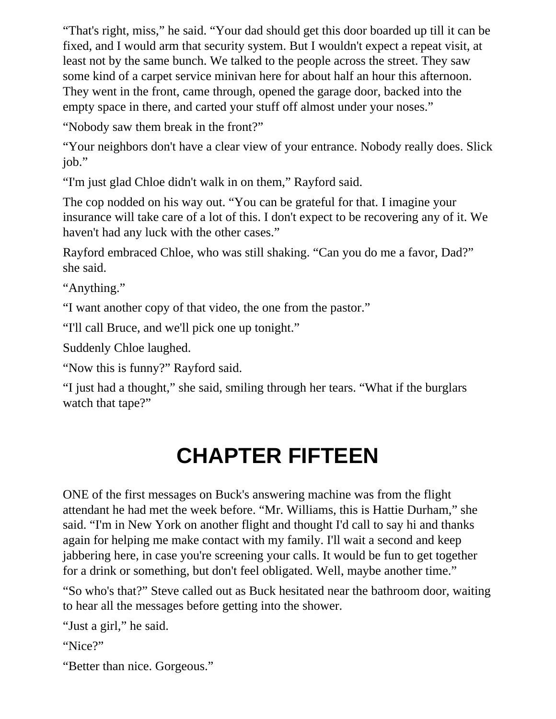"That's right, miss," he said. "Your dad should get this door boarded up till it can be fixed, and I would arm that security system. But I wouldn't expect a repeat visit, at least not by the same bunch. We talked to the people across the street. They saw some kind of a carpet service minivan here for about half an hour this afternoon. They went in the front, came through, opened the garage door, backed into the empty space in there, and carted your stuff off almost under your noses."

"Nobody saw them break in the front?"

"Your neighbors don't have a clear view of your entrance. Nobody really does. Slick job."

"I'm just glad Chloe didn't walk in on them," Rayford said.

The cop nodded on his way out. "You can be grateful for that. I imagine your insurance will take care of a lot of this. I don't expect to be recovering any of it. We haven't had any luck with the other cases."

Rayford embraced Chloe, who was still shaking. "Can you do me a favor, Dad?" she said.

"Anything."

"I want another copy of that video, the one from the pastor."

"I'll call Bruce, and we'll pick one up tonight."

Suddenly Chloe laughed.

"Now this is funny?" Rayford said.

"I just had a thought," she said, smiling through her tears. "What if the burglars watch that tape?"

## **CHAPTER FIFTEEN**

ONE of the first messages on Buck's answering machine was from the flight attendant he had met the week before. "Mr. Williams, this is Hattie Durham," she said. "I'm in New York on another flight and thought I'd call to say hi and thanks again for helping me make contact with my family. I'll wait a second and keep jabbering here, in case you're screening your calls. It would be fun to get together for a drink or something, but don't feel obligated. Well, maybe another time."

"So who's that?" Steve called out as Buck hesitated near the bathroom door, waiting to hear all the messages before getting into the shower.

"Just a girl," he said.

"Nice?"

"Better than nice. Gorgeous."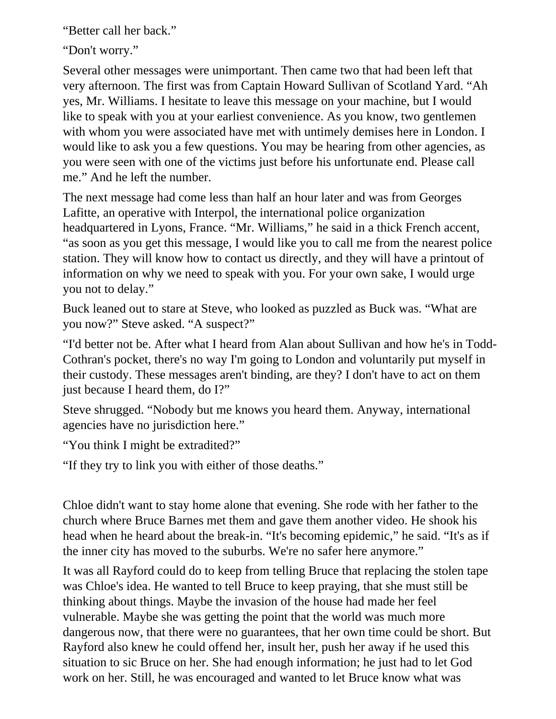"Better call her back."

"Don't worry."

Several other messages were unimportant. Then came two that had been left that very afternoon. The first was from Captain Howard Sullivan of Scotland Yard. "Ah yes, Mr. Williams. I hesitate to leave this message on your machine, but I would like to speak with you at your earliest convenience. As you know, two gentlemen with whom you were associated have met with untimely demises here in London. I would like to ask you a few questions. You may be hearing from other agencies, as you were seen with one of the victims just before his unfortunate end. Please call me." And he left the number.

The next message had come less than half an hour later and was from Georges Lafitte, an operative with Interpol, the international police organization headquartered in Lyons, France. "Mr. Williams," he said in a thick French accent, "as soon as you get this message, I would like you to call me from the nearest police station. They will know how to contact us directly, and they will have a printout of information on why we need to speak with you. For your own sake, I would urge you not to delay."

Buck leaned out to stare at Steve, who looked as puzzled as Buck was. "What are you now?" Steve asked. "A suspect?"

"I'd better not be. After what I heard from Alan about Sullivan and how he's in Todd-Cothran's pocket, there's no way I'm going to London and voluntarily put myself in their custody. These messages aren't binding, are they? I don't have to act on them just because I heard them, do I?"

Steve shrugged. "Nobody but me knows you heard them. Anyway, international agencies have no jurisdiction here."

"You think I might be extradited?"

"If they try to link you with either of those deaths."

Chloe didn't want to stay home alone that evening. She rode with her father to the church where Bruce Barnes met them and gave them another video. He shook his head when he heard about the break-in. "It's becoming epidemic," he said. "It's as if the inner city has moved to the suburbs. We're no safer here anymore."

It was all Rayford could do to keep from telling Bruce that replacing the stolen tape was Chloe's idea. He wanted to tell Bruce to keep praying, that she must still be thinking about things. Maybe the invasion of the house had made her feel vulnerable. Maybe she was getting the point that the world was much more dangerous now, that there were no guarantees, that her own time could be short. But Rayford also knew he could offend her, insult her, push her away if he used this situation to sic Bruce on her. She had enough information; he just had to let God work on her. Still, he was encouraged and wanted to let Bruce know what was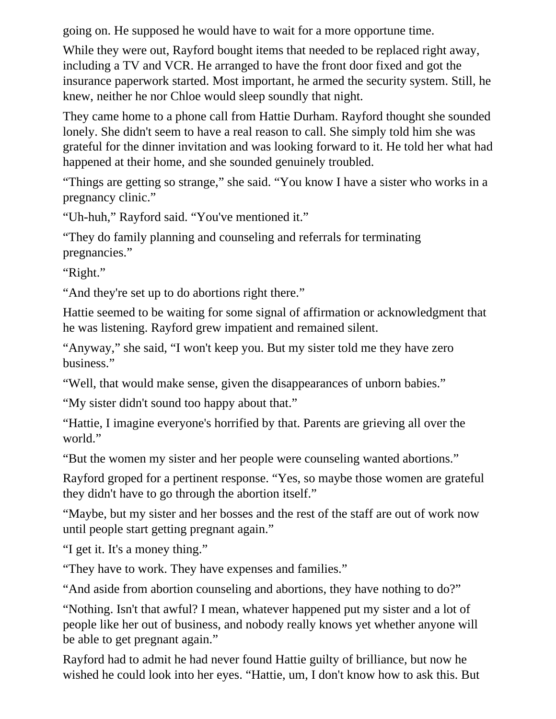going on. He supposed he would have to wait for a more opportune time.

While they were out, Rayford bought items that needed to be replaced right away, including a TV and VCR. He arranged to have the front door fixed and got the insurance paperwork started. Most important, he armed the security system. Still, he knew, neither he nor Chloe would sleep soundly that night.

They came home to a phone call from Hattie Durham. Rayford thought she sounded lonely. She didn't seem to have a real reason to call. She simply told him she was grateful for the dinner invitation and was looking forward to it. He told her what had happened at their home, and she sounded genuinely troubled.

"Things are getting so strange," she said. "You know I have a sister who works in a pregnancy clinic."

"Uh-huh," Rayford said. "You've mentioned it."

"They do family planning and counseling and referrals for terminating pregnancies."

"Right."

"And they're set up to do abortions right there."

Hattie seemed to be waiting for some signal of affirmation or acknowledgment that he was listening. Rayford grew impatient and remained silent.

"Anyway," she said, "I won't keep you. But my sister told me they have zero business."

"Well, that would make sense, given the disappearances of unborn babies."

"My sister didn't sound too happy about that."

"Hattie, I imagine everyone's horrified by that. Parents are grieving all over the world."

"But the women my sister and her people were counseling wanted abortions."

Rayford groped for a pertinent response. "Yes, so maybe those women are grateful they didn't have to go through the abortion itself."

"Maybe, but my sister and her bosses and the rest of the staff are out of work now until people start getting pregnant again."

"I get it. It's a money thing."

"They have to work. They have expenses and families."

"And aside from abortion counseling and abortions, they have nothing to do?"

"Nothing. Isn't that awful? I mean, whatever happened put my sister and a lot of people like her out of business, and nobody really knows yet whether anyone will be able to get pregnant again."

Rayford had to admit he had never found Hattie guilty of brilliance, but now he wished he could look into her eyes. "Hattie, um, I don't know how to ask this. But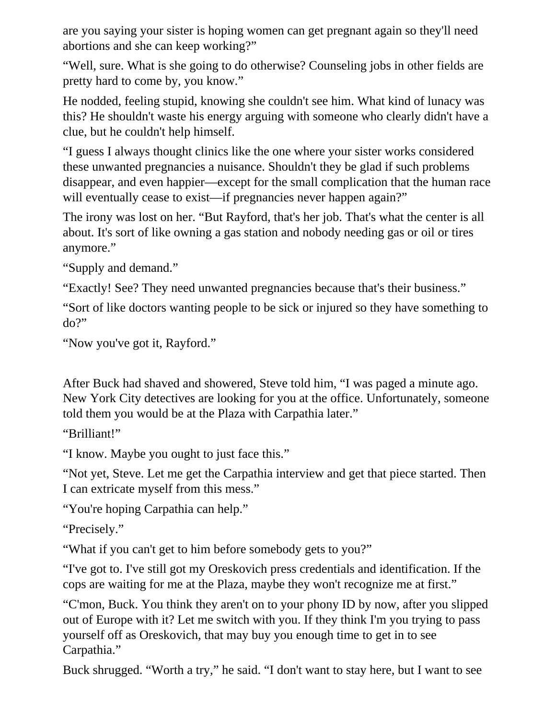are you saying your sister is hoping women can get pregnant again so they'll need abortions and she can keep working?"

"Well, sure. What is she going to do otherwise? Counseling jobs in other fields are pretty hard to come by, you know."

He nodded, feeling stupid, knowing she couldn't see him. What kind of lunacy was this? He shouldn't waste his energy arguing with someone who clearly didn't have a clue, but he couldn't help himself.

"I guess I always thought clinics like the one where your sister works considered these unwanted pregnancies a nuisance. Shouldn't they be glad if such problems disappear, and even happier—except for the small complication that the human race will eventually cease to exist—if pregnancies never happen again?"

The irony was lost on her. "But Rayford, that's her job. That's what the center is all about. It's sort of like owning a gas station and nobody needing gas or oil or tires anymore."

"Supply and demand."

"Exactly! See? They need unwanted pregnancies because that's their business."

"Sort of like doctors wanting people to be sick or injured so they have something to do?"

"Now you've got it, Rayford."

After Buck had shaved and showered, Steve told him, "I was paged a minute ago. New York City detectives are looking for you at the office. Unfortunately, someone told them you would be at the Plaza with Carpathia later."

"Brilliant!"

"I know. Maybe you ought to just face this."

"Not yet, Steve. Let me get the Carpathia interview and get that piece started. Then I can extricate myself from this mess."

"You're hoping Carpathia can help."

"Precisely."

"What if you can't get to him before somebody gets to you?"

"I've got to. I've still got my Oreskovich press credentials and identification. If the cops are waiting for me at the Plaza, maybe they won't recognize me at first."

"C'mon, Buck. You think they aren't on to your phony ID by now, after you slipped out of Europe with it? Let me switch with you. If they think I'm you trying to pass yourself off as Oreskovich, that may buy you enough time to get in to see Carpathia."

Buck shrugged. "Worth a try," he said. "I don't want to stay here, but I want to see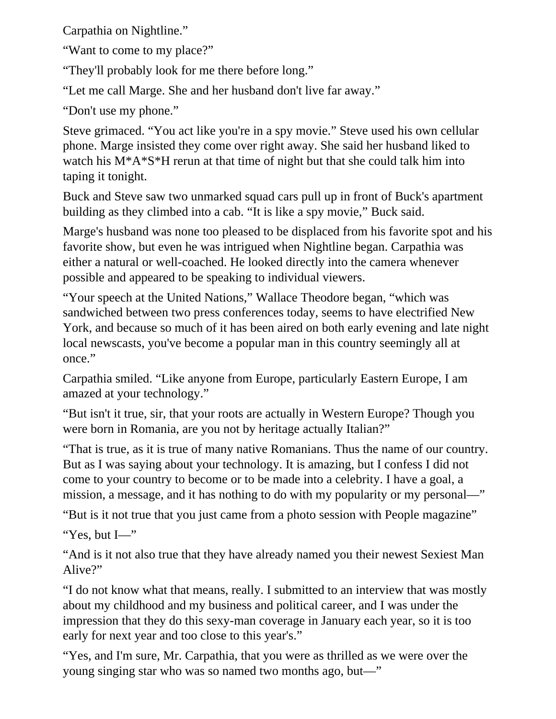Carpathia on Nightline."

"Want to come to my place?"

"They'll probably look for me there before long."

"Let me call Marge. She and her husband don't live far away."

"Don't use my phone."

Steve grimaced. "You act like you're in a spy movie." Steve used his own cellular phone. Marge insisted they come over right away. She said her husband liked to watch his M\*A\*S\*H rerun at that time of night but that she could talk him into taping it tonight.

Buck and Steve saw two unmarked squad cars pull up in front of Buck's apartment building as they climbed into a cab. "It is like a spy movie," Buck said.

Marge's husband was none too pleased to be displaced from his favorite spot and his favorite show, but even he was intrigued when Nightline began. Carpathia was either a natural or well-coached. He looked directly into the camera whenever possible and appeared to be speaking to individual viewers.

"Your speech at the United Nations," Wallace Theodore began, "which was sandwiched between two press conferences today, seems to have electrified New York, and because so much of it has been aired on both early evening and late night local newscasts, you've become a popular man in this country seemingly all at once."

Carpathia smiled. "Like anyone from Europe, particularly Eastern Europe, I am amazed at your technology."

"But isn't it true, sir, that your roots are actually in Western Europe? Though you were born in Romania, are you not by heritage actually Italian?"

"That is true, as it is true of many native Romanians. Thus the name of our country. But as I was saying about your technology. It is amazing, but I confess I did not come to your country to become or to be made into a celebrity. I have a goal, a mission, a message, and it has nothing to do with my popularity or my personal—"

"But is it not true that you just came from a photo session with People magazine"

"Yes, but I—"

"And is it not also true that they have already named you their newest Sexiest Man Alive?"

"I do not know what that means, really. I submitted to an interview that was mostly about my childhood and my business and political career, and I was under the impression that they do this sexy-man coverage in January each year, so it is too early for next year and too close to this year's."

"Yes, and I'm sure, Mr. Carpathia, that you were as thrilled as we were over the young singing star who was so named two months ago, but—"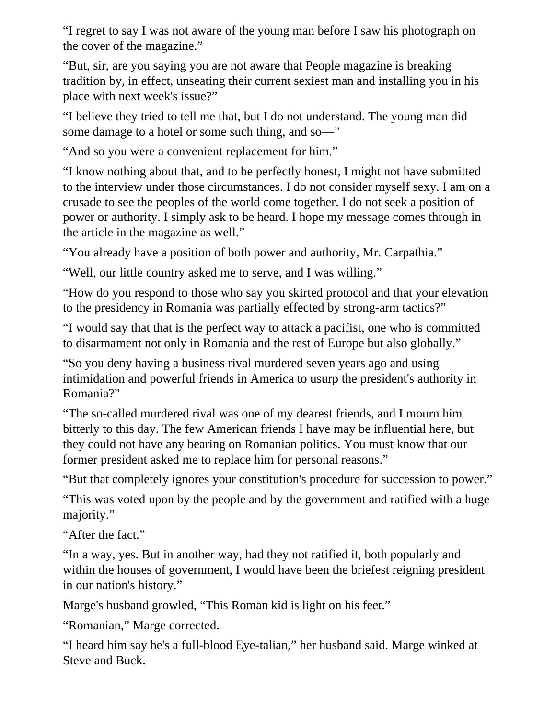"I regret to say I was not aware of the young man before I saw his photograph on the cover of the magazine."

"But, sir, are you saying you are not aware that People magazine is breaking tradition by, in effect, unseating their current sexiest man and installing you in his place with next week's issue?"

"I believe they tried to tell me that, but I do not understand. The young man did some damage to a hotel or some such thing, and so-"

"And so you were a convenient replacement for him."

"I know nothing about that, and to be perfectly honest, I might not have submitted to the interview under those circumstances. I do not consider myself sexy. I am on a crusade to see the peoples of the world come together. I do not seek a position of power or authority. I simply ask to be heard. I hope my message comes through in the article in the magazine as well."

"You already have a position of both power and authority, Mr. Carpathia."

"Well, our little country asked me to serve, and I was willing."

"How do you respond to those who say you skirted protocol and that your elevation to the presidency in Romania was partially effected by strong-arm tactics?"

"I would say that that is the perfect way to attack a pacifist, one who is committed to disarmament not only in Romania and the rest of Europe but also globally."

"So you deny having a business rival murdered seven years ago and using intimidation and powerful friends in America to usurp the president's authority in Romania?"

"The so-called murdered rival was one of my dearest friends, and I mourn him bitterly to this day. The few American friends I have may be influential here, but they could not have any bearing on Romanian politics. You must know that our former president asked me to replace him for personal reasons."

"But that completely ignores your constitution's procedure for succession to power."

"This was voted upon by the people and by the government and ratified with a huge majority."

"After the fact."

"In a way, yes. But in another way, had they not ratified it, both popularly and within the houses of government, I would have been the briefest reigning president in our nation's history."

Marge's husband growled, "This Roman kid is light on his feet."

"Romanian," Marge corrected.

"I heard him say he's a full-blood Eye-talian," her husband said. Marge winked at Steve and Buck.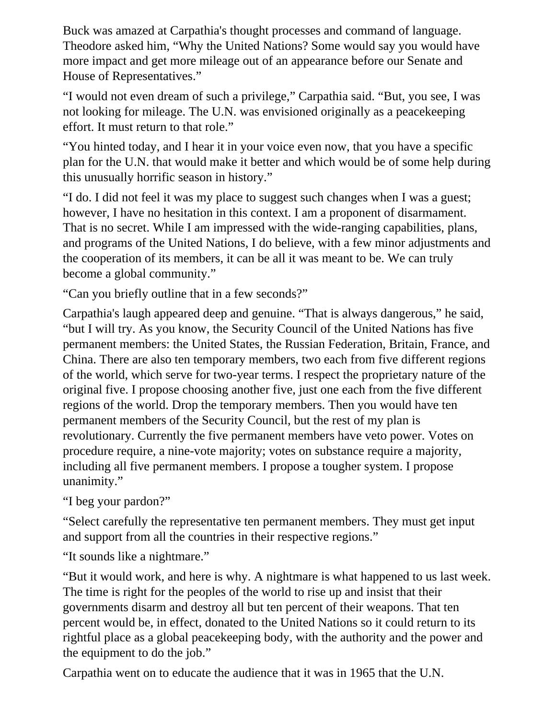Buck was amazed at Carpathia's thought processes and command of language. Theodore asked him, "Why the United Nations? Some would say you would have more impact and get more mileage out of an appearance before our Senate and House of Representatives."

"I would not even dream of such a privilege," Carpathia said. "But, you see, I was not looking for mileage. The U.N. was envisioned originally as a peacekeeping effort. It must return to that role."

"You hinted today, and I hear it in your voice even now, that you have a specific plan for the U.N. that would make it better and which would be of some help during this unusually horrific season in history."

"I do. I did not feel it was my place to suggest such changes when I was a guest; however, I have no hesitation in this context. I am a proponent of disarmament. That is no secret. While I am impressed with the wide-ranging capabilities, plans, and programs of the United Nations, I do believe, with a few minor adjustments and the cooperation of its members, it can be all it was meant to be. We can truly become a global community."

"Can you briefly outline that in a few seconds?"

Carpathia's laugh appeared deep and genuine. "That is always dangerous," he said, "but I will try. As you know, the Security Council of the United Nations has five permanent members: the United States, the Russian Federation, Britain, France, and China. There are also ten temporary members, two each from five different regions of the world, which serve for two-year terms. I respect the proprietary nature of the original five. I propose choosing another five, just one each from the five different regions of the world. Drop the temporary members. Then you would have ten permanent members of the Security Council, but the rest of my plan is revolutionary. Currently the five permanent members have veto power. Votes on procedure require, a nine-vote majority; votes on substance require a majority, including all five permanent members. I propose a tougher system. I propose unanimity."

"I beg your pardon?"

"Select carefully the representative ten permanent members. They must get input and support from all the countries in their respective regions."

"It sounds like a nightmare."

"But it would work, and here is why. A nightmare is what happened to us last week. The time is right for the peoples of the world to rise up and insist that their governments disarm and destroy all but ten percent of their weapons. That ten percent would be, in effect, donated to the United Nations so it could return to its rightful place as a global peacekeeping body, with the authority and the power and the equipment to do the job."

Carpathia went on to educate the audience that it was in 1965 that the U.N.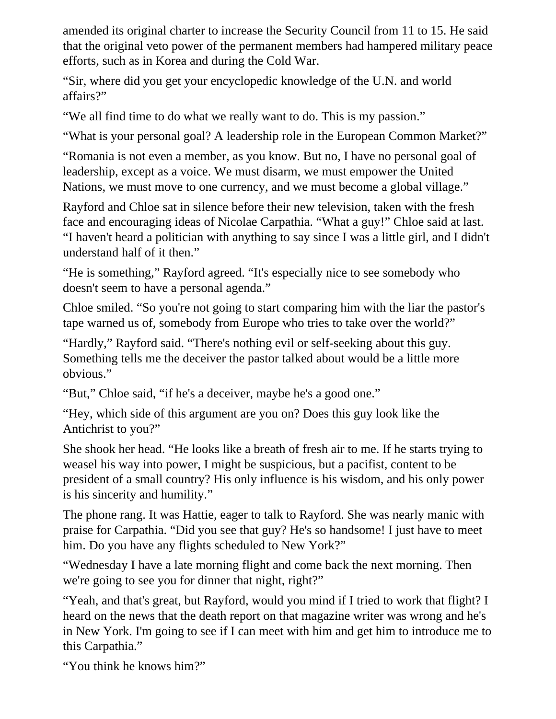amended its original charter to increase the Security Council from 11 to 15. He said that the original veto power of the permanent members had hampered military peace efforts, such as in Korea and during the Cold War.

"Sir, where did you get your encyclopedic knowledge of the U.N. and world affairs?"

"We all find time to do what we really want to do. This is my passion."

"What is your personal goal? A leadership role in the European Common Market?"

"Romania is not even a member, as you know. But no, I have no personal goal of leadership, except as a voice. We must disarm, we must empower the United Nations, we must move to one currency, and we must become a global village."

Rayford and Chloe sat in silence before their new television, taken with the fresh face and encouraging ideas of Nicolae Carpathia. "What a guy!" Chloe said at last. "I haven't heard a politician with anything to say since I was a little girl, and I didn't understand half of it then."

"He is something," Rayford agreed. "It's especially nice to see somebody who doesn't seem to have a personal agenda."

Chloe smiled. "So you're not going to start comparing him with the liar the pastor's tape warned us of, somebody from Europe who tries to take over the world?"

"Hardly," Rayford said. "There's nothing evil or self-seeking about this guy. Something tells me the deceiver the pastor talked about would be a little more obvious."

"But," Chloe said, "if he's a deceiver, maybe he's a good one."

"Hey, which side of this argument are you on? Does this guy look like the Antichrist to you?"

She shook her head. "He looks like a breath of fresh air to me. If he starts trying to weasel his way into power, I might be suspicious, but a pacifist, content to be president of a small country? His only influence is his wisdom, and his only power is his sincerity and humility."

The phone rang. It was Hattie, eager to talk to Rayford. She was nearly manic with praise for Carpathia. "Did you see that guy? He's so handsome! I just have to meet him. Do you have any flights scheduled to New York?"

"Wednesday I have a late morning flight and come back the next morning. Then we're going to see you for dinner that night, right?"

"Yeah, and that's great, but Rayford, would you mind if I tried to work that flight? I heard on the news that the death report on that magazine writer was wrong and he's in New York. I'm going to see if I can meet with him and get him to introduce me to this Carpathia."

"You think he knows him?"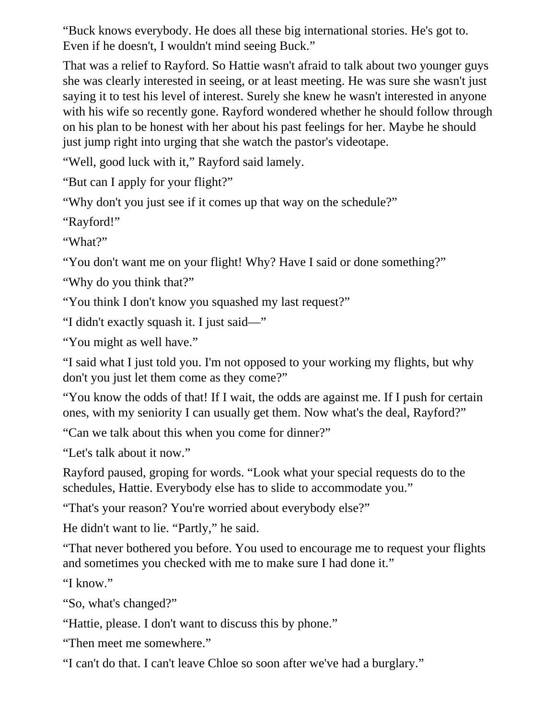"Buck knows everybody. He does all these big international stories. He's got to. Even if he doesn't, I wouldn't mind seeing Buck."

That was a relief to Rayford. So Hattie wasn't afraid to talk about two younger guys she was clearly interested in seeing, or at least meeting. He was sure she wasn't just saying it to test his level of interest. Surely she knew he wasn't interested in anyone with his wife so recently gone. Rayford wondered whether he should follow through on his plan to be honest with her about his past feelings for her. Maybe he should just jump right into urging that she watch the pastor's videotape.

"Well, good luck with it," Rayford said lamely.

"But can I apply for your flight?"

"Why don't you just see if it comes up that way on the schedule?"

"Rayford!"

"What?"

"You don't want me on your flight! Why? Have I said or done something?"

"Why do you think that?"

"You think I don't know you squashed my last request?"

"I didn't exactly squash it. I just said—"

"You might as well have."

"I said what I just told you. I'm not opposed to your working my flights, but why don't you just let them come as they come?"

"You know the odds of that! If I wait, the odds are against me. If I push for certain ones, with my seniority I can usually get them. Now what's the deal, Rayford?"

"Can we talk about this when you come for dinner?"

"Let's talk about it now."

Rayford paused, groping for words. "Look what your special requests do to the schedules, Hattie. Everybody else has to slide to accommodate you."

"That's your reason? You're worried about everybody else?"

He didn't want to lie. "Partly," he said.

"That never bothered you before. You used to encourage me to request your flights and sometimes you checked with me to make sure I had done it."

"I know."

"So, what's changed?"

"Hattie, please. I don't want to discuss this by phone."

"Then meet me somewhere."

"I can't do that. I can't leave Chloe so soon after we've had a burglary."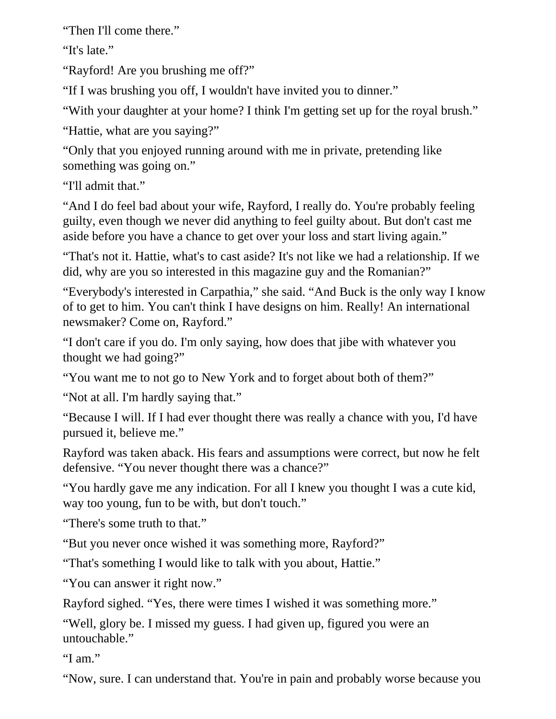"Then I'll come there."

"It's late."

"Rayford! Are you brushing me off?"

"If I was brushing you off, I wouldn't have invited you to dinner."

"With your daughter at your home? I think I'm getting set up for the royal brush."

"Hattie, what are you saying?"

"Only that you enjoyed running around with me in private, pretending like something was going on."

"I'll admit that."

"And I do feel bad about your wife, Rayford, I really do. You're probably feeling guilty, even though we never did anything to feel guilty about. But don't cast me aside before you have a chance to get over your loss and start living again."

"That's not it. Hattie, what's to cast aside? It's not like we had a relationship. If we did, why are you so interested in this magazine guy and the Romanian?"

"Everybody's interested in Carpathia," she said. "And Buck is the only way I know of to get to him. You can't think I have designs on him. Really! An international newsmaker? Come on, Rayford."

"I don't care if you do. I'm only saying, how does that jibe with whatever you thought we had going?"

"You want me to not go to New York and to forget about both of them?"

"Not at all. I'm hardly saying that."

"Because I will. If I had ever thought there was really a chance with you, I'd have pursued it, believe me."

Rayford was taken aback. His fears and assumptions were correct, but now he felt defensive. "You never thought there was a chance?"

"You hardly gave me any indication. For all I knew you thought I was a cute kid, way too young, fun to be with, but don't touch."

"There's some truth to that."

"But you never once wished it was something more, Rayford?"

"That's something I would like to talk with you about, Hattie."

"You can answer it right now."

Rayford sighed. "Yes, there were times I wished it was something more."

"Well, glory be. I missed my guess. I had given up, figured you were an untouchable."

"I am."

"Now, sure. I can understand that. You're in pain and probably worse because you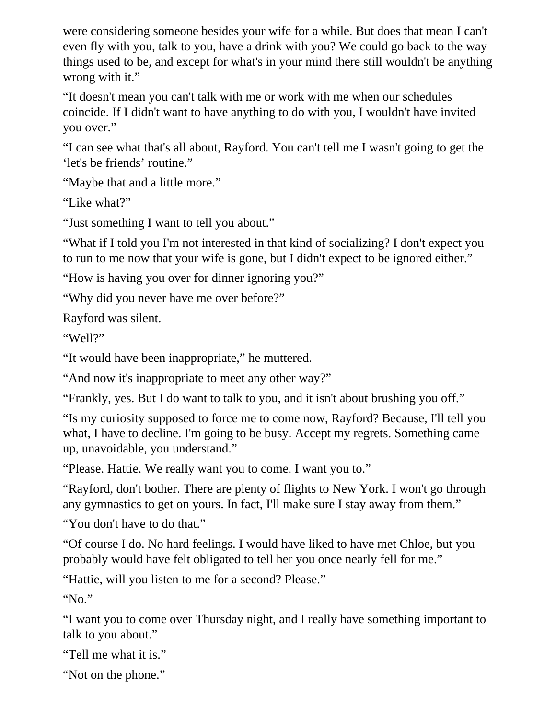were considering someone besides your wife for a while. But does that mean I can't even fly with you, talk to you, have a drink with you? We could go back to the way things used to be, and except for what's in your mind there still wouldn't be anything wrong with it."

"It doesn't mean you can't talk with me or work with me when our schedules coincide. If I didn't want to have anything to do with you, I wouldn't have invited you over."

"I can see what that's all about, Rayford. You can't tell me I wasn't going to get the 'let's be friends' routine."

"Maybe that and a little more."

"Like what?"

"Just something I want to tell you about."

"What if I told you I'm not interested in that kind of socializing? I don't expect you to run to me now that your wife is gone, but I didn't expect to be ignored either."

"How is having you over for dinner ignoring you?"

"Why did you never have me over before?"

Rayford was silent.

"Well?"

"It would have been inappropriate," he muttered.

"And now it's inappropriate to meet any other way?"

"Frankly, yes. But I do want to talk to you, and it isn't about brushing you off."

"Is my curiosity supposed to force me to come now, Rayford? Because, I'll tell you what, I have to decline. I'm going to be busy. Accept my regrets. Something came up, unavoidable, you understand."

"Please. Hattie. We really want you to come. I want you to."

"Rayford, don't bother. There are plenty of flights to New York. I won't go through any gymnastics to get on yours. In fact, I'll make sure I stay away from them."

"You don't have to do that."

"Of course I do. No hard feelings. I would have liked to have met Chloe, but you probably would have felt obligated to tell her you once nearly fell for me."

"Hattie, will you listen to me for a second? Please."

"No."

"I want you to come over Thursday night, and I really have something important to talk to you about."

"Tell me what it is."

"Not on the phone."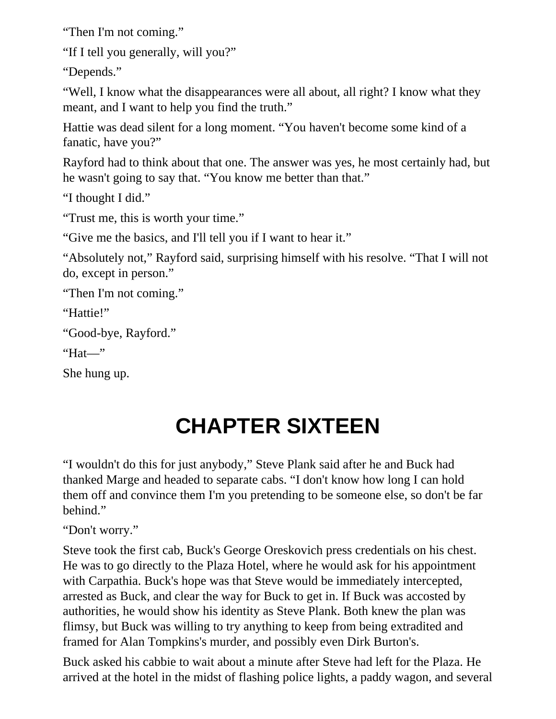"Then I'm not coming."

"If I tell you generally, will you?"

"Depends."

"Well, I know what the disappearances were all about, all right? I know what they meant, and I want to help you find the truth."

Hattie was dead silent for a long moment. "You haven't become some kind of a fanatic, have you?"

Rayford had to think about that one. The answer was yes, he most certainly had, but he wasn't going to say that. "You know me better than that."

"I thought I did."

"Trust me, this is worth your time."

"Give me the basics, and I'll tell you if I want to hear it."

"Absolutely not," Rayford said, surprising himself with his resolve. "That I will not do, except in person."

"Then I'm not coming."

"Hattie!"

"Good-bye, Rayford."

"Hat—"

She hung up.

## **CHAPTER SIXTEEN**

"I wouldn't do this for just anybody," Steve Plank said after he and Buck had thanked Marge and headed to separate cabs. "I don't know how long I can hold them off and convince them I'm you pretending to be someone else, so don't be far behind."

"Don't worry."

Steve took the first cab, Buck's George Oreskovich press credentials on his chest. He was to go directly to the Plaza Hotel, where he would ask for his appointment with Carpathia. Buck's hope was that Steve would be immediately intercepted, arrested as Buck, and clear the way for Buck to get in. If Buck was accosted by authorities, he would show his identity as Steve Plank. Both knew the plan was flimsy, but Buck was willing to try anything to keep from being extradited and framed for Alan Tompkins's murder, and possibly even Dirk Burton's.

Buck asked his cabbie to wait about a minute after Steve had left for the Plaza. He arrived at the hotel in the midst of flashing police lights, a paddy wagon, and several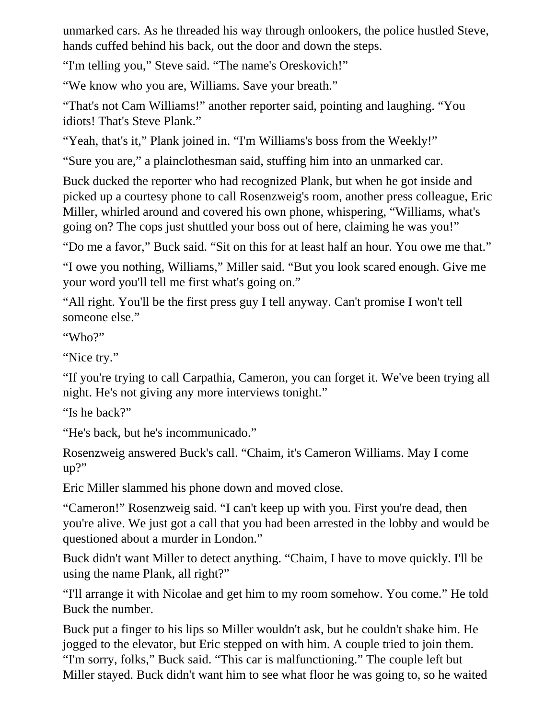unmarked cars. As he threaded his way through onlookers, the police hustled Steve, hands cuffed behind his back, out the door and down the steps.

"I'm telling you," Steve said. "The name's Oreskovich!"

"We know who you are, Williams. Save your breath."

"That's not Cam Williams!" another reporter said, pointing and laughing. "You idiots! That's Steve Plank."

"Yeah, that's it," Plank joined in. "I'm Williams's boss from the Weekly!"

"Sure you are," a plainclothesman said, stuffing him into an unmarked car.

Buck ducked the reporter who had recognized Plank, but when he got inside and picked up a courtesy phone to call Rosenzweig's room, another press colleague, Eric Miller, whirled around and covered his own phone, whispering, "Williams, what's going on? The cops just shuttled your boss out of here, claiming he was you!"

"Do me a favor," Buck said. "Sit on this for at least half an hour. You owe me that."

"I owe you nothing, Williams," Miller said. "But you look scared enough. Give me your word you'll tell me first what's going on."

"All right. You'll be the first press guy I tell anyway. Can't promise I won't tell someone else."

"Who?"

"Nice try."

"If you're trying to call Carpathia, Cameron, you can forget it. We've been trying all night. He's not giving any more interviews tonight."

"Is he back?"

"He's back, but he's incommunicado."

Rosenzweig answered Buck's call. "Chaim, it's Cameron Williams. May I come up?"

Eric Miller slammed his phone down and moved close.

"Cameron!" Rosenzweig said. "I can't keep up with you. First you're dead, then you're alive. We just got a call that you had been arrested in the lobby and would be questioned about a murder in London."

Buck didn't want Miller to detect anything. "Chaim, I have to move quickly. I'll be using the name Plank, all right?"

"I'll arrange it with Nicolae and get him to my room somehow. You come." He told Buck the number.

Buck put a finger to his lips so Miller wouldn't ask, but he couldn't shake him. He jogged to the elevator, but Eric stepped on with him. A couple tried to join them. "I'm sorry, folks," Buck said. "This car is malfunctioning." The couple left but Miller stayed. Buck didn't want him to see what floor he was going to, so he waited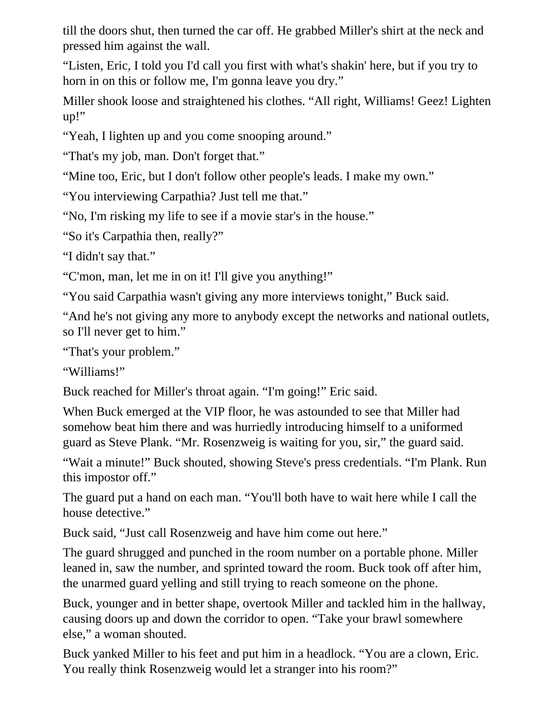till the doors shut, then turned the car off. He grabbed Miller's shirt at the neck and pressed him against the wall.

"Listen, Eric, I told you I'd call you first with what's shakin' here, but if you try to horn in on this or follow me, I'm gonna leave you dry."

Miller shook loose and straightened his clothes. "All right, Williams! Geez! Lighten up!"

"Yeah, I lighten up and you come snooping around."

"That's my job, man. Don't forget that."

"Mine too, Eric, but I don't follow other people's leads. I make my own."

"You interviewing Carpathia? Just tell me that."

"No, I'm risking my life to see if a movie star's in the house."

"So it's Carpathia then, really?"

"I didn't say that."

"C'mon, man, let me in on it! I'll give you anything!"

"You said Carpathia wasn't giving any more interviews tonight," Buck said.

"And he's not giving any more to anybody except the networks and national outlets, so I'll never get to him."

"That's your problem."

"Williams!"

Buck reached for Miller's throat again. "I'm going!" Eric said.

When Buck emerged at the VIP floor, he was astounded to see that Miller had somehow beat him there and was hurriedly introducing himself to a uniformed guard as Steve Plank. "Mr. Rosenzweig is waiting for you, sir," the guard said.

"Wait a minute!" Buck shouted, showing Steve's press credentials. "I'm Plank. Run this impostor off."

The guard put a hand on each man. "You'll both have to wait here while I call the house detective."

Buck said, "Just call Rosenzweig and have him come out here."

The guard shrugged and punched in the room number on a portable phone. Miller leaned in, saw the number, and sprinted toward the room. Buck took off after him, the unarmed guard yelling and still trying to reach someone on the phone.

Buck, younger and in better shape, overtook Miller and tackled him in the hallway, causing doors up and down the corridor to open. "Take your brawl somewhere else," a woman shouted.

Buck yanked Miller to his feet and put him in a headlock. "You are a clown, Eric. You really think Rosenzweig would let a stranger into his room?"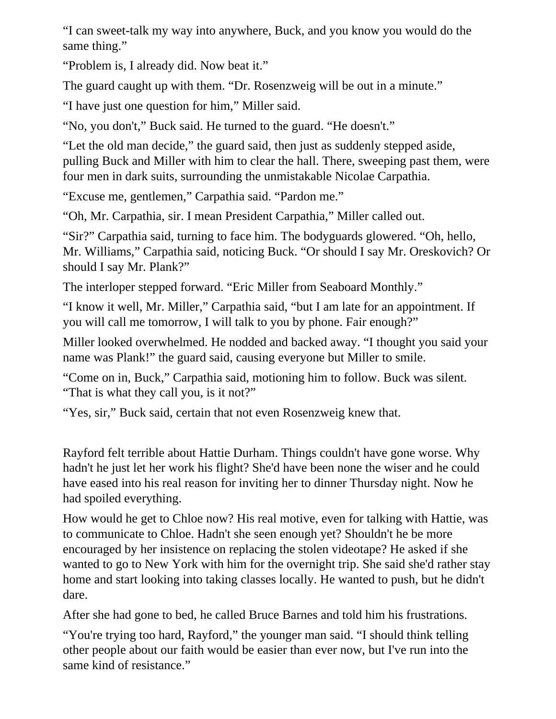"I can sweet-talk my way into anywhere, Buck, and you know you would do the same thing."

"Problem is, I already did. Now beat it."

The guard caught up with them. "Dr. Rosenzweig will be out in a minute."

"I have just one question for him," Miller said.

"No, you don't," Buck said. He turned to the guard. "He doesn't."

"Let the old man decide," the guard said, then just as suddenly stepped aside, pulling Buck and Miller with him to clear the hall. There, sweeping past them, were four men in dark suits, surrounding the unmistakable Nicolae Carpathia.

"Excuse me, gentlemen," Carpathia said. "Pardon me."

"Oh, Mr. Carpathia, sir. I mean President Carpathia," Miller called out.

"Sir?" Carpathia said, turning to face him. The bodyguards glowered. "Oh, hello, Mr. Williams," Carpathia said, noticing Buck. "Or should I say Mr. Oreskovich? Or should I say Mr. Plank?"

The interloper stepped forward. "Eric Miller from Seaboard Monthly."

"I know it well, Mr. Miller," Carpathia said, "but I am late for an appointment. If you will call me tomorrow, I will talk to you by phone. Fair enough?"

Miller looked overwhelmed. He nodded and backed away. "I thought you said your name was Plank!" the guard said, causing everyone but Miller to smile.

"Come on in, Buck," Carpathia said, motioning him to follow. Buck was silent. "That is what they call you, is it not?"

"Yes, sir," Buck said, certain that not even Rosenzweig knew that.

Rayford felt terrible about Hattie Durham. Things couldn't have gone worse. Why hadn't he just let her work his flight? She'd have been none the wiser and he could have eased into his real reason for inviting her to dinner Thursday night. Now he had spoiled everything.

How would he get to Chloe now? His real motive, even for talking with Hattie, was to communicate to Chloe. Hadn't she seen enough yet? Shouldn't he be more encouraged by her insistence on replacing the stolen videotape? He asked if she wanted to go to New York with him for the overnight trip. She said she'd rather stay home and start looking into taking classes locally. He wanted to push, but he didn't dare.

After she had gone to bed, he called Bruce Barnes and told him his frustrations.

"You're trying too hard, Rayford," the younger man said. "I should think telling other people about our faith would be easier than ever now, but I've run into the same kind of resistance."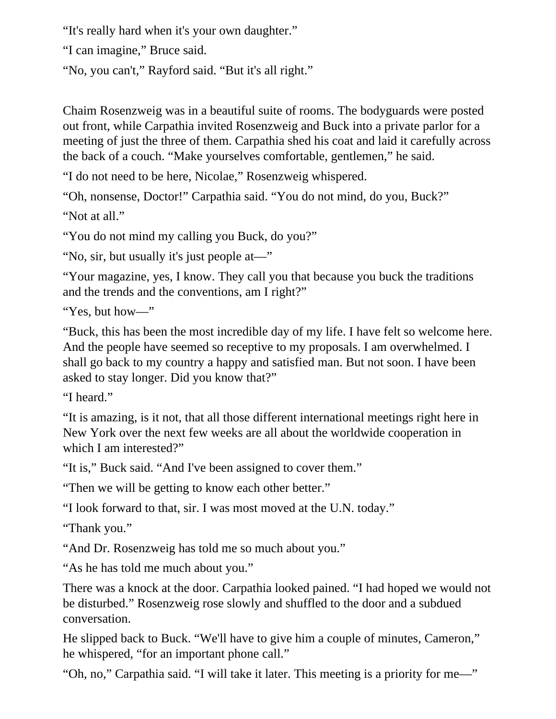"It's really hard when it's your own daughter."

"I can imagine," Bruce said.

"No, you can't," Rayford said. "But it's all right."

Chaim Rosenzweig was in a beautiful suite of rooms. The bodyguards were posted out front, while Carpathia invited Rosenzweig and Buck into a private parlor for a meeting of just the three of them. Carpathia shed his coat and laid it carefully across the back of a couch. "Make yourselves comfortable, gentlemen," he said.

"I do not need to be here, Nicolae," Rosenzweig whispered.

"Oh, nonsense, Doctor!" Carpathia said. "You do not mind, do you, Buck?"

"Not at all."

"You do not mind my calling you Buck, do you?"

"No, sir, but usually it's just people at—"

"Your magazine, yes, I know. They call you that because you buck the traditions and the trends and the conventions, am I right?"

"Yes, but how—"

"Buck, this has been the most incredible day of my life. I have felt so welcome here. And the people have seemed so receptive to my proposals. I am overwhelmed. I shall go back to my country a happy and satisfied man. But not soon. I have been asked to stay longer. Did you know that?"

"I heard."

"It is amazing, is it not, that all those different international meetings right here in New York over the next few weeks are all about the worldwide cooperation in which I am interested?"

"It is," Buck said. "And I've been assigned to cover them."

"Then we will be getting to know each other better."

"I look forward to that, sir. I was most moved at the U.N. today."

"Thank you."

"And Dr. Rosenzweig has told me so much about you."

"As he has told me much about you."

There was a knock at the door. Carpathia looked pained. "I had hoped we would not be disturbed." Rosenzweig rose slowly and shuffled to the door and a subdued conversation.

He slipped back to Buck. "We'll have to give him a couple of minutes, Cameron," he whispered, "for an important phone call."

"Oh, no," Carpathia said. "I will take it later. This meeting is a priority for me—"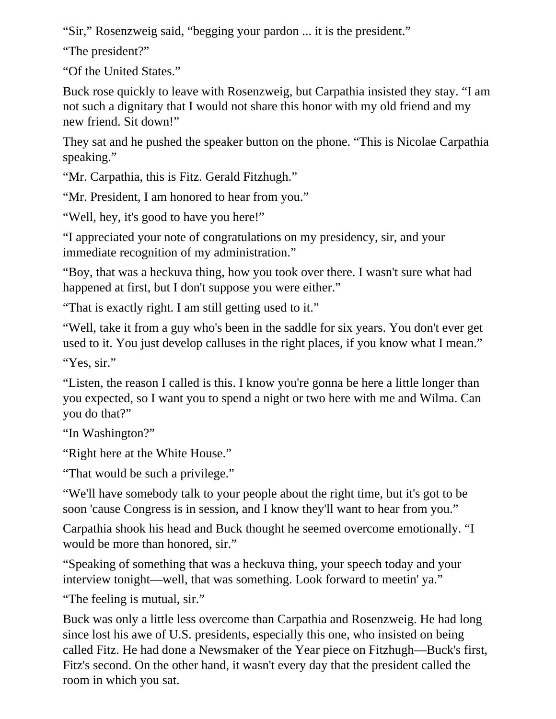"Sir," Rosenzweig said, "begging your pardon ... it is the president."

"The president?"

"Of the United States."

Buck rose quickly to leave with Rosenzweig, but Carpathia insisted they stay. "I am not such a dignitary that I would not share this honor with my old friend and my new friend. Sit down!"

They sat and he pushed the speaker button on the phone. "This is Nicolae Carpathia speaking."

"Mr. Carpathia, this is Fitz. Gerald Fitzhugh."

"Mr. President, I am honored to hear from you."

"Well, hey, it's good to have you here!"

"I appreciated your note of congratulations on my presidency, sir, and your immediate recognition of my administration."

"Boy, that was a heckuva thing, how you took over there. I wasn't sure what had happened at first, but I don't suppose you were either."

"That is exactly right. I am still getting used to it."

"Well, take it from a guy who's been in the saddle for six years. You don't ever get used to it. You just develop calluses in the right places, if you know what I mean." "Yes, sir."

"Listen, the reason I called is this. I know you're gonna be here a little longer than you expected, so I want you to spend a night or two here with me and Wilma. Can you do that?"

"In Washington?"

"Right here at the White House."

"That would be such a privilege."

"We'll have somebody talk to your people about the right time, but it's got to be soon 'cause Congress is in session, and I know they'll want to hear from you."

Carpathia shook his head and Buck thought he seemed overcome emotionally. "I would be more than honored, sir."

"Speaking of something that was a heckuva thing, your speech today and your interview tonight—well, that was something. Look forward to meetin' ya."

"The feeling is mutual, sir."

Buck was only a little less overcome than Carpathia and Rosenzweig. He had long since lost his awe of U.S. presidents, especially this one, who insisted on being called Fitz. He had done a Newsmaker of the Year piece on Fitzhugh—Buck's first, Fitz's second. On the other hand, it wasn't every day that the president called the room in which you sat.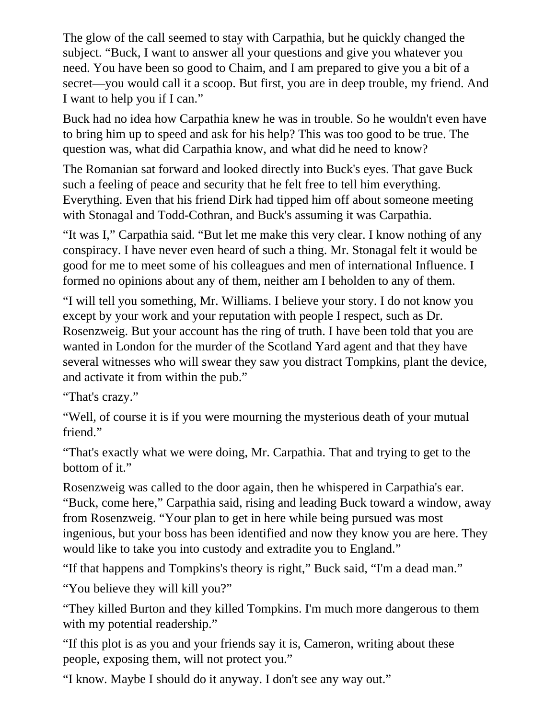The glow of the call seemed to stay with Carpathia, but he quickly changed the subject. "Buck, I want to answer all your questions and give you whatever you need. You have been so good to Chaim, and I am prepared to give you a bit of a secret—you would call it a scoop. But first, you are in deep trouble, my friend. And I want to help you if I can."

Buck had no idea how Carpathia knew he was in trouble. So he wouldn't even have to bring him up to speed and ask for his help? This was too good to be true. The question was, what did Carpathia know, and what did he need to know?

The Romanian sat forward and looked directly into Buck's eyes. That gave Buck such a feeling of peace and security that he felt free to tell him everything. Everything. Even that his friend Dirk had tipped him off about someone meeting with Stonagal and Todd-Cothran, and Buck's assuming it was Carpathia.

"It was I," Carpathia said. "But let me make this very clear. I know nothing of any conspiracy. I have never even heard of such a thing. Mr. Stonagal felt it would be good for me to meet some of his colleagues and men of international Influence. I formed no opinions about any of them, neither am I beholden to any of them.

"I will tell you something, Mr. Williams. I believe your story. I do not know you except by your work and your reputation with people I respect, such as Dr. Rosenzweig. But your account has the ring of truth. I have been told that you are wanted in London for the murder of the Scotland Yard agent and that they have several witnesses who will swear they saw you distract Tompkins, plant the device, and activate it from within the pub."

"That's crazy."

"Well, of course it is if you were mourning the mysterious death of your mutual friend."

"That's exactly what we were doing, Mr. Carpathia. That and trying to get to the bottom of it."

Rosenzweig was called to the door again, then he whispered in Carpathia's ear. "Buck, come here," Carpathia said, rising and leading Buck toward a window, away from Rosenzweig. "Your plan to get in here while being pursued was most ingenious, but your boss has been identified and now they know you are here. They would like to take you into custody and extradite you to England."

"If that happens and Tompkins's theory is right," Buck said, "I'm a dead man."

"You believe they will kill you?"

"They killed Burton and they killed Tompkins. I'm much more dangerous to them with my potential readership."

"If this plot is as you and your friends say it is, Cameron, writing about these people, exposing them, will not protect you."

"I know. Maybe I should do it anyway. I don't see any way out."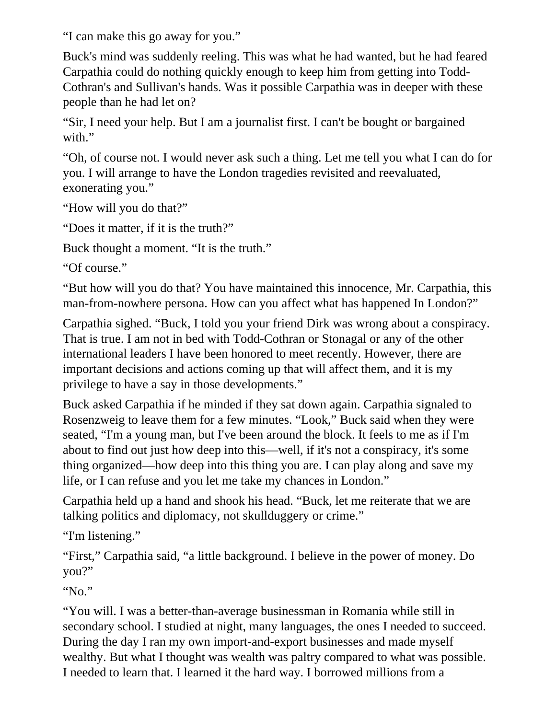"I can make this go away for you."

Buck's mind was suddenly reeling. This was what he had wanted, but he had feared Carpathia could do nothing quickly enough to keep him from getting into Todd-Cothran's and Sullivan's hands. Was it possible Carpathia was in deeper with these people than he had let on?

"Sir, I need your help. But I am a journalist first. I can't be bought or bargained with."

"Oh, of course not. I would never ask such a thing. Let me tell you what I can do for you. I will arrange to have the London tragedies revisited and reevaluated, exonerating you."

"How will you do that?"

"Does it matter, if it is the truth?"

Buck thought a moment. "It is the truth."

"Of course."

"But how will you do that? You have maintained this innocence, Mr. Carpathia, this man-from-nowhere persona. How can you affect what has happened In London?"

Carpathia sighed. "Buck, I told you your friend Dirk was wrong about a conspiracy. That is true. I am not in bed with Todd-Cothran or Stonagal or any of the other international leaders I have been honored to meet recently. However, there are important decisions and actions coming up that will affect them, and it is my privilege to have a say in those developments."

Buck asked Carpathia if he minded if they sat down again. Carpathia signaled to Rosenzweig to leave them for a few minutes. "Look," Buck said when they were seated, "I'm a young man, but I've been around the block. It feels to me as if I'm about to find out just how deep into this—well, if it's not a conspiracy, it's some thing organized—how deep into this thing you are. I can play along and save my life, or I can refuse and you let me take my chances in London."

Carpathia held up a hand and shook his head. "Buck, let me reiterate that we are talking politics and diplomacy, not skullduggery or crime."

"I'm listening."

"First," Carpathia said, "a little background. I believe in the power of money. Do you?"

" $N_0$ "

"You will. I was a better-than-average businessman in Romania while still in secondary school. I studied at night, many languages, the ones I needed to succeed. During the day I ran my own import-and-export businesses and made myself wealthy. But what I thought was wealth was paltry compared to what was possible. I needed to learn that. I learned it the hard way. I borrowed millions from a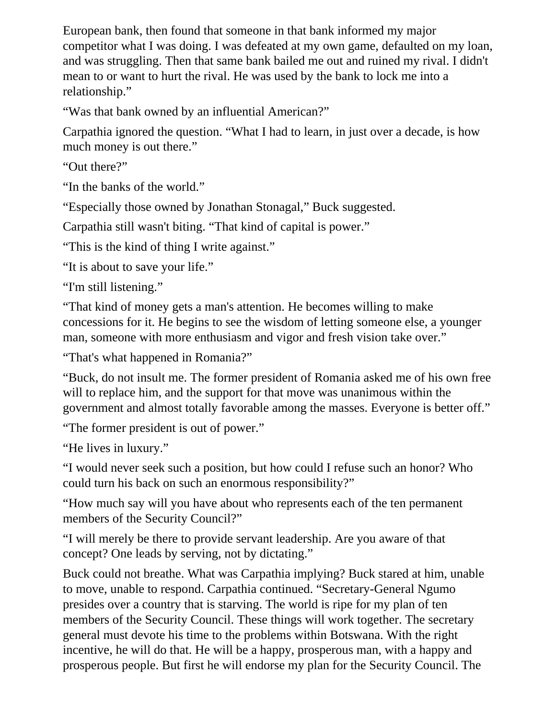European bank, then found that someone in that bank informed my major competitor what I was doing. I was defeated at my own game, defaulted on my loan, and was struggling. Then that same bank bailed me out and ruined my rival. I didn't mean to or want to hurt the rival. He was used by the bank to lock me into a relationship."

"Was that bank owned by an influential American?"

Carpathia ignored the question. "What I had to learn, in just over a decade, is how much money is out there."

"Out there?"

"In the banks of the world."

"Especially those owned by Jonathan Stonagal," Buck suggested.

Carpathia still wasn't biting. "That kind of capital is power."

"This is the kind of thing I write against."

"It is about to save your life."

"I'm still listening."

"That kind of money gets a man's attention. He becomes willing to make concessions for it. He begins to see the wisdom of letting someone else, a younger man, someone with more enthusiasm and vigor and fresh vision take over."

"That's what happened in Romania?"

"Buck, do not insult me. The former president of Romania asked me of his own free will to replace him, and the support for that move was unanimous within the government and almost totally favorable among the masses. Everyone is better off."

"The former president is out of power."

"He lives in luxury."

"I would never seek such a position, but how could I refuse such an honor? Who could turn his back on such an enormous responsibility?"

"How much say will you have about who represents each of the ten permanent members of the Security Council?"

"I will merely be there to provide servant leadership. Are you aware of that concept? One leads by serving, not by dictating."

Buck could not breathe. What was Carpathia implying? Buck stared at him, unable to move, unable to respond. Carpathia continued. "Secretary-General Ngumo presides over a country that is starving. The world is ripe for my plan of ten members of the Security Council. These things will work together. The secretary general must devote his time to the problems within Botswana. With the right incentive, he will do that. He will be a happy, prosperous man, with a happy and prosperous people. But first he will endorse my plan for the Security Council. The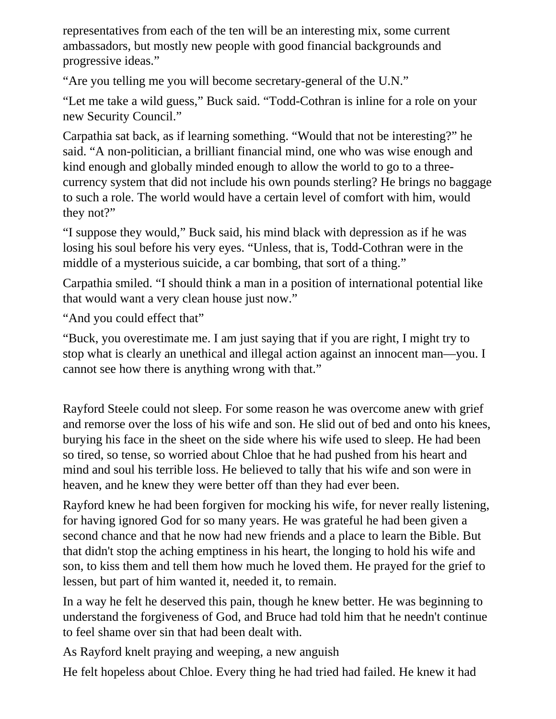representatives from each of the ten will be an interesting mix, some current ambassadors, but mostly new people with good financial backgrounds and progressive ideas."

"Are you telling me you will become secretary-general of the U.N."

"Let me take a wild guess," Buck said. "Todd-Cothran is inline for a role on your new Security Council."

Carpathia sat back, as if learning something. "Would that not be interesting?" he said. "A non-politician, a brilliant financial mind, one who was wise enough and kind enough and globally minded enough to allow the world to go to a threecurrency system that did not include his own pounds sterling? He brings no baggage to such a role. The world would have a certain level of comfort with him, would they not?"

"I suppose they would," Buck said, his mind black with depression as if he was losing his soul before his very eyes. "Unless, that is, Todd-Cothran were in the middle of a mysterious suicide, a car bombing, that sort of a thing."

Carpathia smiled. "I should think a man in a position of international potential like that would want a very clean house just now."

"And you could effect that"

"Buck, you overestimate me. I am just saying that if you are right, I might try to stop what is clearly an unethical and illegal action against an innocent man—you. I cannot see how there is anything wrong with that."

Rayford Steele could not sleep. For some reason he was overcome anew with grief and remorse over the loss of his wife and son. He slid out of bed and onto his knees, burying his face in the sheet on the side where his wife used to sleep. He had been so tired, so tense, so worried about Chloe that he had pushed from his heart and mind and soul his terrible loss. He believed to tally that his wife and son were in heaven, and he knew they were better off than they had ever been.

Rayford knew he had been forgiven for mocking his wife, for never really listening, for having ignored God for so many years. He was grateful he had been given a second chance and that he now had new friends and a place to learn the Bible. But that didn't stop the aching emptiness in his heart, the longing to hold his wife and son, to kiss them and tell them how much he loved them. He prayed for the grief to lessen, but part of him wanted it, needed it, to remain.

In a way he felt he deserved this pain, though he knew better. He was beginning to understand the forgiveness of God, and Bruce had told him that he needn't continue to feel shame over sin that had been dealt with.

As Rayford knelt praying and weeping, a new anguish

He felt hopeless about Chloe. Every thing he had tried had failed. He knew it had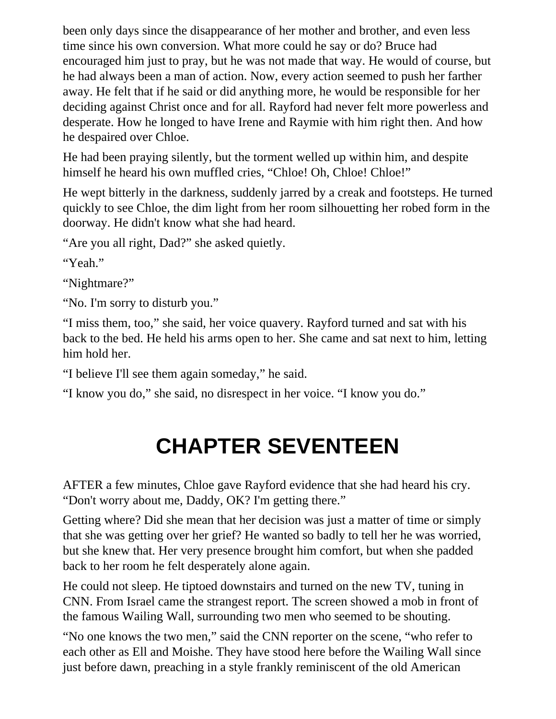been only days since the disappearance of her mother and brother, and even less time since his own conversion. What more could he say or do? Bruce had encouraged him just to pray, but he was not made that way. He would of course, but he had always been a man of action. Now, every action seemed to push her farther away. He felt that if he said or did anything more, he would be responsible for her deciding against Christ once and for all. Rayford had never felt more powerless and desperate. How he longed to have Irene and Raymie with him right then. And how he despaired over Chloe.

He had been praying silently, but the torment welled up within him, and despite himself he heard his own muffled cries, "Chloe! Oh, Chloe! Chloe!"

He wept bitterly in the darkness, suddenly jarred by a creak and footsteps. He turned quickly to see Chloe, the dim light from her room silhouetting her robed form in the doorway. He didn't know what she had heard.

"Are you all right, Dad?" she asked quietly.

"Yeah."

"Nightmare?"

"No. I'm sorry to disturb you."

"I miss them, too," she said, her voice quavery. Rayford turned and sat with his back to the bed. He held his arms open to her. She came and sat next to him, letting him hold her.

"I believe I'll see them again someday," he said.

"I know you do," she said, no disrespect in her voice. "I know you do."

## **CHAPTER SEVENTEEN**

AFTER a few minutes, Chloe gave Rayford evidence that she had heard his cry. "Don't worry about me, Daddy, OK? I'm getting there."

Getting where? Did she mean that her decision was just a matter of time or simply that she was getting over her grief? He wanted so badly to tell her he was worried, but she knew that. Her very presence brought him comfort, but when she padded back to her room he felt desperately alone again.

He could not sleep. He tiptoed downstairs and turned on the new TV, tuning in CNN. From Israel came the strangest report. The screen showed a mob in front of the famous Wailing Wall, surrounding two men who seemed to be shouting.

"No one knows the two men," said the CNN reporter on the scene, "who refer to each other as Ell and Moishe. They have stood here before the Wailing Wall since just before dawn, preaching in a style frankly reminiscent of the old American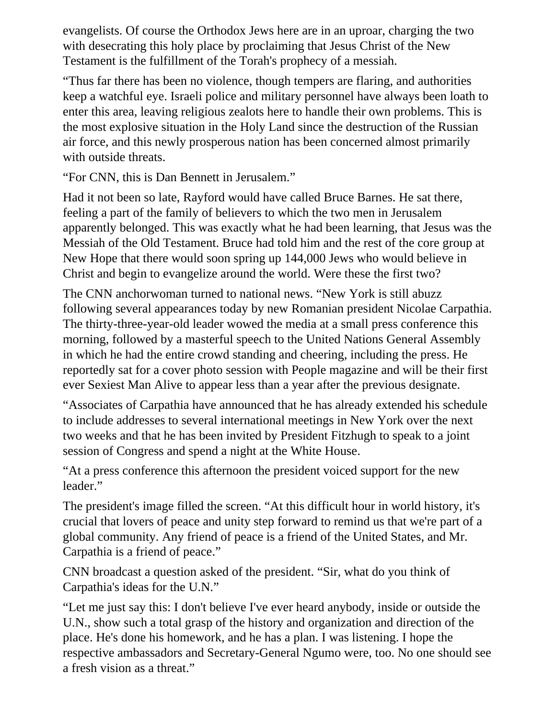evangelists. Of course the Orthodox Jews here are in an uproar, charging the two with desecrating this holy place by proclaiming that Jesus Christ of the New Testament is the fulfillment of the Torah's prophecy of a messiah.

"Thus far there has been no violence, though tempers are flaring, and authorities keep a watchful eye. Israeli police and military personnel have always been loath to enter this area, leaving religious zealots here to handle their own problems. This is the most explosive situation in the Holy Land since the destruction of the Russian air force, and this newly prosperous nation has been concerned almost primarily with outside threats.

"For CNN, this is Dan Bennett in Jerusalem."

Had it not been so late, Rayford would have called Bruce Barnes. He sat there, feeling a part of the family of believers to which the two men in Jerusalem apparently belonged. This was exactly what he had been learning, that Jesus was the Messiah of the Old Testament. Bruce had told him and the rest of the core group at New Hope that there would soon spring up 144,000 Jews who would believe in Christ and begin to evangelize around the world. Were these the first two?

The CNN anchorwoman turned to national news. "New York is still abuzz following several appearances today by new Romanian president Nicolae Carpathia. The thirty-three-year-old leader wowed the media at a small press conference this morning, followed by a masterful speech to the United Nations General Assembly in which he had the entire crowd standing and cheering, including the press. He reportedly sat for a cover photo session with People magazine and will be their first ever Sexiest Man Alive to appear less than a year after the previous designate.

"Associates of Carpathia have announced that he has already extended his schedule to include addresses to several international meetings in New York over the next two weeks and that he has been invited by President Fitzhugh to speak to a joint session of Congress and spend a night at the White House.

"At a press conference this afternoon the president voiced support for the new leader."

The president's image filled the screen. "At this difficult hour in world history, it's crucial that lovers of peace and unity step forward to remind us that we're part of a global community. Any friend of peace is a friend of the United States, and Mr. Carpathia is a friend of peace."

CNN broadcast a question asked of the president. "Sir, what do you think of Carpathia's ideas for the U.N."

"Let me just say this: I don't believe I've ever heard anybody, inside or outside the U.N., show such a total grasp of the history and organization and direction of the place. He's done his homework, and he has a plan. I was listening. I hope the respective ambassadors and Secretary-General Ngumo were, too. No one should see a fresh vision as a threat."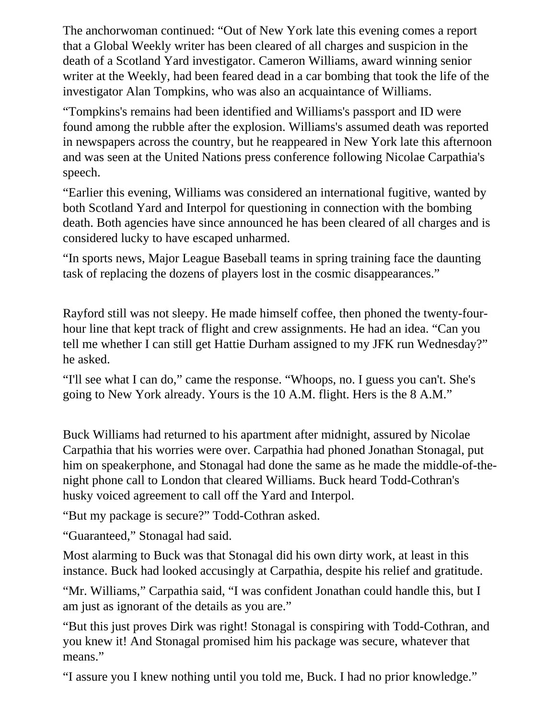The anchorwoman continued: "Out of New York late this evening comes a report that a Global Weekly writer has been cleared of all charges and suspicion in the death of a Scotland Yard investigator. Cameron Williams, award winning senior writer at the Weekly, had been feared dead in a car bombing that took the life of the investigator Alan Tompkins, who was also an acquaintance of Williams.

"Tompkins's remains had been identified and Williams's passport and ID were found among the rubble after the explosion. Williams's assumed death was reported in newspapers across the country, but he reappeared in New York late this afternoon and was seen at the United Nations press conference following Nicolae Carpathia's speech.

"Earlier this evening, Williams was considered an international fugitive, wanted by both Scotland Yard and Interpol for questioning in connection with the bombing death. Both agencies have since announced he has been cleared of all charges and is considered lucky to have escaped unharmed.

"In sports news, Major League Baseball teams in spring training face the daunting task of replacing the dozens of players lost in the cosmic disappearances."

Rayford still was not sleepy. He made himself coffee, then phoned the twenty-fourhour line that kept track of flight and crew assignments. He had an idea. "Can you tell me whether I can still get Hattie Durham assigned to my JFK run Wednesday?" he asked.

"I'll see what I can do," came the response. "Whoops, no. I guess you can't. She's going to New York already. Yours is the 10 A.M. flight. Hers is the 8 A.M."

Buck Williams had returned to his apartment after midnight, assured by Nicolae Carpathia that his worries were over. Carpathia had phoned Jonathan Stonagal, put him on speakerphone, and Stonagal had done the same as he made the middle-of-thenight phone call to London that cleared Williams. Buck heard Todd-Cothran's husky voiced agreement to call off the Yard and Interpol.

"But my package is secure?" Todd-Cothran asked.

"Guaranteed," Stonagal had said.

Most alarming to Buck was that Stonagal did his own dirty work, at least in this instance. Buck had looked accusingly at Carpathia, despite his relief and gratitude.

"Mr. Williams," Carpathia said, "I was confident Jonathan could handle this, but I am just as ignorant of the details as you are."

"But this just proves Dirk was right! Stonagal is conspiring with Todd-Cothran, and you knew it! And Stonagal promised him his package was secure, whatever that means."

"I assure you I knew nothing until you told me, Buck. I had no prior knowledge."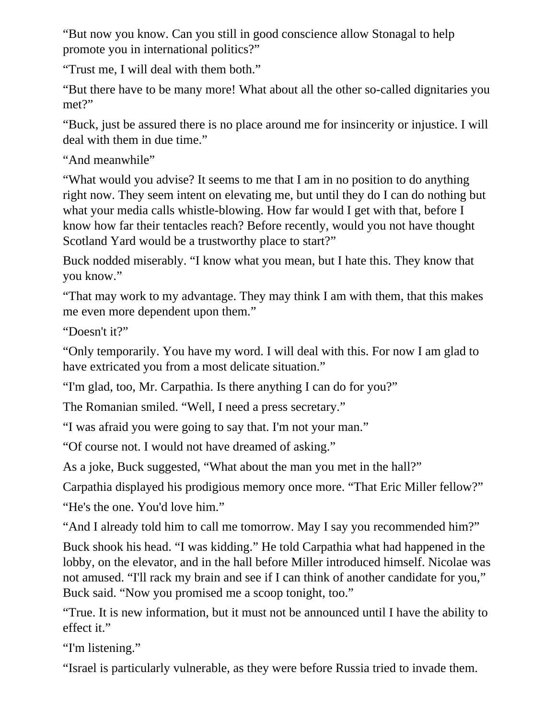"But now you know. Can you still in good conscience allow Stonagal to help promote you in international politics?"

"Trust me, I will deal with them both."

"But there have to be many more! What about all the other so-called dignitaries you met?"

"Buck, just be assured there is no place around me for insincerity or injustice. I will deal with them in due time."

"And meanwhile"

"What would you advise? It seems to me that I am in no position to do anything right now. They seem intent on elevating me, but until they do I can do nothing but what your media calls whistle-blowing. How far would I get with that, before I know how far their tentacles reach? Before recently, would you not have thought Scotland Yard would be a trustworthy place to start?"

Buck nodded miserably. "I know what you mean, but I hate this. They know that you know."

"That may work to my advantage. They may think I am with them, that this makes me even more dependent upon them."

"Doesn't it?"

"Only temporarily. You have my word. I will deal with this. For now I am glad to have extricated you from a most delicate situation."

"I'm glad, too, Mr. Carpathia. Is there anything I can do for you?"

The Romanian smiled. "Well, I need a press secretary."

"I was afraid you were going to say that. I'm not your man."

"Of course not. I would not have dreamed of asking."

As a joke, Buck suggested, "What about the man you met in the hall?"

Carpathia displayed his prodigious memory once more. "That Eric Miller fellow?"

"He's the one. You'd love him."

"And I already told him to call me tomorrow. May I say you recommended him?"

Buck shook his head. "I was kidding." He told Carpathia what had happened in the lobby, on the elevator, and in the hall before Miller introduced himself. Nicolae was not amused. "I'll rack my brain and see if I can think of another candidate for you," Buck said. "Now you promised me a scoop tonight, too."

"True. It is new information, but it must not be announced until I have the ability to effect it."

"I'm listening."

"Israel is particularly vulnerable, as they were before Russia tried to invade them.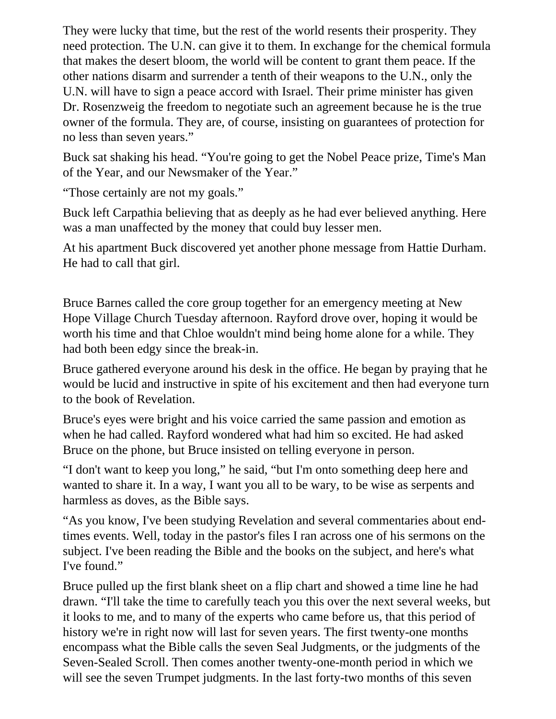They were lucky that time, but the rest of the world resents their prosperity. They need protection. The U.N. can give it to them. In exchange for the chemical formula that makes the desert bloom, the world will be content to grant them peace. If the other nations disarm and surrender a tenth of their weapons to the U.N., only the U.N. will have to sign a peace accord with Israel. Their prime minister has given Dr. Rosenzweig the freedom to negotiate such an agreement because he is the true owner of the formula. They are, of course, insisting on guarantees of protection for no less than seven years."

Buck sat shaking his head. "You're going to get the Nobel Peace prize, Time's Man of the Year, and our Newsmaker of the Year."

"Those certainly are not my goals."

Buck left Carpathia believing that as deeply as he had ever believed anything. Here was a man unaffected by the money that could buy lesser men.

At his apartment Buck discovered yet another phone message from Hattie Durham. He had to call that girl.

Bruce Barnes called the core group together for an emergency meeting at New Hope Village Church Tuesday afternoon. Rayford drove over, hoping it would be worth his time and that Chloe wouldn't mind being home alone for a while. They had both been edgy since the break-in.

Bruce gathered everyone around his desk in the office. He began by praying that he would be lucid and instructive in spite of his excitement and then had everyone turn to the book of Revelation.

Bruce's eyes were bright and his voice carried the same passion and emotion as when he had called. Rayford wondered what had him so excited. He had asked Bruce on the phone, but Bruce insisted on telling everyone in person.

"I don't want to keep you long," he said, "but I'm onto something deep here and wanted to share it. In a way, I want you all to be wary, to be wise as serpents and harmless as doves, as the Bible says.

"As you know, I've been studying Revelation and several commentaries about endtimes events. Well, today in the pastor's files I ran across one of his sermons on the subject. I've been reading the Bible and the books on the subject, and here's what I've found."

Bruce pulled up the first blank sheet on a flip chart and showed a time line he had drawn. "I'll take the time to carefully teach you this over the next several weeks, but it looks to me, and to many of the experts who came before us, that this period of history we're in right now will last for seven years. The first twenty-one months encompass what the Bible calls the seven Seal Judgments, or the judgments of the Seven-Sealed Scroll. Then comes another twenty-one-month period in which we will see the seven Trumpet judgments. In the last forty-two months of this seven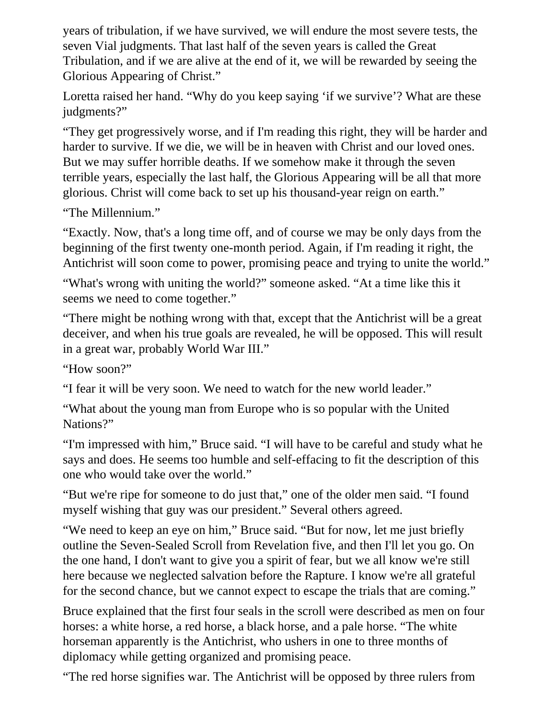years of tribulation, if we have survived, we will endure the most severe tests, the seven Vial judgments. That last half of the seven years is called the Great Tribulation, and if we are alive at the end of it, we will be rewarded by seeing the Glorious Appearing of Christ."

Loretta raised her hand. "Why do you keep saying 'if we survive'? What are these judgments?"

"They get progressively worse, and if I'm reading this right, they will be harder and harder to survive. If we die, we will be in heaven with Christ and our loved ones. But we may suffer horrible deaths. If we somehow make it through the seven terrible years, especially the last half, the Glorious Appearing will be all that more glorious. Christ will come back to set up his thousand-year reign on earth."

"The Millennium."

"Exactly. Now, that's a long time off, and of course we may be only days from the beginning of the first twenty one-month period. Again, if I'm reading it right, the Antichrist will soon come to power, promising peace and trying to unite the world."

"What's wrong with uniting the world?" someone asked. "At a time like this it seems we need to come together."

"There might be nothing wrong with that, except that the Antichrist will be a great deceiver, and when his true goals are revealed, he will be opposed. This will result in a great war, probably World War III."

"How soon?"

"I fear it will be very soon. We need to watch for the new world leader."

"What about the young man from Europe who is so popular with the United Nations?"

"I'm impressed with him," Bruce said. "I will have to be careful and study what he says and does. He seems too humble and self-effacing to fit the description of this one who would take over the world."

"But we're ripe for someone to do just that," one of the older men said. "I found myself wishing that guy was our president." Several others agreed.

"We need to keep an eye on him," Bruce said. "But for now, let me just briefly outline the Seven-Sealed Scroll from Revelation five, and then I'll let you go. On the one hand, I don't want to give you a spirit of fear, but we all know we're still here because we neglected salvation before the Rapture. I know we're all grateful for the second chance, but we cannot expect to escape the trials that are coming."

Bruce explained that the first four seals in the scroll were described as men on four horses: a white horse, a red horse, a black horse, and a pale horse. "The white horseman apparently is the Antichrist, who ushers in one to three months of diplomacy while getting organized and promising peace.

"The red horse signifies war. The Antichrist will be opposed by three rulers from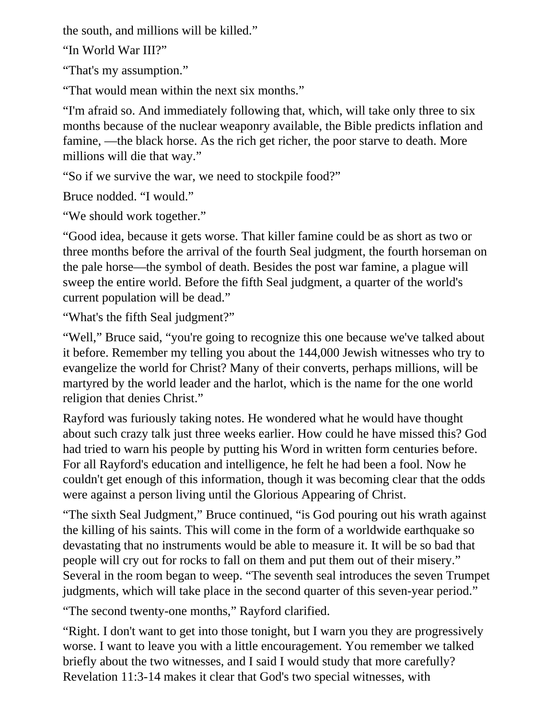the south, and millions will be killed."

"In World War III?"

"That's my assumption."

"That would mean within the next six months."

"I'm afraid so. And immediately following that, which, will take only three to six months because of the nuclear weaponry available, the Bible predicts inflation and famine, —the black horse. As the rich get richer, the poor starve to death. More millions will die that way."

"So if we survive the war, we need to stockpile food?"

Bruce nodded. "I would."

"We should work together."

"Good idea, because it gets worse. That killer famine could be as short as two or three months before the arrival of the fourth Seal judgment, the fourth horseman on the pale horse—the symbol of death. Besides the post war famine, a plague will sweep the entire world. Before the fifth Seal judgment, a quarter of the world's current population will be dead."

"What's the fifth Seal judgment?"

"Well," Bruce said, "you're going to recognize this one because we've talked about it before. Remember my telling you about the 144,000 Jewish witnesses who try to evangelize the world for Christ? Many of their converts, perhaps millions, will be martyred by the world leader and the harlot, which is the name for the one world religion that denies Christ."

Rayford was furiously taking notes. He wondered what he would have thought about such crazy talk just three weeks earlier. How could he have missed this? God had tried to warn his people by putting his Word in written form centuries before. For all Rayford's education and intelligence, he felt he had been a fool. Now he couldn't get enough of this information, though it was becoming clear that the odds were against a person living until the Glorious Appearing of Christ.

"The sixth Seal Judgment," Bruce continued, "is God pouring out his wrath against the killing of his saints. This will come in the form of a worldwide earthquake so devastating that no instruments would be able to measure it. It will be so bad that people will cry out for rocks to fall on them and put them out of their misery." Several in the room began to weep. "The seventh seal introduces the seven Trumpet judgments, which will take place in the second quarter of this seven-year period."

"The second twenty-one months," Rayford clarified.

"Right. I don't want to get into those tonight, but I warn you they are progressively worse. I want to leave you with a little encouragement. You remember we talked briefly about the two witnesses, and I said I would study that more carefully? Revelation 11:3-14 makes it clear that God's two special witnesses, with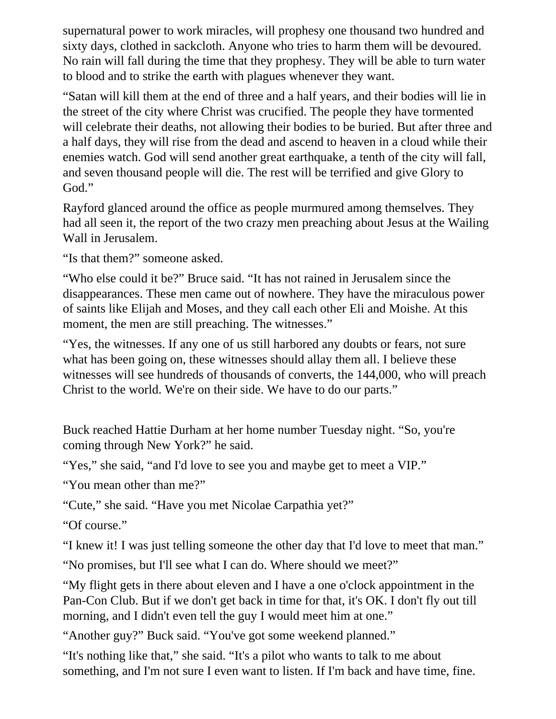supernatural power to work miracles, will prophesy one thousand two hundred and sixty days, clothed in sackcloth. Anyone who tries to harm them will be devoured. No rain will fall during the time that they prophesy. They will be able to turn water to blood and to strike the earth with plagues whenever they want.

"Satan will kill them at the end of three and a half years, and their bodies will lie in the street of the city where Christ was crucified. The people they have tormented will celebrate their deaths, not allowing their bodies to be buried. But after three and a half days, they will rise from the dead and ascend to heaven in a cloud while their enemies watch. God will send another great earthquake, a tenth of the city will fall, and seven thousand people will die. The rest will be terrified and give Glory to God."

Rayford glanced around the office as people murmured among themselves. They had all seen it, the report of the two crazy men preaching about Jesus at the Wailing Wall in Jerusalem.

"Is that them?" someone asked.

"Who else could it be?" Bruce said. "It has not rained in Jerusalem since the disappearances. These men came out of nowhere. They have the miraculous power of saints like Elijah and Moses, and they call each other Eli and Moishe. At this moment, the men are still preaching. The witnesses."

"Yes, the witnesses. If any one of us still harbored any doubts or fears, not sure what has been going on, these witnesses should allay them all. I believe these witnesses will see hundreds of thousands of converts, the 144,000, who will preach Christ to the world. We're on their side. We have to do our parts."

Buck reached Hattie Durham at her home number Tuesday night. "So, you're coming through New York?" he said.

"Yes," she said, "and I'd love to see you and maybe get to meet a VIP."

"You mean other than me?"

"Cute," she said. "Have you met Nicolae Carpathia yet?"

"Of course."

"I knew it! I was just telling someone the other day that I'd love to meet that man."

"No promises, but I'll see what I can do. Where should we meet?"

"My flight gets in there about eleven and I have a one o'clock appointment in the Pan-Con Club. But if we don't get back in time for that, it's OK. I don't fly out till morning, and I didn't even tell the guy I would meet him at one."

"Another guy?" Buck said. "You've got some weekend planned."

"It's nothing like that," she said. "It's a pilot who wants to talk to me about something, and I'm not sure I even want to listen. If I'm back and have time, fine.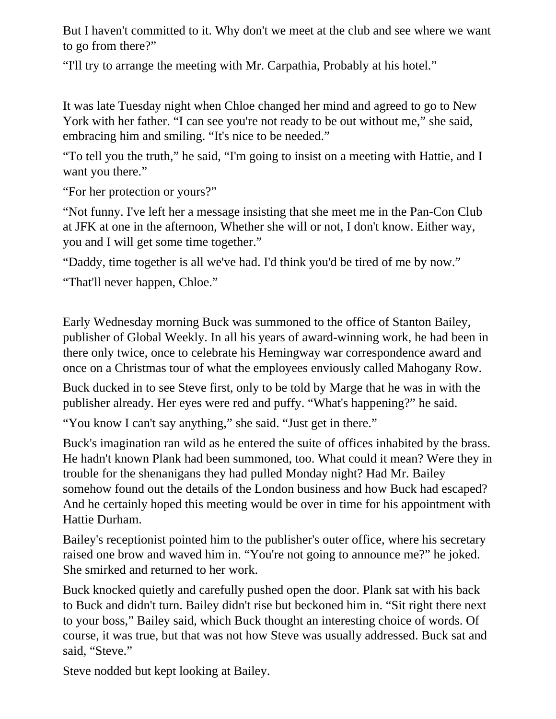But I haven't committed to it. Why don't we meet at the club and see where we want to go from there?"

"I'll try to arrange the meeting with Mr. Carpathia, Probably at his hotel."

It was late Tuesday night when Chloe changed her mind and agreed to go to New York with her father. "I can see you're not ready to be out without me," she said, embracing him and smiling. "It's nice to be needed."

"To tell you the truth," he said, "I'm going to insist on a meeting with Hattie, and I want you there."

"For her protection or yours?"

"Not funny. I've left her a message insisting that she meet me in the Pan-Con Club at JFK at one in the afternoon, Whether she will or not, I don't know. Either way, you and I will get some time together."

"Daddy, time together is all we've had. I'd think you'd be tired of me by now."

"That'll never happen, Chloe."

Early Wednesday morning Buck was summoned to the office of Stanton Bailey, publisher of Global Weekly. In all his years of award-winning work, he had been in there only twice, once to celebrate his Hemingway war correspondence award and once on a Christmas tour of what the employees enviously called Mahogany Row.

Buck ducked in to see Steve first, only to be told by Marge that he was in with the publisher already. Her eyes were red and puffy. "What's happening?" he said.

"You know I can't say anything," she said. "Just get in there."

Buck's imagination ran wild as he entered the suite of offices inhabited by the brass. He hadn't known Plank had been summoned, too. What could it mean? Were they in trouble for the shenanigans they had pulled Monday night? Had Mr. Bailey somehow found out the details of the London business and how Buck had escaped? And he certainly hoped this meeting would be over in time for his appointment with Hattie Durham.

Bailey's receptionist pointed him to the publisher's outer office, where his secretary raised one brow and waved him in. "You're not going to announce me?" he joked. She smirked and returned to her work.

Buck knocked quietly and carefully pushed open the door. Plank sat with his back to Buck and didn't turn. Bailey didn't rise but beckoned him in. "Sit right there next to your boss," Bailey said, which Buck thought an interesting choice of words. Of course, it was true, but that was not how Steve was usually addressed. Buck sat and said, "Steve."

Steve nodded but kept looking at Bailey.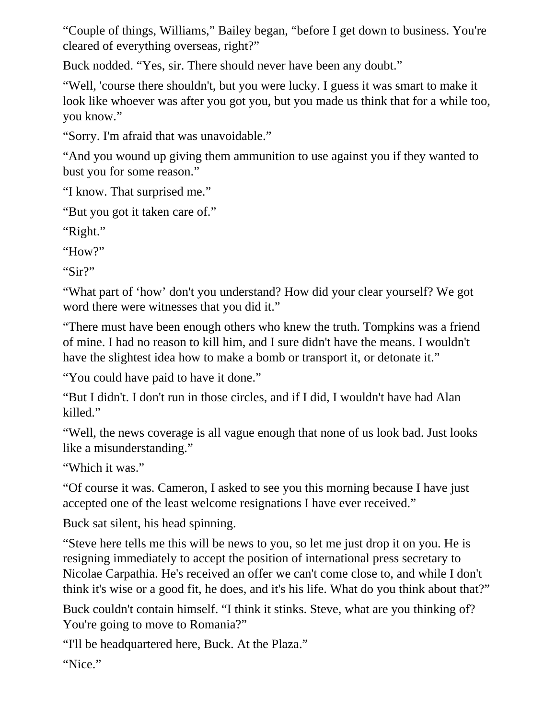"Couple of things, Williams," Bailey began, "before I get down to business. You're cleared of everything overseas, right?"

Buck nodded. "Yes, sir. There should never have been any doubt."

"Well, 'course there shouldn't, but you were lucky. I guess it was smart to make it look like whoever was after you got you, but you made us think that for a while too, you know."

"Sorry. I'm afraid that was unavoidable."

"And you wound up giving them ammunition to use against you if they wanted to bust you for some reason."

"I know. That surprised me."

"But you got it taken care of."

"Right."

"How?"

"Sir?"

"What part of 'how' don't you understand? How did your clear yourself? We got word there were witnesses that you did it."

"There must have been enough others who knew the truth. Tompkins was a friend of mine. I had no reason to kill him, and I sure didn't have the means. I wouldn't have the slightest idea how to make a bomb or transport it, or detonate it."

"You could have paid to have it done."

"But I didn't. I don't run in those circles, and if I did, I wouldn't have had Alan killed."

"Well, the news coverage is all vague enough that none of us look bad. Just looks like a misunderstanding."

"Which it was."

"Of course it was. Cameron, I asked to see you this morning because I have just accepted one of the least welcome resignations I have ever received."

Buck sat silent, his head spinning.

"Steve here tells me this will be news to you, so let me just drop it on you. He is resigning immediately to accept the position of international press secretary to Nicolae Carpathia. He's received an offer we can't come close to, and while I don't think it's wise or a good fit, he does, and it's his life. What do you think about that?"

Buck couldn't contain himself. "I think it stinks. Steve, what are you thinking of? You're going to move to Romania?"

"I'll be headquartered here, Buck. At the Plaza."

"Nice."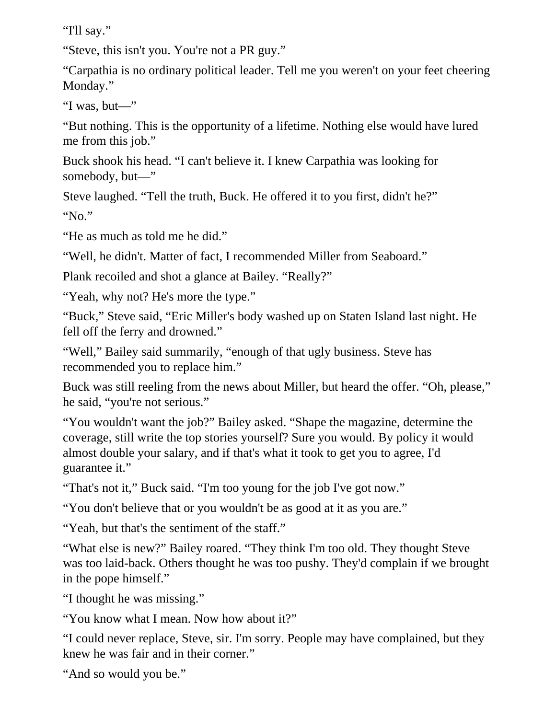"I'll say."

"Steve, this isn't you. You're not a PR guy."

"Carpathia is no ordinary political leader. Tell me you weren't on your feet cheering Monday."

"I was, but—"

"But nothing. This is the opportunity of a lifetime. Nothing else would have lured me from this job."

Buck shook his head. "I can't believe it. I knew Carpathia was looking for somebody, but—"

Steve laughed. "Tell the truth, Buck. He offered it to you first, didn't he?"

"No."

"He as much as told me he did."

"Well, he didn't. Matter of fact, I recommended Miller from Seaboard."

Plank recoiled and shot a glance at Bailey. "Really?"

"Yeah, why not? He's more the type."

"Buck," Steve said, "Eric Miller's body washed up on Staten Island last night. He fell off the ferry and drowned."

"Well," Bailey said summarily, "enough of that ugly business. Steve has recommended you to replace him."

Buck was still reeling from the news about Miller, but heard the offer. "Oh, please," he said, "you're not serious."

"You wouldn't want the job?" Bailey asked. "Shape the magazine, determine the coverage, still write the top stories yourself? Sure you would. By policy it would almost double your salary, and if that's what it took to get you to agree, I'd guarantee it."

"That's not it," Buck said. "I'm too young for the job I've got now."

"You don't believe that or you wouldn't be as good at it as you are."

"Yeah, but that's the sentiment of the staff."

"What else is new?" Bailey roared. "They think I'm too old. They thought Steve was too laid-back. Others thought he was too pushy. They'd complain if we brought in the pope himself."

"I thought he was missing."

"You know what I mean. Now how about it?"

"I could never replace, Steve, sir. I'm sorry. People may have complained, but they knew he was fair and in their corner."

"And so would you be."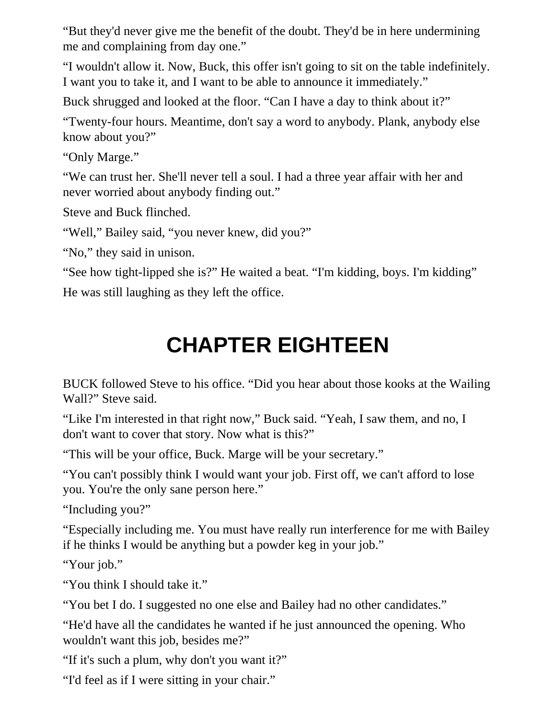"But they'd never give me the benefit of the doubt. They'd be in here undermining me and complaining from day one."

"I wouldn't allow it. Now, Buck, this offer isn't going to sit on the table indefinitely. I want you to take it, and I want to be able to announce it immediately."

Buck shrugged and looked at the floor. "Can I have a day to think about it?"

"Twenty-four hours. Meantime, don't say a word to anybody. Plank, anybody else know about you?"

"Only Marge."

"We can trust her. She'll never tell a soul. I had a three year affair with her and never worried about anybody finding out."

Steve and Buck flinched.

"Well," Bailey said, "you never knew, did you?"

"No," they said in unison.

"See how tight-lipped she is?" He waited a beat. "I'm kidding, boys. I'm kidding"

He was still laughing as they left the office.

## **CHAPTER EIGHTEEN**

BUCK followed Steve to his office. "Did you hear about those kooks at the Wailing Wall?" Steve said.

"Like I'm interested in that right now," Buck said. "Yeah, I saw them, and no, I don't want to cover that story. Now what is this?"

"This will be your office, Buck. Marge will be your secretary."

"You can't possibly think I would want your job. First off, we can't afford to lose you. You're the only sane person here."

"Including you?"

"Especially including me. You must have really run interference for me with Bailey if he thinks I would be anything but a powder keg in your job."

"Your job."

"You think I should take it."

"You bet I do. I suggested no one else and Bailey had no other candidates."

"He'd have all the candidates he wanted if he just announced the opening. Who wouldn't want this job, besides me?"

"If it's such a plum, why don't you want it?"

"I'd feel as if I were sitting in your chair."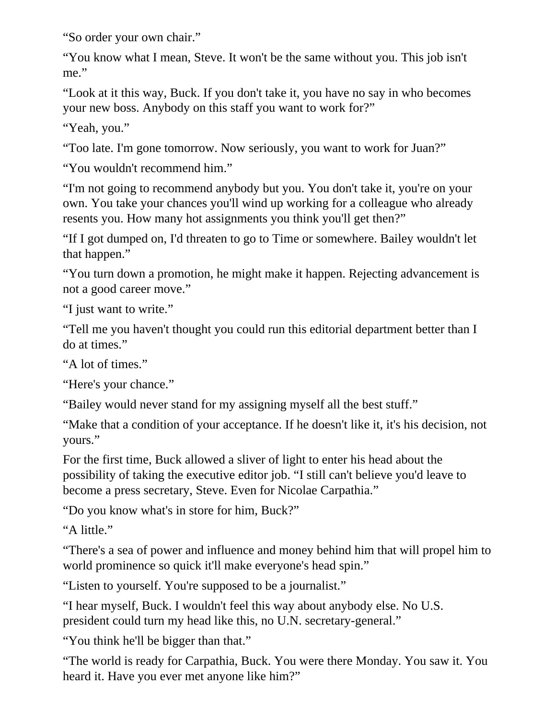"So order your own chair."

"You know what I mean, Steve. It won't be the same without you. This job isn't me."

"Look at it this way, Buck. If you don't take it, you have no say in who becomes your new boss. Anybody on this staff you want to work for?"

"Yeah, you."

"Too late. I'm gone tomorrow. Now seriously, you want to work for Juan?"

"You wouldn't recommend him."

"I'm not going to recommend anybody but you. You don't take it, you're on your own. You take your chances you'll wind up working for a colleague who already resents you. How many hot assignments you think you'll get then?"

"If I got dumped on, I'd threaten to go to Time or somewhere. Bailey wouldn't let that happen."

"You turn down a promotion, he might make it happen. Rejecting advancement is not a good career move."

"I just want to write."

"Tell me you haven't thought you could run this editorial department better than I do at times."

"A lot of times."

"Here's your chance."

"Bailey would never stand for my assigning myself all the best stuff."

"Make that a condition of your acceptance. If he doesn't like it, it's his decision, not yours."

For the first time, Buck allowed a sliver of light to enter his head about the possibility of taking the executive editor job. "I still can't believe you'd leave to become a press secretary, Steve. Even for Nicolae Carpathia."

"Do you know what's in store for him, Buck?"

"A little."

"There's a sea of power and influence and money behind him that will propel him to world prominence so quick it'll make everyone's head spin."

"Listen to yourself. You're supposed to be a journalist."

"I hear myself, Buck. I wouldn't feel this way about anybody else. No U.S. president could turn my head like this, no U.N. secretary-general."

"You think he'll be bigger than that."

"The world is ready for Carpathia, Buck. You were there Monday. You saw it. You heard it. Have you ever met anyone like him?"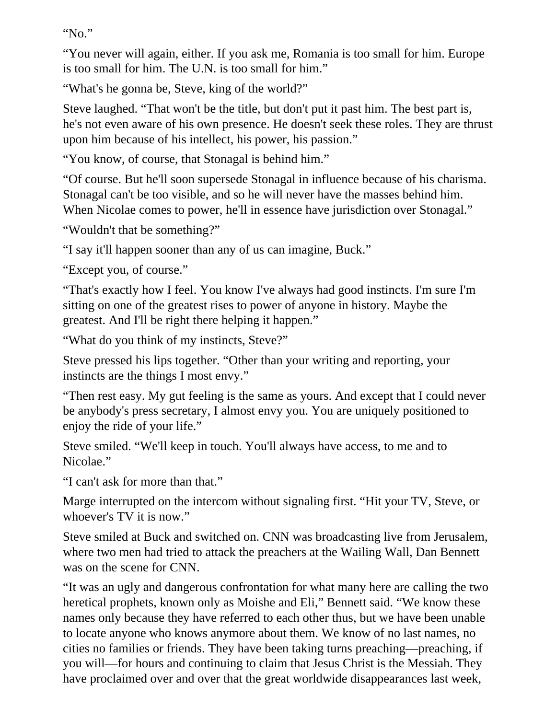"No."

"You never will again, either. If you ask me, Romania is too small for him. Europe is too small for him. The U.N. is too small for him."

"What's he gonna be, Steve, king of the world?"

Steve laughed. "That won't be the title, but don't put it past him. The best part is, he's not even aware of his own presence. He doesn't seek these roles. They are thrust upon him because of his intellect, his power, his passion."

"You know, of course, that Stonagal is behind him."

"Of course. But he'll soon supersede Stonagal in influence because of his charisma. Stonagal can't be too visible, and so he will never have the masses behind him. When Nicolae comes to power, he'll in essence have jurisdiction over Stonagal."

"Wouldn't that be something?"

"I say it'll happen sooner than any of us can imagine, Buck."

"Except you, of course."

"That's exactly how I feel. You know I've always had good instincts. I'm sure I'm sitting on one of the greatest rises to power of anyone in history. Maybe the greatest. And I'll be right there helping it happen."

"What do you think of my instincts, Steve?"

Steve pressed his lips together. "Other than your writing and reporting, your instincts are the things I most envy."

"Then rest easy. My gut feeling is the same as yours. And except that I could never be anybody's press secretary, I almost envy you. You are uniquely positioned to enjoy the ride of your life."

Steve smiled. "We'll keep in touch. You'll always have access, to me and to Nicolae."

"I can't ask for more than that."

Marge interrupted on the intercom without signaling first. "Hit your TV, Steve, or whoever's TV it is now."

Steve smiled at Buck and switched on. CNN was broadcasting live from Jerusalem, where two men had tried to attack the preachers at the Wailing Wall, Dan Bennett was on the scene for CNN.

"It was an ugly and dangerous confrontation for what many here are calling the two heretical prophets, known only as Moishe and Eli," Bennett said. "We know these names only because they have referred to each other thus, but we have been unable to locate anyone who knows anymore about them. We know of no last names, no cities no families or friends. They have been taking turns preaching—preaching, if you will—for hours and continuing to claim that Jesus Christ is the Messiah. They have proclaimed over and over that the great worldwide disappearances last week,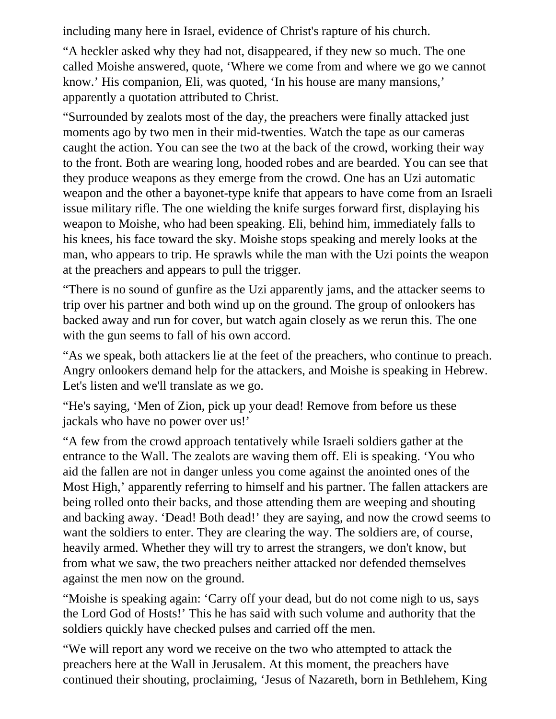including many here in Israel, evidence of Christ's rapture of his church.

"A heckler asked why they had not, disappeared, if they new so much. The one called Moishe answered, quote, 'Where we come from and where we go we cannot know.' His companion, Eli, was quoted, 'In his house are many mansions,' apparently a quotation attributed to Christ.

"Surrounded by zealots most of the day, the preachers were finally attacked just moments ago by two men in their mid-twenties. Watch the tape as our cameras caught the action. You can see the two at the back of the crowd, working their way to the front. Both are wearing long, hooded robes and are bearded. You can see that they produce weapons as they emerge from the crowd. One has an Uzi automatic weapon and the other a bayonet-type knife that appears to have come from an Israeli issue military rifle. The one wielding the knife surges forward first, displaying his weapon to Moishe, who had been speaking. Eli, behind him, immediately falls to his knees, his face toward the sky. Moishe stops speaking and merely looks at the man, who appears to trip. He sprawls while the man with the Uzi points the weapon at the preachers and appears to pull the trigger.

"There is no sound of gunfire as the Uzi apparently jams, and the attacker seems to trip over his partner and both wind up on the ground. The group of onlookers has backed away and run for cover, but watch again closely as we rerun this. The one with the gun seems to fall of his own accord.

"As we speak, both attackers lie at the feet of the preachers, who continue to preach. Angry onlookers demand help for the attackers, and Moishe is speaking in Hebrew. Let's listen and we'll translate as we go.

"He's saying, 'Men of Zion, pick up your dead! Remove from before us these jackals who have no power over us!'

"A few from the crowd approach tentatively while Israeli soldiers gather at the entrance to the Wall. The zealots are waving them off. Eli is speaking. 'You who aid the fallen are not in danger unless you come against the anointed ones of the Most High,' apparently referring to himself and his partner. The fallen attackers are being rolled onto their backs, and those attending them are weeping and shouting and backing away. 'Dead! Both dead!' they are saying, and now the crowd seems to want the soldiers to enter. They are clearing the way. The soldiers are, of course, heavily armed. Whether they will try to arrest the strangers, we don't know, but from what we saw, the two preachers neither attacked nor defended themselves against the men now on the ground.

"Moishe is speaking again: 'Carry off your dead, but do not come nigh to us, says the Lord God of Hosts!' This he has said with such volume and authority that the soldiers quickly have checked pulses and carried off the men.

"We will report any word we receive on the two who attempted to attack the preachers here at the Wall in Jerusalem. At this moment, the preachers have continued their shouting, proclaiming, 'Jesus of Nazareth, born in Bethlehem, King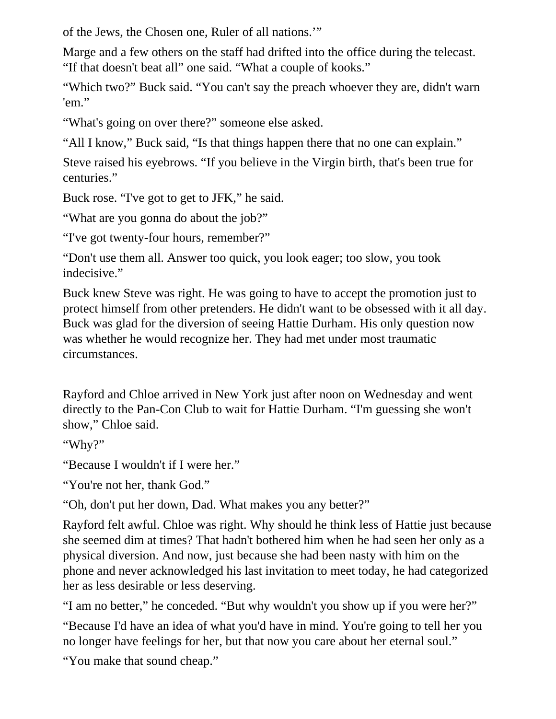of the Jews, the Chosen one, Ruler of all nations.'"

Marge and a few others on the staff had drifted into the office during the telecast. "If that doesn't beat all" one said. "What a couple of kooks."

"Which two?" Buck said. "You can't say the preach whoever they are, didn't warn 'em."

"What's going on over there?" someone else asked.

"All I know," Buck said, "Is that things happen there that no one can explain."

Steve raised his eyebrows. "If you believe in the Virgin birth, that's been true for centuries."

Buck rose. "I've got to get to JFK," he said.

"What are you gonna do about the job?"

"I've got twenty-four hours, remember?"

"Don't use them all. Answer too quick, you look eager; too slow, you took indecisive."

Buck knew Steve was right. He was going to have to accept the promotion just to protect himself from other pretenders. He didn't want to be obsessed with it all day. Buck was glad for the diversion of seeing Hattie Durham. His only question now was whether he would recognize her. They had met under most traumatic circumstances.

Rayford and Chloe arrived in New York just after noon on Wednesday and went directly to the Pan-Con Club to wait for Hattie Durham. "I'm guessing she won't show," Chloe said.

"Why?"

"Because I wouldn't if I were her."

"You're not her, thank God."

"Oh, don't put her down, Dad. What makes you any better?"

Rayford felt awful. Chloe was right. Why should he think less of Hattie just because she seemed dim at times? That hadn't bothered him when he had seen her only as a physical diversion. And now, just because she had been nasty with him on the phone and never acknowledged his last invitation to meet today, he had categorized her as less desirable or less deserving.

"I am no better," he conceded. "But why wouldn't you show up if you were her?"

"Because I'd have an idea of what you'd have in mind. You're going to tell her you no longer have feelings for her, but that now you care about her eternal soul."

"You make that sound cheap."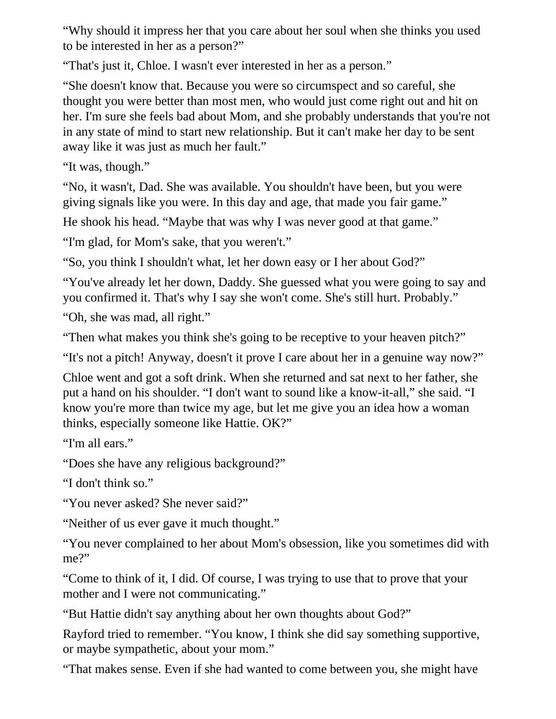"Why should it impress her that you care about her soul when she thinks you used to be interested in her as a person?"

"That's just it, Chloe. I wasn't ever interested in her as a person."

"She doesn't know that. Because you were so circumspect and so careful, she thought you were better than most men, who would just come right out and hit on her. I'm sure she feels bad about Mom, and she probably understands that you're not in any state of mind to start new relationship. But it can't make her day to be sent away like it was just as much her fault."

"It was, though."

"No, it wasn't, Dad. She was available. You shouldn't have been, but you were giving signals like you were. In this day and age, that made you fair game."

He shook his head. "Maybe that was why I was never good at that game."

"I'm glad, for Mom's sake, that you weren't."

"So, you think I shouldn't what, let her down easy or I her about God?"

"You've already let her down, Daddy. She guessed what you were going to say and you confirmed it. That's why I say she won't come. She's still hurt. Probably."

"Oh, she was mad, all right."

"Then what makes you think she's going to be receptive to your heaven pitch?"

"It's not a pitch! Anyway, doesn't it prove I care about her in a genuine way now?"

Chloe went and got a soft drink. When she returned and sat next to her father, she put a hand on his shoulder. "I don't want to sound like a know-it-all," she said. "I know you're more than twice my age, but let me give you an idea how a woman thinks, especially someone like Hattie. OK?"

"I'm all ears."

"Does she have any religious background?"

"I don't think so."

"You never asked? She never said?"

"Neither of us ever gave it much thought."

"You never complained to her about Mom's obsession, like you sometimes did with me?"

"Come to think of it, I did. Of course, I was trying to use that to prove that your mother and I were not communicating."

"But Hattie didn't say anything about her own thoughts about God?"

Rayford tried to remember. "You know, I think she did say something supportive, or maybe sympathetic, about your mom."

"That makes sense. Even if she had wanted to come between you, she might have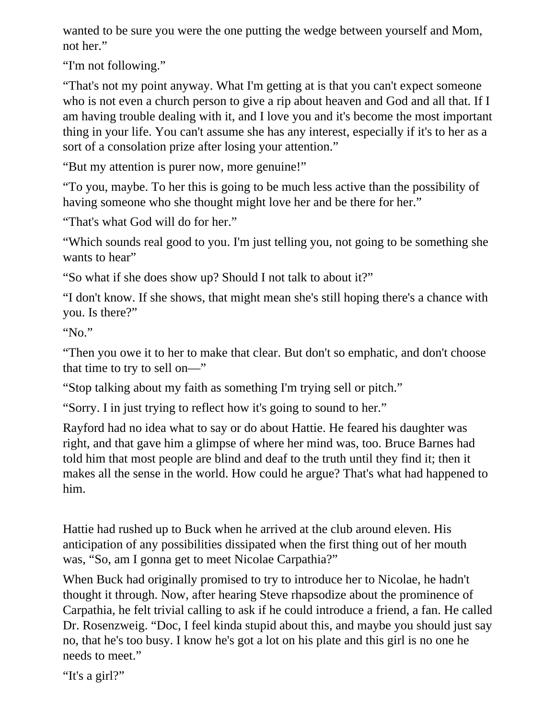wanted to be sure you were the one putting the wedge between yourself and Mom, not her."

"I'm not following."

"That's not my point anyway. What I'm getting at is that you can't expect someone who is not even a church person to give a rip about heaven and God and all that. If I am having trouble dealing with it, and I love you and it's become the most important thing in your life. You can't assume she has any interest, especially if it's to her as a sort of a consolation prize after losing your attention."

"But my attention is purer now, more genuine!"

"To you, maybe. To her this is going to be much less active than the possibility of having someone who she thought might love her and be there for her."

"That's what God will do for her."

"Which sounds real good to you. I'm just telling you, not going to be something she wants to hear"

"So what if she does show up? Should I not talk to about it?"

"I don't know. If she shows, that might mean she's still hoping there's a chance with you. Is there?"

"No."

"Then you owe it to her to make that clear. But don't so emphatic, and don't choose that time to try to sell on—"

"Stop talking about my faith as something I'm trying sell or pitch."

"Sorry. I in just trying to reflect how it's going to sound to her."

Rayford had no idea what to say or do about Hattie. He feared his daughter was right, and that gave him a glimpse of where her mind was, too. Bruce Barnes had told him that most people are blind and deaf to the truth until they find it; then it makes all the sense in the world. How could he argue? That's what had happened to him.

Hattie had rushed up to Buck when he arrived at the club around eleven. His anticipation of any possibilities dissipated when the first thing out of her mouth was, "So, am I gonna get to meet Nicolae Carpathia?"

When Buck had originally promised to try to introduce her to Nicolae, he hadn't thought it through. Now, after hearing Steve rhapsodize about the prominence of Carpathia, he felt trivial calling to ask if he could introduce a friend, a fan. He called Dr. Rosenzweig. "Doc, I feel kinda stupid about this, and maybe you should just say no, that he's too busy. I know he's got a lot on his plate and this girl is no one he needs to meet."

"It's a girl?"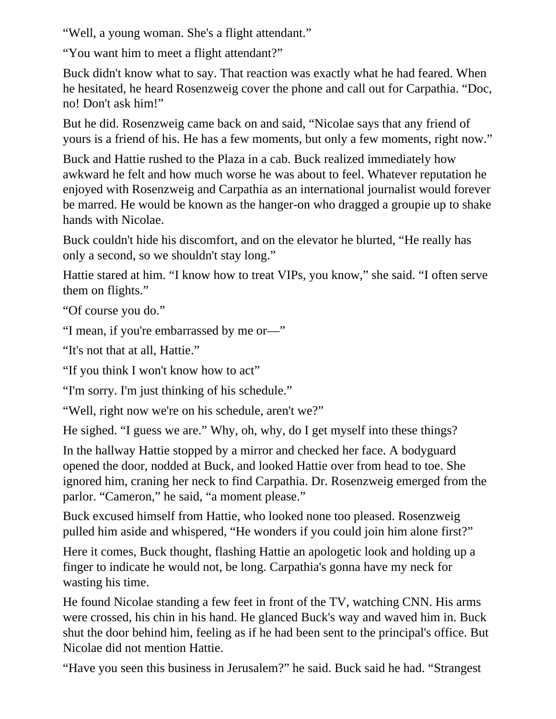"Well, a young woman. She's a flight attendant."

"You want him to meet a flight attendant?"

Buck didn't know what to say. That reaction was exactly what he had feared. When he hesitated, he heard Rosenzweig cover the phone and call out for Carpathia. "Doc, no! Don't ask him!"

But he did. Rosenzweig came back on and said, "Nicolae says that any friend of yours is a friend of his. He has a few moments, but only a few moments, right now."

Buck and Hattie rushed to the Plaza in a cab. Buck realized immediately how awkward he felt and how much worse he was about to feel. Whatever reputation he enjoyed with Rosenzweig and Carpathia as an international journalist would forever be marred. He would be known as the hanger-on who dragged a groupie up to shake hands with Nicolae.

Buck couldn't hide his discomfort, and on the elevator he blurted, "He really has only a second, so we shouldn't stay long."

Hattie stared at him. "I know how to treat VIPs, you know," she said. "I often serve them on flights."

"Of course you do."

"I mean, if you're embarrassed by me or—"

"It's not that at all, Hattie."

"If you think I won't know how to act"

"I'm sorry. I'm just thinking of his schedule."

"Well, right now we're on his schedule, aren't we?"

He sighed. "I guess we are." Why, oh, why, do I get myself into these things?

In the hallway Hattie stopped by a mirror and checked her face. A bodyguard opened the door, nodded at Buck, and looked Hattie over from head to toe. She ignored him, craning her neck to find Carpathia. Dr. Rosenzweig emerged from the parlor. "Cameron," he said, "a moment please."

Buck excused himself from Hattie, who looked none too pleased. Rosenzweig pulled him aside and whispered, "He wonders if you could join him alone first?"

Here it comes, Buck thought, flashing Hattie an apologetic look and holding up a finger to indicate he would not, be long. Carpathia's gonna have my neck for wasting his time.

He found Nicolae standing a few feet in front of the TV, watching CNN. His arms were crossed, his chin in his hand. He glanced Buck's way and waved him in. Buck shut the door behind him, feeling as if he had been sent to the principal's office. But Nicolae did not mention Hattie.

"Have you seen this business in Jerusalem?" he said. Buck said he had. "Strangest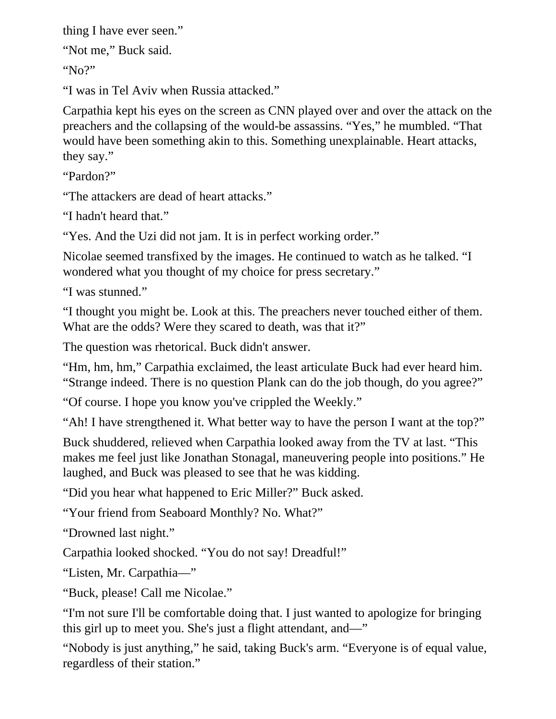thing I have ever seen."

"Not me," Buck said.

"No?"

"I was in Tel Aviv when Russia attacked."

Carpathia kept his eyes on the screen as CNN played over and over the attack on the preachers and the collapsing of the would-be assassins. "Yes," he mumbled. "That would have been something akin to this. Something unexplainable. Heart attacks, they say."

"Pardon?"

"The attackers are dead of heart attacks."

"I hadn't heard that."

"Yes. And the Uzi did not jam. It is in perfect working order."

Nicolae seemed transfixed by the images. He continued to watch as he talked. "I wondered what you thought of my choice for press secretary."

"I was stunned."

"I thought you might be. Look at this. The preachers never touched either of them. What are the odds? Were they scared to death, was that it?"

The question was rhetorical. Buck didn't answer.

"Hm, hm, hm," Carpathia exclaimed, the least articulate Buck had ever heard him. "Strange indeed. There is no question Plank can do the job though, do you agree?"

"Of course. I hope you know you've crippled the Weekly."

"Ah! I have strengthened it. What better way to have the person I want at the top?"

Buck shuddered, relieved when Carpathia looked away from the TV at last. "This makes me feel just like Jonathan Stonagal, maneuvering people into positions." He laughed, and Buck was pleased to see that he was kidding.

"Did you hear what happened to Eric Miller?" Buck asked.

"Your friend from Seaboard Monthly? No. What?"

"Drowned last night."

Carpathia looked shocked. "You do not say! Dreadful!"

"Listen, Mr. Carpathia—"

"Buck, please! Call me Nicolae."

"I'm not sure I'll be comfortable doing that. I just wanted to apologize for bringing this girl up to meet you. She's just a flight attendant, and—"

"Nobody is just anything," he said, taking Buck's arm. "Everyone is of equal value, regardless of their station."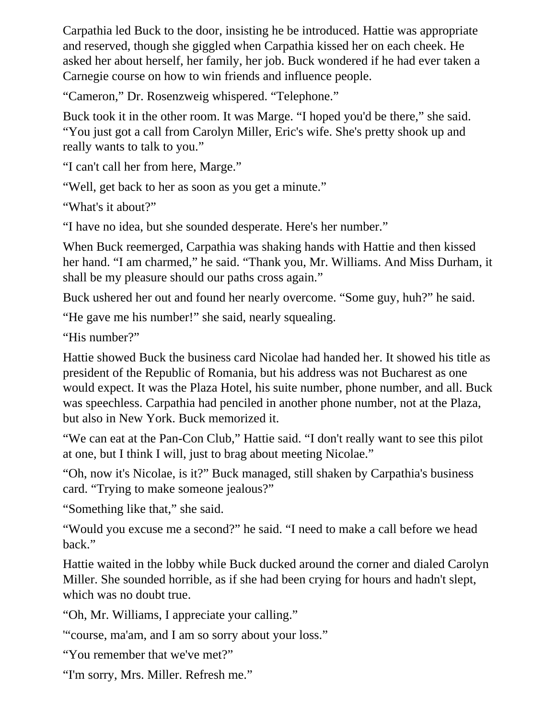Carpathia led Buck to the door, insisting he be introduced. Hattie was appropriate and reserved, though she giggled when Carpathia kissed her on each cheek. He asked her about herself, her family, her job. Buck wondered if he had ever taken a Carnegie course on how to win friends and influence people.

"Cameron," Dr. Rosenzweig whispered. "Telephone."

Buck took it in the other room. It was Marge. "I hoped you'd be there," she said. "You just got a call from Carolyn Miller, Eric's wife. She's pretty shook up and really wants to talk to you."

"I can't call her from here, Marge."

"Well, get back to her as soon as you get a minute."

"What's it about?"

"I have no idea, but she sounded desperate. Here's her number."

When Buck reemerged, Carpathia was shaking hands with Hattie and then kissed her hand. "I am charmed," he said. "Thank you, Mr. Williams. And Miss Durham, it shall be my pleasure should our paths cross again."

Buck ushered her out and found her nearly overcome. "Some guy, huh?" he said.

"He gave me his number!" she said, nearly squealing.

"His number?"

Hattie showed Buck the business card Nicolae had handed her. It showed his title as president of the Republic of Romania, but his address was not Bucharest as one would expect. It was the Plaza Hotel, his suite number, phone number, and all. Buck was speechless. Carpathia had penciled in another phone number, not at the Plaza, but also in New York. Buck memorized it.

"We can eat at the Pan-Con Club," Hattie said. "I don't really want to see this pilot at one, but I think I will, just to brag about meeting Nicolae."

"Oh, now it's Nicolae, is it?" Buck managed, still shaken by Carpathia's business card. "Trying to make someone jealous?"

"Something like that," she said.

"Would you excuse me a second?" he said. "I need to make a call before we head back."

Hattie waited in the lobby while Buck ducked around the corner and dialed Carolyn Miller. She sounded horrible, as if she had been crying for hours and hadn't slept, which was no doubt true.

"Oh, Mr. Williams, I appreciate your calling."

'"course, ma'am, and I am so sorry about your loss."

"You remember that we've met?"

"I'm sorry, Mrs. Miller. Refresh me."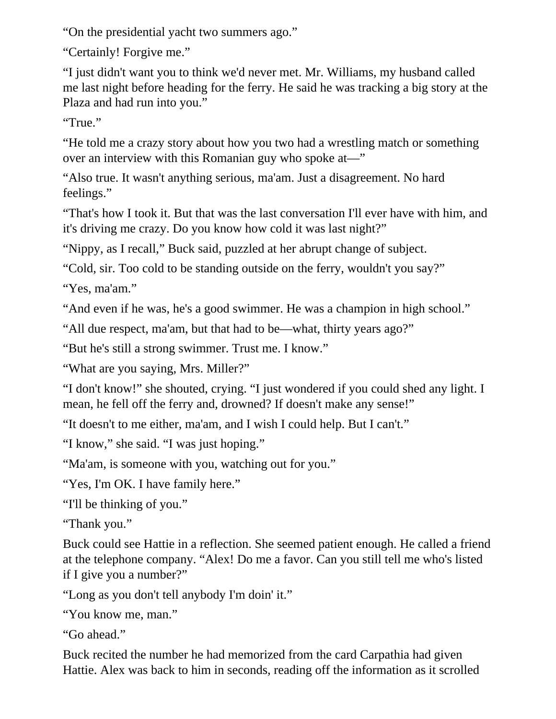"On the presidential yacht two summers ago."

"Certainly! Forgive me."

"I just didn't want you to think we'd never met. Mr. Williams, my husband called me last night before heading for the ferry. He said he was tracking a big story at the Plaza and had run into you."

"True."

"He told me a crazy story about how you two had a wrestling match or something over an interview with this Romanian guy who spoke at—"

"Also true. It wasn't anything serious, ma'am. Just a disagreement. No hard feelings."

"That's how I took it. But that was the last conversation I'll ever have with him, and it's driving me crazy. Do you know how cold it was last night?"

"Nippy, as I recall," Buck said, puzzled at her abrupt change of subject.

"Cold, sir. Too cold to be standing outside on the ferry, wouldn't you say?"

"Yes, ma'am."

"And even if he was, he's a good swimmer. He was a champion in high school."

"All due respect, ma'am, but that had to be—what, thirty years ago?"

"But he's still a strong swimmer. Trust me. I know."

"What are you saying, Mrs. Miller?"

"I don't know!" she shouted, crying. "I just wondered if you could shed any light. I mean, he fell off the ferry and, drowned? If doesn't make any sense!"

"It doesn't to me either, ma'am, and I wish I could help. But I can't."

"I know," she said. "I was just hoping."

"Ma'am, is someone with you, watching out for you."

"Yes, I'm OK. I have family here."

"I'll be thinking of you."

"Thank you."

Buck could see Hattie in a reflection. She seemed patient enough. He called a friend at the telephone company. "Alex! Do me a favor. Can you still tell me who's listed if I give you a number?"

"Long as you don't tell anybody I'm doin' it."

"You know me, man."

"Go ahead."

Buck recited the number he had memorized from the card Carpathia had given Hattie. Alex was back to him in seconds, reading off the information as it scrolled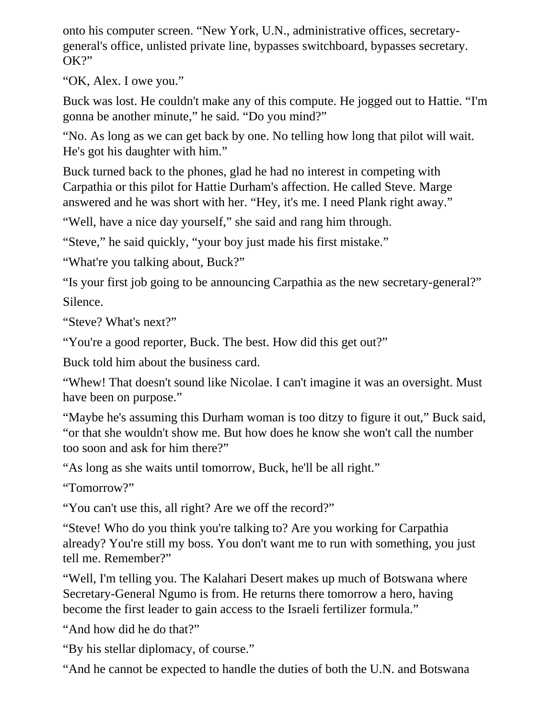onto his computer screen. "New York, U.N., administrative offices, secretarygeneral's office, unlisted private line, bypasses switchboard, bypasses secretary. OK?"

"OK, Alex. I owe you."

Buck was lost. He couldn't make any of this compute. He jogged out to Hattie. "I'm gonna be another minute," he said. "Do you mind?"

"No. As long as we can get back by one. No telling how long that pilot will wait. He's got his daughter with him."

Buck turned back to the phones, glad he had no interest in competing with Carpathia or this pilot for Hattie Durham's affection. He called Steve. Marge answered and he was short with her. "Hey, it's me. I need Plank right away."

"Well, have a nice day yourself," she said and rang him through.

"Steve," he said quickly, "your boy just made his first mistake."

"What're you talking about, Buck?"

"Is your first job going to be announcing Carpathia as the new secretary-general?" Silence.

"Steve? What's next?"

"You're a good reporter, Buck. The best. How did this get out?"

Buck told him about the business card.

"Whew! That doesn't sound like Nicolae. I can't imagine it was an oversight. Must have been on purpose."

"Maybe he's assuming this Durham woman is too ditzy to figure it out," Buck said, "or that she wouldn't show me. But how does he know she won't call the number too soon and ask for him there?"

"As long as she waits until tomorrow, Buck, he'll be all right."

"Tomorrow?"

"You can't use this, all right? Are we off the record?"

"Steve! Who do you think you're talking to? Are you working for Carpathia already? You're still my boss. You don't want me to run with something, you just tell me. Remember?"

"Well, I'm telling you. The Kalahari Desert makes up much of Botswana where Secretary-General Ngumo is from. He returns there tomorrow a hero, having become the first leader to gain access to the Israeli fertilizer formula."

"And how did he do that?"

"By his stellar diplomacy, of course."

"And he cannot be expected to handle the duties of both the U.N. and Botswana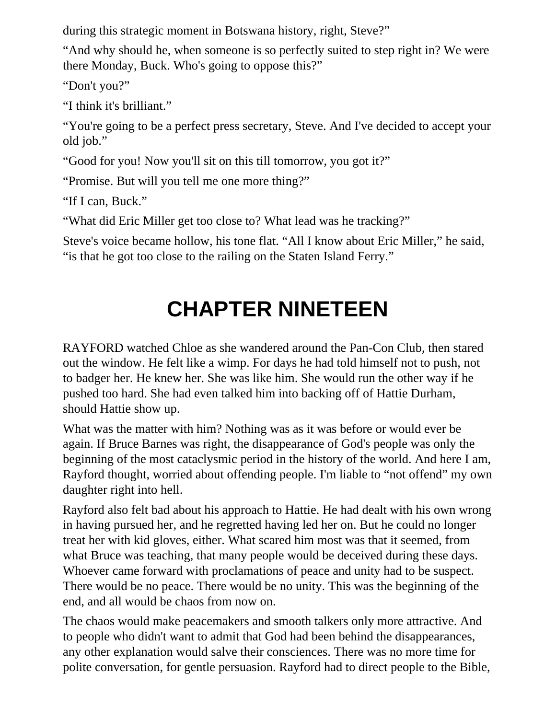during this strategic moment in Botswana history, right, Steve?"

"And why should he, when someone is so perfectly suited to step right in? We were there Monday, Buck. Who's going to oppose this?"

"Don't you?"

"I think it's brilliant."

"You're going to be a perfect press secretary, Steve. And I've decided to accept your old job."

"Good for you! Now you'll sit on this till tomorrow, you got it?"

"Promise. But will you tell me one more thing?"

"If I can, Buck."

"What did Eric Miller get too close to? What lead was he tracking?"

Steve's voice became hollow, his tone flat. "All I know about Eric Miller," he said, "is that he got too close to the railing on the Staten Island Ferry."

## **CHAPTER NINETEEN**

RAYFORD watched Chloe as she wandered around the Pan-Con Club, then stared out the window. He felt like a wimp. For days he had told himself not to push, not to badger her. He knew her. She was like him. She would run the other way if he pushed too hard. She had even talked him into backing off of Hattie Durham, should Hattie show up.

What was the matter with him? Nothing was as it was before or would ever be again. If Bruce Barnes was right, the disappearance of God's people was only the beginning of the most cataclysmic period in the history of the world. And here I am, Rayford thought, worried about offending people. I'm liable to "not offend" my own daughter right into hell.

Rayford also felt bad about his approach to Hattie. He had dealt with his own wrong in having pursued her, and he regretted having led her on. But he could no longer treat her with kid gloves, either. What scared him most was that it seemed, from what Bruce was teaching, that many people would be deceived during these days. Whoever came forward with proclamations of peace and unity had to be suspect. There would be no peace. There would be no unity. This was the beginning of the end, and all would be chaos from now on.

The chaos would make peacemakers and smooth talkers only more attractive. And to people who didn't want to admit that God had been behind the disappearances, any other explanation would salve their consciences. There was no more time for polite conversation, for gentle persuasion. Rayford had to direct people to the Bible,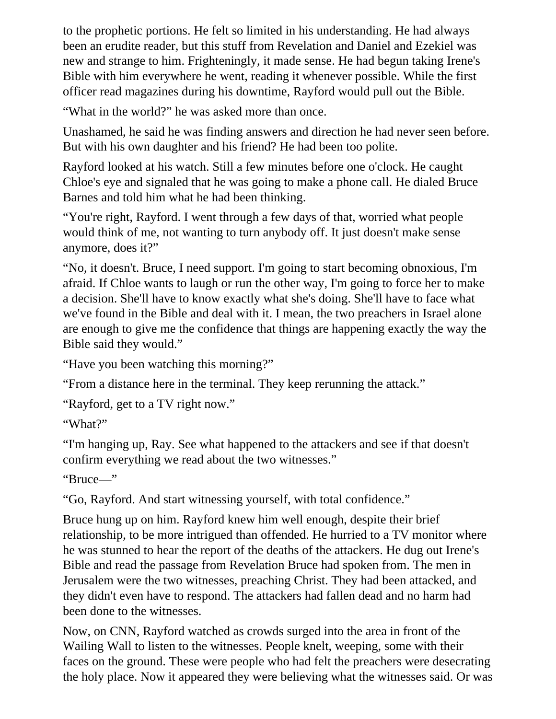to the prophetic portions. He felt so limited in his understanding. He had always been an erudite reader, but this stuff from Revelation and Daniel and Ezekiel was new and strange to him. Frighteningly, it made sense. He had begun taking Irene's Bible with him everywhere he went, reading it whenever possible. While the first officer read magazines during his downtime, Rayford would pull out the Bible.

"What in the world?" he was asked more than once.

Unashamed, he said he was finding answers and direction he had never seen before. But with his own daughter and his friend? He had been too polite.

Rayford looked at his watch. Still a few minutes before one o'clock. He caught Chloe's eye and signaled that he was going to make a phone call. He dialed Bruce Barnes and told him what he had been thinking.

"You're right, Rayford. I went through a few days of that, worried what people would think of me, not wanting to turn anybody off. It just doesn't make sense anymore, does it?"

"No, it doesn't. Bruce, I need support. I'm going to start becoming obnoxious, I'm afraid. If Chloe wants to laugh or run the other way, I'm going to force her to make a decision. She'll have to know exactly what she's doing. She'll have to face what we've found in the Bible and deal with it. I mean, the two preachers in Israel alone are enough to give me the confidence that things are happening exactly the way the Bible said they would."

"Have you been watching this morning?"

"From a distance here in the terminal. They keep rerunning the attack."

"Rayford, get to a TV right now."

"What?"

"I'm hanging up, Ray. See what happened to the attackers and see if that doesn't confirm everything we read about the two witnesses."

"Bruce—"

"Go, Rayford. And start witnessing yourself, with total confidence."

Bruce hung up on him. Rayford knew him well enough, despite their brief relationship, to be more intrigued than offended. He hurried to a TV monitor where he was stunned to hear the report of the deaths of the attackers. He dug out Irene's Bible and read the passage from Revelation Bruce had spoken from. The men in Jerusalem were the two witnesses, preaching Christ. They had been attacked, and they didn't even have to respond. The attackers had fallen dead and no harm had been done to the witnesses.

Now, on CNN, Rayford watched as crowds surged into the area in front of the Wailing Wall to listen to the witnesses. People knelt, weeping, some with their faces on the ground. These were people who had felt the preachers were desecrating the holy place. Now it appeared they were believing what the witnesses said. Or was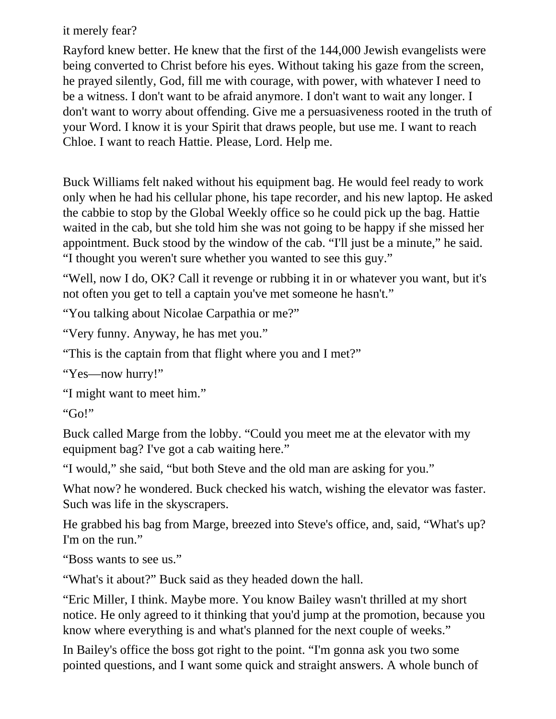it merely fear?

Rayford knew better. He knew that the first of the 144,000 Jewish evangelists were being converted to Christ before his eyes. Without taking his gaze from the screen, he prayed silently, God, fill me with courage, with power, with whatever I need to be a witness. I don't want to be afraid anymore. I don't want to wait any longer. I don't want to worry about offending. Give me a persuasiveness rooted in the truth of your Word. I know it is your Spirit that draws people, but use me. I want to reach Chloe. I want to reach Hattie. Please, Lord. Help me.

Buck Williams felt naked without his equipment bag. He would feel ready to work only when he had his cellular phone, his tape recorder, and his new laptop. He asked the cabbie to stop by the Global Weekly office so he could pick up the bag. Hattie waited in the cab, but she told him she was not going to be happy if she missed her appointment. Buck stood by the window of the cab. "I'll just be a minute," he said. "I thought you weren't sure whether you wanted to see this guy."

"Well, now I do, OK? Call it revenge or rubbing it in or whatever you want, but it's not often you get to tell a captain you've met someone he hasn't."

"You talking about Nicolae Carpathia or me?"

"Very funny. Anyway, he has met you."

"This is the captain from that flight where you and I met?"

"Yes—now hurry!"

```
"I might want to meet him."
```
"Go!"

Buck called Marge from the lobby. "Could you meet me at the elevator with my equipment bag? I've got a cab waiting here."

"I would," she said, "but both Steve and the old man are asking for you."

What now? he wondered. Buck checked his watch, wishing the elevator was faster. Such was life in the skyscrapers.

He grabbed his bag from Marge, breezed into Steve's office, and, said, "What's up? I'm on the run."

"Boss wants to see us."

"What's it about?" Buck said as they headed down the hall.

"Eric Miller, I think. Maybe more. You know Bailey wasn't thrilled at my short notice. He only agreed to it thinking that you'd jump at the promotion, because you know where everything is and what's planned for the next couple of weeks."

In Bailey's office the boss got right to the point. "I'm gonna ask you two some pointed questions, and I want some quick and straight answers. A whole bunch of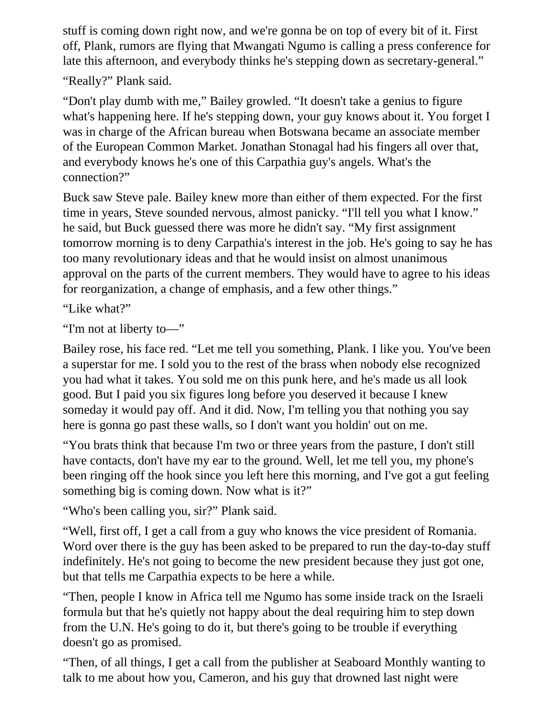stuff is coming down right now, and we're gonna be on top of every bit of it. First off, Plank, rumors are flying that Mwangati Ngumo is calling a press conference for late this afternoon, and everybody thinks he's stepping down as secretary-general."

"Really?" Plank said.

"Don't play dumb with me," Bailey growled. "It doesn't take a genius to figure what's happening here. If he's stepping down, your guy knows about it. You forget I was in charge of the African bureau when Botswana became an associate member of the European Common Market. Jonathan Stonagal had his fingers all over that, and everybody knows he's one of this Carpathia guy's angels. What's the connection?"

Buck saw Steve pale. Bailey knew more than either of them expected. For the first time in years, Steve sounded nervous, almost panicky. "I'll tell you what I know." he said, but Buck guessed there was more he didn't say. "My first assignment tomorrow morning is to deny Carpathia's interest in the job. He's going to say he has too many revolutionary ideas and that he would insist on almost unanimous approval on the parts of the current members. They would have to agree to his ideas for reorganization, a change of emphasis, and a few other things."

"Like what?"

"I'm not at liberty to—"

Bailey rose, his face red. "Let me tell you something, Plank. I like you. You've been a superstar for me. I sold you to the rest of the brass when nobody else recognized you had what it takes. You sold me on this punk here, and he's made us all look good. But I paid you six figures long before you deserved it because I knew someday it would pay off. And it did. Now, I'm telling you that nothing you say here is gonna go past these walls, so I don't want you holdin' out on me.

"You brats think that because I'm two or three years from the pasture, I don't still have contacts, don't have my ear to the ground. Well, let me tell you, my phone's been ringing off the hook since you left here this morning, and I've got a gut feeling something big is coming down. Now what is it?"

"Who's been calling you, sir?" Plank said.

"Well, first off, I get a call from a guy who knows the vice president of Romania. Word over there is the guy has been asked to be prepared to run the day-to-day stuff indefinitely. He's not going to become the new president because they just got one, but that tells me Carpathia expects to be here a while.

"Then, people I know in Africa tell me Ngumo has some inside track on the Israeli formula but that he's quietly not happy about the deal requiring him to step down from the U.N. He's going to do it, but there's going to be trouble if everything doesn't go as promised.

"Then, of all things, I get a call from the publisher at Seaboard Monthly wanting to talk to me about how you, Cameron, and his guy that drowned last night were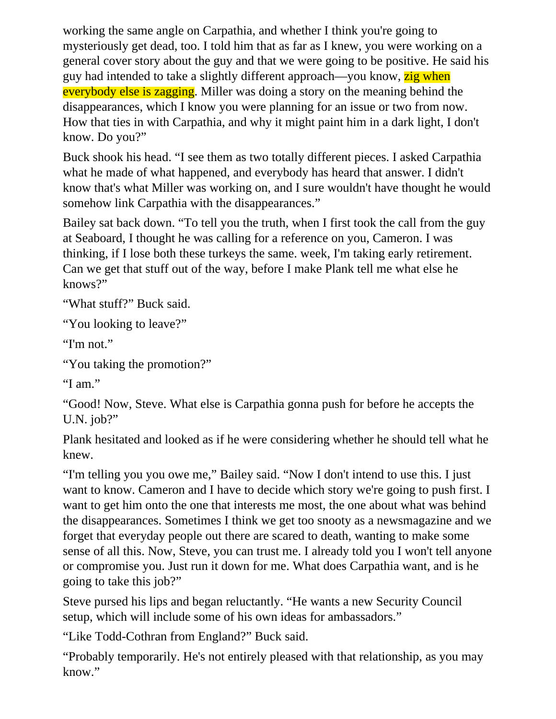working the same angle on Carpathia, and whether I think you're going to mysteriously get dead, too. I told him that as far as I knew, you were working on a general cover story about the guy and that we were going to be positive. He said his guy had intended to take a slightly different approach—you know, zig when everybody else is zagging. Miller was doing a story on the meaning behind the disappearances, which I know you were planning for an issue or two from now. How that ties in with Carpathia, and why it might paint him in a dark light, I don't know. Do you?"

Buck shook his head. "I see them as two totally different pieces. I asked Carpathia what he made of what happened, and everybody has heard that answer. I didn't know that's what Miller was working on, and I sure wouldn't have thought he would somehow link Carpathia with the disappearances."

Bailey sat back down. "To tell you the truth, when I first took the call from the guy at Seaboard, I thought he was calling for a reference on you, Cameron. I was thinking, if I lose both these turkeys the same. week, I'm taking early retirement. Can we get that stuff out of the way, before I make Plank tell me what else he knows?"

"What stuff?" Buck said.

```
"You looking to leave?"
```

```
"I'm not."
```

```
"You taking the promotion?"
```

```
"I am."
```
"Good! Now, Steve. What else is Carpathia gonna push for before he accepts the U.N. job?"

Plank hesitated and looked as if he were considering whether he should tell what he knew.

"I'm telling you you owe me," Bailey said. "Now I don't intend to use this. I just want to know. Cameron and I have to decide which story we're going to push first. I want to get him onto the one that interests me most, the one about what was behind the disappearances. Sometimes I think we get too snooty as a newsmagazine and we forget that everyday people out there are scared to death, wanting to make some sense of all this. Now, Steve, you can trust me. I already told you I won't tell anyone or compromise you. Just run it down for me. What does Carpathia want, and is he going to take this job?"

Steve pursed his lips and began reluctantly. "He wants a new Security Council setup, which will include some of his own ideas for ambassadors."

"Like Todd-Cothran from England?" Buck said.

"Probably temporarily. He's not entirely pleased with that relationship, as you may know."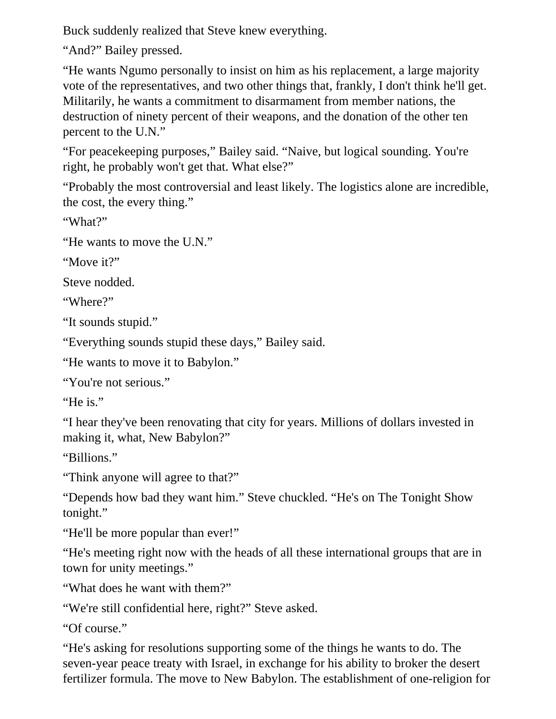Buck suddenly realized that Steve knew everything.

"And?" Bailey pressed.

"He wants Ngumo personally to insist on him as his replacement, a large majority vote of the representatives, and two other things that, frankly, I don't think he'll get. Militarily, he wants a commitment to disarmament from member nations, the destruction of ninety percent of their weapons, and the donation of the other ten percent to the U.N."

"For peacekeeping purposes," Bailey said. "Naive, but logical sounding. You're right, he probably won't get that. What else?"

"Probably the most controversial and least likely. The logistics alone are incredible, the cost, the every thing."

"What?"

"He wants to move the U.N."

"Move it?"

Steve nodded.

"Where?"

"It sounds stupid."

"Everything sounds stupid these days," Bailey said.

"He wants to move it to Babylon."

"You're not serious."

"He is."

"I hear they've been renovating that city for years. Millions of dollars invested in making it, what, New Babylon?"

"Billions."

"Think anyone will agree to that?"

"Depends how bad they want him." Steve chuckled. "He's on The Tonight Show tonight."

"He'll be more popular than ever!"

"He's meeting right now with the heads of all these international groups that are in town for unity meetings."

"What does he want with them?"

"We're still confidential here, right?" Steve asked.

"Of course."

"He's asking for resolutions supporting some of the things he wants to do. The seven-year peace treaty with Israel, in exchange for his ability to broker the desert fertilizer formula. The move to New Babylon. The establishment of one-religion for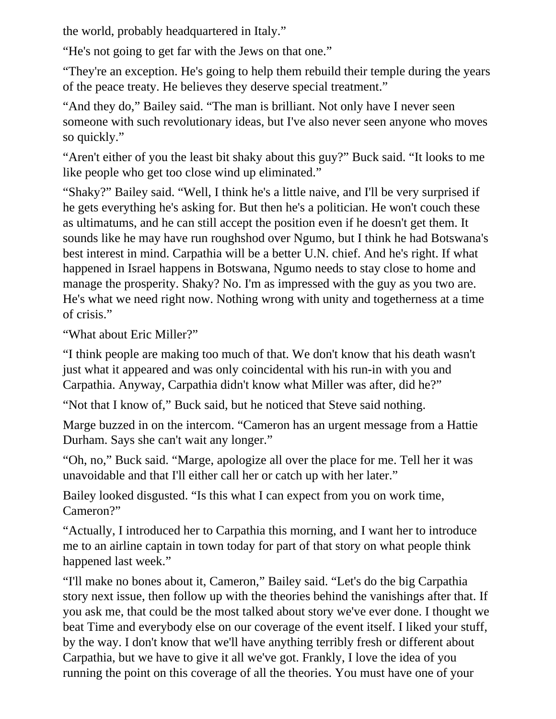the world, probably headquartered in Italy."

"He's not going to get far with the Jews on that one."

"They're an exception. He's going to help them rebuild their temple during the years of the peace treaty. He believes they deserve special treatment."

"And they do," Bailey said. "The man is brilliant. Not only have I never seen someone with such revolutionary ideas, but I've also never seen anyone who moves so quickly."

"Aren't either of you the least bit shaky about this guy?" Buck said. "It looks to me like people who get too close wind up eliminated."

"Shaky?" Bailey said. "Well, I think he's a little naive, and I'll be very surprised if he gets everything he's asking for. But then he's a politician. He won't couch these as ultimatums, and he can still accept the position even if he doesn't get them. It sounds like he may have run roughshod over Ngumo, but I think he had Botswana's best interest in mind. Carpathia will be a better U.N. chief. And he's right. If what happened in Israel happens in Botswana, Ngumo needs to stay close to home and manage the prosperity. Shaky? No. I'm as impressed with the guy as you two are. He's what we need right now. Nothing wrong with unity and togetherness at a time of crisis."

"What about Eric Miller?"

"I think people are making too much of that. We don't know that his death wasn't just what it appeared and was only coincidental with his run-in with you and Carpathia. Anyway, Carpathia didn't know what Miller was after, did he?"

"Not that I know of," Buck said, but he noticed that Steve said nothing.

Marge buzzed in on the intercom. "Cameron has an urgent message from a Hattie Durham. Says she can't wait any longer."

"Oh, no," Buck said. "Marge, apologize all over the place for me. Tell her it was unavoidable and that I'll either call her or catch up with her later."

Bailey looked disgusted. "Is this what I can expect from you on work time, Cameron?"

"Actually, I introduced her to Carpathia this morning, and I want her to introduce me to an airline captain in town today for part of that story on what people think happened last week."

"I'll make no bones about it, Cameron," Bailey said. "Let's do the big Carpathia story next issue, then follow up with the theories behind the vanishings after that. If you ask me, that could be the most talked about story we've ever done. I thought we beat Time and everybody else on our coverage of the event itself. I liked your stuff, by the way. I don't know that we'll have anything terribly fresh or different about Carpathia, but we have to give it all we've got. Frankly, I love the idea of you running the point on this coverage of all the theories. You must have one of your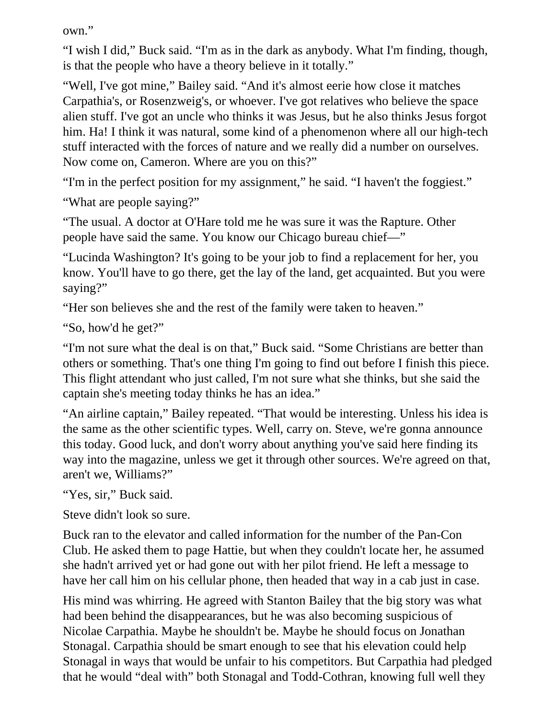own."

"I wish I did," Buck said. "I'm as in the dark as anybody. What I'm finding, though, is that the people who have a theory believe in it totally."

"Well, I've got mine," Bailey said. "And it's almost eerie how close it matches Carpathia's, or Rosenzweig's, or whoever. I've got relatives who believe the space alien stuff. I've got an uncle who thinks it was Jesus, but he also thinks Jesus forgot him. Ha! I think it was natural, some kind of a phenomenon where all our high-tech stuff interacted with the forces of nature and we really did a number on ourselves. Now come on, Cameron. Where are you on this?"

"I'm in the perfect position for my assignment," he said. "I haven't the foggiest."

"What are people saying?"

"The usual. A doctor at O'Hare told me he was sure it was the Rapture. Other people have said the same. You know our Chicago bureau chief—"

"Lucinda Washington? It's going to be your job to find a replacement for her, you know. You'll have to go there, get the lay of the land, get acquainted. But you were saying?"

"Her son believes she and the rest of the family were taken to heaven."

"So, how'd he get?"

"I'm not sure what the deal is on that," Buck said. "Some Christians are better than others or something. That's one thing I'm going to find out before I finish this piece. This flight attendant who just called, I'm not sure what she thinks, but she said the captain she's meeting today thinks he has an idea."

"An airline captain," Bailey repeated. "That would be interesting. Unless his idea is the same as the other scientific types. Well, carry on. Steve, we're gonna announce this today. Good luck, and don't worry about anything you've said here finding its way into the magazine, unless we get it through other sources. We're agreed on that, aren't we, Williams?"

"Yes, sir," Buck said.

Steve didn't look so sure.

Buck ran to the elevator and called information for the number of the Pan-Con Club. He asked them to page Hattie, but when they couldn't locate her, he assumed she hadn't arrived yet or had gone out with her pilot friend. He left a message to have her call him on his cellular phone, then headed that way in a cab just in case.

His mind was whirring. He agreed with Stanton Bailey that the big story was what had been behind the disappearances, but he was also becoming suspicious of Nicolae Carpathia. Maybe he shouldn't be. Maybe he should focus on Jonathan Stonagal. Carpathia should be smart enough to see that his elevation could help Stonagal in ways that would be unfair to his competitors. But Carpathia had pledged that he would "deal with" both Stonagal and Todd-Cothran, knowing full well they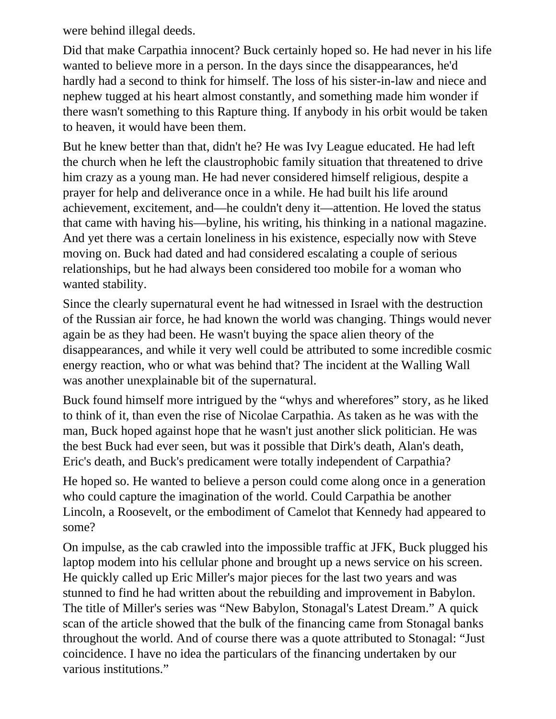were behind illegal deeds.

Did that make Carpathia innocent? Buck certainly hoped so. He had never in his life wanted to believe more in a person. In the days since the disappearances, he'd hardly had a second to think for himself. The loss of his sister-in-law and niece and nephew tugged at his heart almost constantly, and something made him wonder if there wasn't something to this Rapture thing. If anybody in his orbit would be taken to heaven, it would have been them.

But he knew better than that, didn't he? He was Ivy League educated. He had left the church when he left the claustrophobic family situation that threatened to drive him crazy as a young man. He had never considered himself religious, despite a prayer for help and deliverance once in a while. He had built his life around achievement, excitement, and—he couldn't deny it—attention. He loved the status that came with having his—byline, his writing, his thinking in a national magazine. And yet there was a certain loneliness in his existence, especially now with Steve moving on. Buck had dated and had considered escalating a couple of serious relationships, but he had always been considered too mobile for a woman who wanted stability.

Since the clearly supernatural event he had witnessed in Israel with the destruction of the Russian air force, he had known the world was changing. Things would never again be as they had been. He wasn't buying the space alien theory of the disappearances, and while it very well could be attributed to some incredible cosmic energy reaction, who or what was behind that? The incident at the Walling Wall was another unexplainable bit of the supernatural.

Buck found himself more intrigued by the "whys and wherefores" story, as he liked to think of it, than even the rise of Nicolae Carpathia. As taken as he was with the man, Buck hoped against hope that he wasn't just another slick politician. He was the best Buck had ever seen, but was it possible that Dirk's death, Alan's death, Eric's death, and Buck's predicament were totally independent of Carpathia?

He hoped so. He wanted to believe a person could come along once in a generation who could capture the imagination of the world. Could Carpathia be another Lincoln, a Roosevelt, or the embodiment of Camelot that Kennedy had appeared to some?

On impulse, as the cab crawled into the impossible traffic at JFK, Buck plugged his laptop modem into his cellular phone and brought up a news service on his screen. He quickly called up Eric Miller's major pieces for the last two years and was stunned to find he had written about the rebuilding and improvement in Babylon. The title of Miller's series was "New Babylon, Stonagal's Latest Dream." A quick scan of the article showed that the bulk of the financing came from Stonagal banks throughout the world. And of course there was a quote attributed to Stonagal: "Just coincidence. I have no idea the particulars of the financing undertaken by our various institutions."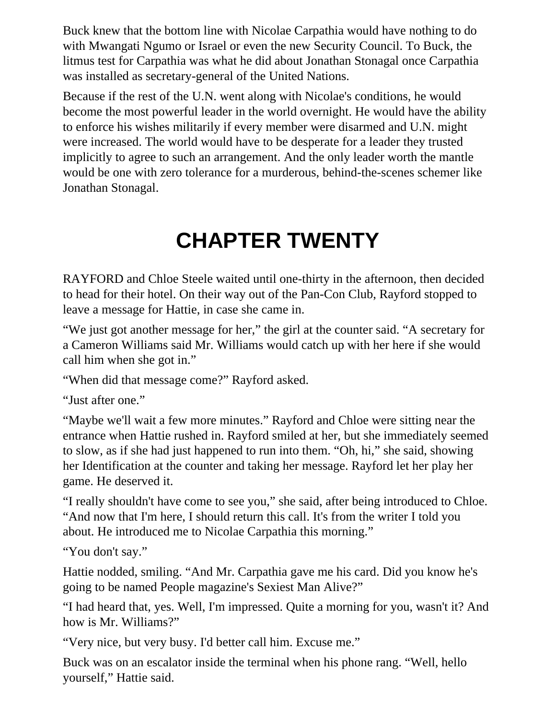Buck knew that the bottom line with Nicolae Carpathia would have nothing to do with Mwangati Ngumo or Israel or even the new Security Council. To Buck, the litmus test for Carpathia was what he did about Jonathan Stonagal once Carpathia was installed as secretary-general of the United Nations.

Because if the rest of the U.N. went along with Nicolae's conditions, he would become the most powerful leader in the world overnight. He would have the ability to enforce his wishes militarily if every member were disarmed and U.N. might were increased. The world would have to be desperate for a leader they trusted implicitly to agree to such an arrangement. And the only leader worth the mantle would be one with zero tolerance for a murderous, behind-the-scenes schemer like Jonathan Stonagal.

## **CHAPTER TWENTY**

RAYFORD and Chloe Steele waited until one-thirty in the afternoon, then decided to head for their hotel. On their way out of the Pan-Con Club, Rayford stopped to leave a message for Hattie, in case she came in.

"We just got another message for her," the girl at the counter said. "A secretary for a Cameron Williams said Mr. Williams would catch up with her here if she would call him when she got in."

"When did that message come?" Rayford asked.

"Just after one."

"Maybe we'll wait a few more minutes." Rayford and Chloe were sitting near the entrance when Hattie rushed in. Rayford smiled at her, but she immediately seemed to slow, as if she had just happened to run into them. "Oh, hi," she said, showing her Identification at the counter and taking her message. Rayford let her play her game. He deserved it.

"I really shouldn't have come to see you," she said, after being introduced to Chloe. "And now that I'm here, I should return this call. It's from the writer I told you about. He introduced me to Nicolae Carpathia this morning."

"You don't say."

Hattie nodded, smiling. "And Mr. Carpathia gave me his card. Did you know he's going to be named People magazine's Sexiest Man Alive?"

"I had heard that, yes. Well, I'm impressed. Quite a morning for you, wasn't it? And how is Mr. Williams?"

"Very nice, but very busy. I'd better call him. Excuse me."

Buck was on an escalator inside the terminal when his phone rang. "Well, hello yourself," Hattie said.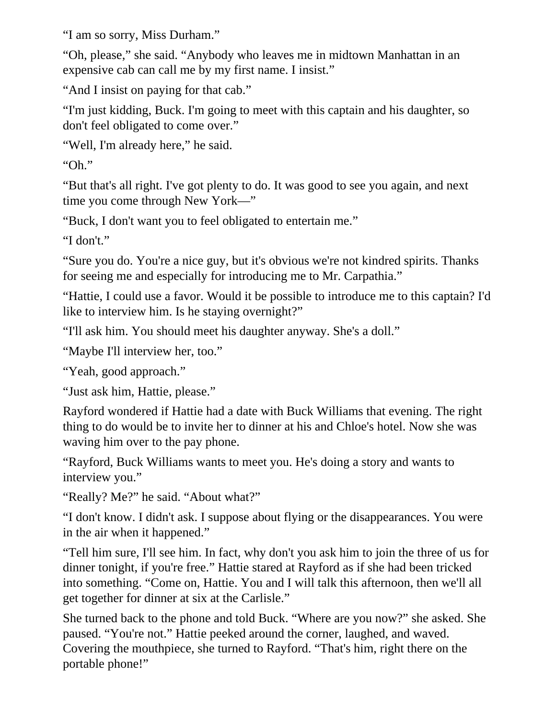"I am so sorry, Miss Durham."

"Oh, please," she said. "Anybody who leaves me in midtown Manhattan in an expensive cab can call me by my first name. I insist."

"And I insist on paying for that cab."

"I'm just kidding, Buck. I'm going to meet with this captain and his daughter, so don't feel obligated to come over."

"Well, I'm already here," he said.

"Oh."

"But that's all right. I've got plenty to do. It was good to see you again, and next time you come through New York—"

"Buck, I don't want you to feel obligated to entertain me."

"I don't."

"Sure you do. You're a nice guy, but it's obvious we're not kindred spirits. Thanks for seeing me and especially for introducing me to Mr. Carpathia."

"Hattie, I could use a favor. Would it be possible to introduce me to this captain? I'd like to interview him. Is he staying overnight?"

"I'll ask him. You should meet his daughter anyway. She's a doll."

"Maybe I'll interview her, too."

"Yeah, good approach."

"Just ask him, Hattie, please."

Rayford wondered if Hattie had a date with Buck Williams that evening. The right thing to do would be to invite her to dinner at his and Chloe's hotel. Now she was waving him over to the pay phone.

"Rayford, Buck Williams wants to meet you. He's doing a story and wants to interview you."

"Really? Me?" he said. "About what?"

"I don't know. I didn't ask. I suppose about flying or the disappearances. You were in the air when it happened."

"Tell him sure, I'll see him. In fact, why don't you ask him to join the three of us for dinner tonight, if you're free." Hattie stared at Rayford as if she had been tricked into something. "Come on, Hattie. You and I will talk this afternoon, then we'll all get together for dinner at six at the Carlisle."

She turned back to the phone and told Buck. "Where are you now?" she asked. She paused. "You're not." Hattie peeked around the corner, laughed, and waved. Covering the mouthpiece, she turned to Rayford. "That's him, right there on the portable phone!"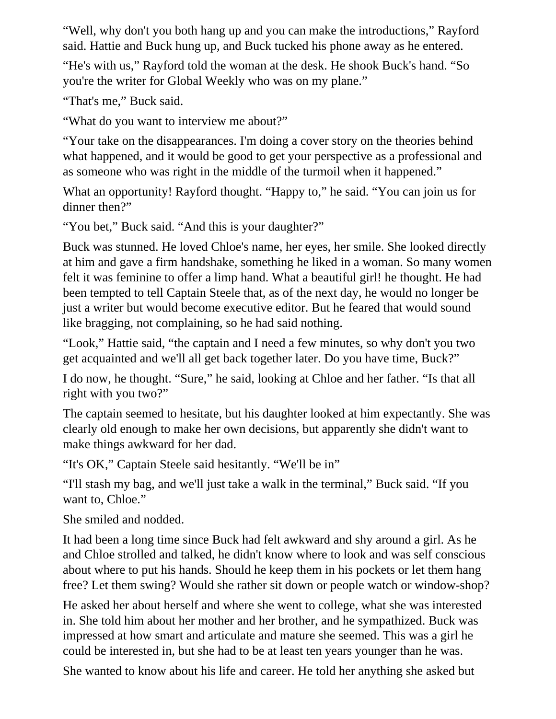"Well, why don't you both hang up and you can make the introductions," Rayford said. Hattie and Buck hung up, and Buck tucked his phone away as he entered.

"He's with us," Rayford told the woman at the desk. He shook Buck's hand. "So you're the writer for Global Weekly who was on my plane."

"That's me," Buck said.

"What do you want to interview me about?"

"Your take on the disappearances. I'm doing a cover story on the theories behind what happened, and it would be good to get your perspective as a professional and as someone who was right in the middle of the turmoil when it happened."

What an opportunity! Rayford thought. "Happy to," he said. "You can join us for dinner then?"

"You bet," Buck said. "And this is your daughter?"

Buck was stunned. He loved Chloe's name, her eyes, her smile. She looked directly at him and gave a firm handshake, something he liked in a woman. So many women felt it was feminine to offer a limp hand. What a beautiful girl! he thought. He had been tempted to tell Captain Steele that, as of the next day, he would no longer be just a writer but would become executive editor. But he feared that would sound like bragging, not complaining, so he had said nothing.

"Look," Hattie said, "the captain and I need a few minutes, so why don't you two get acquainted and we'll all get back together later. Do you have time, Buck?"

I do now, he thought. "Sure," he said, looking at Chloe and her father. "Is that all right with you two?"

The captain seemed to hesitate, but his daughter looked at him expectantly. She was clearly old enough to make her own decisions, but apparently she didn't want to make things awkward for her dad.

"It's OK," Captain Steele said hesitantly. "We'll be in"

"I'll stash my bag, and we'll just take a walk in the terminal," Buck said. "If you want to, Chloe."

She smiled and nodded.

It had been a long time since Buck had felt awkward and shy around a girl. As he and Chloe strolled and talked, he didn't know where to look and was self conscious about where to put his hands. Should he keep them in his pockets or let them hang free? Let them swing? Would she rather sit down or people watch or window-shop?

He asked her about herself and where she went to college, what she was interested in. She told him about her mother and her brother, and he sympathized. Buck was impressed at how smart and articulate and mature she seemed. This was a girl he could be interested in, but she had to be at least ten years younger than he was.

She wanted to know about his life and career. He told her anything she asked but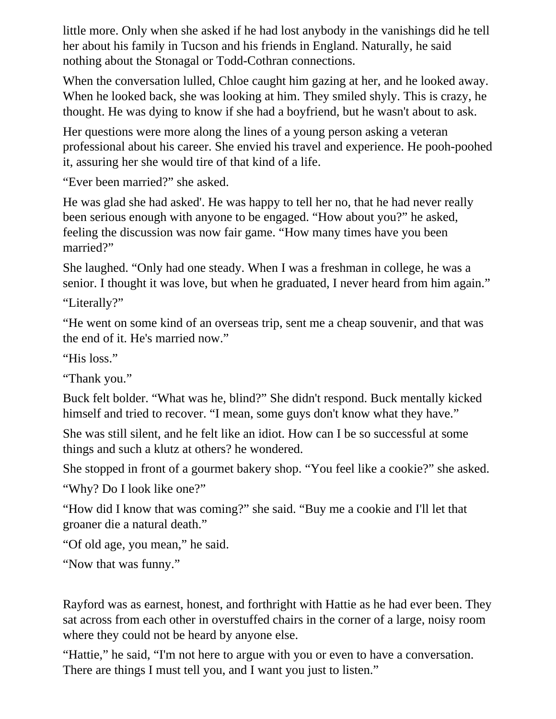little more. Only when she asked if he had lost anybody in the vanishings did he tell her about his family in Tucson and his friends in England. Naturally, he said nothing about the Stonagal or Todd-Cothran connections.

When the conversation lulled, Chloe caught him gazing at her, and he looked away. When he looked back, she was looking at him. They smiled shyly. This is crazy, he thought. He was dying to know if she had a boyfriend, but he wasn't about to ask.

Her questions were more along the lines of a young person asking a veteran professional about his career. She envied his travel and experience. He pooh-poohed it, assuring her she would tire of that kind of a life.

"Ever been married?" she asked.

He was glad she had asked'. He was happy to tell her no, that he had never really been serious enough with anyone to be engaged. "How about you?" he asked, feeling the discussion was now fair game. "How many times have you been married?"

She laughed. "Only had one steady. When I was a freshman in college, he was a senior. I thought it was love, but when he graduated, I never heard from him again."

"Literally?"

"He went on some kind of an overseas trip, sent me a cheap souvenir, and that was the end of it. He's married now."

"His loss."

"Thank you."

Buck felt bolder. "What was he, blind?" She didn't respond. Buck mentally kicked himself and tried to recover. "I mean, some guys don't know what they have."

She was still silent, and he felt like an idiot. How can I be so successful at some things and such a klutz at others? he wondered.

She stopped in front of a gourmet bakery shop. "You feel like a cookie?" she asked.

"Why? Do I look like one?"

"How did I know that was coming?" she said. "Buy me a cookie and I'll let that groaner die a natural death."

"Of old age, you mean," he said.

"Now that was funny."

Rayford was as earnest, honest, and forthright with Hattie as he had ever been. They sat across from each other in overstuffed chairs in the corner of a large, noisy room where they could not be heard by anyone else.

"Hattie," he said, "I'm not here to argue with you or even to have a conversation. There are things I must tell you, and I want you just to listen."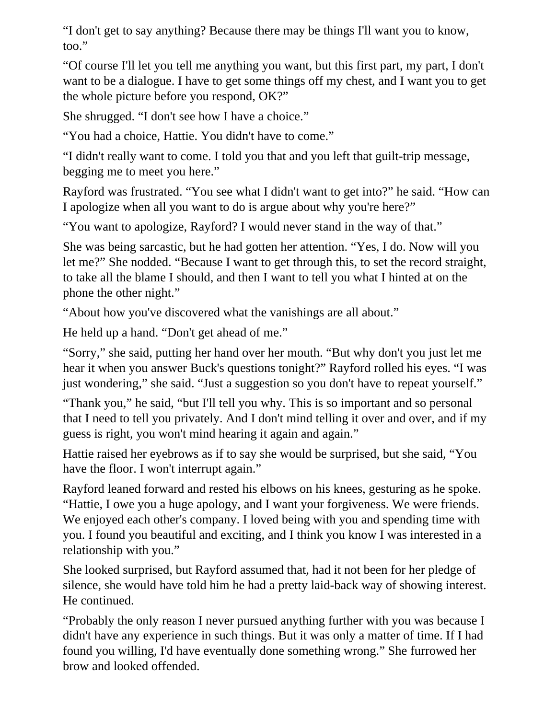"I don't get to say anything? Because there may be things I'll want you to know, too."

"Of course I'll let you tell me anything you want, but this first part, my part, I don't want to be a dialogue. I have to get some things off my chest, and I want you to get the whole picture before you respond, OK?"

She shrugged. "I don't see how I have a choice."

"You had a choice, Hattie. You didn't have to come."

"I didn't really want to come. I told you that and you left that guilt-trip message, begging me to meet you here."

Rayford was frustrated. "You see what I didn't want to get into?" he said. "How can I apologize when all you want to do is argue about why you're here?"

"You want to apologize, Rayford? I would never stand in the way of that."

She was being sarcastic, but he had gotten her attention. "Yes, I do. Now will you let me?" She nodded. "Because I want to get through this, to set the record straight, to take all the blame I should, and then I want to tell you what I hinted at on the phone the other night."

"About how you've discovered what the vanishings are all about."

He held up a hand. "Don't get ahead of me."

"Sorry," she said, putting her hand over her mouth. "But why don't you just let me hear it when you answer Buck's questions tonight?" Rayford rolled his eyes. "I was just wondering," she said. "Just a suggestion so you don't have to repeat yourself."

"Thank you," he said, "but I'll tell you why. This is so important and so personal that I need to tell you privately. And I don't mind telling it over and over, and if my guess is right, you won't mind hearing it again and again."

Hattie raised her eyebrows as if to say she would be surprised, but she said, "You have the floor. I won't interrupt again."

Rayford leaned forward and rested his elbows on his knees, gesturing as he spoke. "Hattie, I owe you a huge apology, and I want your forgiveness. We were friends. We enjoyed each other's company. I loved being with you and spending time with you. I found you beautiful and exciting, and I think you know I was interested in a relationship with you."

She looked surprised, but Rayford assumed that, had it not been for her pledge of silence, she would have told him he had a pretty laid-back way of showing interest. He continued.

"Probably the only reason I never pursued anything further with you was because I didn't have any experience in such things. But it was only a matter of time. If I had found you willing, I'd have eventually done something wrong." She furrowed her brow and looked offended.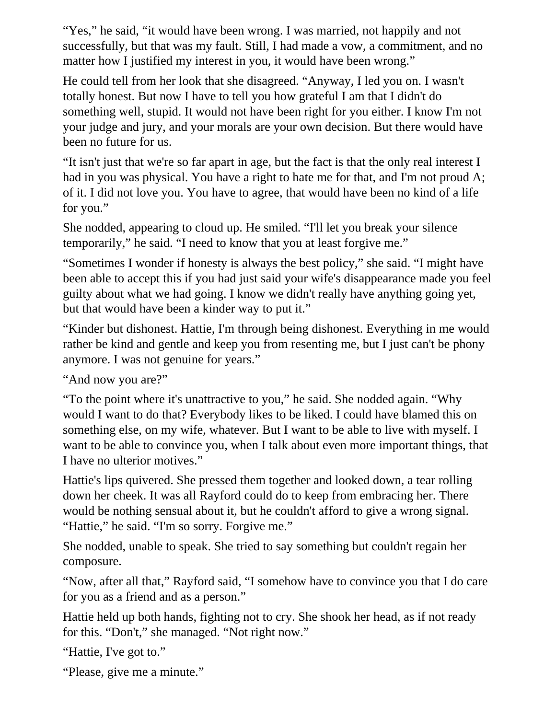"Yes," he said, "it would have been wrong. I was married, not happily and not successfully, but that was my fault. Still, I had made a vow, a commitment, and no matter how I justified my interest in you, it would have been wrong."

He could tell from her look that she disagreed. "Anyway, I led you on. I wasn't totally honest. But now I have to tell you how grateful I am that I didn't do something well, stupid. It would not have been right for you either. I know I'm not your judge and jury, and your morals are your own decision. But there would have been no future for us.

"It isn't just that we're so far apart in age, but the fact is that the only real interest I had in you was physical. You have a right to hate me for that, and I'm not proud A; of it. I did not love you. You have to agree, that would have been no kind of a life for you."

She nodded, appearing to cloud up. He smiled. "I'll let you break your silence temporarily," he said. "I need to know that you at least forgive me."

"Sometimes I wonder if honesty is always the best policy," she said. "I might have been able to accept this if you had just said your wife's disappearance made you feel guilty about what we had going. I know we didn't really have anything going yet, but that would have been a kinder way to put it."

"Kinder but dishonest. Hattie, I'm through being dishonest. Everything in me would rather be kind and gentle and keep you from resenting me, but I just can't be phony anymore. I was not genuine for years."

"And now you are?"

"To the point where it's unattractive to you," he said. She nodded again. "Why would I want to do that? Everybody likes to be liked. I could have blamed this on something else, on my wife, whatever. But I want to be able to live with myself. I want to be able to convince you, when I talk about even more important things, that I have no ulterior motives."

Hattie's lips quivered. She pressed them together and looked down, a tear rolling down her cheek. It was all Rayford could do to keep from embracing her. There would be nothing sensual about it, but he couldn't afford to give a wrong signal. "Hattie," he said. "I'm so sorry. Forgive me."

She nodded, unable to speak. She tried to say something but couldn't regain her composure.

"Now, after all that," Rayford said, "I somehow have to convince you that I do care for you as a friend and as a person."

Hattie held up both hands, fighting not to cry. She shook her head, as if not ready for this. "Don't," she managed. "Not right now."

"Hattie, I've got to."

"Please, give me a minute."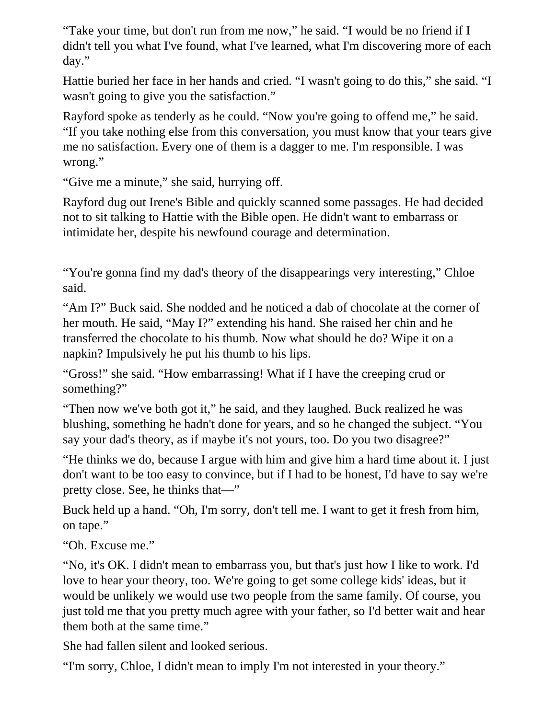"Take your time, but don't run from me now," he said. "I would be no friend if I didn't tell you what I've found, what I've learned, what I'm discovering more of each day."

Hattie buried her face in her hands and cried. "I wasn't going to do this," she said. "I wasn't going to give you the satisfaction."

Rayford spoke as tenderly as he could. "Now you're going to offend me," he said. "If you take nothing else from this conversation, you must know that your tears give me no satisfaction. Every one of them is a dagger to me. I'm responsible. I was wrong."

"Give me a minute," she said, hurrying off.

Rayford dug out Irene's Bible and quickly scanned some passages. He had decided not to sit talking to Hattie with the Bible open. He didn't want to embarrass or intimidate her, despite his newfound courage and determination.

"You're gonna find my dad's theory of the disappearings very interesting," Chloe said.

"Am I?" Buck said. She nodded and he noticed a dab of chocolate at the corner of her mouth. He said, "May I?" extending his hand. She raised her chin and he transferred the chocolate to his thumb. Now what should he do? Wipe it on a napkin? Impulsively he put his thumb to his lips.

"Gross!" she said. "How embarrassing! What if I have the creeping crud or something?"

"Then now we've both got it," he said, and they laughed. Buck realized he was blushing, something he hadn't done for years, and so he changed the subject. "You say your dad's theory, as if maybe it's not yours, too. Do you two disagree?"

"He thinks we do, because I argue with him and give him a hard time about it. I just don't want to be too easy to convince, but if I had to be honest, I'd have to say we're pretty close. See, he thinks that—"

Buck held up a hand. "Oh, I'm sorry, don't tell me. I want to get it fresh from him, on tape."

"Oh. Excuse me."

"No, it's OK. I didn't mean to embarrass you, but that's just how I like to work. I'd love to hear your theory, too. We're going to get some college kids' ideas, but it would be unlikely we would use two people from the same family. Of course, you just told me that you pretty much agree with your father, so I'd better wait and hear them both at the same time."

She had fallen silent and looked serious.

"I'm sorry, Chloe, I didn't mean to imply I'm not interested in your theory."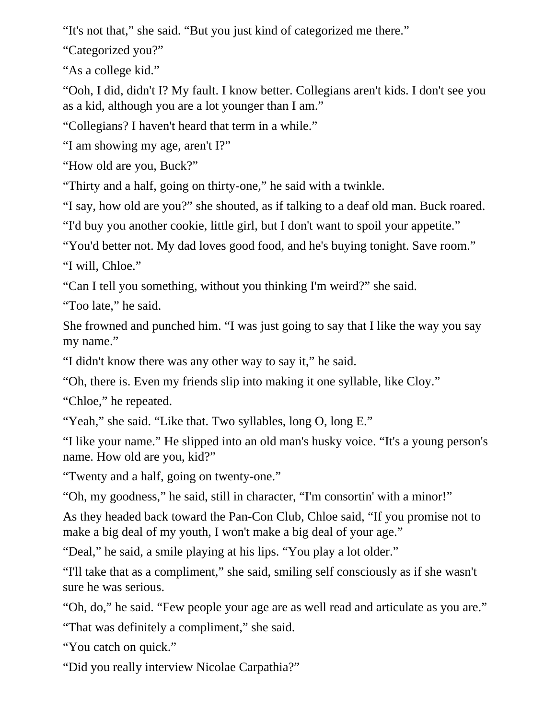"It's not that," she said. "But you just kind of categorized me there."

"Categorized you?"

"As a college kid."

"Ooh, I did, didn't I? My fault. I know better. Collegians aren't kids. I don't see you as a kid, although you are a lot younger than I am."

"Collegians? I haven't heard that term in a while."

"I am showing my age, aren't I?"

"How old are you, Buck?"

"Thirty and a half, going on thirty-one," he said with a twinkle.

"I say, how old are you?" she shouted, as if talking to a deaf old man. Buck roared.

"I'd buy you another cookie, little girl, but I don't want to spoil your appetite."

"You'd better not. My dad loves good food, and he's buying tonight. Save room."

"I will, Chloe."

"Can I tell you something, without you thinking I'm weird?" she said.

"Too late," he said.

She frowned and punched him. "I was just going to say that I like the way you say my name."

"I didn't know there was any other way to say it," he said.

"Oh, there is. Even my friends slip into making it one syllable, like Cloy."

"Chloe," he repeated.

"Yeah," she said. "Like that. Two syllables, long O, long E."

"I like your name." He slipped into an old man's husky voice. "It's a young person's name. How old are you, kid?"

"Twenty and a half, going on twenty-one."

"Oh, my goodness," he said, still in character, "I'm consortin' with a minor!"

As they headed back toward the Pan-Con Club, Chloe said, "If you promise not to make a big deal of my youth, I won't make a big deal of your age."

"Deal," he said, a smile playing at his lips. "You play a lot older."

"I'll take that as a compliment," she said, smiling self consciously as if she wasn't sure he was serious.

"Oh, do," he said. "Few people your age are as well read and articulate as you are."

"That was definitely a compliment," she said.

"You catch on quick."

"Did you really interview Nicolae Carpathia?"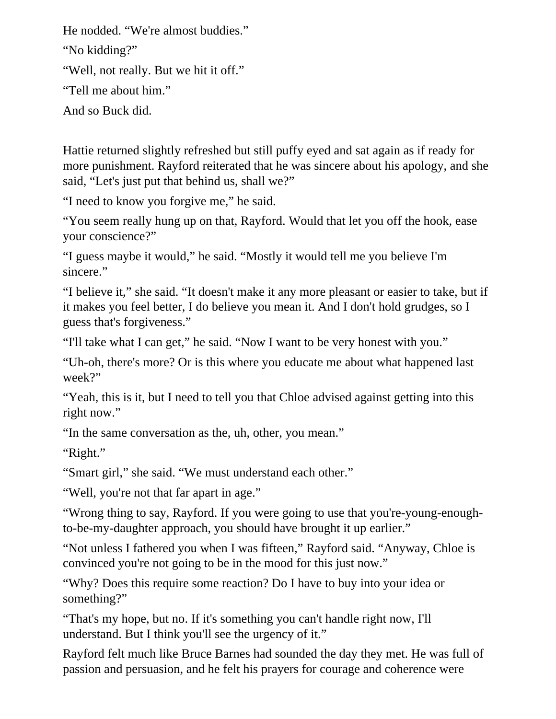He nodded. "We're almost buddies." "No kidding?" "Well, not really. But we hit it off." "Tell me about him." And so Buck did.

Hattie returned slightly refreshed but still puffy eyed and sat again as if ready for more punishment. Rayford reiterated that he was sincere about his apology, and she said, "Let's just put that behind us, shall we?"

"I need to know you forgive me," he said.

"You seem really hung up on that, Rayford. Would that let you off the hook, ease your conscience?"

"I guess maybe it would," he said. "Mostly it would tell me you believe I'm sincere."

"I believe it," she said. "It doesn't make it any more pleasant or easier to take, but if it makes you feel better, I do believe you mean it. And I don't hold grudges, so I guess that's forgiveness."

"I'll take what I can get," he said. "Now I want to be very honest with you."

"Uh-oh, there's more? Or is this where you educate me about what happened last week?"

"Yeah, this is it, but I need to tell you that Chloe advised against getting into this right now."

"In the same conversation as the, uh, other, you mean."

"Right."

"Smart girl," she said. "We must understand each other."

"Well, you're not that far apart in age."

"Wrong thing to say, Rayford. If you were going to use that you're-young-enoughto-be-my-daughter approach, you should have brought it up earlier."

"Not unless I fathered you when I was fifteen," Rayford said. "Anyway, Chloe is convinced you're not going to be in the mood for this just now."

"Why? Does this require some reaction? Do I have to buy into your idea or something?"

"That's my hope, but no. If it's something you can't handle right now, I'll understand. But I think you'll see the urgency of it."

Rayford felt much like Bruce Barnes had sounded the day they met. He was full of passion and persuasion, and he felt his prayers for courage and coherence were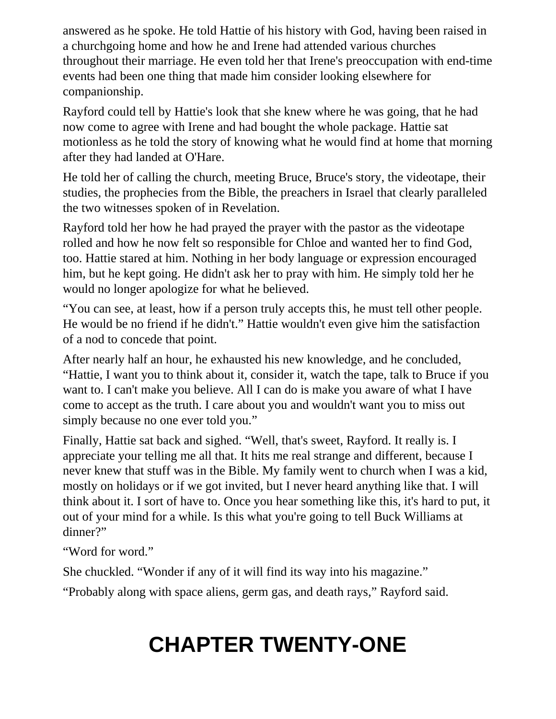answered as he spoke. He told Hattie of his history with God, having been raised in a churchgoing home and how he and Irene had attended various churches throughout their marriage. He even told her that Irene's preoccupation with end-time events had been one thing that made him consider looking elsewhere for companionship.

Rayford could tell by Hattie's look that she knew where he was going, that he had now come to agree with Irene and had bought the whole package. Hattie sat motionless as he told the story of knowing what he would find at home that morning after they had landed at O'Hare.

He told her of calling the church, meeting Bruce, Bruce's story, the videotape, their studies, the prophecies from the Bible, the preachers in Israel that clearly paralleled the two witnesses spoken of in Revelation.

Rayford told her how he had prayed the prayer with the pastor as the videotape rolled and how he now felt so responsible for Chloe and wanted her to find God, too. Hattie stared at him. Nothing in her body language or expression encouraged him, but he kept going. He didn't ask her to pray with him. He simply told her he would no longer apologize for what he believed.

"You can see, at least, how if a person truly accepts this, he must tell other people. He would be no friend if he didn't." Hattie wouldn't even give him the satisfaction of a nod to concede that point.

After nearly half an hour, he exhausted his new knowledge, and he concluded, "Hattie, I want you to think about it, consider it, watch the tape, talk to Bruce if you want to. I can't make you believe. All I can do is make you aware of what I have come to accept as the truth. I care about you and wouldn't want you to miss out simply because no one ever told you."

Finally, Hattie sat back and sighed. "Well, that's sweet, Rayford. It really is. I appreciate your telling me all that. It hits me real strange and different, because I never knew that stuff was in the Bible. My family went to church when I was a kid, mostly on holidays or if we got invited, but I never heard anything like that. I will think about it. I sort of have to. Once you hear something like this, it's hard to put, it out of your mind for a while. Is this what you're going to tell Buck Williams at dinner?"

"Word for word."

She chuckled. "Wonder if any of it will find its way into his magazine."

"Probably along with space aliens, germ gas, and death rays," Rayford said.

## **CHAPTER TWENTY-ONE**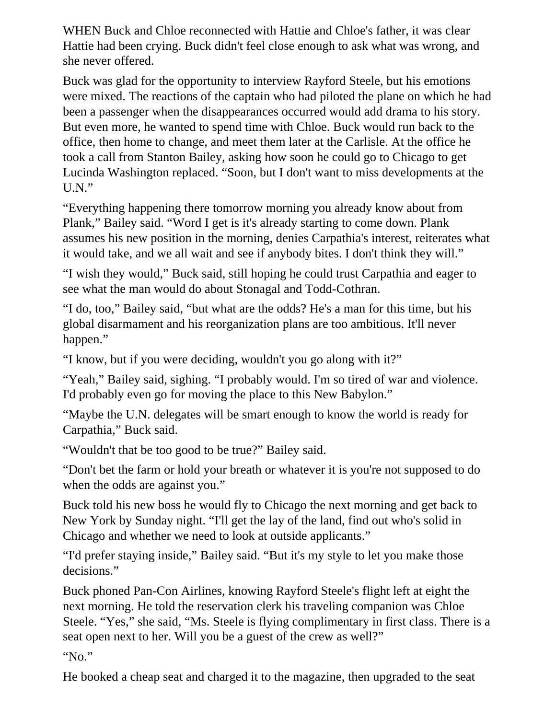WHEN Buck and Chloe reconnected with Hattie and Chloe's father, it was clear Hattie had been crying. Buck didn't feel close enough to ask what was wrong, and she never offered.

Buck was glad for the opportunity to interview Rayford Steele, but his emotions were mixed. The reactions of the captain who had piloted the plane on which he had been a passenger when the disappearances occurred would add drama to his story. But even more, he wanted to spend time with Chloe. Buck would run back to the office, then home to change, and meet them later at the Carlisle. At the office he took a call from Stanton Bailey, asking how soon he could go to Chicago to get Lucinda Washington replaced. "Soon, but I don't want to miss developments at the U.N."

"Everything happening there tomorrow morning you already know about from Plank," Bailey said. "Word I get is it's already starting to come down. Plank assumes his new position in the morning, denies Carpathia's interest, reiterates what it would take, and we all wait and see if anybody bites. I don't think they will."

"I wish they would," Buck said, still hoping he could trust Carpathia and eager to see what the man would do about Stonagal and Todd-Cothran.

"I do, too," Bailey said, "but what are the odds? He's a man for this time, but his global disarmament and his reorganization plans are too ambitious. It'll never happen."

"I know, but if you were deciding, wouldn't you go along with it?"

"Yeah," Bailey said, sighing. "I probably would. I'm so tired of war and violence. I'd probably even go for moving the place to this New Babylon."

"Maybe the U.N. delegates will be smart enough to know the world is ready for Carpathia," Buck said.

"Wouldn't that be too good to be true?" Bailey said.

"Don't bet the farm or hold your breath or whatever it is you're not supposed to do when the odds are against you."

Buck told his new boss he would fly to Chicago the next morning and get back to New York by Sunday night. "I'll get the lay of the land, find out who's solid in Chicago and whether we need to look at outside applicants."

"I'd prefer staying inside," Bailey said. "But it's my style to let you make those decisions."

Buck phoned Pan-Con Airlines, knowing Rayford Steele's flight left at eight the next morning. He told the reservation clerk his traveling companion was Chloe Steele. "Yes," she said, "Ms. Steele is flying complimentary in first class. There is a seat open next to her. Will you be a guest of the crew as well?"

"No."

He booked a cheap seat and charged it to the magazine, then upgraded to the seat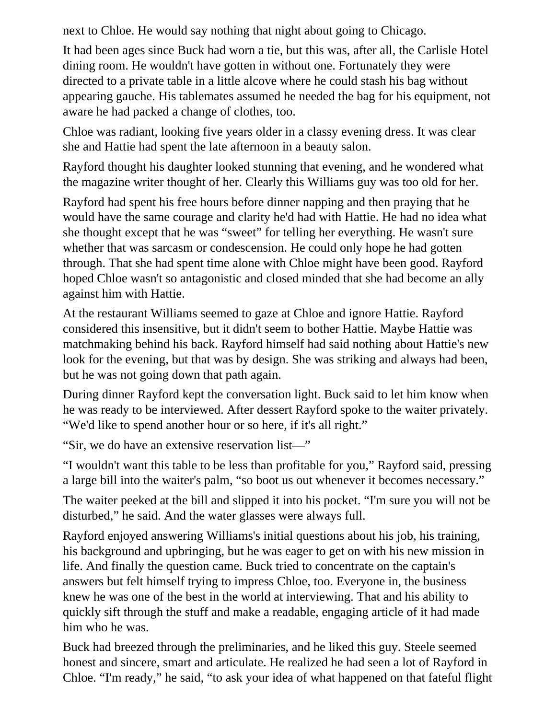next to Chloe. He would say nothing that night about going to Chicago.

It had been ages since Buck had worn a tie, but this was, after all, the Carlisle Hotel dining room. He wouldn't have gotten in without one. Fortunately they were directed to a private table in a little alcove where he could stash his bag without appearing gauche. His tablemates assumed he needed the bag for his equipment, not aware he had packed a change of clothes, too.

Chloe was radiant, looking five years older in a classy evening dress. It was clear she and Hattie had spent the late afternoon in a beauty salon.

Rayford thought his daughter looked stunning that evening, and he wondered what the magazine writer thought of her. Clearly this Williams guy was too old for her.

Rayford had spent his free hours before dinner napping and then praying that he would have the same courage and clarity he'd had with Hattie. He had no idea what she thought except that he was "sweet" for telling her everything. He wasn't sure whether that was sarcasm or condescension. He could only hope he had gotten through. That she had spent time alone with Chloe might have been good. Rayford hoped Chloe wasn't so antagonistic and closed minded that she had become an ally against him with Hattie.

At the restaurant Williams seemed to gaze at Chloe and ignore Hattie. Rayford considered this insensitive, but it didn't seem to bother Hattie. Maybe Hattie was matchmaking behind his back. Rayford himself had said nothing about Hattie's new look for the evening, but that was by design. She was striking and always had been, but he was not going down that path again.

During dinner Rayford kept the conversation light. Buck said to let him know when he was ready to be interviewed. After dessert Rayford spoke to the waiter privately. "We'd like to spend another hour or so here, if it's all right."

"Sir, we do have an extensive reservation list—"

"I wouldn't want this table to be less than profitable for you," Rayford said, pressing a large bill into the waiter's palm, "so boot us out whenever it becomes necessary."

The waiter peeked at the bill and slipped it into his pocket. "I'm sure you will not be disturbed," he said. And the water glasses were always full.

Rayford enjoyed answering Williams's initial questions about his job, his training, his background and upbringing, but he was eager to get on with his new mission in life. And finally the question came. Buck tried to concentrate on the captain's answers but felt himself trying to impress Chloe, too. Everyone in, the business knew he was one of the best in the world at interviewing. That and his ability to quickly sift through the stuff and make a readable, engaging article of it had made him who he was.

Buck had breezed through the preliminaries, and he liked this guy. Steele seemed honest and sincere, smart and articulate. He realized he had seen a lot of Rayford in Chloe. "I'm ready," he said, "to ask your idea of what happened on that fateful flight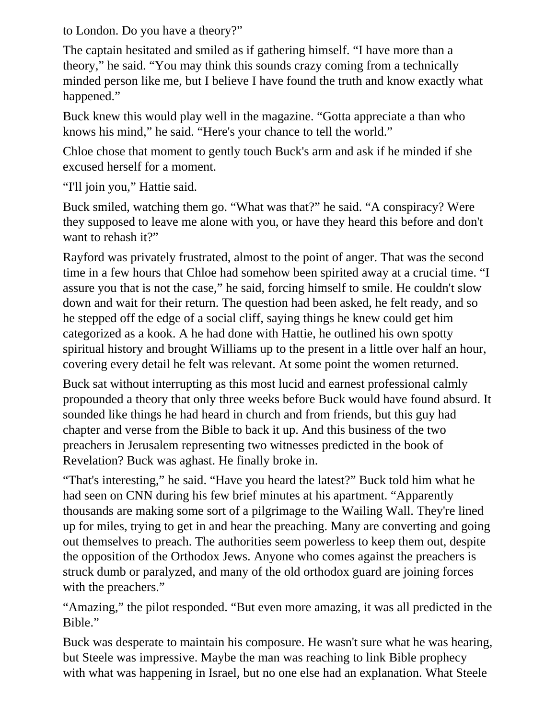to London. Do you have a theory?"

The captain hesitated and smiled as if gathering himself. "I have more than a theory," he said. "You may think this sounds crazy coming from a technically minded person like me, but I believe I have found the truth and know exactly what happened."

Buck knew this would play well in the magazine. "Gotta appreciate a than who knows his mind," he said. "Here's your chance to tell the world."

Chloe chose that moment to gently touch Buck's arm and ask if he minded if she excused herself for a moment.

"I'll join you," Hattie said.

Buck smiled, watching them go. "What was that?" he said. "A conspiracy? Were they supposed to leave me alone with you, or have they heard this before and don't want to rehash it?"

Rayford was privately frustrated, almost to the point of anger. That was the second time in a few hours that Chloe had somehow been spirited away at a crucial time. "I assure you that is not the case," he said, forcing himself to smile. He couldn't slow down and wait for their return. The question had been asked, he felt ready, and so he stepped off the edge of a social cliff, saying things he knew could get him categorized as a kook. A he had done with Hattie, he outlined his own spotty spiritual history and brought Williams up to the present in a little over half an hour, covering every detail he felt was relevant. At some point the women returned.

Buck sat without interrupting as this most lucid and earnest professional calmly propounded a theory that only three weeks before Buck would have found absurd. It sounded like things he had heard in church and from friends, but this guy had chapter and verse from the Bible to back it up. And this business of the two preachers in Jerusalem representing two witnesses predicted in the book of Revelation? Buck was aghast. He finally broke in.

"That's interesting," he said. "Have you heard the latest?" Buck told him what he had seen on CNN during his few brief minutes at his apartment. "Apparently thousands are making some sort of a pilgrimage to the Wailing Wall. They're lined up for miles, trying to get in and hear the preaching. Many are converting and going out themselves to preach. The authorities seem powerless to keep them out, despite the opposition of the Orthodox Jews. Anyone who comes against the preachers is struck dumb or paralyzed, and many of the old orthodox guard are joining forces with the preachers."

"Amazing," the pilot responded. "But even more amazing, it was all predicted in the Bible."

Buck was desperate to maintain his composure. He wasn't sure what he was hearing, but Steele was impressive. Maybe the man was reaching to link Bible prophecy with what was happening in Israel, but no one else had an explanation. What Steele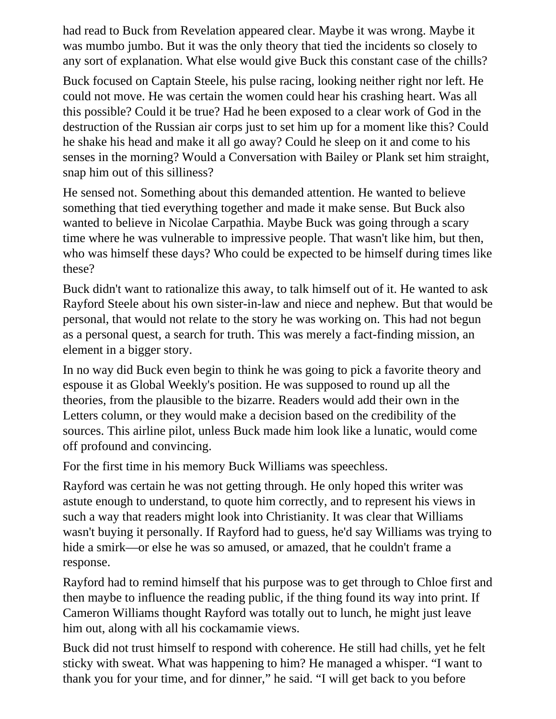had read to Buck from Revelation appeared clear. Maybe it was wrong. Maybe it was mumbo jumbo. But it was the only theory that tied the incidents so closely to any sort of explanation. What else would give Buck this constant case of the chills?

Buck focused on Captain Steele, his pulse racing, looking neither right nor left. He could not move. He was certain the women could hear his crashing heart. Was all this possible? Could it be true? Had he been exposed to a clear work of God in the destruction of the Russian air corps just to set him up for a moment like this? Could he shake his head and make it all go away? Could he sleep on it and come to his senses in the morning? Would a Conversation with Bailey or Plank set him straight, snap him out of this silliness?

He sensed not. Something about this demanded attention. He wanted to believe something that tied everything together and made it make sense. But Buck also wanted to believe in Nicolae Carpathia. Maybe Buck was going through a scary time where he was vulnerable to impressive people. That wasn't like him, but then, who was himself these days? Who could be expected to be himself during times like these?

Buck didn't want to rationalize this away, to talk himself out of it. He wanted to ask Rayford Steele about his own sister-in-law and niece and nephew. But that would be personal, that would not relate to the story he was working on. This had not begun as a personal quest, a search for truth. This was merely a fact-finding mission, an element in a bigger story.

In no way did Buck even begin to think he was going to pick a favorite theory and espouse it as Global Weekly's position. He was supposed to round up all the theories, from the plausible to the bizarre. Readers would add their own in the Letters column, or they would make a decision based on the credibility of the sources. This airline pilot, unless Buck made him look like a lunatic, would come off profound and convincing.

For the first time in his memory Buck Williams was speechless.

Rayford was certain he was not getting through. He only hoped this writer was astute enough to understand, to quote him correctly, and to represent his views in such a way that readers might look into Christianity. It was clear that Williams wasn't buying it personally. If Rayford had to guess, he'd say Williams was trying to hide a smirk—or else he was so amused, or amazed, that he couldn't frame a response.

Rayford had to remind himself that his purpose was to get through to Chloe first and then maybe to influence the reading public, if the thing found its way into print. If Cameron Williams thought Rayford was totally out to lunch, he might just leave him out, along with all his cockamamie views.

Buck did not trust himself to respond with coherence. He still had chills, yet he felt sticky with sweat. What was happening to him? He managed a whisper. "I want to thank you for your time, and for dinner," he said. "I will get back to you before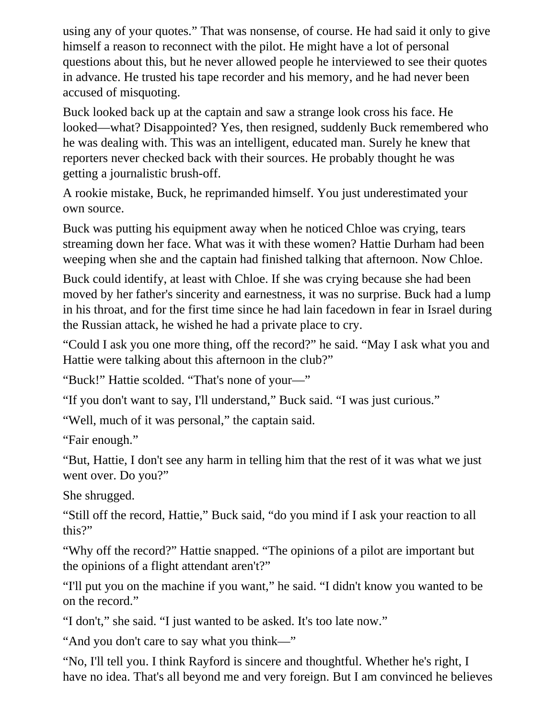using any of your quotes." That was nonsense, of course. He had said it only to give himself a reason to reconnect with the pilot. He might have a lot of personal questions about this, but he never allowed people he interviewed to see their quotes in advance. He trusted his tape recorder and his memory, and he had never been accused of misquoting.

Buck looked back up at the captain and saw a strange look cross his face. He looked—what? Disappointed? Yes, then resigned, suddenly Buck remembered who he was dealing with. This was an intelligent, educated man. Surely he knew that reporters never checked back with their sources. He probably thought he was getting a journalistic brush-off.

A rookie mistake, Buck, he reprimanded himself. You just underestimated your own source.

Buck was putting his equipment away when he noticed Chloe was crying, tears streaming down her face. What was it with these women? Hattie Durham had been weeping when she and the captain had finished talking that afternoon. Now Chloe.

Buck could identify, at least with Chloe. If she was crying because she had been moved by her father's sincerity and earnestness, it was no surprise. Buck had a lump in his throat, and for the first time since he had lain facedown in fear in Israel during the Russian attack, he wished he had a private place to cry.

"Could I ask you one more thing, off the record?" he said. "May I ask what you and Hattie were talking about this afternoon in the club?"

"Buck!" Hattie scolded. "That's none of your—"

"If you don't want to say, I'll understand," Buck said. "I was just curious."

"Well, much of it was personal," the captain said.

"Fair enough."

"But, Hattie, I don't see any harm in telling him that the rest of it was what we just went over. Do you?"

She shrugged.

"Still off the record, Hattie," Buck said, "do you mind if I ask your reaction to all this?"

"Why off the record?" Hattie snapped. "The opinions of a pilot are important but the opinions of a flight attendant aren't?"

"I'll put you on the machine if you want," he said. "I didn't know you wanted to be on the record."

"I don't," she said. "I just wanted to be asked. It's too late now."

"And you don't care to say what you think—"

"No, I'll tell you. I think Rayford is sincere and thoughtful. Whether he's right, I have no idea. That's all beyond me and very foreign. But I am convinced he believes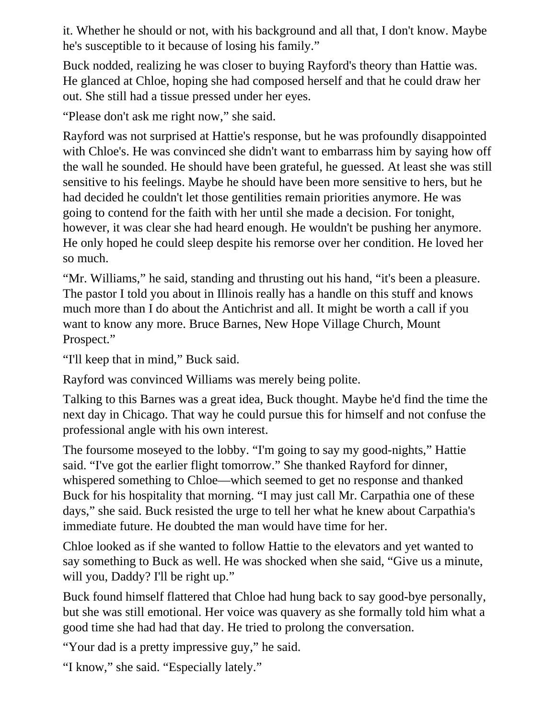it. Whether he should or not, with his background and all that, I don't know. Maybe he's susceptible to it because of losing his family."

Buck nodded, realizing he was closer to buying Rayford's theory than Hattie was. He glanced at Chloe, hoping she had composed herself and that he could draw her out. She still had a tissue pressed under her eyes.

"Please don't ask me right now," she said.

Rayford was not surprised at Hattie's response, but he was profoundly disappointed with Chloe's. He was convinced she didn't want to embarrass him by saying how off the wall he sounded. He should have been grateful, he guessed. At least she was still sensitive to his feelings. Maybe he should have been more sensitive to hers, but he had decided he couldn't let those gentilities remain priorities anymore. He was going to contend for the faith with her until she made a decision. For tonight, however, it was clear she had heard enough. He wouldn't be pushing her anymore. He only hoped he could sleep despite his remorse over her condition. He loved her so much.

"Mr. Williams," he said, standing and thrusting out his hand, "it's been a pleasure. The pastor I told you about in Illinois really has a handle on this stuff and knows much more than I do about the Antichrist and all. It might be worth a call if you want to know any more. Bruce Barnes, New Hope Village Church, Mount Prospect."

"I'll keep that in mind," Buck said.

Rayford was convinced Williams was merely being polite.

Talking to this Barnes was a great idea, Buck thought. Maybe he'd find the time the next day in Chicago. That way he could pursue this for himself and not confuse the professional angle with his own interest.

The foursome moseyed to the lobby. "I'm going to say my good-nights," Hattie said. "I've got the earlier flight tomorrow." She thanked Rayford for dinner, whispered something to Chloe—which seemed to get no response and thanked Buck for his hospitality that morning. "I may just call Mr. Carpathia one of these days," she said. Buck resisted the urge to tell her what he knew about Carpathia's immediate future. He doubted the man would have time for her.

Chloe looked as if she wanted to follow Hattie to the elevators and yet wanted to say something to Buck as well. He was shocked when she said, "Give us a minute, will you, Daddy? I'll be right up."

Buck found himself flattered that Chloe had hung back to say good-bye personally, but she was still emotional. Her voice was quavery as she formally told him what a good time she had had that day. He tried to prolong the conversation.

"Your dad is a pretty impressive guy," he said.

"I know," she said. "Especially lately."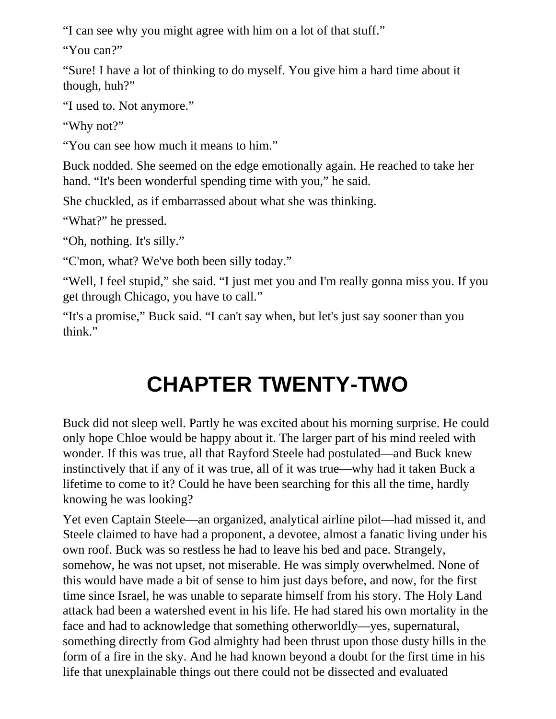"I can see why you might agree with him on a lot of that stuff."

"You can?"

"Sure! I have a lot of thinking to do myself. You give him a hard time about it though, huh?"

"I used to. Not anymore."

"Why not?"

"You can see how much it means to him."

Buck nodded. She seemed on the edge emotionally again. He reached to take her hand. "It's been wonderful spending time with you," he said.

She chuckled, as if embarrassed about what she was thinking.

"What?" he pressed.

"Oh, nothing. It's silly."

"C'mon, what? We've both been silly today."

"Well, I feel stupid," she said. "I just met you and I'm really gonna miss you. If you get through Chicago, you have to call."

"It's a promise," Buck said. "I can't say when, but let's just say sooner than you think."

## **CHAPTER TWENTY-TWO**

Buck did not sleep well. Partly he was excited about his morning surprise. He could only hope Chloe would be happy about it. The larger part of his mind reeled with wonder. If this was true, all that Rayford Steele had postulated—and Buck knew instinctively that if any of it was true, all of it was true—why had it taken Buck a lifetime to come to it? Could he have been searching for this all the time, hardly knowing he was looking?

Yet even Captain Steele—an organized, analytical airline pilot—had missed it, and Steele claimed to have had a proponent, a devotee, almost a fanatic living under his own roof. Buck was so restless he had to leave his bed and pace. Strangely, somehow, he was not upset, not miserable. He was simply overwhelmed. None of this would have made a bit of sense to him just days before, and now, for the first time since Israel, he was unable to separate himself from his story. The Holy Land attack had been a watershed event in his life. He had stared his own mortality in the face and had to acknowledge that something otherworldly—yes, supernatural, something directly from God almighty had been thrust upon those dusty hills in the form of a fire in the sky. And he had known beyond a doubt for the first time in his life that unexplainable things out there could not be dissected and evaluated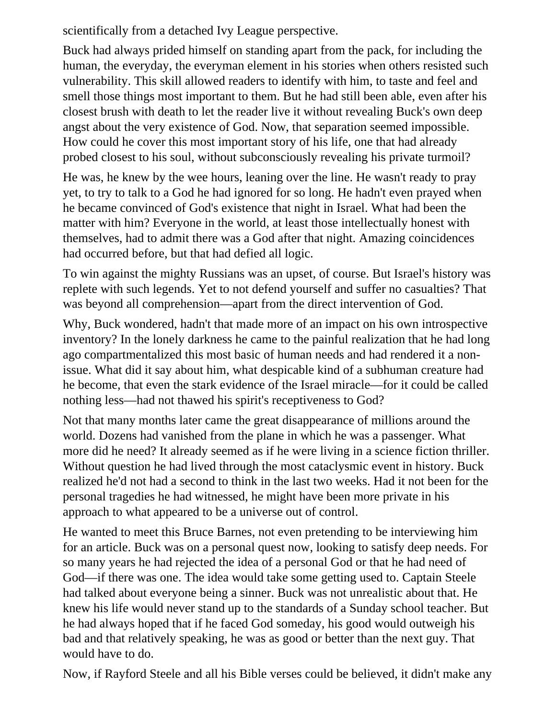scientifically from a detached Ivy League perspective.

Buck had always prided himself on standing apart from the pack, for including the human, the everyday, the everyman element in his stories when others resisted such vulnerability. This skill allowed readers to identify with him, to taste and feel and smell those things most important to them. But he had still been able, even after his closest brush with death to let the reader live it without revealing Buck's own deep angst about the very existence of God. Now, that separation seemed impossible. How could he cover this most important story of his life, one that had already probed closest to his soul, without subconsciously revealing his private turmoil?

He was, he knew by the wee hours, leaning over the line. He wasn't ready to pray yet, to try to talk to a God he had ignored for so long. He hadn't even prayed when he became convinced of God's existence that night in Israel. What had been the matter with him? Everyone in the world, at least those intellectually honest with themselves, had to admit there was a God after that night. Amazing coincidences had occurred before, but that had defied all logic.

To win against the mighty Russians was an upset, of course. But Israel's history was replete with such legends. Yet to not defend yourself and suffer no casualties? That was beyond all comprehension—apart from the direct intervention of God.

Why, Buck wondered, hadn't that made more of an impact on his own introspective inventory? In the lonely darkness he came to the painful realization that he had long ago compartmentalized this most basic of human needs and had rendered it a nonissue. What did it say about him, what despicable kind of a subhuman creature had he become, that even the stark evidence of the Israel miracle—for it could be called nothing less—had not thawed his spirit's receptiveness to God?

Not that many months later came the great disappearance of millions around the world. Dozens had vanished from the plane in which he was a passenger. What more did he need? It already seemed as if he were living in a science fiction thriller. Without question he had lived through the most cataclysmic event in history. Buck realized he'd not had a second to think in the last two weeks. Had it not been for the personal tragedies he had witnessed, he might have been more private in his approach to what appeared to be a universe out of control.

He wanted to meet this Bruce Barnes, not even pretending to be interviewing him for an article. Buck was on a personal quest now, looking to satisfy deep needs. For so many years he had rejected the idea of a personal God or that he had need of God—if there was one. The idea would take some getting used to. Captain Steele had talked about everyone being a sinner. Buck was not unrealistic about that. He knew his life would never stand up to the standards of a Sunday school teacher. But he had always hoped that if he faced God someday, his good would outweigh his bad and that relatively speaking, he was as good or better than the next guy. That would have to do.

Now, if Rayford Steele and all his Bible verses could be believed, it didn't make any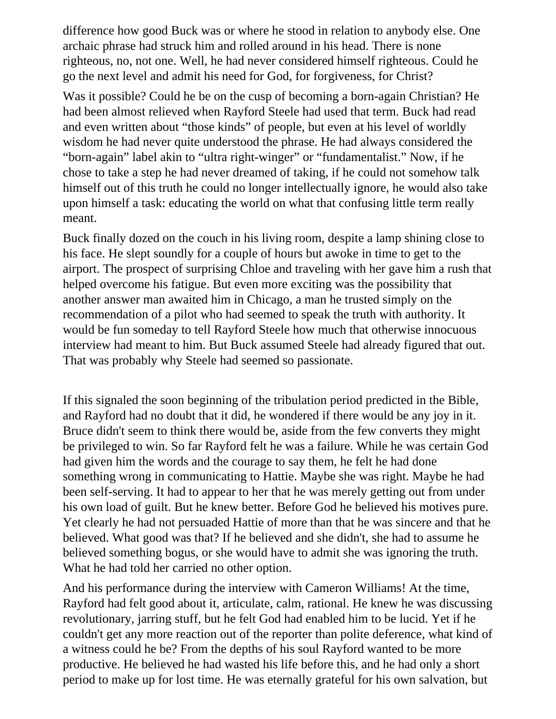difference how good Buck was or where he stood in relation to anybody else. One archaic phrase had struck him and rolled around in his head. There is none righteous, no, not one. Well, he had never considered himself righteous. Could he go the next level and admit his need for God, for forgiveness, for Christ?

Was it possible? Could he be on the cusp of becoming a born-again Christian? He had been almost relieved when Rayford Steele had used that term. Buck had read and even written about "those kinds" of people, but even at his level of worldly wisdom he had never quite understood the phrase. He had always considered the "born-again" label akin to "ultra right-winger" or "fundamentalist." Now, if he chose to take a step he had never dreamed of taking, if he could not somehow talk himself out of this truth he could no longer intellectually ignore, he would also take upon himself a task: educating the world on what that confusing little term really meant.

Buck finally dozed on the couch in his living room, despite a lamp shining close to his face. He slept soundly for a couple of hours but awoke in time to get to the airport. The prospect of surprising Chloe and traveling with her gave him a rush that helped overcome his fatigue. But even more exciting was the possibility that another answer man awaited him in Chicago, a man he trusted simply on the recommendation of a pilot who had seemed to speak the truth with authority. It would be fun someday to tell Rayford Steele how much that otherwise innocuous interview had meant to him. But Buck assumed Steele had already figured that out. That was probably why Steele had seemed so passionate.

If this signaled the soon beginning of the tribulation period predicted in the Bible, and Rayford had no doubt that it did, he wondered if there would be any joy in it. Bruce didn't seem to think there would be, aside from the few converts they might be privileged to win. So far Rayford felt he was a failure. While he was certain God had given him the words and the courage to say them, he felt he had done something wrong in communicating to Hattie. Maybe she was right. Maybe he had been self-serving. It had to appear to her that he was merely getting out from under his own load of guilt. But he knew better. Before God he believed his motives pure. Yet clearly he had not persuaded Hattie of more than that he was sincere and that he believed. What good was that? If he believed and she didn't, she had to assume he believed something bogus, or she would have to admit she was ignoring the truth. What he had told her carried no other option.

And his performance during the interview with Cameron Williams! At the time, Rayford had felt good about it, articulate, calm, rational. He knew he was discussing revolutionary, jarring stuff, but he felt God had enabled him to be lucid. Yet if he couldn't get any more reaction out of the reporter than polite deference, what kind of a witness could he be? From the depths of his soul Rayford wanted to be more productive. He believed he had wasted his life before this, and he had only a short period to make up for lost time. He was eternally grateful for his own salvation, but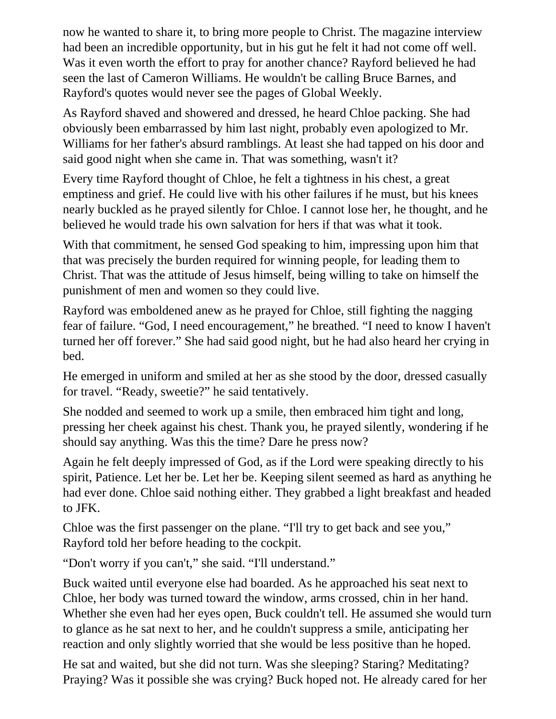now he wanted to share it, to bring more people to Christ. The magazine interview had been an incredible opportunity, but in his gut he felt it had not come off well. Was it even worth the effort to pray for another chance? Rayford believed he had seen the last of Cameron Williams. He wouldn't be calling Bruce Barnes, and Rayford's quotes would never see the pages of Global Weekly.

As Rayford shaved and showered and dressed, he heard Chloe packing. She had obviously been embarrassed by him last night, probably even apologized to Mr. Williams for her father's absurd ramblings. At least she had tapped on his door and said good night when she came in. That was something, wasn't it?

Every time Rayford thought of Chloe, he felt a tightness in his chest, a great emptiness and grief. He could live with his other failures if he must, but his knees nearly buckled as he prayed silently for Chloe. I cannot lose her, he thought, and he believed he would trade his own salvation for hers if that was what it took.

With that commitment, he sensed God speaking to him, impressing upon him that that was precisely the burden required for winning people, for leading them to Christ. That was the attitude of Jesus himself, being willing to take on himself the punishment of men and women so they could live.

Rayford was emboldened anew as he prayed for Chloe, still fighting the nagging fear of failure. "God, I need encouragement," he breathed. "I need to know I haven't turned her off forever." She had said good night, but he had also heard her crying in bed.

He emerged in uniform and smiled at her as she stood by the door, dressed casually for travel. "Ready, sweetie?" he said tentatively.

She nodded and seemed to work up a smile, then embraced him tight and long, pressing her cheek against his chest. Thank you, he prayed silently, wondering if he should say anything. Was this the time? Dare he press now?

Again he felt deeply impressed of God, as if the Lord were speaking directly to his spirit, Patience. Let her be. Let her be. Keeping silent seemed as hard as anything he had ever done. Chloe said nothing either. They grabbed a light breakfast and headed to JFK.

Chloe was the first passenger on the plane. "I'll try to get back and see you," Rayford told her before heading to the cockpit.

"Don't worry if you can't," she said. "I'll understand."

Buck waited until everyone else had boarded. As he approached his seat next to Chloe, her body was turned toward the window, arms crossed, chin in her hand. Whether she even had her eyes open, Buck couldn't tell. He assumed she would turn to glance as he sat next to her, and he couldn't suppress a smile, anticipating her reaction and only slightly worried that she would be less positive than he hoped.

He sat and waited, but she did not turn. Was she sleeping? Staring? Meditating? Praying? Was it possible she was crying? Buck hoped not. He already cared for her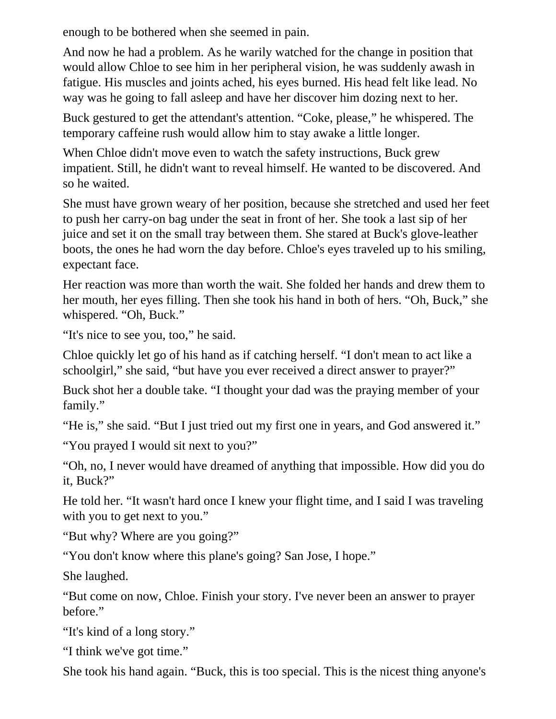enough to be bothered when she seemed in pain.

And now he had a problem. As he warily watched for the change in position that would allow Chloe to see him in her peripheral vision, he was suddenly awash in fatigue. His muscles and joints ached, his eyes burned. His head felt like lead. No way was he going to fall asleep and have her discover him dozing next to her.

Buck gestured to get the attendant's attention. "Coke, please," he whispered. The temporary caffeine rush would allow him to stay awake a little longer.

When Chloe didn't move even to watch the safety instructions, Buck grew impatient. Still, he didn't want to reveal himself. He wanted to be discovered. And so he waited.

She must have grown weary of her position, because she stretched and used her feet to push her carry-on bag under the seat in front of her. She took a last sip of her juice and set it on the small tray between them. She stared at Buck's glove-leather boots, the ones he had worn the day before. Chloe's eyes traveled up to his smiling, expectant face.

Her reaction was more than worth the wait. She folded her hands and drew them to her mouth, her eyes filling. Then she took his hand in both of hers. "Oh, Buck," she whispered. "Oh, Buck."

"It's nice to see you, too," he said.

Chloe quickly let go of his hand as if catching herself. "I don't mean to act like a schoolgirl," she said, "but have you ever received a direct answer to prayer?"

Buck shot her a double take. "I thought your dad was the praying member of your family."

"He is," she said. "But I just tried out my first one in years, and God answered it."

"You prayed I would sit next to you?"

"Oh, no, I never would have dreamed of anything that impossible. How did you do it, Buck?"

He told her. "It wasn't hard once I knew your flight time, and I said I was traveling with you to get next to you."

"But why? Where are you going?"

"You don't know where this plane's going? San Jose, I hope."

She laughed.

"But come on now, Chloe. Finish your story. I've never been an answer to prayer before."

"It's kind of a long story."

"I think we've got time."

She took his hand again. "Buck, this is too special. This is the nicest thing anyone's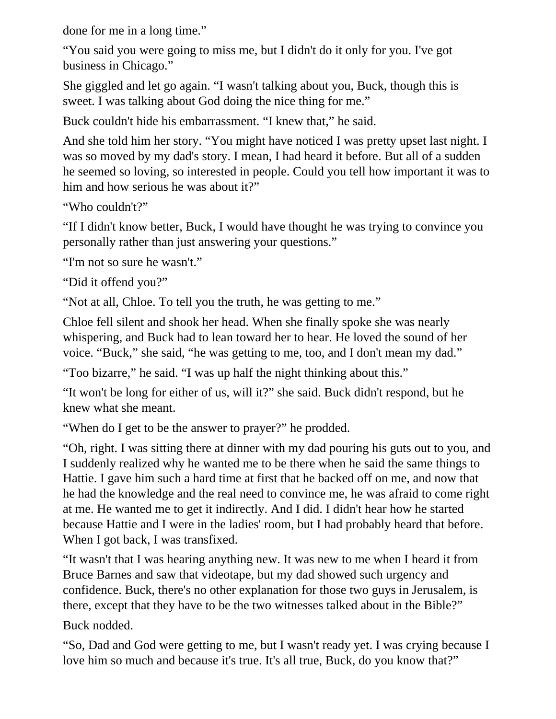done for me in a long time."

"You said you were going to miss me, but I didn't do it only for you. I've got business in Chicago."

She giggled and let go again. "I wasn't talking about you, Buck, though this is sweet. I was talking about God doing the nice thing for me."

Buck couldn't hide his embarrassment. "I knew that," he said.

And she told him her story. "You might have noticed I was pretty upset last night. I was so moved by my dad's story. I mean, I had heard it before. But all of a sudden he seemed so loving, so interested in people. Could you tell how important it was to him and how serious he was about it?"

"Who couldn't?"

"If I didn't know better, Buck, I would have thought he was trying to convince you personally rather than just answering your questions."

"I'm not so sure he wasn't."

"Did it offend you?"

"Not at all, Chloe. To tell you the truth, he was getting to me."

Chloe fell silent and shook her head. When she finally spoke she was nearly whispering, and Buck had to lean toward her to hear. He loved the sound of her voice. "Buck," she said, "he was getting to me, too, and I don't mean my dad."

"Too bizarre," he said. "I was up half the night thinking about this."

"It won't be long for either of us, will it?" she said. Buck didn't respond, but he knew what she meant.

"When do I get to be the answer to prayer?" he prodded.

"Oh, right. I was sitting there at dinner with my dad pouring his guts out to you, and I suddenly realized why he wanted me to be there when he said the same things to Hattie. I gave him such a hard time at first that he backed off on me, and now that he had the knowledge and the real need to convince me, he was afraid to come right at me. He wanted me to get it indirectly. And I did. I didn't hear how he started because Hattie and I were in the ladies' room, but I had probably heard that before. When I got back, I was transfixed.

"It wasn't that I was hearing anything new. It was new to me when I heard it from Bruce Barnes and saw that videotape, but my dad showed such urgency and confidence. Buck, there's no other explanation for those two guys in Jerusalem, is there, except that they have to be the two witnesses talked about in the Bible?" Buck nodded.

"So, Dad and God were getting to me, but I wasn't ready yet. I was crying because I love him so much and because it's true. It's all true, Buck, do you know that?"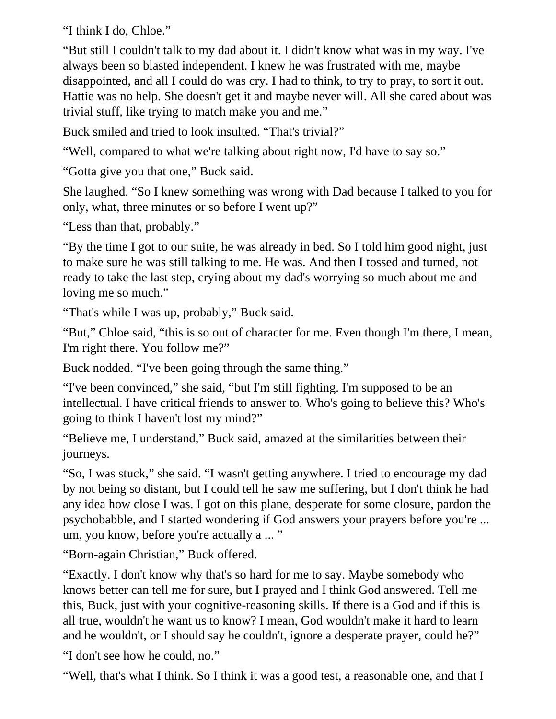"I think I do, Chloe."

"But still I couldn't talk to my dad about it. I didn't know what was in my way. I've always been so blasted independent. I knew he was frustrated with me, maybe disappointed, and all I could do was cry. I had to think, to try to pray, to sort it out. Hattie was no help. She doesn't get it and maybe never will. All she cared about was trivial stuff, like trying to match make you and me."

Buck smiled and tried to look insulted. "That's trivial?"

"Well, compared to what we're talking about right now, I'd have to say so."

"Gotta give you that one," Buck said.

She laughed. "So I knew something was wrong with Dad because I talked to you for only, what, three minutes or so before I went up?"

"Less than that, probably."

"By the time I got to our suite, he was already in bed. So I told him good night, just to make sure he was still talking to me. He was. And then I tossed and turned, not ready to take the last step, crying about my dad's worrying so much about me and loving me so much."

"That's while I was up, probably," Buck said.

"But," Chloe said, "this is so out of character for me. Even though I'm there, I mean, I'm right there. You follow me?"

Buck nodded. "I've been going through the same thing."

"I've been convinced," she said, "but I'm still fighting. I'm supposed to be an intellectual. I have critical friends to answer to. Who's going to believe this? Who's going to think I haven't lost my mind?"

"Believe me, I understand," Buck said, amazed at the similarities between their journeys.

"So, I was stuck," she said. "I wasn't getting anywhere. I tried to encourage my dad by not being so distant, but I could tell he saw me suffering, but I don't think he had any idea how close I was. I got on this plane, desperate for some closure, pardon the psychobabble, and I started wondering if God answers your prayers before you're ... um, you know, before you're actually a ... "

"Born-again Christian," Buck offered.

"Exactly. I don't know why that's so hard for me to say. Maybe somebody who knows better can tell me for sure, but I prayed and I think God answered. Tell me this, Buck, just with your cognitive-reasoning skills. If there is a God and if this is all true, wouldn't he want us to know? I mean, God wouldn't make it hard to learn and he wouldn't, or I should say he couldn't, ignore a desperate prayer, could he?"

"I don't see how he could, no."

"Well, that's what I think. So I think it was a good test, a reasonable one, and that I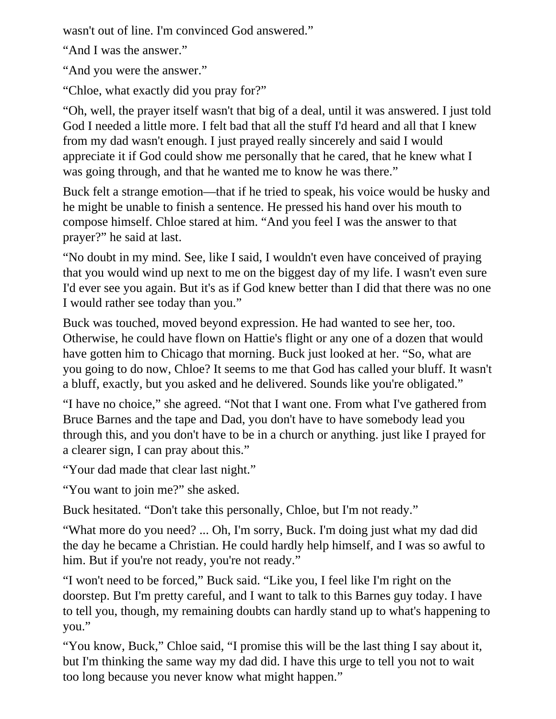wasn't out of line. I'm convinced God answered."

"And I was the answer."

"And you were the answer."

"Chloe, what exactly did you pray for?"

"Oh, well, the prayer itself wasn't that big of a deal, until it was answered. I just told God I needed a little more. I felt bad that all the stuff I'd heard and all that I knew from my dad wasn't enough. I just prayed really sincerely and said I would appreciate it if God could show me personally that he cared, that he knew what I was going through, and that he wanted me to know he was there."

Buck felt a strange emotion—that if he tried to speak, his voice would be husky and he might be unable to finish a sentence. He pressed his hand over his mouth to compose himself. Chloe stared at him. "And you feel I was the answer to that prayer?" he said at last.

"No doubt in my mind. See, like I said, I wouldn't even have conceived of praying that you would wind up next to me on the biggest day of my life. I wasn't even sure I'd ever see you again. But it's as if God knew better than I did that there was no one I would rather see today than you."

Buck was touched, moved beyond expression. He had wanted to see her, too. Otherwise, he could have flown on Hattie's flight or any one of a dozen that would have gotten him to Chicago that morning. Buck just looked at her. "So, what are you going to do now, Chloe? It seems to me that God has called your bluff. It wasn't a bluff, exactly, but you asked and he delivered. Sounds like you're obligated."

"I have no choice," she agreed. "Not that I want one. From what I've gathered from Bruce Barnes and the tape and Dad, you don't have to have somebody lead you through this, and you don't have to be in a church or anything. just like I prayed for a clearer sign, I can pray about this."

"Your dad made that clear last night."

"You want to join me?" she asked.

Buck hesitated. "Don't take this personally, Chloe, but I'm not ready."

"What more do you need? ... Oh, I'm sorry, Buck. I'm doing just what my dad did the day he became a Christian. He could hardly help himself, and I was so awful to him. But if you're not ready, you're not ready."

"I won't need to be forced," Buck said. "Like you, I feel like I'm right on the doorstep. But I'm pretty careful, and I want to talk to this Barnes guy today. I have to tell you, though, my remaining doubts can hardly stand up to what's happening to you."

"You know, Buck," Chloe said, "I promise this will be the last thing I say about it, but I'm thinking the same way my dad did. I have this urge to tell you not to wait too long because you never know what might happen."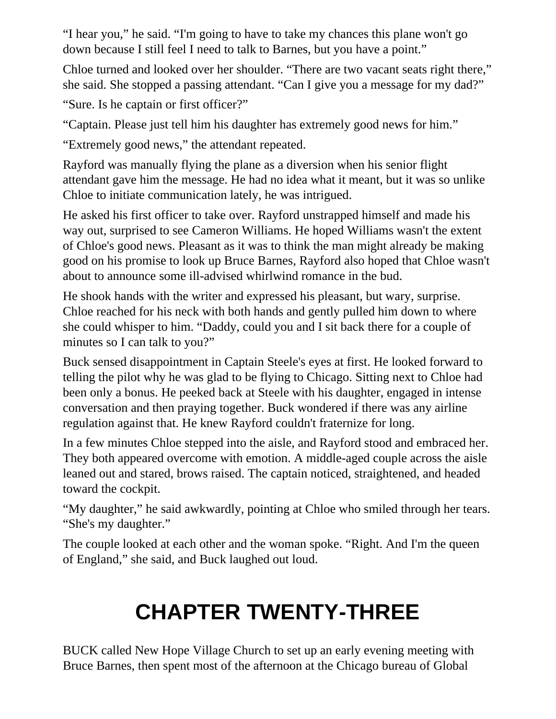"I hear you," he said. "I'm going to have to take my chances this plane won't go down because I still feel I need to talk to Barnes, but you have a point."

Chloe turned and looked over her shoulder. "There are two vacant seats right there," she said. She stopped a passing attendant. "Can I give you a message for my dad?"

"Sure. Is he captain or first officer?"

"Captain. Please just tell him his daughter has extremely good news for him."

"Extremely good news," the attendant repeated.

Rayford was manually flying the plane as a diversion when his senior flight attendant gave him the message. He had no idea what it meant, but it was so unlike Chloe to initiate communication lately, he was intrigued.

He asked his first officer to take over. Rayford unstrapped himself and made his way out, surprised to see Cameron Williams. He hoped Williams wasn't the extent of Chloe's good news. Pleasant as it was to think the man might already be making good on his promise to look up Bruce Barnes, Rayford also hoped that Chloe wasn't about to announce some ill-advised whirlwind romance in the bud.

He shook hands with the writer and expressed his pleasant, but wary, surprise. Chloe reached for his neck with both hands and gently pulled him down to where she could whisper to him. "Daddy, could you and I sit back there for a couple of minutes so I can talk to you?"

Buck sensed disappointment in Captain Steele's eyes at first. He looked forward to telling the pilot why he was glad to be flying to Chicago. Sitting next to Chloe had been only a bonus. He peeked back at Steele with his daughter, engaged in intense conversation and then praying together. Buck wondered if there was any airline regulation against that. He knew Rayford couldn't fraternize for long.

In a few minutes Chloe stepped into the aisle, and Rayford stood and embraced her. They both appeared overcome with emotion. A middle-aged couple across the aisle leaned out and stared, brows raised. The captain noticed, straightened, and headed toward the cockpit.

"My daughter," he said awkwardly, pointing at Chloe who smiled through her tears. "She's my daughter."

The couple looked at each other and the woman spoke. "Right. And I'm the queen of England," she said, and Buck laughed out loud.

## **CHAPTER TWENTY-THREE**

BUCK called New Hope Village Church to set up an early evening meeting with Bruce Barnes, then spent most of the afternoon at the Chicago bureau of Global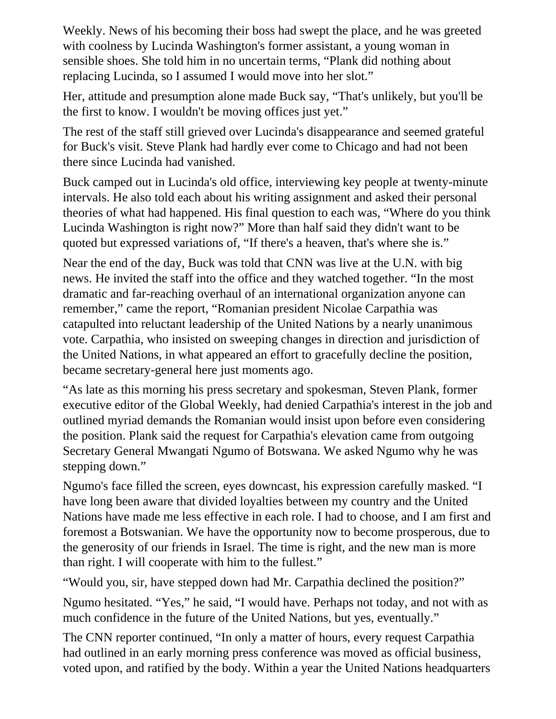Weekly. News of his becoming their boss had swept the place, and he was greeted with coolness by Lucinda Washington's former assistant, a young woman in sensible shoes. She told him in no uncertain terms, "Plank did nothing about replacing Lucinda, so I assumed I would move into her slot."

Her, attitude and presumption alone made Buck say, "That's unlikely, but you'll be the first to know. I wouldn't be moving offices just yet."

The rest of the staff still grieved over Lucinda's disappearance and seemed grateful for Buck's visit. Steve Plank had hardly ever come to Chicago and had not been there since Lucinda had vanished.

Buck camped out in Lucinda's old office, interviewing key people at twenty-minute intervals. He also told each about his writing assignment and asked their personal theories of what had happened. His final question to each was, "Where do you think Lucinda Washington is right now?" More than half said they didn't want to be quoted but expressed variations of, "If there's a heaven, that's where she is."

Near the end of the day, Buck was told that CNN was live at the U.N. with big news. He invited the staff into the office and they watched together. "In the most dramatic and far-reaching overhaul of an international organization anyone can remember," came the report, "Romanian president Nicolae Carpathia was catapulted into reluctant leadership of the United Nations by a nearly unanimous vote. Carpathia, who insisted on sweeping changes in direction and jurisdiction of the United Nations, in what appeared an effort to gracefully decline the position, became secretary-general here just moments ago.

"As late as this morning his press secretary and spokesman, Steven Plank, former executive editor of the Global Weekly, had denied Carpathia's interest in the job and outlined myriad demands the Romanian would insist upon before even considering the position. Plank said the request for Carpathia's elevation came from outgoing Secretary General Mwangati Ngumo of Botswana. We asked Ngumo why he was stepping down."

Ngumo's face filled the screen, eyes downcast, his expression carefully masked. "I have long been aware that divided loyalties between my country and the United Nations have made me less effective in each role. I had to choose, and I am first and foremost a Botswanian. We have the opportunity now to become prosperous, due to the generosity of our friends in Israel. The time is right, and the new man is more than right. I will cooperate with him to the fullest."

"Would you, sir, have stepped down had Mr. Carpathia declined the position?"

Ngumo hesitated. "Yes," he said, "I would have. Perhaps not today, and not with as much confidence in the future of the United Nations, but yes, eventually."

The CNN reporter continued, "In only a matter of hours, every request Carpathia had outlined in an early morning press conference was moved as official business, voted upon, and ratified by the body. Within a year the United Nations headquarters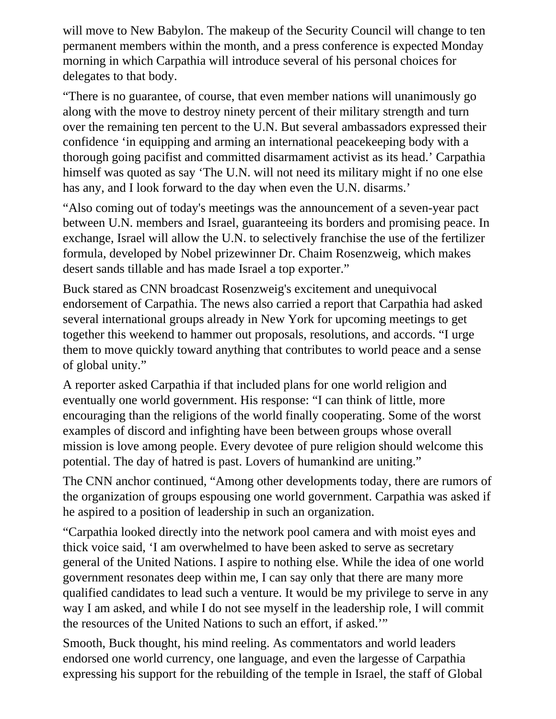will move to New Babylon. The makeup of the Security Council will change to ten permanent members within the month, and a press conference is expected Monday morning in which Carpathia will introduce several of his personal choices for delegates to that body.

"There is no guarantee, of course, that even member nations will unanimously go along with the move to destroy ninety percent of their military strength and turn over the remaining ten percent to the U.N. But several ambassadors expressed their confidence 'in equipping and arming an international peacekeeping body with a thorough going pacifist and committed disarmament activist as its head.' Carpathia himself was quoted as say 'The U.N. will not need its military might if no one else has any, and I look forward to the day when even the U.N. disarms.'

"Also coming out of today's meetings was the announcement of a seven-year pact between U.N. members and Israel, guaranteeing its borders and promising peace. In exchange, Israel will allow the U.N. to selectively franchise the use of the fertilizer formula, developed by Nobel prizewinner Dr. Chaim Rosenzweig, which makes desert sands tillable and has made Israel a top exporter."

Buck stared as CNN broadcast Rosenzweig's excitement and unequivocal endorsement of Carpathia. The news also carried a report that Carpathia had asked several international groups already in New York for upcoming meetings to get together this weekend to hammer out proposals, resolutions, and accords. "I urge them to move quickly toward anything that contributes to world peace and a sense of global unity."

A reporter asked Carpathia if that included plans for one world religion and eventually one world government. His response: "I can think of little, more encouraging than the religions of the world finally cooperating. Some of the worst examples of discord and infighting have been between groups whose overall mission is love among people. Every devotee of pure religion should welcome this potential. The day of hatred is past. Lovers of humankind are uniting."

The CNN anchor continued, "Among other developments today, there are rumors of the organization of groups espousing one world government. Carpathia was asked if he aspired to a position of leadership in such an organization.

"Carpathia looked directly into the network pool camera and with moist eyes and thick voice said, 'I am overwhelmed to have been asked to serve as secretary general of the United Nations. I aspire to nothing else. While the idea of one world government resonates deep within me, I can say only that there are many more qualified candidates to lead such a venture. It would be my privilege to serve in any way I am asked, and while I do not see myself in the leadership role, I will commit the resources of the United Nations to such an effort, if asked.'"

Smooth, Buck thought, his mind reeling. As commentators and world leaders endorsed one world currency, one language, and even the largesse of Carpathia expressing his support for the rebuilding of the temple in Israel, the staff of Global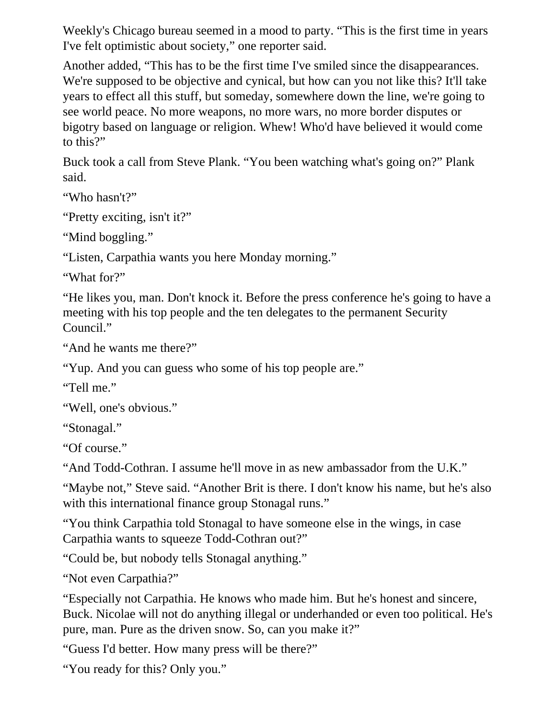Weekly's Chicago bureau seemed in a mood to party. "This is the first time in years I've felt optimistic about society," one reporter said.

Another added, "This has to be the first time I've smiled since the disappearances. We're supposed to be objective and cynical, but how can you not like this? It'll take years to effect all this stuff, but someday, somewhere down the line, we're going to see world peace. No more weapons, no more wars, no more border disputes or bigotry based on language or religion. Whew! Who'd have believed it would come to this?"

Buck took a call from Steve Plank. "You been watching what's going on?" Plank said.

"Who hasn't?"

"Pretty exciting, isn't it?"

"Mind boggling."

"Listen, Carpathia wants you here Monday morning."

"What for?"

"He likes you, man. Don't knock it. Before the press conference he's going to have a meeting with his top people and the ten delegates to the permanent Security Council."

"And he wants me there?"

"Yup. And you can guess who some of his top people are."

"Tell me."

"Well, one's obvious."

"Stonagal."

"Of course."

"And Todd-Cothran. I assume he'll move in as new ambassador from the U.K."

"Maybe not," Steve said. "Another Brit is there. I don't know his name, but he's also with this international finance group Stonagal runs."

"You think Carpathia told Stonagal to have someone else in the wings, in case Carpathia wants to squeeze Todd-Cothran out?"

"Could be, but nobody tells Stonagal anything."

"Not even Carpathia?"

"Especially not Carpathia. He knows who made him. But he's honest and sincere, Buck. Nicolae will not do anything illegal or underhanded or even too political. He's pure, man. Pure as the driven snow. So, can you make it?"

"Guess I'd better. How many press will be there?"

"You ready for this? Only you."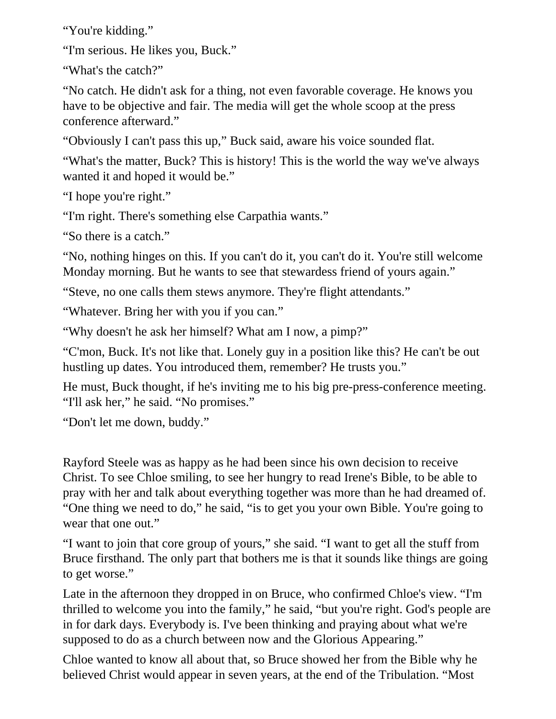"You're kidding."

"I'm serious. He likes you, Buck."

"What's the catch?"

"No catch. He didn't ask for a thing, not even favorable coverage. He knows you have to be objective and fair. The media will get the whole scoop at the press conference afterward."

"Obviously I can't pass this up," Buck said, aware his voice sounded flat.

"What's the matter, Buck? This is history! This is the world the way we've always wanted it and hoped it would be."

"I hope you're right."

"I'm right. There's something else Carpathia wants."

"So there is a catch."

"No, nothing hinges on this. If you can't do it, you can't do it. You're still welcome Monday morning. But he wants to see that stewardess friend of yours again."

"Steve, no one calls them stews anymore. They're flight attendants."

"Whatever. Bring her with you if you can."

"Why doesn't he ask her himself? What am I now, a pimp?"

"C'mon, Buck. It's not like that. Lonely guy in a position like this? He can't be out hustling up dates. You introduced them, remember? He trusts you."

He must, Buck thought, if he's inviting me to his big pre-press-conference meeting. "I'll ask her," he said. "No promises."

"Don't let me down, buddy."

Rayford Steele was as happy as he had been since his own decision to receive Christ. To see Chloe smiling, to see her hungry to read Irene's Bible, to be able to pray with her and talk about everything together was more than he had dreamed of. "One thing we need to do," he said, "is to get you your own Bible. You're going to wear that one out."

"I want to join that core group of yours," she said. "I want to get all the stuff from Bruce firsthand. The only part that bothers me is that it sounds like things are going to get worse."

Late in the afternoon they dropped in on Bruce, who confirmed Chloe's view. "I'm thrilled to welcome you into the family," he said, "but you're right. God's people are in for dark days. Everybody is. I've been thinking and praying about what we're supposed to do as a church between now and the Glorious Appearing."

Chloe wanted to know all about that, so Bruce showed her from the Bible why he believed Christ would appear in seven years, at the end of the Tribulation. "Most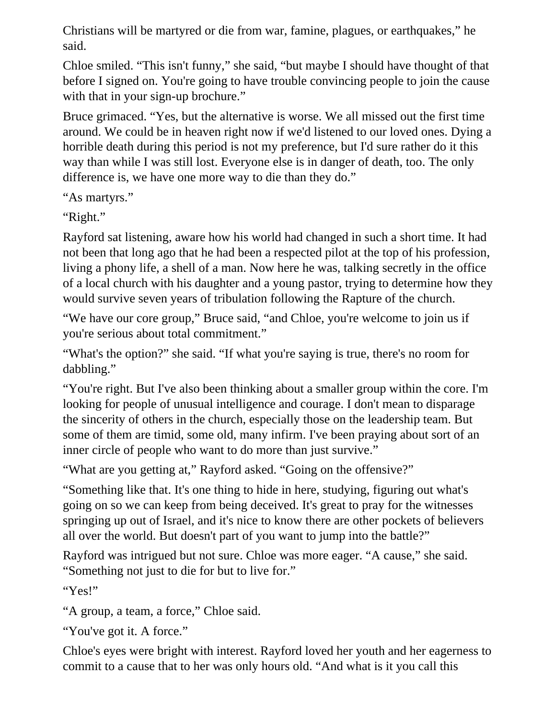Christians will be martyred or die from war, famine, plagues, or earthquakes," he said.

Chloe smiled. "This isn't funny," she said, "but maybe I should have thought of that before I signed on. You're going to have trouble convincing people to join the cause with that in your sign-up brochure."

Bruce grimaced. "Yes, but the alternative is worse. We all missed out the first time around. We could be in heaven right now if we'd listened to our loved ones. Dying a horrible death during this period is not my preference, but I'd sure rather do it this way than while I was still lost. Everyone else is in danger of death, too. The only difference is, we have one more way to die than they do."

"As martyrs."

"Right."

Rayford sat listening, aware how his world had changed in such a short time. It had not been that long ago that he had been a respected pilot at the top of his profession, living a phony life, a shell of a man. Now here he was, talking secretly in the office of a local church with his daughter and a young pastor, trying to determine how they would survive seven years of tribulation following the Rapture of the church.

"We have our core group," Bruce said, "and Chloe, you're welcome to join us if you're serious about total commitment."

"What's the option?" she said. "If what you're saying is true, there's no room for dabbling."

"You're right. But I've also been thinking about a smaller group within the core. I'm looking for people of unusual intelligence and courage. I don't mean to disparage the sincerity of others in the church, especially those on the leadership team. But some of them are timid, some old, many infirm. I've been praying about sort of an inner circle of people who want to do more than just survive."

"What are you getting at," Rayford asked. "Going on the offensive?"

"Something like that. It's one thing to hide in here, studying, figuring out what's going on so we can keep from being deceived. It's great to pray for the witnesses springing up out of Israel, and it's nice to know there are other pockets of believers all over the world. But doesn't part of you want to jump into the battle?"

Rayford was intrigued but not sure. Chloe was more eager. "A cause," she said. "Something not just to die for but to live for."

"Yes!"

"A group, a team, a force," Chloe said.

"You've got it. A force."

Chloe's eyes were bright with interest. Rayford loved her youth and her eagerness to commit to a cause that to her was only hours old. "And what is it you call this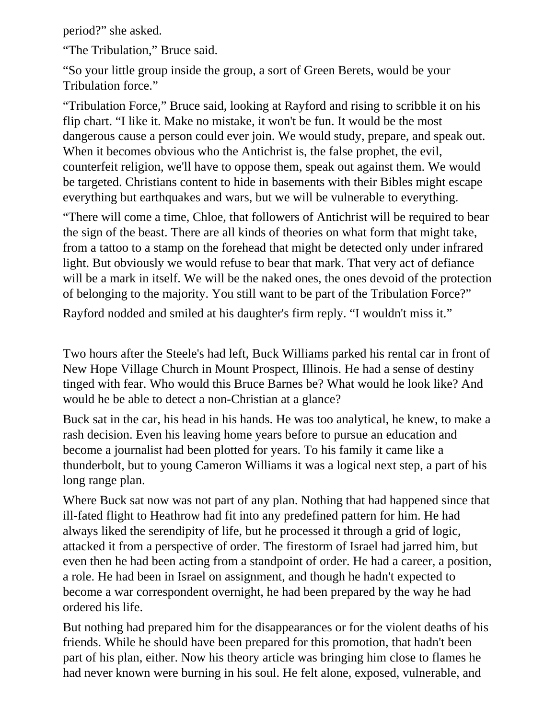period?" she asked.

"The Tribulation," Bruce said.

"So your little group inside the group, a sort of Green Berets, would be your Tribulation force."

"Tribulation Force," Bruce said, looking at Rayford and rising to scribble it on his flip chart. "I like it. Make no mistake, it won't be fun. It would be the most dangerous cause a person could ever join. We would study, prepare, and speak out. When it becomes obvious who the Antichrist is, the false prophet, the evil, counterfeit religion, we'll have to oppose them, speak out against them. We would be targeted. Christians content to hide in basements with their Bibles might escape everything but earthquakes and wars, but we will be vulnerable to everything.

"There will come a time, Chloe, that followers of Antichrist will be required to bear the sign of the beast. There are all kinds of theories on what form that might take, from a tattoo to a stamp on the forehead that might be detected only under infrared light. But obviously we would refuse to bear that mark. That very act of defiance will be a mark in itself. We will be the naked ones, the ones devoid of the protection of belonging to the majority. You still want to be part of the Tribulation Force?"

Rayford nodded and smiled at his daughter's firm reply. "I wouldn't miss it."

Two hours after the Steele's had left, Buck Williams parked his rental car in front of New Hope Village Church in Mount Prospect, Illinois. He had a sense of destiny tinged with fear. Who would this Bruce Barnes be? What would he look like? And would he be able to detect a non-Christian at a glance?

Buck sat in the car, his head in his hands. He was too analytical, he knew, to make a rash decision. Even his leaving home years before to pursue an education and become a journalist had been plotted for years. To his family it came like a thunderbolt, but to young Cameron Williams it was a logical next step, a part of his long range plan.

Where Buck sat now was not part of any plan. Nothing that had happened since that ill-fated flight to Heathrow had fit into any predefined pattern for him. He had always liked the serendipity of life, but he processed it through a grid of logic, attacked it from a perspective of order. The firestorm of Israel had jarred him, but even then he had been acting from a standpoint of order. He had a career, a position, a role. He had been in Israel on assignment, and though he hadn't expected to become a war correspondent overnight, he had been prepared by the way he had ordered his life.

But nothing had prepared him for the disappearances or for the violent deaths of his friends. While he should have been prepared for this promotion, that hadn't been part of his plan, either. Now his theory article was bringing him close to flames he had never known were burning in his soul. He felt alone, exposed, vulnerable, and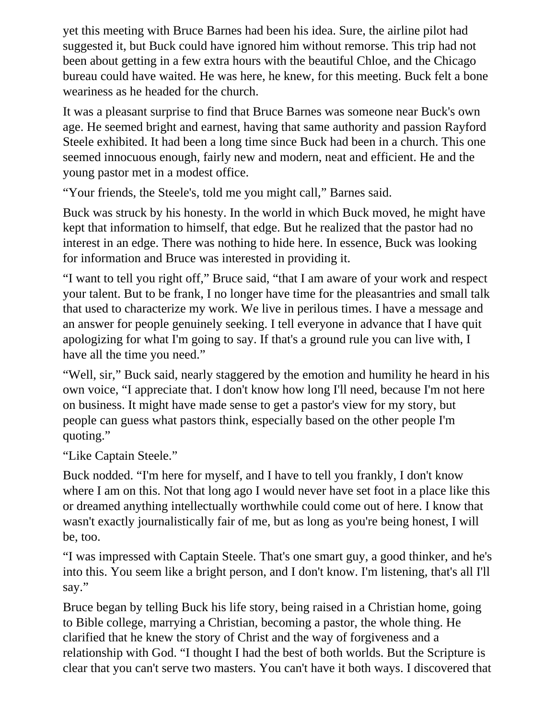yet this meeting with Bruce Barnes had been his idea. Sure, the airline pilot had suggested it, but Buck could have ignored him without remorse. This trip had not been about getting in a few extra hours with the beautiful Chloe, and the Chicago bureau could have waited. He was here, he knew, for this meeting. Buck felt a bone weariness as he headed for the church.

It was a pleasant surprise to find that Bruce Barnes was someone near Buck's own age. He seemed bright and earnest, having that same authority and passion Rayford Steele exhibited. It had been a long time since Buck had been in a church. This one seemed innocuous enough, fairly new and modern, neat and efficient. He and the young pastor met in a modest office.

"Your friends, the Steele's, told me you might call," Barnes said.

Buck was struck by his honesty. In the world in which Buck moved, he might have kept that information to himself, that edge. But he realized that the pastor had no interest in an edge. There was nothing to hide here. In essence, Buck was looking for information and Bruce was interested in providing it.

"I want to tell you right off," Bruce said, "that I am aware of your work and respect your talent. But to be frank, I no longer have time for the pleasantries and small talk that used to characterize my work. We live in perilous times. I have a message and an answer for people genuinely seeking. I tell everyone in advance that I have quit apologizing for what I'm going to say. If that's a ground rule you can live with, I have all the time you need."

"Well, sir," Buck said, nearly staggered by the emotion and humility he heard in his own voice, "I appreciate that. I don't know how long I'll need, because I'm not here on business. It might have made sense to get a pastor's view for my story, but people can guess what pastors think, especially based on the other people I'm quoting."

"Like Captain Steele."

Buck nodded. "I'm here for myself, and I have to tell you frankly, I don't know where I am on this. Not that long ago I would never have set foot in a place like this or dreamed anything intellectually worthwhile could come out of here. I know that wasn't exactly journalistically fair of me, but as long as you're being honest, I will be, too.

"I was impressed with Captain Steele. That's one smart guy, a good thinker, and he's into this. You seem like a bright person, and I don't know. I'm listening, that's all I'll say."

Bruce began by telling Buck his life story, being raised in a Christian home, going to Bible college, marrying a Christian, becoming a pastor, the whole thing. He clarified that he knew the story of Christ and the way of forgiveness and a relationship with God. "I thought I had the best of both worlds. But the Scripture is clear that you can't serve two masters. You can't have it both ways. I discovered that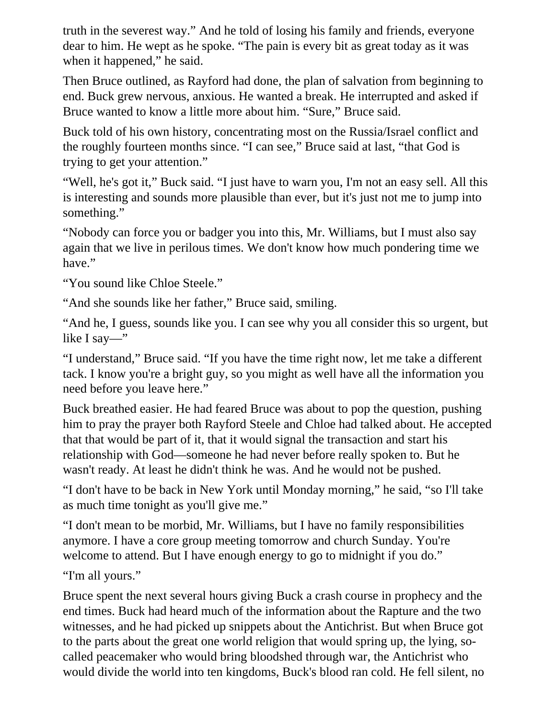truth in the severest way." And he told of losing his family and friends, everyone dear to him. He wept as he spoke. "The pain is every bit as great today as it was when it happened," he said.

Then Bruce outlined, as Rayford had done, the plan of salvation from beginning to end. Buck grew nervous, anxious. He wanted a break. He interrupted and asked if Bruce wanted to know a little more about him. "Sure," Bruce said.

Buck told of his own history, concentrating most on the Russia/Israel conflict and the roughly fourteen months since. "I can see," Bruce said at last, "that God is trying to get your attention."

"Well, he's got it," Buck said. "I just have to warn you, I'm not an easy sell. All this is interesting and sounds more plausible than ever, but it's just not me to jump into something."

"Nobody can force you or badger you into this, Mr. Williams, but I must also say again that we live in perilous times. We don't know how much pondering time we have."

"You sound like Chloe Steele."

"And she sounds like her father," Bruce said, smiling.

"And he, I guess, sounds like you. I can see why you all consider this so urgent, but like I say—"

"I understand," Bruce said. "If you have the time right now, let me take a different tack. I know you're a bright guy, so you might as well have all the information you need before you leave here."

Buck breathed easier. He had feared Bruce was about to pop the question, pushing him to pray the prayer both Rayford Steele and Chloe had talked about. He accepted that that would be part of it, that it would signal the transaction and start his relationship with God—someone he had never before really spoken to. But he wasn't ready. At least he didn't think he was. And he would not be pushed.

"I don't have to be back in New York until Monday morning," he said, "so I'll take as much time tonight as you'll give me."

"I don't mean to be morbid, Mr. Williams, but I have no family responsibilities anymore. I have a core group meeting tomorrow and church Sunday. You're welcome to attend. But I have enough energy to go to midnight if you do."

"I'm all yours."

Bruce spent the next several hours giving Buck a crash course in prophecy and the end times. Buck had heard much of the information about the Rapture and the two witnesses, and he had picked up snippets about the Antichrist. But when Bruce got to the parts about the great one world religion that would spring up, the lying, socalled peacemaker who would bring bloodshed through war, the Antichrist who would divide the world into ten kingdoms, Buck's blood ran cold. He fell silent, no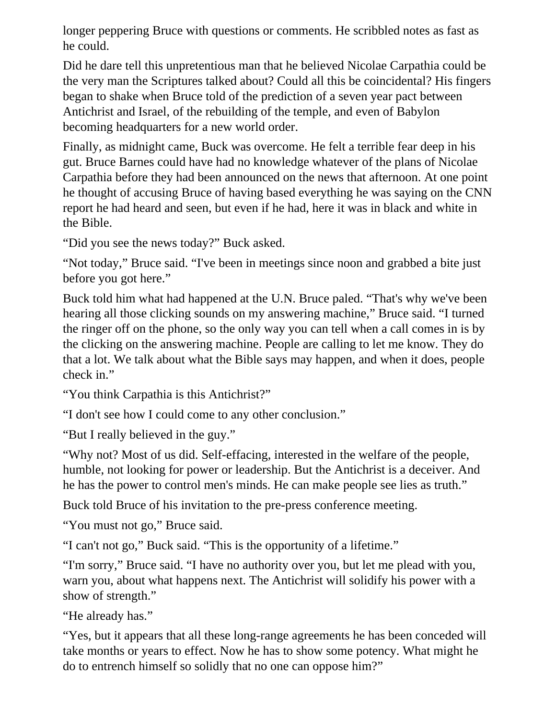longer peppering Bruce with questions or comments. He scribbled notes as fast as he could.

Did he dare tell this unpretentious man that he believed Nicolae Carpathia could be the very man the Scriptures talked about? Could all this be coincidental? His fingers began to shake when Bruce told of the prediction of a seven year pact between Antichrist and Israel, of the rebuilding of the temple, and even of Babylon becoming headquarters for a new world order.

Finally, as midnight came, Buck was overcome. He felt a terrible fear deep in his gut. Bruce Barnes could have had no knowledge whatever of the plans of Nicolae Carpathia before they had been announced on the news that afternoon. At one point he thought of accusing Bruce of having based everything he was saying on the CNN report he had heard and seen, but even if he had, here it was in black and white in the Bible.

"Did you see the news today?" Buck asked.

"Not today," Bruce said. "I've been in meetings since noon and grabbed a bite just before you got here."

Buck told him what had happened at the U.N. Bruce paled. "That's why we've been hearing all those clicking sounds on my answering machine," Bruce said. "I turned the ringer off on the phone, so the only way you can tell when a call comes in is by the clicking on the answering machine. People are calling to let me know. They do that a lot. We talk about what the Bible says may happen, and when it does, people check in."

"You think Carpathia is this Antichrist?"

"I don't see how I could come to any other conclusion."

"But I really believed in the guy."

"Why not? Most of us did. Self-effacing, interested in the welfare of the people, humble, not looking for power or leadership. But the Antichrist is a deceiver. And he has the power to control men's minds. He can make people see lies as truth."

Buck told Bruce of his invitation to the pre-press conference meeting.

"You must not go," Bruce said.

"I can't not go," Buck said. "This is the opportunity of a lifetime."

"I'm sorry," Bruce said. "I have no authority over you, but let me plead with you, warn you, about what happens next. The Antichrist will solidify his power with a show of strength."

"He already has."

"Yes, but it appears that all these long-range agreements he has been conceded will take months or years to effect. Now he has to show some potency. What might he do to entrench himself so solidly that no one can oppose him?"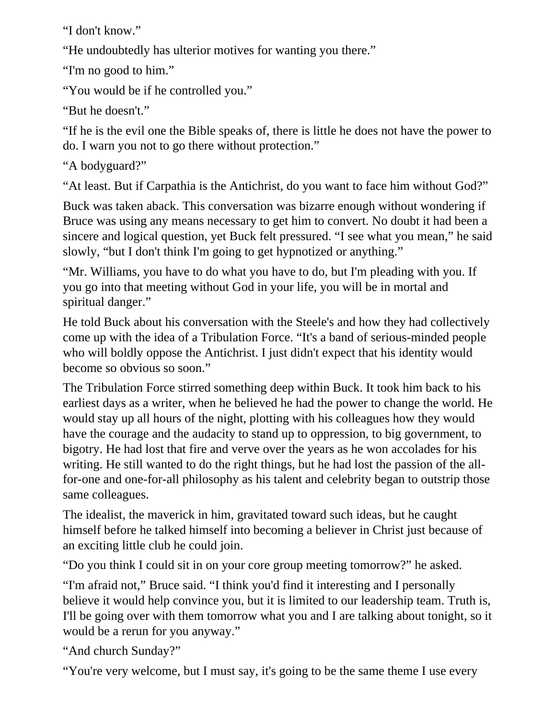"I don't know."

"He undoubtedly has ulterior motives for wanting you there."

"I'm no good to him."

"You would be if he controlled you."

"But he doesn't."

"If he is the evil one the Bible speaks of, there is little he does not have the power to do. I warn you not to go there without protection."

"A bodyguard?"

"At least. But if Carpathia is the Antichrist, do you want to face him without God?"

Buck was taken aback. This conversation was bizarre enough without wondering if Bruce was using any means necessary to get him to convert. No doubt it had been a sincere and logical question, yet Buck felt pressured. "I see what you mean," he said slowly, "but I don't think I'm going to get hypnotized or anything."

"Mr. Williams, you have to do what you have to do, but I'm pleading with you. If you go into that meeting without God in your life, you will be in mortal and spiritual danger."

He told Buck about his conversation with the Steele's and how they had collectively come up with the idea of a Tribulation Force. "It's a band of serious-minded people who will boldly oppose the Antichrist. I just didn't expect that his identity would become so obvious so soon."

The Tribulation Force stirred something deep within Buck. It took him back to his earliest days as a writer, when he believed he had the power to change the world. He would stay up all hours of the night, plotting with his colleagues how they would have the courage and the audacity to stand up to oppression, to big government, to bigotry. He had lost that fire and verve over the years as he won accolades for his writing. He still wanted to do the right things, but he had lost the passion of the allfor-one and one-for-all philosophy as his talent and celebrity began to outstrip those same colleagues.

The idealist, the maverick in him, gravitated toward such ideas, but he caught himself before he talked himself into becoming a believer in Christ just because of an exciting little club he could join.

"Do you think I could sit in on your core group meeting tomorrow?" he asked.

"I'm afraid not," Bruce said. "I think you'd find it interesting and I personally believe it would help convince you, but it is limited to our leadership team. Truth is, I'll be going over with them tomorrow what you and I are talking about tonight, so it would be a rerun for you anyway."

"And church Sunday?"

"You're very welcome, but I must say, it's going to be the same theme I use every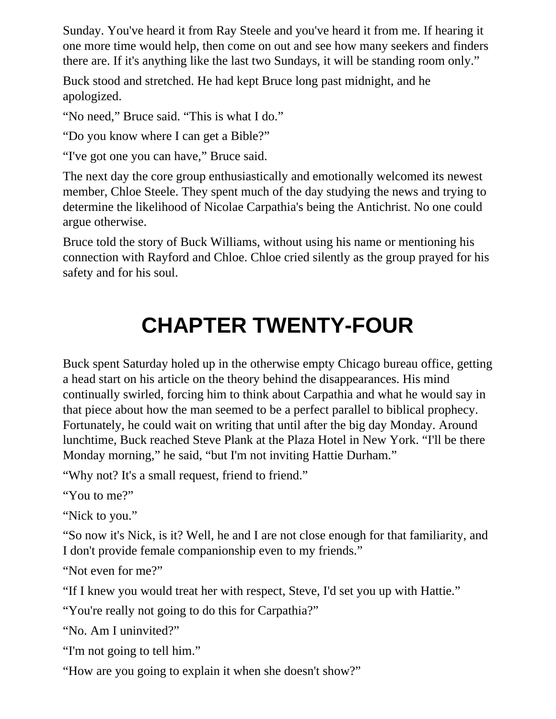Sunday. You've heard it from Ray Steele and you've heard it from me. If hearing it one more time would help, then come on out and see how many seekers and finders there are. If it's anything like the last two Sundays, it will be standing room only."

Buck stood and stretched. He had kept Bruce long past midnight, and he apologized.

"No need," Bruce said. "This is what I do."

"Do you know where I can get a Bible?"

"I've got one you can have," Bruce said.

The next day the core group enthusiastically and emotionally welcomed its newest member, Chloe Steele. They spent much of the day studying the news and trying to determine the likelihood of Nicolae Carpathia's being the Antichrist. No one could argue otherwise.

Bruce told the story of Buck Williams, without using his name or mentioning his connection with Rayford and Chloe. Chloe cried silently as the group prayed for his safety and for his soul.

## **CHAPTER TWENTY-FOUR**

Buck spent Saturday holed up in the otherwise empty Chicago bureau office, getting a head start on his article on the theory behind the disappearances. His mind continually swirled, forcing him to think about Carpathia and what he would say in that piece about how the man seemed to be a perfect parallel to biblical prophecy. Fortunately, he could wait on writing that until after the big day Monday. Around lunchtime, Buck reached Steve Plank at the Plaza Hotel in New York. "I'll be there Monday morning," he said, "but I'm not inviting Hattie Durham."

"Why not? It's a small request, friend to friend."

"You to me?"

"Nick to you."

"So now it's Nick, is it? Well, he and I are not close enough for that familiarity, and I don't provide female companionship even to my friends."

"Not even for me?"

"If I knew you would treat her with respect, Steve, I'd set you up with Hattie."

"You're really not going to do this for Carpathia?"

"No. Am I uninvited?"

"I'm not going to tell him."

"How are you going to explain it when she doesn't show?"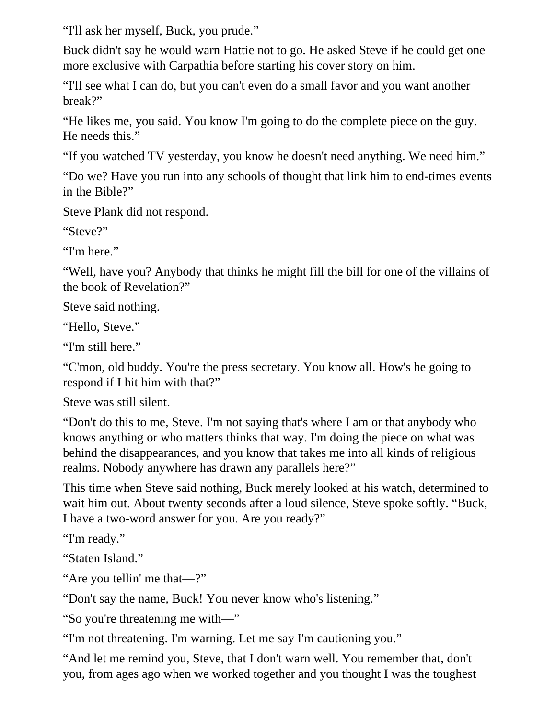"I'll ask her myself, Buck, you prude."

Buck didn't say he would warn Hattie not to go. He asked Steve if he could get one more exclusive with Carpathia before starting his cover story on him.

"I'll see what I can do, but you can't even do a small favor and you want another break?"

"He likes me, you said. You know I'm going to do the complete piece on the guy. He needs this."

"If you watched TV yesterday, you know he doesn't need anything. We need him."

"Do we? Have you run into any schools of thought that link him to end-times events in the Bible?"

Steve Plank did not respond.

"Steve?"

"I'm here."

"Well, have you? Anybody that thinks he might fill the bill for one of the villains of the book of Revelation?"

Steve said nothing.

"Hello, Steve."

"I'm still here."

"C'mon, old buddy. You're the press secretary. You know all. How's he going to respond if I hit him with that?"

Steve was still silent.

"Don't do this to me, Steve. I'm not saying that's where I am or that anybody who knows anything or who matters thinks that way. I'm doing the piece on what was behind the disappearances, and you know that takes me into all kinds of religious realms. Nobody anywhere has drawn any parallels here?"

This time when Steve said nothing, Buck merely looked at his watch, determined to wait him out. About twenty seconds after a loud silence, Steve spoke softly. "Buck, I have a two-word answer for you. Are you ready?"

"I'm ready."

"Staten Island."

"Are you tellin' me that—?"

"Don't say the name, Buck! You never know who's listening."

"So you're threatening me with—"

"I'm not threatening. I'm warning. Let me say I'm cautioning you."

"And let me remind you, Steve, that I don't warn well. You remember that, don't you, from ages ago when we worked together and you thought I was the toughest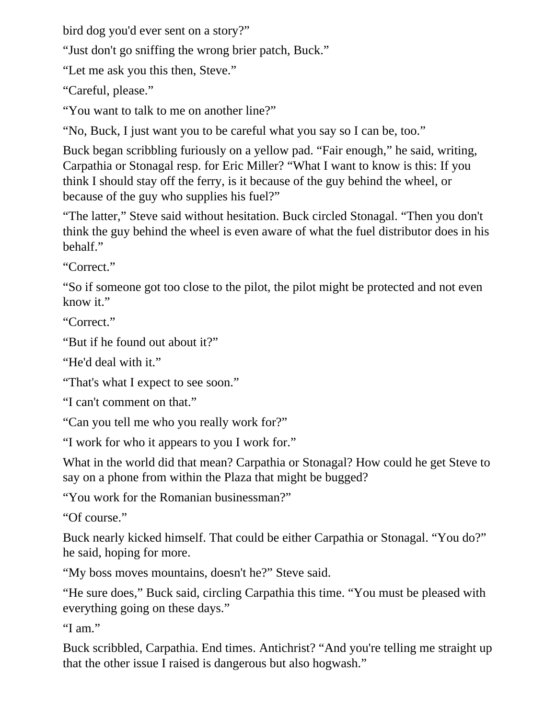bird dog you'd ever sent on a story?"

"Just don't go sniffing the wrong brier patch, Buck."

"Let me ask you this then, Steve."

"Careful, please."

"You want to talk to me on another line?"

"No, Buck, I just want you to be careful what you say so I can be, too."

Buck began scribbling furiously on a yellow pad. "Fair enough," he said, writing, Carpathia or Stonagal resp. for Eric Miller? "What I want to know is this: If you think I should stay off the ferry, is it because of the guy behind the wheel, or because of the guy who supplies his fuel?"

"The latter," Steve said without hesitation. Buck circled Stonagal. "Then you don't think the guy behind the wheel is even aware of what the fuel distributor does in his behalf."

"Correct."

"So if someone got too close to the pilot, the pilot might be protected and not even know it."

"Correct."

"But if he found out about it?"

"He'd deal with it."

"That's what I expect to see soon."

"I can't comment on that."

"Can you tell me who you really work for?"

"I work for who it appears to you I work for."

What in the world did that mean? Carpathia or Stonagal? How could he get Steve to say on a phone from within the Plaza that might be bugged?

"You work for the Romanian businessman?"

"Of course."

Buck nearly kicked himself. That could be either Carpathia or Stonagal. "You do?" he said, hoping for more.

"My boss moves mountains, doesn't he?" Steve said.

"He sure does," Buck said, circling Carpathia this time. "You must be pleased with everything going on these days."

"I am."

Buck scribbled, Carpathia. End times. Antichrist? "And you're telling me straight up that the other issue I raised is dangerous but also hogwash."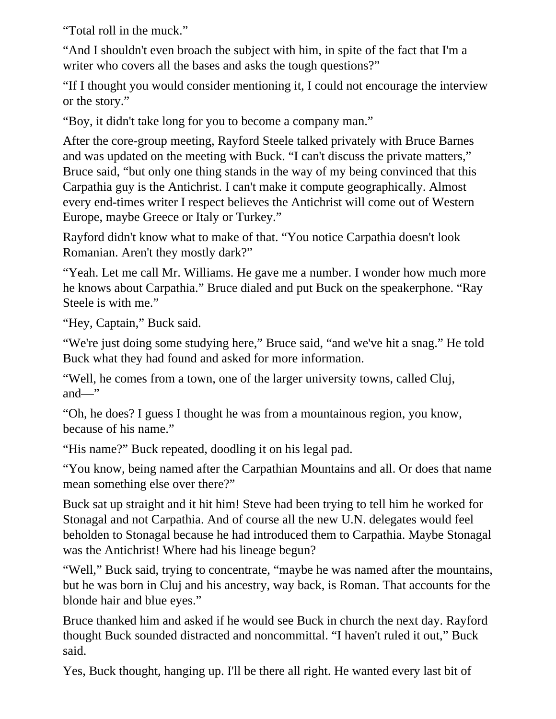"Total roll in the muck."

"And I shouldn't even broach the subject with him, in spite of the fact that I'm a writer who covers all the bases and asks the tough questions?"

"If I thought you would consider mentioning it, I could not encourage the interview or the story."

"Boy, it didn't take long for you to become a company man."

After the core-group meeting, Rayford Steele talked privately with Bruce Barnes and was updated on the meeting with Buck. "I can't discuss the private matters," Bruce said, "but only one thing stands in the way of my being convinced that this Carpathia guy is the Antichrist. I can't make it compute geographically. Almost every end-times writer I respect believes the Antichrist will come out of Western Europe, maybe Greece or Italy or Turkey."

Rayford didn't know what to make of that. "You notice Carpathia doesn't look Romanian. Aren't they mostly dark?"

"Yeah. Let me call Mr. Williams. He gave me a number. I wonder how much more he knows about Carpathia." Bruce dialed and put Buck on the speakerphone. "Ray Steele is with me."

"Hey, Captain," Buck said.

"We're just doing some studying here," Bruce said, "and we've hit a snag." He told Buck what they had found and asked for more information.

"Well, he comes from a town, one of the larger university towns, called Cluj, and—"

"Oh, he does? I guess I thought he was from a mountainous region, you know, because of his name."

"His name?" Buck repeated, doodling it on his legal pad.

"You know, being named after the Carpathian Mountains and all. Or does that name mean something else over there?"

Buck sat up straight and it hit him! Steve had been trying to tell him he worked for Stonagal and not Carpathia. And of course all the new U.N. delegates would feel beholden to Stonagal because he had introduced them to Carpathia. Maybe Stonagal was the Antichrist! Where had his lineage begun?

"Well," Buck said, trying to concentrate, "maybe he was named after the mountains, but he was born in Cluj and his ancestry, way back, is Roman. That accounts for the blonde hair and blue eyes."

Bruce thanked him and asked if he would see Buck in church the next day. Rayford thought Buck sounded distracted and noncommittal. "I haven't ruled it out," Buck said.

Yes, Buck thought, hanging up. I'll be there all right. He wanted every last bit of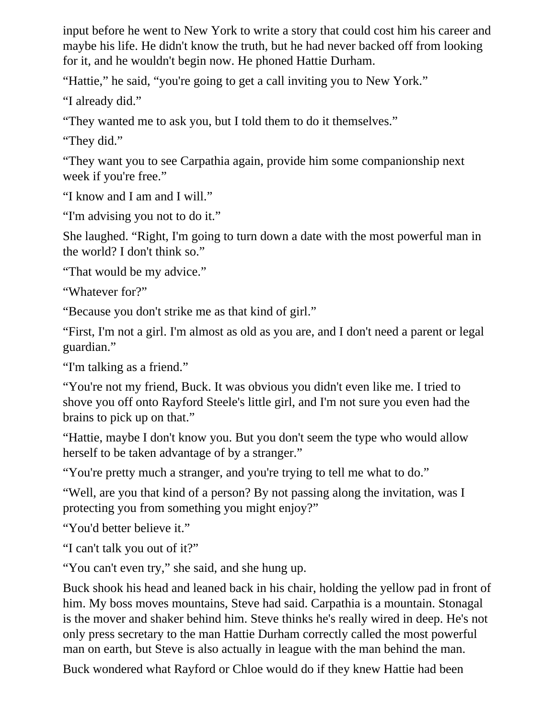input before he went to New York to write a story that could cost him his career and maybe his life. He didn't know the truth, but he had never backed off from looking for it, and he wouldn't begin now. He phoned Hattie Durham.

"Hattie," he said, "you're going to get a call inviting you to New York."

"I already did."

"They wanted me to ask you, but I told them to do it themselves."

"They did."

"They want you to see Carpathia again, provide him some companionship next week if you're free."

"I know and I am and I will."

"I'm advising you not to do it."

She laughed. "Right, I'm going to turn down a date with the most powerful man in the world? I don't think so."

"That would be my advice."

```
"Whatever for?"
```
"Because you don't strike me as that kind of girl."

"First, I'm not a girl. I'm almost as old as you are, and I don't need a parent or legal guardian."

"I'm talking as a friend."

"You're not my friend, Buck. It was obvious you didn't even like me. I tried to shove you off onto Rayford Steele's little girl, and I'm not sure you even had the brains to pick up on that."

"Hattie, maybe I don't know you. But you don't seem the type who would allow herself to be taken advantage of by a stranger."

"You're pretty much a stranger, and you're trying to tell me what to do."

"Well, are you that kind of a person? By not passing along the invitation, was I protecting you from something you might enjoy?"

"You'd better believe it."

"I can't talk you out of it?"

"You can't even try," she said, and she hung up.

Buck shook his head and leaned back in his chair, holding the yellow pad in front of him. My boss moves mountains, Steve had said. Carpathia is a mountain. Stonagal is the mover and shaker behind him. Steve thinks he's really wired in deep. He's not only press secretary to the man Hattie Durham correctly called the most powerful man on earth, but Steve is also actually in league with the man behind the man.

Buck wondered what Rayford or Chloe would do if they knew Hattie had been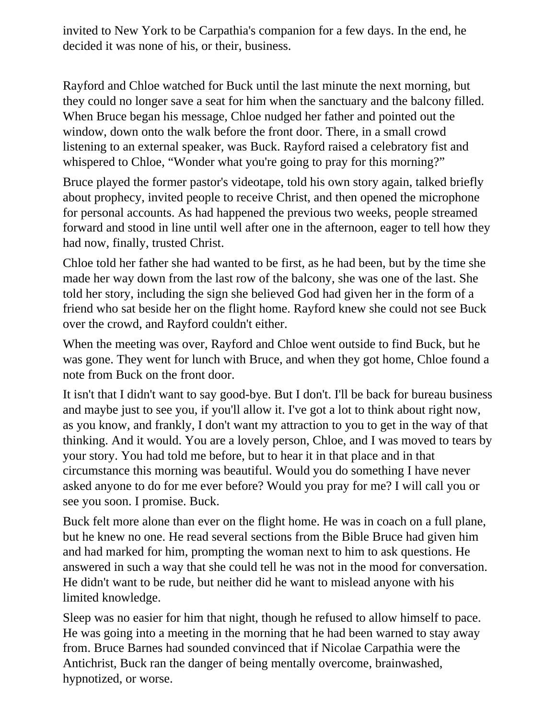invited to New York to be Carpathia's companion for a few days. In the end, he decided it was none of his, or their, business.

Rayford and Chloe watched for Buck until the last minute the next morning, but they could no longer save a seat for him when the sanctuary and the balcony filled. When Bruce began his message, Chloe nudged her father and pointed out the window, down onto the walk before the front door. There, in a small crowd listening to an external speaker, was Buck. Rayford raised a celebratory fist and whispered to Chloe, "Wonder what you're going to pray for this morning?"

Bruce played the former pastor's videotape, told his own story again, talked briefly about prophecy, invited people to receive Christ, and then opened the microphone for personal accounts. As had happened the previous two weeks, people streamed forward and stood in line until well after one in the afternoon, eager to tell how they had now, finally, trusted Christ.

Chloe told her father she had wanted to be first, as he had been, but by the time she made her way down from the last row of the balcony, she was one of the last. She told her story, including the sign she believed God had given her in the form of a friend who sat beside her on the flight home. Rayford knew she could not see Buck over the crowd, and Rayford couldn't either.

When the meeting was over, Rayford and Chloe went outside to find Buck, but he was gone. They went for lunch with Bruce, and when they got home, Chloe found a note from Buck on the front door.

It isn't that I didn't want to say good-bye. But I don't. I'll be back for bureau business and maybe just to see you, if you'll allow it. I've got a lot to think about right now, as you know, and frankly, I don't want my attraction to you to get in the way of that thinking. And it would. You are a lovely person, Chloe, and I was moved to tears by your story. You had told me before, but to hear it in that place and in that circumstance this morning was beautiful. Would you do something I have never asked anyone to do for me ever before? Would you pray for me? I will call you or see you soon. I promise. Buck.

Buck felt more alone than ever on the flight home. He was in coach on a full plane, but he knew no one. He read several sections from the Bible Bruce had given him and had marked for him, prompting the woman next to him to ask questions. He answered in such a way that she could tell he was not in the mood for conversation. He didn't want to be rude, but neither did he want to mislead anyone with his limited knowledge.

Sleep was no easier for him that night, though he refused to allow himself to pace. He was going into a meeting in the morning that he had been warned to stay away from. Bruce Barnes had sounded convinced that if Nicolae Carpathia were the Antichrist, Buck ran the danger of being mentally overcome, brainwashed, hypnotized, or worse.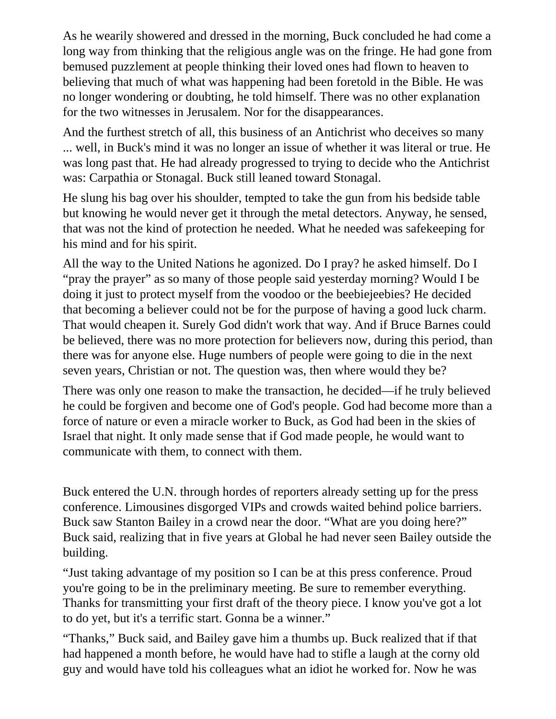As he wearily showered and dressed in the morning, Buck concluded he had come a long way from thinking that the religious angle was on the fringe. He had gone from bemused puzzlement at people thinking their loved ones had flown to heaven to believing that much of what was happening had been foretold in the Bible. He was no longer wondering or doubting, he told himself. There was no other explanation for the two witnesses in Jerusalem. Nor for the disappearances.

And the furthest stretch of all, this business of an Antichrist who deceives so many ... well, in Buck's mind it was no longer an issue of whether it was literal or true. He was long past that. He had already progressed to trying to decide who the Antichrist was: Carpathia or Stonagal. Buck still leaned toward Stonagal.

He slung his bag over his shoulder, tempted to take the gun from his bedside table but knowing he would never get it through the metal detectors. Anyway, he sensed, that was not the kind of protection he needed. What he needed was safekeeping for his mind and for his spirit.

All the way to the United Nations he agonized. Do I pray? he asked himself. Do I "pray the prayer" as so many of those people said yesterday morning? Would I be doing it just to protect myself from the voodoo or the beebiejeebies? He decided that becoming a believer could not be for the purpose of having a good luck charm. That would cheapen it. Surely God didn't work that way. And if Bruce Barnes could be believed, there was no more protection for believers now, during this period, than there was for anyone else. Huge numbers of people were going to die in the next seven years, Christian or not. The question was, then where would they be?

There was only one reason to make the transaction, he decided—if he truly believed he could be forgiven and become one of God's people. God had become more than a force of nature or even a miracle worker to Buck, as God had been in the skies of Israel that night. It only made sense that if God made people, he would want to communicate with them, to connect with them.

Buck entered the U.N. through hordes of reporters already setting up for the press conference. Limousines disgorged VIPs and crowds waited behind police barriers. Buck saw Stanton Bailey in a crowd near the door. "What are you doing here?" Buck said, realizing that in five years at Global he had never seen Bailey outside the building.

"Just taking advantage of my position so I can be at this press conference. Proud you're going to be in the preliminary meeting. Be sure to remember everything. Thanks for transmitting your first draft of the theory piece. I know you've got a lot to do yet, but it's a terrific start. Gonna be a winner."

"Thanks," Buck said, and Bailey gave him a thumbs up. Buck realized that if that had happened a month before, he would have had to stifle a laugh at the corny old guy and would have told his colleagues what an idiot he worked for. Now he was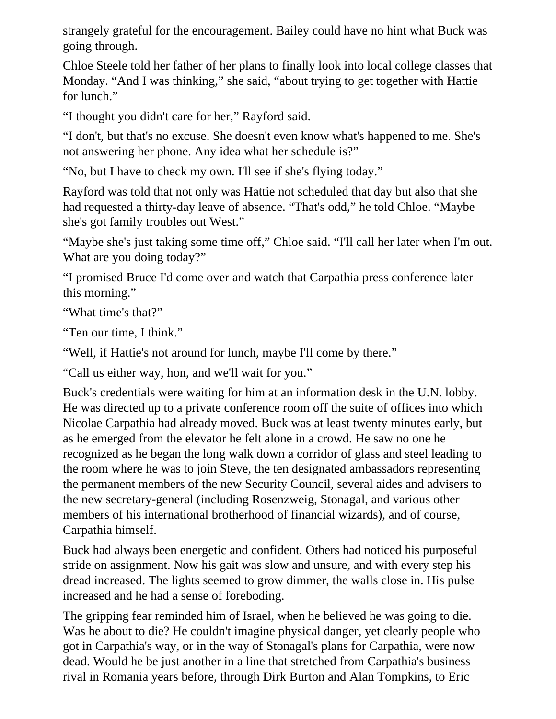strangely grateful for the encouragement. Bailey could have no hint what Buck was going through.

Chloe Steele told her father of her plans to finally look into local college classes that Monday. "And I was thinking," she said, "about trying to get together with Hattie for lunch."

"I thought you didn't care for her," Rayford said.

"I don't, but that's no excuse. She doesn't even know what's happened to me. She's not answering her phone. Any idea what her schedule is?"

"No, but I have to check my own. I'll see if she's flying today."

Rayford was told that not only was Hattie not scheduled that day but also that she had requested a thirty-day leave of absence. "That's odd," he told Chloe. "Maybe she's got family troubles out West."

"Maybe she's just taking some time off," Chloe said. "I'll call her later when I'm out. What are you doing today?"

"I promised Bruce I'd come over and watch that Carpathia press conference later this morning."

"What time's that?"

"Ten our time, I think."

"Well, if Hattie's not around for lunch, maybe I'll come by there."

"Call us either way, hon, and we'll wait for you."

Buck's credentials were waiting for him at an information desk in the U.N. lobby. He was directed up to a private conference room off the suite of offices into which Nicolae Carpathia had already moved. Buck was at least twenty minutes early, but as he emerged from the elevator he felt alone in a crowd. He saw no one he recognized as he began the long walk down a corridor of glass and steel leading to the room where he was to join Steve, the ten designated ambassadors representing the permanent members of the new Security Council, several aides and advisers to the new secretary-general (including Rosenzweig, Stonagal, and various other members of his international brotherhood of financial wizards), and of course, Carpathia himself.

Buck had always been energetic and confident. Others had noticed his purposeful stride on assignment. Now his gait was slow and unsure, and with every step his dread increased. The lights seemed to grow dimmer, the walls close in. His pulse increased and he had a sense of foreboding.

The gripping fear reminded him of Israel, when he believed he was going to die. Was he about to die? He couldn't imagine physical danger, yet clearly people who got in Carpathia's way, or in the way of Stonagal's plans for Carpathia, were now dead. Would he be just another in a line that stretched from Carpathia's business rival in Romania years before, through Dirk Burton and Alan Tompkins, to Eric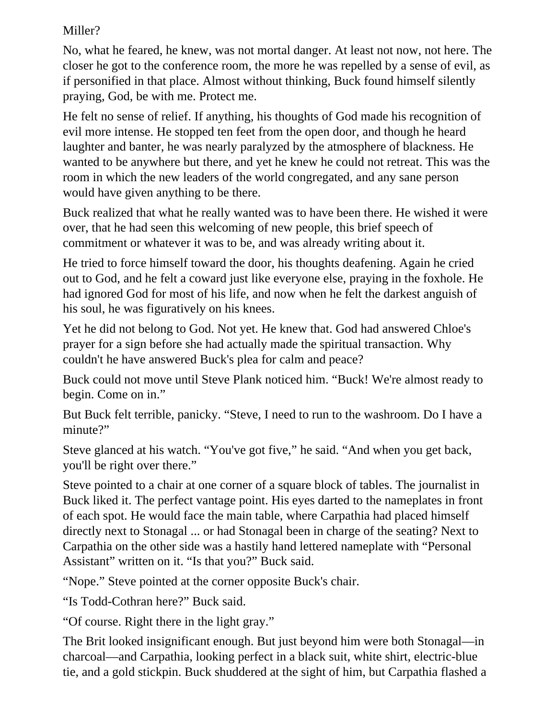## Miller?

No, what he feared, he knew, was not mortal danger. At least not now, not here. The closer he got to the conference room, the more he was repelled by a sense of evil, as if personified in that place. Almost without thinking, Buck found himself silently praying, God, be with me. Protect me.

He felt no sense of relief. If anything, his thoughts of God made his recognition of evil more intense. He stopped ten feet from the open door, and though he heard laughter and banter, he was nearly paralyzed by the atmosphere of blackness. He wanted to be anywhere but there, and yet he knew he could not retreat. This was the room in which the new leaders of the world congregated, and any sane person would have given anything to be there.

Buck realized that what he really wanted was to have been there. He wished it were over, that he had seen this welcoming of new people, this brief speech of commitment or whatever it was to be, and was already writing about it.

He tried to force himself toward the door, his thoughts deafening. Again he cried out to God, and he felt a coward just like everyone else, praying in the foxhole. He had ignored God for most of his life, and now when he felt the darkest anguish of his soul, he was figuratively on his knees.

Yet he did not belong to God. Not yet. He knew that. God had answered Chloe's prayer for a sign before she had actually made the spiritual transaction. Why couldn't he have answered Buck's plea for calm and peace?

Buck could not move until Steve Plank noticed him. "Buck! We're almost ready to begin. Come on in."

But Buck felt terrible, panicky. "Steve, I need to run to the washroom. Do I have a minute?"

Steve glanced at his watch. "You've got five," he said. "And when you get back, you'll be right over there."

Steve pointed to a chair at one corner of a square block of tables. The journalist in Buck liked it. The perfect vantage point. His eyes darted to the nameplates in front of each spot. He would face the main table, where Carpathia had placed himself directly next to Stonagal ... or had Stonagal been in charge of the seating? Next to Carpathia on the other side was a hastily hand lettered nameplate with "Personal Assistant" written on it. "Is that you?" Buck said.

"Nope." Steve pointed at the corner opposite Buck's chair.

"Is Todd-Cothran here?" Buck said.

"Of course. Right there in the light gray."

The Brit looked insignificant enough. But just beyond him were both Stonagal—in charcoal—and Carpathia, looking perfect in a black suit, white shirt, electric-blue tie, and a gold stickpin. Buck shuddered at the sight of him, but Carpathia flashed a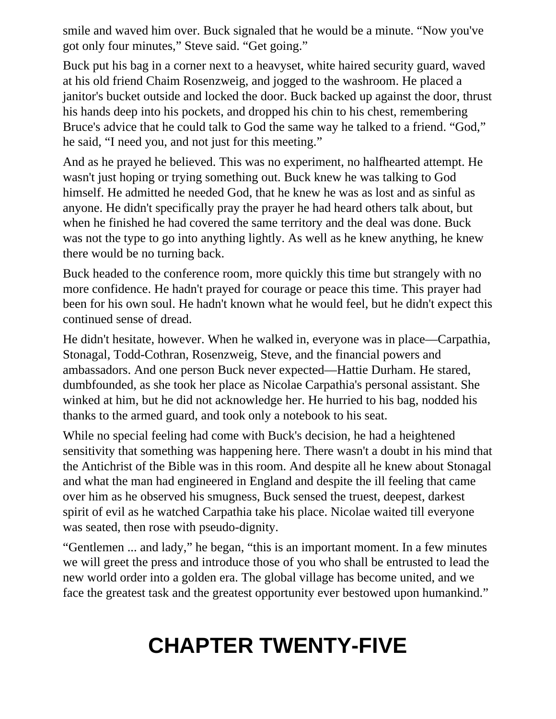smile and waved him over. Buck signaled that he would be a minute. "Now you've got only four minutes," Steve said. "Get going."

Buck put his bag in a corner next to a heavyset, white haired security guard, waved at his old friend Chaim Rosenzweig, and jogged to the washroom. He placed a janitor's bucket outside and locked the door. Buck backed up against the door, thrust his hands deep into his pockets, and dropped his chin to his chest, remembering Bruce's advice that he could talk to God the same way he talked to a friend. "God," he said, "I need you, and not just for this meeting."

And as he prayed he believed. This was no experiment, no halfhearted attempt. He wasn't just hoping or trying something out. Buck knew he was talking to God himself. He admitted he needed God, that he knew he was as lost and as sinful as anyone. He didn't specifically pray the prayer he had heard others talk about, but when he finished he had covered the same territory and the deal was done. Buck was not the type to go into anything lightly. As well as he knew anything, he knew there would be no turning back.

Buck headed to the conference room, more quickly this time but strangely with no more confidence. He hadn't prayed for courage or peace this time. This prayer had been for his own soul. He hadn't known what he would feel, but he didn't expect this continued sense of dread.

He didn't hesitate, however. When he walked in, everyone was in place—Carpathia, Stonagal, Todd-Cothran, Rosenzweig, Steve, and the financial powers and ambassadors. And one person Buck never expected—Hattie Durham. He stared, dumbfounded, as she took her place as Nicolae Carpathia's personal assistant. She winked at him, but he did not acknowledge her. He hurried to his bag, nodded his thanks to the armed guard, and took only a notebook to his seat.

While no special feeling had come with Buck's decision, he had a heightened sensitivity that something was happening here. There wasn't a doubt in his mind that the Antichrist of the Bible was in this room. And despite all he knew about Stonagal and what the man had engineered in England and despite the ill feeling that came over him as he observed his smugness, Buck sensed the truest, deepest, darkest spirit of evil as he watched Carpathia take his place. Nicolae waited till everyone was seated, then rose with pseudo-dignity.

"Gentlemen ... and lady," he began, "this is an important moment. In a few minutes we will greet the press and introduce those of you who shall be entrusted to lead the new world order into a golden era. The global village has become united, and we face the greatest task and the greatest opportunity ever bestowed upon humankind."

## **CHAPTER TWENTY-FIVE**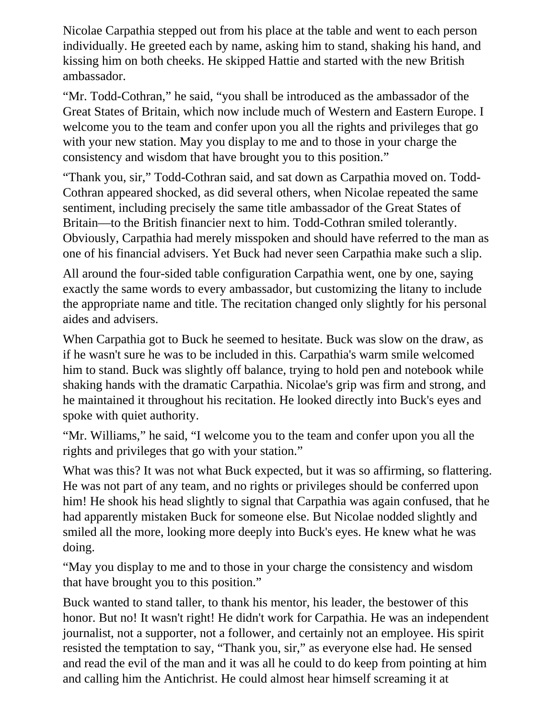Nicolae Carpathia stepped out from his place at the table and went to each person individually. He greeted each by name, asking him to stand, shaking his hand, and kissing him on both cheeks. He skipped Hattie and started with the new British ambassador.

"Mr. Todd-Cothran," he said, "you shall be introduced as the ambassador of the Great States of Britain, which now include much of Western and Eastern Europe. I welcome you to the team and confer upon you all the rights and privileges that go with your new station. May you display to me and to those in your charge the consistency and wisdom that have brought you to this position."

"Thank you, sir," Todd-Cothran said, and sat down as Carpathia moved on. Todd-Cothran appeared shocked, as did several others, when Nicolae repeated the same sentiment, including precisely the same title ambassador of the Great States of Britain—to the British financier next to him. Todd-Cothran smiled tolerantly. Obviously, Carpathia had merely misspoken and should have referred to the man as one of his financial advisers. Yet Buck had never seen Carpathia make such a slip.

All around the four-sided table configuration Carpathia went, one by one, saying exactly the same words to every ambassador, but customizing the litany to include the appropriate name and title. The recitation changed only slightly for his personal aides and advisers.

When Carpathia got to Buck he seemed to hesitate. Buck was slow on the draw, as if he wasn't sure he was to be included in this. Carpathia's warm smile welcomed him to stand. Buck was slightly off balance, trying to hold pen and notebook while shaking hands with the dramatic Carpathia. Nicolae's grip was firm and strong, and he maintained it throughout his recitation. He looked directly into Buck's eyes and spoke with quiet authority.

"Mr. Williams," he said, "I welcome you to the team and confer upon you all the rights and privileges that go with your station."

What was this? It was not what Buck expected, but it was so affirming, so flattering. He was not part of any team, and no rights or privileges should be conferred upon him! He shook his head slightly to signal that Carpathia was again confused, that he had apparently mistaken Buck for someone else. But Nicolae nodded slightly and smiled all the more, looking more deeply into Buck's eyes. He knew what he was doing.

"May you display to me and to those in your charge the consistency and wisdom that have brought you to this position."

Buck wanted to stand taller, to thank his mentor, his leader, the bestower of this honor. But no! It wasn't right! He didn't work for Carpathia. He was an independent journalist, not a supporter, not a follower, and certainly not an employee. His spirit resisted the temptation to say, "Thank you, sir," as everyone else had. He sensed and read the evil of the man and it was all he could to do keep from pointing at him and calling him the Antichrist. He could almost hear himself screaming it at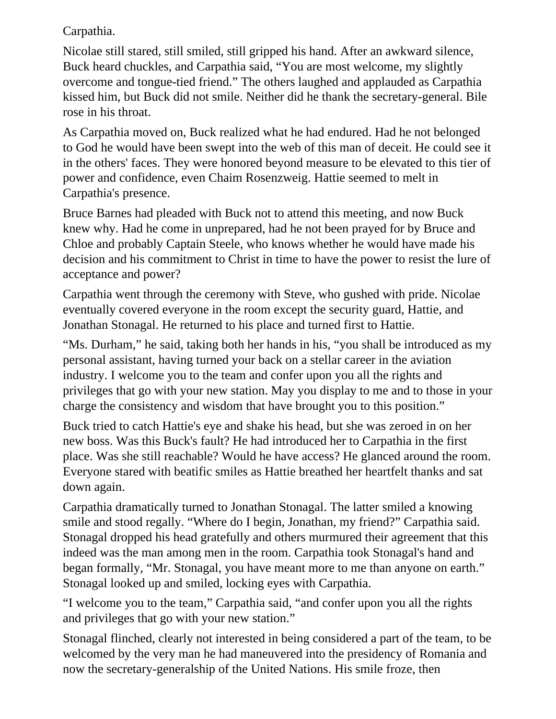Carpathia.

Nicolae still stared, still smiled, still gripped his hand. After an awkward silence, Buck heard chuckles, and Carpathia said, "You are most welcome, my slightly overcome and tongue-tied friend." The others laughed and applauded as Carpathia kissed him, but Buck did not smile. Neither did he thank the secretary-general. Bile rose in his throat.

As Carpathia moved on, Buck realized what he had endured. Had he not belonged to God he would have been swept into the web of this man of deceit. He could see it in the others' faces. They were honored beyond measure to be elevated to this tier of power and confidence, even Chaim Rosenzweig. Hattie seemed to melt in Carpathia's presence.

Bruce Barnes had pleaded with Buck not to attend this meeting, and now Buck knew why. Had he come in unprepared, had he not been prayed for by Bruce and Chloe and probably Captain Steele, who knows whether he would have made his decision and his commitment to Christ in time to have the power to resist the lure of acceptance and power?

Carpathia went through the ceremony with Steve, who gushed with pride. Nicolae eventually covered everyone in the room except the security guard, Hattie, and Jonathan Stonagal. He returned to his place and turned first to Hattie.

"Ms. Durham," he said, taking both her hands in his, "you shall be introduced as my personal assistant, having turned your back on a stellar career in the aviation industry. I welcome you to the team and confer upon you all the rights and privileges that go with your new station. May you display to me and to those in your charge the consistency and wisdom that have brought you to this position."

Buck tried to catch Hattie's eye and shake his head, but she was zeroed in on her new boss. Was this Buck's fault? He had introduced her to Carpathia in the first place. Was she still reachable? Would he have access? He glanced around the room. Everyone stared with beatific smiles as Hattie breathed her heartfelt thanks and sat down again.

Carpathia dramatically turned to Jonathan Stonagal. The latter smiled a knowing smile and stood regally. "Where do I begin, Jonathan, my friend?" Carpathia said. Stonagal dropped his head gratefully and others murmured their agreement that this indeed was the man among men in the room. Carpathia took Stonagal's hand and began formally, "Mr. Stonagal, you have meant more to me than anyone on earth." Stonagal looked up and smiled, locking eyes with Carpathia.

"I welcome you to the team," Carpathia said, "and confer upon you all the rights and privileges that go with your new station."

Stonagal flinched, clearly not interested in being considered a part of the team, to be welcomed by the very man he had maneuvered into the presidency of Romania and now the secretary-generalship of the United Nations. His smile froze, then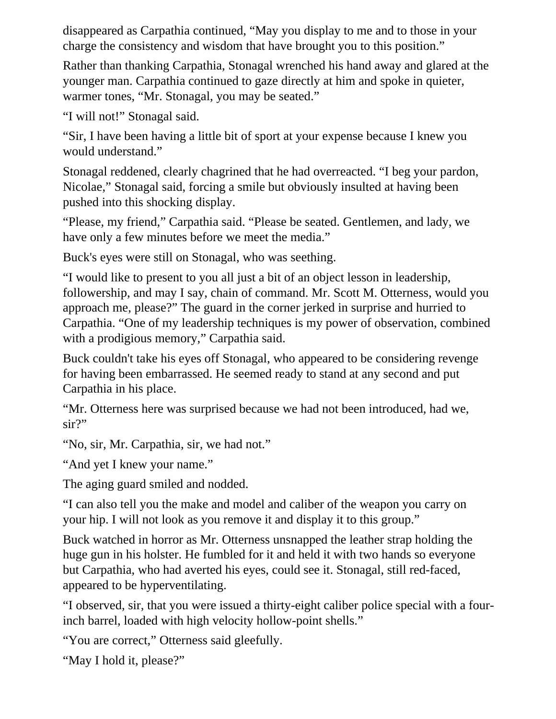disappeared as Carpathia continued, "May you display to me and to those in your charge the consistency and wisdom that have brought you to this position."

Rather than thanking Carpathia, Stonagal wrenched his hand away and glared at the younger man. Carpathia continued to gaze directly at him and spoke in quieter, warmer tones, "Mr. Stonagal, you may be seated."

"I will not!" Stonagal said.

"Sir, I have been having a little bit of sport at your expense because I knew you would understand."

Stonagal reddened, clearly chagrined that he had overreacted. "I beg your pardon, Nicolae," Stonagal said, forcing a smile but obviously insulted at having been pushed into this shocking display.

"Please, my friend," Carpathia said. "Please be seated. Gentlemen, and lady, we have only a few minutes before we meet the media."

Buck's eyes were still on Stonagal, who was seething.

"I would like to present to you all just a bit of an object lesson in leadership, followership, and may I say, chain of command. Mr. Scott M. Otterness, would you approach me, please?" The guard in the corner jerked in surprise and hurried to Carpathia. "One of my leadership techniques is my power of observation, combined with a prodigious memory," Carpathia said.

Buck couldn't take his eyes off Stonagal, who appeared to be considering revenge for having been embarrassed. He seemed ready to stand at any second and put Carpathia in his place.

"Mr. Otterness here was surprised because we had not been introduced, had we, sir?"

"No, sir, Mr. Carpathia, sir, we had not."

"And yet I knew your name."

The aging guard smiled and nodded.

"I can also tell you the make and model and caliber of the weapon you carry on your hip. I will not look as you remove it and display it to this group."

Buck watched in horror as Mr. Otterness unsnapped the leather strap holding the huge gun in his holster. He fumbled for it and held it with two hands so everyone but Carpathia, who had averted his eyes, could see it. Stonagal, still red-faced, appeared to be hyperventilating.

"I observed, sir, that you were issued a thirty-eight caliber police special with a fourinch barrel, loaded with high velocity hollow-point shells."

"You are correct," Otterness said gleefully.

"May I hold it, please?"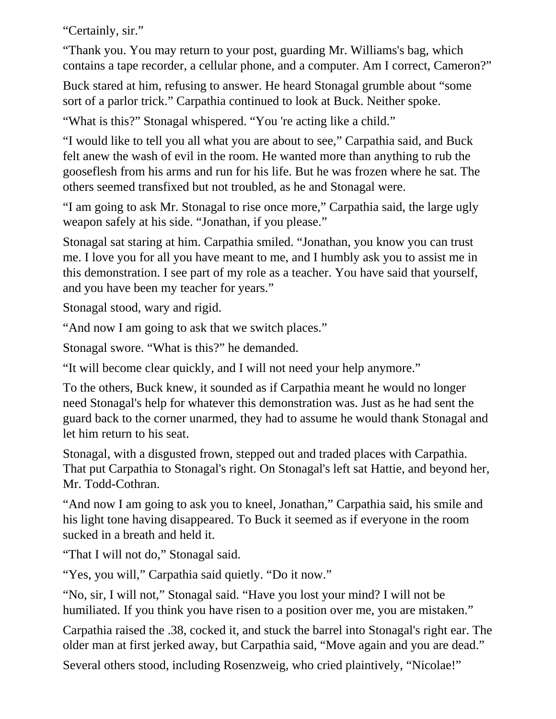"Certainly, sir."

"Thank you. You may return to your post, guarding Mr. Williams's bag, which contains a tape recorder, a cellular phone, and a computer. Am I correct, Cameron?"

Buck stared at him, refusing to answer. He heard Stonagal grumble about "some sort of a parlor trick." Carpathia continued to look at Buck. Neither spoke.

"What is this?" Stonagal whispered. "You 're acting like a child."

"I would like to tell you all what you are about to see," Carpathia said, and Buck felt anew the wash of evil in the room. He wanted more than anything to rub the gooseflesh from his arms and run for his life. But he was frozen where he sat. The others seemed transfixed but not troubled, as he and Stonagal were.

"I am going to ask Mr. Stonagal to rise once more," Carpathia said, the large ugly weapon safely at his side. "Jonathan, if you please."

Stonagal sat staring at him. Carpathia smiled. "Jonathan, you know you can trust me. I love you for all you have meant to me, and I humbly ask you to assist me in this demonstration. I see part of my role as a teacher. You have said that yourself, and you have been my teacher for years."

Stonagal stood, wary and rigid.

"And now I am going to ask that we switch places."

Stonagal swore. "What is this?" he demanded.

"It will become clear quickly, and I will not need your help anymore."

To the others, Buck knew, it sounded as if Carpathia meant he would no longer need Stonagal's help for whatever this demonstration was. Just as he had sent the guard back to the corner unarmed, they had to assume he would thank Stonagal and let him return to his seat.

Stonagal, with a disgusted frown, stepped out and traded places with Carpathia. That put Carpathia to Stonagal's right. On Stonagal's left sat Hattie, and beyond her, Mr. Todd-Cothran.

"And now I am going to ask you to kneel, Jonathan," Carpathia said, his smile and his light tone having disappeared. To Buck it seemed as if everyone in the room sucked in a breath and held it.

"That I will not do," Stonagal said.

"Yes, you will," Carpathia said quietly. "Do it now."

"No, sir, I will not," Stonagal said. "Have you lost your mind? I will not be humiliated. If you think you have risen to a position over me, you are mistaken."

Carpathia raised the .38, cocked it, and stuck the barrel into Stonagal's right ear. The older man at first jerked away, but Carpathia said, "Move again and you are dead."

Several others stood, including Rosenzweig, who cried plaintively, "Nicolae!"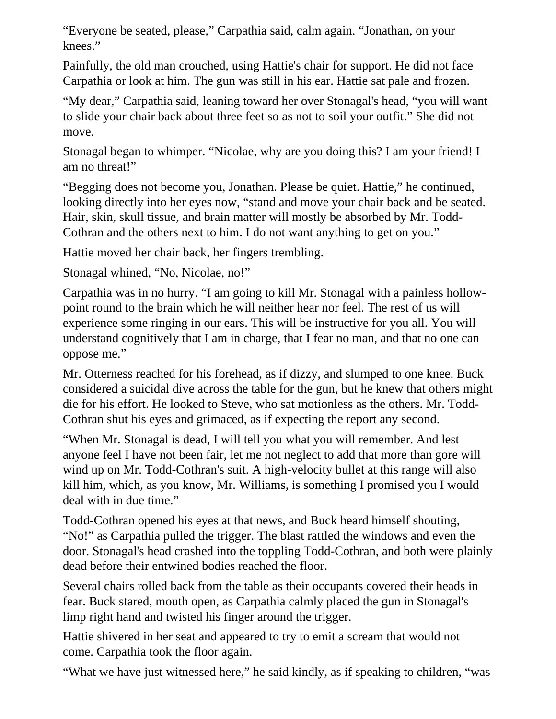"Everyone be seated, please," Carpathia said, calm again. "Jonathan, on your knees."

Painfully, the old man crouched, using Hattie's chair for support. He did not face Carpathia or look at him. The gun was still in his ear. Hattie sat pale and frozen.

"My dear," Carpathia said, leaning toward her over Stonagal's head, "you will want to slide your chair back about three feet so as not to soil your outfit." She did not move.

Stonagal began to whimper. "Nicolae, why are you doing this? I am your friend! I am no threat!"

"Begging does not become you, Jonathan. Please be quiet. Hattie," he continued, looking directly into her eyes now, "stand and move your chair back and be seated. Hair, skin, skull tissue, and brain matter will mostly be absorbed by Mr. Todd-Cothran and the others next to him. I do not want anything to get on you."

Hattie moved her chair back, her fingers trembling.

Stonagal whined, "No, Nicolae, no!"

Carpathia was in no hurry. "I am going to kill Mr. Stonagal with a painless hollowpoint round to the brain which he will neither hear nor feel. The rest of us will experience some ringing in our ears. This will be instructive for you all. You will understand cognitively that I am in charge, that I fear no man, and that no one can oppose me."

Mr. Otterness reached for his forehead, as if dizzy, and slumped to one knee. Buck considered a suicidal dive across the table for the gun, but he knew that others might die for his effort. He looked to Steve, who sat motionless as the others. Mr. Todd-Cothran shut his eyes and grimaced, as if expecting the report any second.

"When Mr. Stonagal is dead, I will tell you what you will remember. And lest anyone feel I have not been fair, let me not neglect to add that more than gore will wind up on Mr. Todd-Cothran's suit. A high-velocity bullet at this range will also kill him, which, as you know, Mr. Williams, is something I promised you I would deal with in due time."

Todd-Cothran opened his eyes at that news, and Buck heard himself shouting, "No!" as Carpathia pulled the trigger. The blast rattled the windows and even the door. Stonagal's head crashed into the toppling Todd-Cothran, and both were plainly dead before their entwined bodies reached the floor.

Several chairs rolled back from the table as their occupants covered their heads in fear. Buck stared, mouth open, as Carpathia calmly placed the gun in Stonagal's limp right hand and twisted his finger around the trigger.

Hattie shivered in her seat and appeared to try to emit a scream that would not come. Carpathia took the floor again.

"What we have just witnessed here," he said kindly, as if speaking to children, "was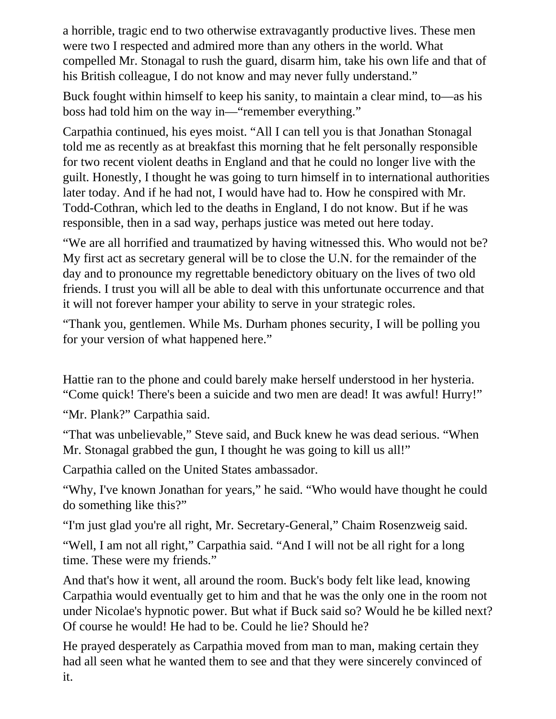a horrible, tragic end to two otherwise extravagantly productive lives. These men were two I respected and admired more than any others in the world. What compelled Mr. Stonagal to rush the guard, disarm him, take his own life and that of his British colleague, I do not know and may never fully understand."

Buck fought within himself to keep his sanity, to maintain a clear mind, to—as his boss had told him on the way in—"remember everything."

Carpathia continued, his eyes moist. "All I can tell you is that Jonathan Stonagal told me as recently as at breakfast this morning that he felt personally responsible for two recent violent deaths in England and that he could no longer live with the guilt. Honestly, I thought he was going to turn himself in to international authorities later today. And if he had not, I would have had to. How he conspired with Mr. Todd-Cothran, which led to the deaths in England, I do not know. But if he was responsible, then in a sad way, perhaps justice was meted out here today.

"We are all horrified and traumatized by having witnessed this. Who would not be? My first act as secretary general will be to close the U.N. for the remainder of the day and to pronounce my regrettable benedictory obituary on the lives of two old friends. I trust you will all be able to deal with this unfortunate occurrence and that it will not forever hamper your ability to serve in your strategic roles.

"Thank you, gentlemen. While Ms. Durham phones security, I will be polling you for your version of what happened here."

Hattie ran to the phone and could barely make herself understood in her hysteria. "Come quick! There's been a suicide and two men are dead! It was awful! Hurry!"

"Mr. Plank?" Carpathia said.

"That was unbelievable," Steve said, and Buck knew he was dead serious. "When Mr. Stonagal grabbed the gun, I thought he was going to kill us all!"

Carpathia called on the United States ambassador.

"Why, I've known Jonathan for years," he said. "Who would have thought he could do something like this?"

"I'm just glad you're all right, Mr. Secretary-General," Chaim Rosenzweig said.

"Well, I am not all right," Carpathia said. "And I will not be all right for a long time. These were my friends."

And that's how it went, all around the room. Buck's body felt like lead, knowing Carpathia would eventually get to him and that he was the only one in the room not under Nicolae's hypnotic power. But what if Buck said so? Would he be killed next? Of course he would! He had to be. Could he lie? Should he?

He prayed desperately as Carpathia moved from man to man, making certain they had all seen what he wanted them to see and that they were sincerely convinced of it.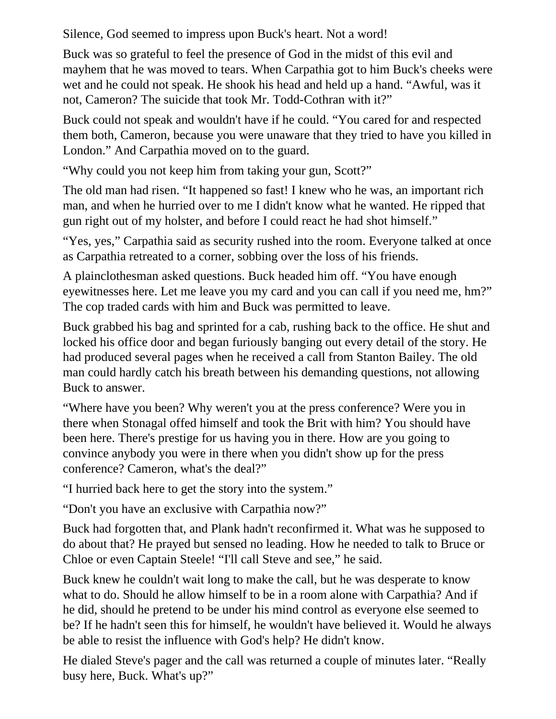Silence, God seemed to impress upon Buck's heart. Not a word!

Buck was so grateful to feel the presence of God in the midst of this evil and mayhem that he was moved to tears. When Carpathia got to him Buck's cheeks were wet and he could not speak. He shook his head and held up a hand. "Awful, was it not, Cameron? The suicide that took Mr. Todd-Cothran with it?"

Buck could not speak and wouldn't have if he could. "You cared for and respected them both, Cameron, because you were unaware that they tried to have you killed in London." And Carpathia moved on to the guard.

"Why could you not keep him from taking your gun, Scott?"

The old man had risen. "It happened so fast! I knew who he was, an important rich man, and when he hurried over to me I didn't know what he wanted. He ripped that gun right out of my holster, and before I could react he had shot himself."

"Yes, yes," Carpathia said as security rushed into the room. Everyone talked at once as Carpathia retreated to a corner, sobbing over the loss of his friends.

A plainclothesman asked questions. Buck headed him off. "You have enough eyewitnesses here. Let me leave you my card and you can call if you need me, hm?" The cop traded cards with him and Buck was permitted to leave.

Buck grabbed his bag and sprinted for a cab, rushing back to the office. He shut and locked his office door and began furiously banging out every detail of the story. He had produced several pages when he received a call from Stanton Bailey. The old man could hardly catch his breath between his demanding questions, not allowing Buck to answer.

"Where have you been? Why weren't you at the press conference? Were you in there when Stonagal offed himself and took the Brit with him? You should have been here. There's prestige for us having you in there. How are you going to convince anybody you were in there when you didn't show up for the press conference? Cameron, what's the deal?"

"I hurried back here to get the story into the system."

"Don't you have an exclusive with Carpathia now?"

Buck had forgotten that, and Plank hadn't reconfirmed it. What was he supposed to do about that? He prayed but sensed no leading. How he needed to talk to Bruce or Chloe or even Captain Steele! "I'll call Steve and see," he said.

Buck knew he couldn't wait long to make the call, but he was desperate to know what to do. Should he allow himself to be in a room alone with Carpathia? And if he did, should he pretend to be under his mind control as everyone else seemed to be? If he hadn't seen this for himself, he wouldn't have believed it. Would he always be able to resist the influence with God's help? He didn't know.

He dialed Steve's pager and the call was returned a couple of minutes later. "Really busy here, Buck. What's up?"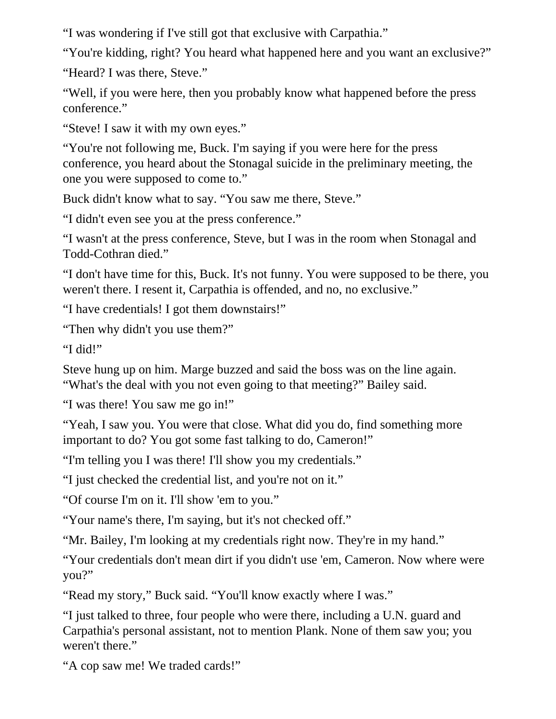"I was wondering if I've still got that exclusive with Carpathia."

"You're kidding, right? You heard what happened here and you want an exclusive?"

"Heard? I was there, Steve."

"Well, if you were here, then you probably know what happened before the press conference."

"Steve! I saw it with my own eyes."

"You're not following me, Buck. I'm saying if you were here for the press conference, you heard about the Stonagal suicide in the preliminary meeting, the one you were supposed to come to."

Buck didn't know what to say. "You saw me there, Steve."

"I didn't even see you at the press conference."

"I wasn't at the press conference, Steve, but I was in the room when Stonagal and Todd-Cothran died."

"I don't have time for this, Buck. It's not funny. You were supposed to be there, you weren't there. I resent it, Carpathia is offended, and no, no exclusive."

"I have credentials! I got them downstairs!"

"Then why didn't you use them?"

"I did!"

Steve hung up on him. Marge buzzed and said the boss was on the line again. "What's the deal with you not even going to that meeting?" Bailey said.

"I was there! You saw me go in!"

"Yeah, I saw you. You were that close. What did you do, find something more important to do? You got some fast talking to do, Cameron!"

"I'm telling you I was there! I'll show you my credentials."

"I just checked the credential list, and you're not on it."

"Of course I'm on it. I'll show 'em to you."

"Your name's there, I'm saying, but it's not checked off."

"Mr. Bailey, I'm looking at my credentials right now. They're in my hand."

"Your credentials don't mean dirt if you didn't use 'em, Cameron. Now where were you?"

"Read my story," Buck said. "You'll know exactly where I was."

"I just talked to three, four people who were there, including a U.N. guard and Carpathia's personal assistant, not to mention Plank. None of them saw you; you weren't there."

"A cop saw me! We traded cards!"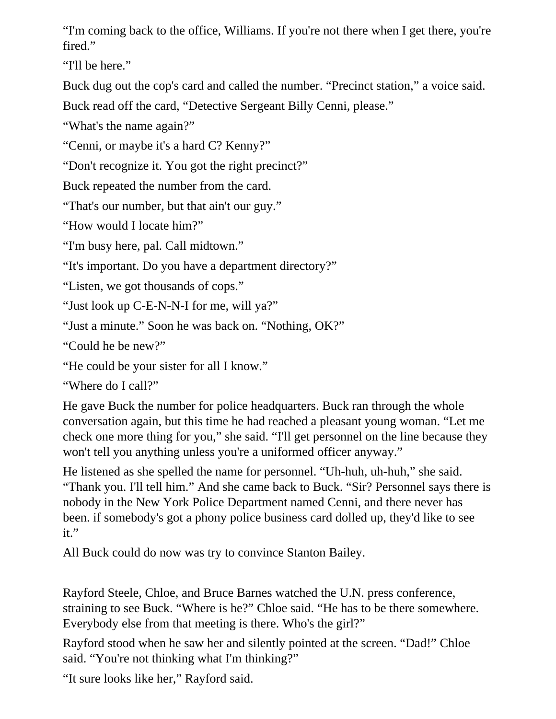"I'm coming back to the office, Williams. If you're not there when I get there, you're fired."

"I'll be here."

Buck dug out the cop's card and called the number. "Precinct station," a voice said.

Buck read off the card, "Detective Sergeant Billy Cenni, please."

"What's the name again?"

"Cenni, or maybe it's a hard C? Kenny?"

"Don't recognize it. You got the right precinct?"

Buck repeated the number from the card.

"That's our number, but that ain't our guy."

"How would I locate him?"

"I'm busy here, pal. Call midtown."

"It's important. Do you have a department directory?"

"Listen, we got thousands of cops."

"Just look up C-E-N-N-I for me, will ya?"

"Just a minute." Soon he was back on. "Nothing, OK?"

"Could he be new?"

"He could be your sister for all I know."

"Where do I call?"

He gave Buck the number for police headquarters. Buck ran through the whole conversation again, but this time he had reached a pleasant young woman. "Let me check one more thing for you," she said. "I'll get personnel on the line because they won't tell you anything unless you're a uniformed officer anyway."

He listened as she spelled the name for personnel. "Uh-huh, uh-huh," she said. "Thank you. I'll tell him." And she came back to Buck. "Sir? Personnel says there is nobody in the New York Police Department named Cenni, and there never has been. if somebody's got a phony police business card dolled up, they'd like to see it."

All Buck could do now was try to convince Stanton Bailey.

Rayford Steele, Chloe, and Bruce Barnes watched the U.N. press conference, straining to see Buck. "Where is he?" Chloe said. "He has to be there somewhere. Everybody else from that meeting is there. Who's the girl?"

Rayford stood when he saw her and silently pointed at the screen. "Dad!" Chloe said. "You're not thinking what I'm thinking?"

"It sure looks like her," Rayford said.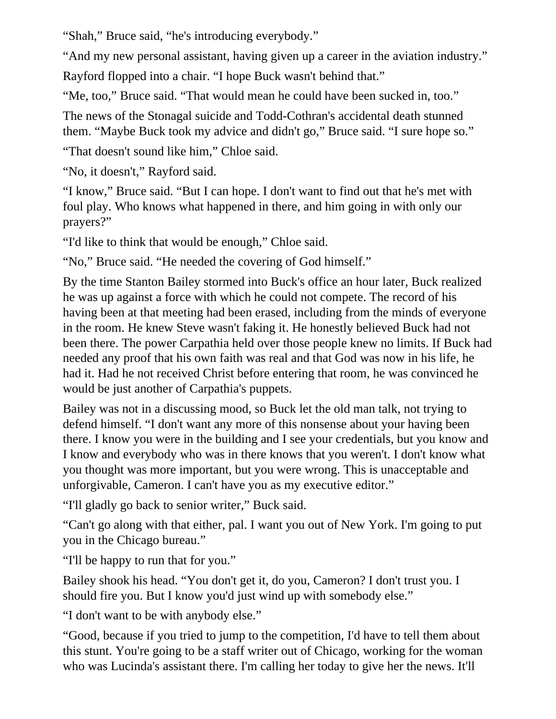"Shah," Bruce said, "he's introducing everybody."

"And my new personal assistant, having given up a career in the aviation industry."

Rayford flopped into a chair. "I hope Buck wasn't behind that."

"Me, too," Bruce said. "That would mean he could have been sucked in, too."

The news of the Stonagal suicide and Todd-Cothran's accidental death stunned them. "Maybe Buck took my advice and didn't go," Bruce said. "I sure hope so."

"That doesn't sound like him," Chloe said.

"No, it doesn't," Rayford said.

"I know," Bruce said. "But I can hope. I don't want to find out that he's met with foul play. Who knows what happened in there, and him going in with only our prayers?"

"I'd like to think that would be enough," Chloe said.

"No," Bruce said. "He needed the covering of God himself."

By the time Stanton Bailey stormed into Buck's office an hour later, Buck realized he was up against a force with which he could not compete. The record of his having been at that meeting had been erased, including from the minds of everyone in the room. He knew Steve wasn't faking it. He honestly believed Buck had not been there. The power Carpathia held over those people knew no limits. If Buck had needed any proof that his own faith was real and that God was now in his life, he had it. Had he not received Christ before entering that room, he was convinced he would be just another of Carpathia's puppets.

Bailey was not in a discussing mood, so Buck let the old man talk, not trying to defend himself. "I don't want any more of this nonsense about your having been there. I know you were in the building and I see your credentials, but you know and I know and everybody who was in there knows that you weren't. I don't know what you thought was more important, but you were wrong. This is unacceptable and unforgivable, Cameron. I can't have you as my executive editor."

"I'll gladly go back to senior writer," Buck said.

"Can't go along with that either, pal. I want you out of New York. I'm going to put you in the Chicago bureau."

"I'll be happy to run that for you."

Bailey shook his head. "You don't get it, do you, Cameron? I don't trust you. I should fire you. But I know you'd just wind up with somebody else."

"I don't want to be with anybody else."

"Good, because if you tried to jump to the competition, I'd have to tell them about this stunt. You're going to be a staff writer out of Chicago, working for the woman who was Lucinda's assistant there. I'm calling her today to give her the news. It'll